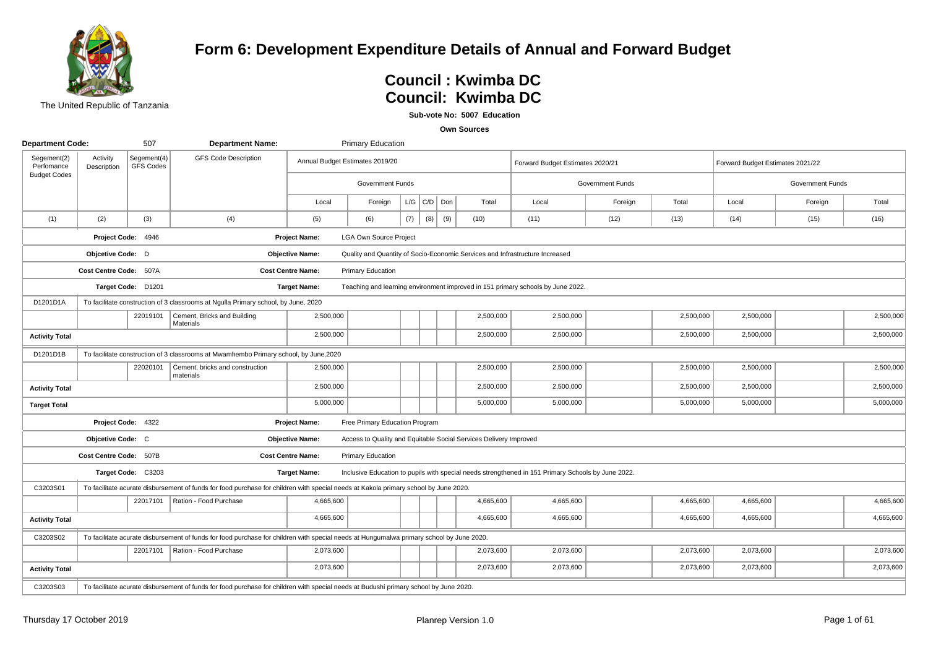

## **Form 6: Development Expenditure Details of Annual and Forward Budget**

# **Council: Kwimba DC**<br>External of the Council: Kwimba DC **Council : Kwimba DC**

**Sub-vote No: 5007 Education**

| <b>Department Code:</b>   |                         | 507                             | <b>Department Name:</b>                                                                                                                  |                          | <b>Primary Education</b>        |     |                 |     |                                                                   |                                                                                                    |                  |           |                                  |                  |           |
|---------------------------|-------------------------|---------------------------------|------------------------------------------------------------------------------------------------------------------------------------------|--------------------------|---------------------------------|-----|-----------------|-----|-------------------------------------------------------------------|----------------------------------------------------------------------------------------------------|------------------|-----------|----------------------------------|------------------|-----------|
| Segement(2)<br>Perfomance | Activity<br>Description | Segement(4)<br><b>GFS Codes</b> | <b>GFS Code Description</b>                                                                                                              |                          | Annual Budget Estimates 2019/20 |     |                 |     |                                                                   | Forward Budget Estimates 2020/21                                                                   |                  |           | Forward Budget Estimates 2021/22 |                  |           |
| <b>Budget Codes</b>       |                         |                                 |                                                                                                                                          |                          | Government Funds                |     |                 |     |                                                                   |                                                                                                    | Government Funds |           |                                  | Government Funds |           |
|                           |                         |                                 |                                                                                                                                          | Local                    | Foreign                         |     | $L/G$ $C/D$ Don |     | Total                                                             | Local                                                                                              | Foreign          | Total     | Local                            | Foreign          | Total     |
| (1)                       | (2)                     | (3)                             | (4)                                                                                                                                      | (5)                      | (6)                             | (7) | (8)             | (9) | (10)                                                              | (11)                                                                                               | (12)             | (13)      | (14)                             | (15)             | (16)      |
|                           |                         | Project Code: 4946              |                                                                                                                                          | <b>Project Name:</b>     | <b>LGA Own Source Project</b>   |     |                 |     |                                                                   |                                                                                                    |                  |           |                                  |                  |           |
|                           | Objcetive Code: D       |                                 |                                                                                                                                          | <b>Objective Name:</b>   |                                 |     |                 |     |                                                                   | Quality and Quantity of Socio-Economic Services and Infrastructure Increased                       |                  |           |                                  |                  |           |
|                           | Cost Centre Code: 507A  |                                 |                                                                                                                                          | <b>Cost Centre Name:</b> | Primary Education               |     |                 |     |                                                                   |                                                                                                    |                  |           |                                  |                  |           |
|                           |                         | Target Code: D1201              |                                                                                                                                          | <b>Target Name:</b>      |                                 |     |                 |     |                                                                   | Teaching and learning environment improved in 151 primary schools by June 2022.                    |                  |           |                                  |                  |           |
| D1201D1A                  |                         |                                 | To facilitate construction of 3 classrooms at Ngulla Primary school, by June, 2020                                                       |                          |                                 |     |                 |     |                                                                   |                                                                                                    |                  |           |                                  |                  |           |
|                           |                         | 22019101                        | Cement, Bricks and Building<br>Materials                                                                                                 | 2,500,000                |                                 |     |                 |     | 2,500,000                                                         | 2,500,000                                                                                          |                  | 2,500,000 | 2,500,000                        |                  | 2,500,000 |
| <b>Activity Total</b>     |                         |                                 |                                                                                                                                          | 2,500,000                |                                 |     |                 |     | 2,500,000                                                         | 2,500,000                                                                                          |                  | 2,500,000 | 2,500,000                        |                  | 2,500,000 |
| D1201D1B                  |                         |                                 | To facilitate construction of 3 classrooms at Mwamhembo Primary school, by June, 2020                                                    |                          |                                 |     |                 |     |                                                                   |                                                                                                    |                  |           |                                  |                  |           |
|                           |                         | 22020101                        | Cement, bricks and construction<br>materials                                                                                             | 2,500,000                |                                 |     |                 |     | 2,500,000                                                         | 2,500,000                                                                                          |                  | 2,500,000 | 2,500,000                        |                  | 2,500,000 |
| <b>Activity Total</b>     |                         |                                 |                                                                                                                                          | 2,500,000                |                                 |     |                 |     | 2,500,000                                                         | 2,500,000                                                                                          |                  | 2,500,000 | 2,500,000                        |                  | 2,500,000 |
| <b>Target Total</b>       |                         |                                 |                                                                                                                                          | 5,000,000                |                                 |     |                 |     | 5,000,000                                                         | 5,000,000                                                                                          |                  | 5,000,000 | 5,000,000                        |                  | 5,000,000 |
|                           |                         | Project Code: 4322              |                                                                                                                                          | <b>Project Name:</b>     | Free Primary Education Program  |     |                 |     |                                                                   |                                                                                                    |                  |           |                                  |                  |           |
|                           | Objcetive Code: C       |                                 |                                                                                                                                          | <b>Objective Name:</b>   |                                 |     |                 |     | Access to Quality and Equitable Social Services Delivery Improved |                                                                                                    |                  |           |                                  |                  |           |
|                           | Cost Centre Code: 507B  |                                 |                                                                                                                                          | <b>Cost Centre Name:</b> | Primary Education               |     |                 |     |                                                                   |                                                                                                    |                  |           |                                  |                  |           |
|                           |                         | Target Code: C3203              |                                                                                                                                          | <b>Target Name:</b>      |                                 |     |                 |     |                                                                   | Inclusive Education to pupils with special needs strengthened in 151 Primary Schools by June 2022. |                  |           |                                  |                  |           |
| C3203S01                  |                         |                                 | To facilitate acurate disbursement of funds for food purchase for children with special needs at Kakola primary school by June 2020.     |                          |                                 |     |                 |     |                                                                   |                                                                                                    |                  |           |                                  |                  |           |
|                           |                         | 22017101                        | Ration - Food Purchase                                                                                                                   | 4,665,600                |                                 |     |                 |     | 4,665,600                                                         | 4,665,600                                                                                          |                  | 4,665,600 | 4,665,600                        |                  | 4,665,600 |
| <b>Activity Total</b>     |                         |                                 |                                                                                                                                          | 4,665,600                |                                 |     |                 |     | 4,665,600                                                         | 4,665,600                                                                                          |                  | 4,665,600 | 4,665,600                        |                  | 4,665,600 |
| C3203S02                  |                         |                                 | To facilitate acurate disbursement of funds for food purchase for children with special needs at Hungumalwa primary school by June 2020. |                          |                                 |     |                 |     |                                                                   |                                                                                                    |                  |           |                                  |                  |           |
|                           |                         | 22017101                        | Ration - Food Purchase                                                                                                                   | 2,073,600                |                                 |     |                 |     | 2,073,600                                                         | 2,073,600                                                                                          |                  | 2,073,600 | 2,073,600                        |                  | 2,073,600 |
| <b>Activity Total</b>     |                         |                                 |                                                                                                                                          | 2,073,600                |                                 |     |                 |     | 2,073,600                                                         | 2,073,600                                                                                          |                  | 2,073,600 | 2,073,600                        |                  | 2,073,600 |
| C3203S03                  |                         |                                 | To facilitate acurate disbursement of funds for food purchase for children with special needs at Budushi primary school by June 2020.    |                          |                                 |     |                 |     |                                                                   |                                                                                                    |                  |           |                                  |                  |           |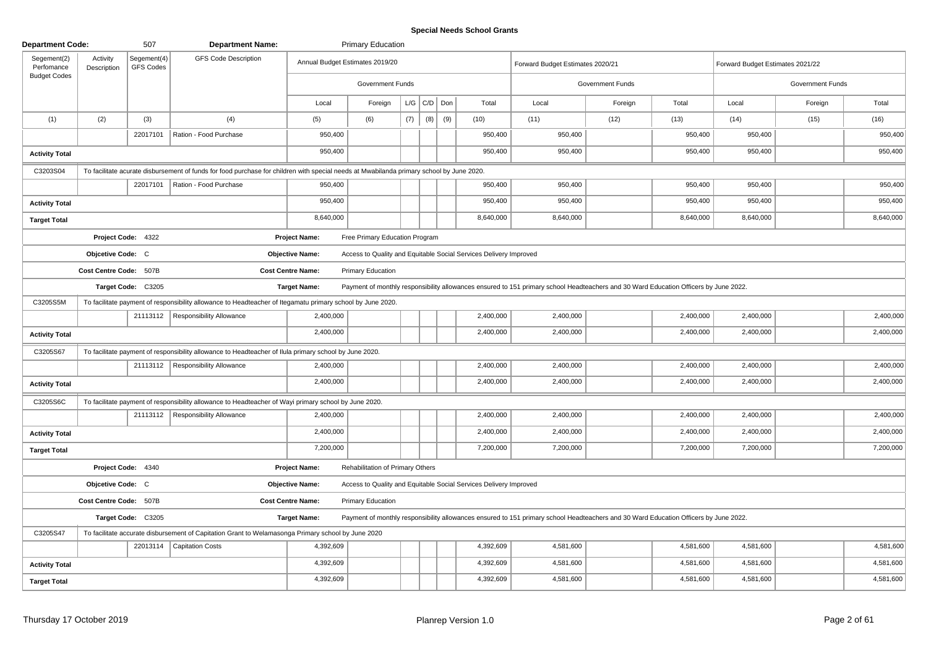## **Special Needs School Grants**

| <b>Department Code:</b>   |                         | 507                      | <b>Department Name:</b>                                                                                                                  |                                 | <b>Primary Education</b>         |     |                   |     |                                                                   |                                                                                                                                      |                  |           |                                  |                  |           |
|---------------------------|-------------------------|--------------------------|------------------------------------------------------------------------------------------------------------------------------------------|---------------------------------|----------------------------------|-----|-------------------|-----|-------------------------------------------------------------------|--------------------------------------------------------------------------------------------------------------------------------------|------------------|-----------|----------------------------------|------------------|-----------|
| Segement(2)<br>Perfomance | Activity<br>Description | Segement(4)<br>GFS Codes | <b>GFS Code Description</b>                                                                                                              | Annual Budget Estimates 2019/20 |                                  |     |                   |     |                                                                   | Forward Budget Estimates 2020/21                                                                                                     |                  |           | Forward Budget Estimates 2021/22 |                  |           |
| <b>Budget Codes</b>       |                         |                          |                                                                                                                                          |                                 | <b>Government Funds</b>          |     |                   |     |                                                                   |                                                                                                                                      | Government Funds |           |                                  | Government Funds |           |
|                           |                         |                          |                                                                                                                                          | Local                           | Foreign                          |     | $L/G$ $C/D$ $Don$ |     | Total                                                             | Local                                                                                                                                | Foreign          | Total     | Local                            | Foreign          | Total     |
| (1)                       | (2)                     | (3)                      | (4)                                                                                                                                      | (5)                             | (6)                              | (7) | (8)               | (9) | (10)                                                              | (11)                                                                                                                                 | (12)             | (13)      | (14)                             | (15)             | (16)      |
|                           |                         | 22017101                 | Ration - Food Purchase                                                                                                                   | 950,400                         |                                  |     |                   |     | 950,400                                                           | 950,400                                                                                                                              |                  | 950,400   | 950,400                          |                  | 950,400   |
| <b>Activity Total</b>     |                         |                          |                                                                                                                                          | 950,400                         |                                  |     |                   |     | 950,400                                                           | 950,400                                                                                                                              |                  | 950,400   | 950,400                          |                  | 950,400   |
| C3203S04                  |                         |                          | To facilitate acurate disbursement of funds for food purchase for children with special needs at Mwabilanda primary school by June 2020. |                                 |                                  |     |                   |     |                                                                   |                                                                                                                                      |                  |           |                                  |                  |           |
|                           |                         | 22017101                 | Ration - Food Purchase                                                                                                                   | 950,400                         |                                  |     |                   |     | 950,400                                                           | 950,400                                                                                                                              |                  | 950,400   | 950,400                          |                  | 950,400   |
| <b>Activity Total</b>     |                         |                          |                                                                                                                                          | 950,400                         |                                  |     |                   |     | 950,400                                                           | 950,400                                                                                                                              |                  | 950,400   | 950,400                          |                  | 950,400   |
| <b>Target Total</b>       |                         |                          |                                                                                                                                          | 8,640,000                       |                                  |     |                   |     | 8,640,000                                                         | 8,640,000                                                                                                                            |                  | 8,640,000 | 8,640,000                        |                  | 8,640,000 |
|                           |                         | Project Code: 4322       |                                                                                                                                          | <b>Project Name:</b>            | Free Primary Education Program   |     |                   |     |                                                                   |                                                                                                                                      |                  |           |                                  |                  |           |
|                           | Objcetive Code: C       |                          |                                                                                                                                          | <b>Objective Name:</b>          |                                  |     |                   |     | Access to Quality and Equitable Social Services Delivery Improved |                                                                                                                                      |                  |           |                                  |                  |           |
|                           | Cost Centre Code: 507B  |                          |                                                                                                                                          | <b>Cost Centre Name:</b>        | <b>Primary Education</b>         |     |                   |     |                                                                   |                                                                                                                                      |                  |           |                                  |                  |           |
|                           |                         | Target Code: C3205       |                                                                                                                                          | <b>Target Name:</b>             |                                  |     |                   |     |                                                                   | Payment of monthly responsibility allowances ensured to 151 primary school Headteachers and 30 Ward Education Officers by June 2022. |                  |           |                                  |                  |           |
| C3205S5M                  |                         |                          | To facilitate payment of responsibility allowance to Headteacher of Itegamatu primary school by June 2020.                               |                                 |                                  |     |                   |     |                                                                   |                                                                                                                                      |                  |           |                                  |                  |           |
|                           |                         | 21113112                 | <b>Responsibility Allowance</b>                                                                                                          | 2,400,000                       |                                  |     |                   |     | 2,400,000                                                         | 2,400,000                                                                                                                            |                  | 2,400,000 | 2,400,000                        |                  | 2,400,000 |
| <b>Activity Total</b>     |                         |                          |                                                                                                                                          | 2,400,000                       |                                  |     |                   |     | 2,400,000                                                         | 2,400,000                                                                                                                            |                  | 2,400,000 | 2,400,000                        |                  | 2,400,000 |
| C3205S67                  |                         |                          | To facilitate payment of responsibility allowance to Headteacher of Ilula primary school by June 2020.                                   |                                 |                                  |     |                   |     |                                                                   |                                                                                                                                      |                  |           |                                  |                  |           |
|                           |                         |                          | 21113112   Responsibility Allowance                                                                                                      | 2,400,000                       |                                  |     |                   |     | 2,400,000                                                         | 2,400,000                                                                                                                            |                  | 2,400,000 | 2,400,000                        |                  | 2,400,000 |
| <b>Activity Total</b>     |                         |                          |                                                                                                                                          | 2,400,000                       |                                  |     |                   |     | 2,400,000                                                         | 2,400,000                                                                                                                            |                  | 2,400,000 | 2,400,000                        |                  | 2,400,000 |
| C3205S6C                  |                         |                          | To facilitate payment of responsibility allowance to Headteacher of Wayi primary school by June 2020.                                    |                                 |                                  |     |                   |     |                                                                   |                                                                                                                                      |                  |           |                                  |                  |           |
|                           |                         |                          | 21113112   Responsibility Allowance                                                                                                      | 2.400.000                       |                                  |     |                   |     | 2,400,000                                                         | 2,400,000                                                                                                                            |                  | 2,400,000 | 2,400,000                        |                  | 2,400,000 |
| <b>Activity Total</b>     |                         |                          |                                                                                                                                          | 2,400,000                       |                                  |     |                   |     | 2,400,000                                                         | 2,400,000                                                                                                                            |                  | 2,400,000 | 2,400,000                        |                  | 2,400,000 |
| <b>Target Total</b>       |                         |                          |                                                                                                                                          | 7,200,000                       |                                  |     |                   |     | 7,200,000                                                         | 7,200,000                                                                                                                            |                  | 7,200,000 | 7,200,000                        |                  | 7,200,000 |
|                           |                         | Project Code: 4340       |                                                                                                                                          | <b>Project Name:</b>            | Rehabilitation of Primary Others |     |                   |     |                                                                   |                                                                                                                                      |                  |           |                                  |                  |           |
|                           | Objcetive Code: C       |                          |                                                                                                                                          | <b>Objective Name:</b>          |                                  |     |                   |     | Access to Quality and Equitable Social Services Delivery Improved |                                                                                                                                      |                  |           |                                  |                  |           |
|                           | Cost Centre Code: 507B  |                          |                                                                                                                                          | <b>Cost Centre Name:</b>        | <b>Primary Education</b>         |     |                   |     |                                                                   |                                                                                                                                      |                  |           |                                  |                  |           |
|                           |                         | Target Code: C3205       |                                                                                                                                          | <b>Target Name:</b>             |                                  |     |                   |     |                                                                   | Payment of monthly responsibility allowances ensured to 151 primary school Headteachers and 30 Ward Education Officers by June 2022. |                  |           |                                  |                  |           |
| C3205S47                  |                         |                          | To facilitate accurate disbursement of Capitation Grant to Welamasonga Primary school by June 2020                                       |                                 |                                  |     |                   |     |                                                                   |                                                                                                                                      |                  |           |                                  |                  |           |
|                           |                         |                          | 22013114   Capitation Costs                                                                                                              | 4,392,609                       |                                  |     |                   |     | 4,392,609                                                         | 4,581,600                                                                                                                            |                  | 4,581,600 | 4,581,600                        |                  | 4,581,600 |
| <b>Activity Total</b>     |                         |                          |                                                                                                                                          | 4,392,609                       |                                  |     |                   |     | 4,392,609                                                         | 4,581,600                                                                                                                            |                  | 4,581,600 | 4,581,600                        |                  | 4,581,600 |
| <b>Target Total</b>       |                         |                          |                                                                                                                                          | 4,392,609                       |                                  |     |                   |     | 4,392,609                                                         | 4,581,600                                                                                                                            |                  | 4,581,600 | 4,581,600                        |                  | 4,581,600 |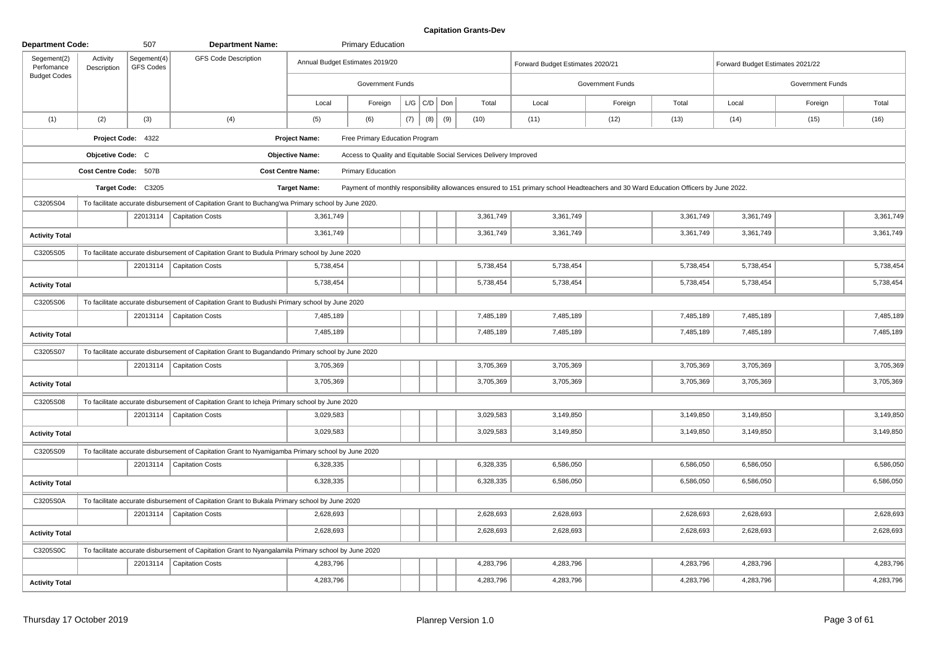| <b>Department Code:</b>   |                         | 507                             | <b>Department Name:</b>                                                                             |                                 | <b>Primary Education</b>                                          |     |                   |     |           |                                                                                                                                      |                         |           |                                  |                  |           |
|---------------------------|-------------------------|---------------------------------|-----------------------------------------------------------------------------------------------------|---------------------------------|-------------------------------------------------------------------|-----|-------------------|-----|-----------|--------------------------------------------------------------------------------------------------------------------------------------|-------------------------|-----------|----------------------------------|------------------|-----------|
| Segement(2)<br>Perfomance | Activity<br>Description | Segement(4)<br><b>GFS Codes</b> | <b>GFS Code Description</b>                                                                         | Annual Budget Estimates 2019/20 |                                                                   |     |                   |     |           | Forward Budget Estimates 2020/21                                                                                                     |                         |           | Forward Budget Estimates 2021/22 |                  |           |
| <b>Budget Codes</b>       |                         |                                 |                                                                                                     |                                 | Government Funds                                                  |     |                   |     |           |                                                                                                                                      | <b>Government Funds</b> |           |                                  | Government Funds |           |
|                           |                         |                                 |                                                                                                     | Local                           | Foreign                                                           |     | $L/G$ $C/D$ $Don$ |     | Total     | Local                                                                                                                                | Foreign                 | Total     | Local                            | Foreign          | Total     |
| (1)                       | (2)                     | (3)                             | (4)                                                                                                 | (5)                             | (6)                                                               | (7) | (8)               | (9) | (10)      | (11)                                                                                                                                 | (12)                    | (13)      | (14)                             | (15)             | (16)      |
|                           |                         | Project Code: 4322              |                                                                                                     | <b>Project Name:</b>            | Free Primary Education Program                                    |     |                   |     |           |                                                                                                                                      |                         |           |                                  |                  |           |
|                           | Objcetive Code: C       |                                 |                                                                                                     | <b>Objective Name:</b>          | Access to Quality and Equitable Social Services Delivery Improved |     |                   |     |           |                                                                                                                                      |                         |           |                                  |                  |           |
|                           | Cost Centre Code: 507B  |                                 |                                                                                                     | <b>Cost Centre Name:</b>        | Primary Education                                                 |     |                   |     |           |                                                                                                                                      |                         |           |                                  |                  |           |
|                           |                         | Target Code: C3205              |                                                                                                     | <b>Target Name:</b>             |                                                                   |     |                   |     |           | Payment of monthly responsibility allowances ensured to 151 primary school Headteachers and 30 Ward Education Officers by June 2022. |                         |           |                                  |                  |           |
| C3205S04                  |                         |                                 | To facilitate accurate disbursement of Capitation Grant to Buchang'wa Primary school by June 2020.  |                                 |                                                                   |     |                   |     |           |                                                                                                                                      |                         |           |                                  |                  |           |
|                           |                         |                                 | 22013114   Capitation Costs                                                                         | 3,361,749                       |                                                                   |     |                   |     | 3,361,749 | 3,361,749                                                                                                                            |                         | 3,361,749 | 3,361,749                        |                  | 3,361,749 |
| <b>Activity Total</b>     |                         |                                 |                                                                                                     | 3,361,749                       |                                                                   |     |                   |     | 3,361,749 | 3,361,749                                                                                                                            |                         | 3,361,749 | 3,361,749                        |                  | 3,361,749 |
| C3205S05                  |                         |                                 | To facilitate accurate disbursement of Capitation Grant to Budula Primary school by June 2020       |                                 |                                                                   |     |                   |     |           |                                                                                                                                      |                         |           |                                  |                  |           |
|                           |                         |                                 | 22013114   Capitation Costs                                                                         | 5,738,454                       |                                                                   |     |                   |     | 5,738,454 | 5,738,454                                                                                                                            |                         | 5,738,454 | 5,738,454                        |                  | 5,738,454 |
| <b>Activity Total</b>     |                         |                                 |                                                                                                     | 5,738,454                       |                                                                   |     |                   |     | 5,738,454 | 5,738,454                                                                                                                            |                         | 5,738,454 | 5,738,454                        |                  | 5,738,454 |
| C3205S06                  |                         |                                 | To facilitate accurate disbursement of Capitation Grant to Budushi Primary school by June 2020      |                                 |                                                                   |     |                   |     |           |                                                                                                                                      |                         |           |                                  |                  |           |
|                           |                         |                                 | 22013114   Capitation Costs                                                                         | 7,485,189                       |                                                                   |     |                   |     | 7,485,189 | 7,485,189                                                                                                                            |                         | 7,485,189 | 7,485,189                        |                  | 7,485,189 |
| <b>Activity Total</b>     |                         |                                 |                                                                                                     | 7,485,189                       |                                                                   |     |                   |     | 7,485,189 | 7,485,189                                                                                                                            |                         | 7,485,189 | 7,485,189                        |                  | 7,485,189 |
| C3205S07                  |                         |                                 | To facilitate accurate disbursement of Capitation Grant to Bugandando Primary school by June 2020   |                                 |                                                                   |     |                   |     |           |                                                                                                                                      |                         |           |                                  |                  |           |
|                           |                         |                                 | 22013114   Capitation Costs                                                                         | 3,705,369                       |                                                                   |     |                   |     | 3,705,369 | 3,705,369                                                                                                                            |                         | 3,705,369 | 3,705,369                        |                  | 3,705,369 |
| <b>Activity Total</b>     |                         |                                 |                                                                                                     | 3,705,369                       |                                                                   |     |                   |     | 3,705,369 | 3,705,369                                                                                                                            |                         | 3,705,369 | 3,705,369                        |                  | 3,705,369 |
| C3205S08                  |                         |                                 | To facilitate accurate disbursement of Capitation Grant to Icheja Primary school by June 2020       |                                 |                                                                   |     |                   |     |           |                                                                                                                                      |                         |           |                                  |                  |           |
|                           |                         |                                 | 22013114   Capitation Costs                                                                         | 3,029,583                       |                                                                   |     |                   |     | 3,029,583 | 3,149,850                                                                                                                            |                         | 3,149,850 | 3,149,850                        |                  | 3,149,850 |
| <b>Activity Total</b>     |                         |                                 |                                                                                                     | 3.029.583                       |                                                                   |     |                   |     | 3,029,583 | 3,149,850                                                                                                                            |                         | 3,149,850 | 3,149,850                        |                  | 3,149,850 |
| C3205S09                  |                         |                                 | To facilitate accurate disbursement of Capitation Grant to Nyamigamba Primary school by June 2020   |                                 |                                                                   |     |                   |     |           |                                                                                                                                      |                         |           |                                  |                  |           |
|                           |                         | 22013114                        | Capitation Costs                                                                                    | 6,328,335                       |                                                                   |     |                   |     | 6,328,335 | 6,586,050                                                                                                                            |                         | 6,586,050 | 6,586,050                        |                  | 6,586,050 |
| <b>Activity Total</b>     |                         |                                 |                                                                                                     | 6,328,335                       |                                                                   |     |                   |     | 6,328,335 | 6,586,050                                                                                                                            |                         | 6,586,050 | 6,586,050                        |                  | 6,586,050 |
| C3205S0A                  |                         |                                 | To facilitate accurate disbursement of Capitation Grant to Bukala Primary school by June 2020       |                                 |                                                                   |     |                   |     |           |                                                                                                                                      |                         |           |                                  |                  |           |
|                           |                         |                                 | 22013114   Capitation Costs                                                                         | 2,628,693                       |                                                                   |     |                   |     | 2,628,693 | 2,628,693                                                                                                                            |                         | 2,628,693 | 2,628,693                        |                  | 2,628,693 |
| <b>Activity Total</b>     |                         |                                 |                                                                                                     | 2,628,693                       |                                                                   |     |                   |     | 2,628,693 | 2,628,693                                                                                                                            |                         | 2,628,693 | 2,628,693                        |                  | 2,628,693 |
| C3205S0C                  |                         |                                 | To facilitate accurate disbursement of Capitation Grant to Nyangalamila Primary school by June 2020 |                                 |                                                                   |     |                   |     |           |                                                                                                                                      |                         |           |                                  |                  |           |
|                           |                         |                                 | 22013114   Capitation Costs                                                                         | 4,283,796                       |                                                                   |     |                   |     | 4,283,796 | 4,283,796                                                                                                                            |                         | 4,283,796 | 4,283,796                        |                  | 4,283,796 |
| <b>Activity Total</b>     |                         |                                 |                                                                                                     | 4,283,796                       |                                                                   |     |                   |     | 4,283,796 | 4,283,796                                                                                                                            |                         | 4,283,796 | 4,283,796                        |                  | 4,283,796 |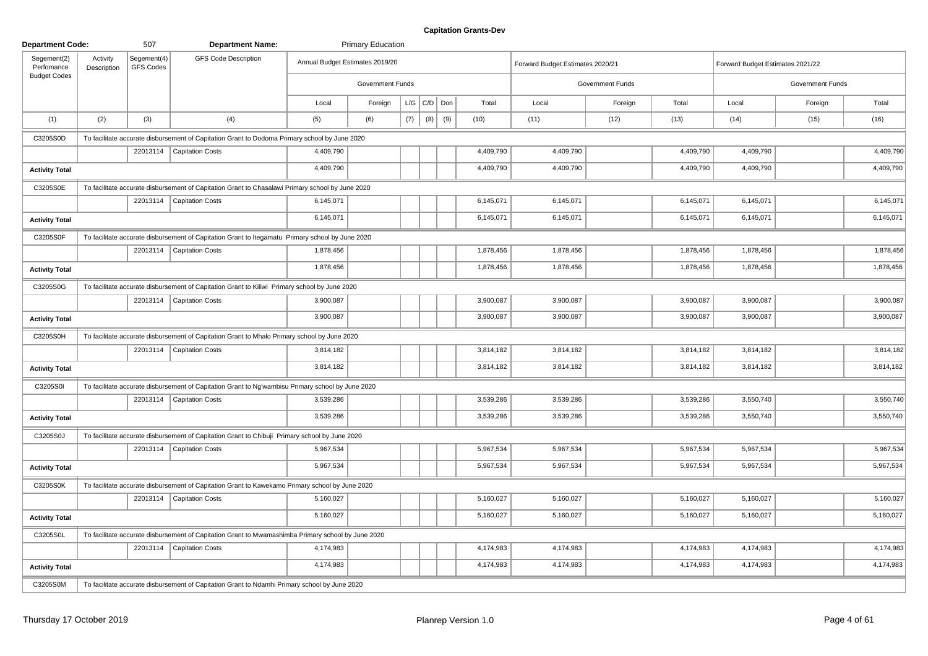| <b>Department Code:</b>   |                         | 507                      | <b>Department Name:</b>                                                                            |                                 | <b>Primary Education</b> |     |                 |     |           |                                  |                         |           |                                  |                  |           |
|---------------------------|-------------------------|--------------------------|----------------------------------------------------------------------------------------------------|---------------------------------|--------------------------|-----|-----------------|-----|-----------|----------------------------------|-------------------------|-----------|----------------------------------|------------------|-----------|
| Segement(2)<br>Perfomance | Activity<br>Description | Segement(4)<br>GFS Codes | <b>GFS Code Description</b>                                                                        | Annual Budget Estimates 2019/20 |                          |     |                 |     |           | Forward Budget Estimates 2020/21 |                         |           | Forward Budget Estimates 2021/22 |                  |           |
| <b>Budget Codes</b>       |                         |                          |                                                                                                    |                                 | Government Funds         |     |                 |     |           |                                  | <b>Government Funds</b> |           |                                  | Government Funds |           |
|                           |                         |                          |                                                                                                    | Local                           | Foreign                  |     | $L/G$ $C/D$ Don |     | Total     | Local                            | Foreign                 | Total     | Local                            | Foreign          | Total     |
| (1)                       | (2)                     | (3)                      | (4)                                                                                                | (5)                             | (6)                      | (7) | (8)             | (9) | (10)      | (11)                             | (12)                    | (13)      | (14)                             | (15)             | (16)      |
| C3205S0D                  |                         |                          | To facilitate accurate disbursement of Capitation Grant to Dodoma Primary school by June 2020      |                                 |                          |     |                 |     |           |                                  |                         |           |                                  |                  |           |
|                           |                         |                          | 22013114   Capitation Costs                                                                        | 4,409,790                       |                          |     |                 |     | 4,409,790 | 4,409,790                        |                         | 4,409,790 | 4,409,790                        |                  | 4,409,790 |
| <b>Activity Total</b>     |                         |                          |                                                                                                    | 4,409,790                       |                          |     |                 |     | 4,409,790 | 4,409,790                        |                         | 4,409,790 | 4,409,790                        |                  | 4,409,790 |
| C3205S0E                  |                         |                          | To facilitate accurate disbursement of Capitation Grant to Chasalawi Primary school by June 2020   |                                 |                          |     |                 |     |           |                                  |                         |           |                                  |                  |           |
|                           |                         |                          | 22013114   Capitation Costs                                                                        | 6,145,071                       |                          |     |                 |     | 6,145,071 | 6,145,071                        |                         | 6,145,071 | 6,145,071                        |                  | 6,145,071 |
| <b>Activity Total</b>     |                         |                          |                                                                                                    | 6,145,071                       |                          |     |                 |     | 6,145,071 | 6,145,071                        |                         | 6,145,071 | 6,145,071                        |                  | 6,145,071 |
| C3205S0F                  |                         |                          | To facilitate accurate disbursement of Capitation Grant to Itegamatu Primary school by June 2020   |                                 |                          |     |                 |     |           |                                  |                         |           |                                  |                  |           |
|                           |                         |                          | 22013114   Capitation Costs                                                                        | 1,878,456                       |                          |     |                 |     | 1,878,456 | 1,878,456                        |                         | 1,878,456 | 1,878,456                        |                  | 1,878,456 |
| <b>Activity Total</b>     |                         |                          |                                                                                                    | 1,878,456                       |                          |     |                 |     | 1,878,456 | 1,878,456                        |                         | 1,878,456 | 1,878,456                        |                  | 1,878,456 |
| C3205S0G                  |                         |                          | To facilitate accurate disbursement of Capitation Grant to Kiliwi Primary school by June 2020      |                                 |                          |     |                 |     |           |                                  |                         |           |                                  |                  |           |
|                           |                         |                          | 22013114   Capitation Costs                                                                        | 3,900,087                       |                          |     |                 |     | 3,900,087 | 3,900,087                        |                         | 3,900,087 | 3,900,087                        |                  | 3,900,087 |
| <b>Activity Total</b>     |                         |                          |                                                                                                    | 3,900,087                       |                          |     |                 |     | 3,900,087 | 3,900,087                        |                         | 3,900,087 | 3,900,087                        |                  | 3,900,087 |
| C3205S0H                  |                         |                          | To facilitate accurate disbursement of Capitation Grant to Mhalo Primary school by June 2020       |                                 |                          |     |                 |     |           |                                  |                         |           |                                  |                  |           |
|                           |                         |                          | 22013114   Capitation Costs                                                                        | 3,814,182                       |                          |     |                 |     | 3,814,182 | 3,814,182                        |                         | 3,814,182 | 3,814,182                        |                  | 3,814,182 |
| <b>Activity Total</b>     |                         |                          |                                                                                                    | 3,814,182                       |                          |     |                 |     | 3,814,182 | 3,814,182                        |                         | 3,814,182 | 3,814,182                        |                  | 3,814,182 |
| C3205S0I                  |                         |                          | To facilitate accurate disbursement of Capitation Grant to Ng'wambisu Primary school by June 2020  |                                 |                          |     |                 |     |           |                                  |                         |           |                                  |                  |           |
|                           |                         |                          | 22013114   Capitation Costs                                                                        | 3,539,286                       |                          |     |                 |     | 3,539,286 | 3,539,286                        |                         | 3,539,286 | 3,550,740                        |                  | 3,550,740 |
| <b>Activity Total</b>     |                         |                          |                                                                                                    | 3,539,286                       |                          |     |                 |     | 3,539,286 | 3,539,286                        |                         | 3,539,286 | 3,550,740                        |                  | 3,550,740 |
| C3205S0J                  |                         |                          | To facilitate accurate disbursement of Capitation Grant to Chibuji Primary school by June 2020     |                                 |                          |     |                 |     |           |                                  |                         |           |                                  |                  |           |
|                           |                         |                          | 22013114   Capitation Costs                                                                        | 5,967,534                       |                          |     |                 |     | 5,967,534 | 5,967,534                        |                         | 5,967,534 | 5,967,534                        |                  | 5,967,534 |
| <b>Activity Total</b>     |                         |                          |                                                                                                    | 5,967,534                       |                          |     |                 |     | 5,967,534 | 5,967,534                        |                         | 5,967,534 | 5,967,534                        |                  | 5,967,534 |
| C3205S0K                  |                         |                          | To facilitate accurate disbursement of Capitation Grant to Kawekamo Primary school by June 2020    |                                 |                          |     |                 |     |           |                                  |                         |           |                                  |                  |           |
|                           |                         |                          | 22013114   Capitation Costs                                                                        | 5,160,027                       |                          |     |                 |     | 5,160,027 | 5,160,027                        |                         | 5,160,027 | 5,160,027                        |                  | 5,160,027 |
| <b>Activity Total</b>     |                         |                          |                                                                                                    | 5,160,027                       |                          |     |                 |     | 5,160,027 | 5,160,027                        |                         | 5,160,027 | 5,160,027                        |                  | 5,160,027 |
| C3205S0L                  |                         |                          | To facilitate accurate disbursement of Capitation Grant to Mwamashimba Primary school by June 2020 |                                 |                          |     |                 |     |           |                                  |                         |           |                                  |                  |           |
|                           |                         |                          | 22013114   Capitation Costs                                                                        | 4,174,983                       |                          |     |                 |     | 4,174,983 | 4,174,983                        |                         | 4,174,983 | 4,174,983                        |                  | 4,174,983 |
| <b>Activity Total</b>     |                         |                          |                                                                                                    | 4,174,983                       |                          |     |                 |     | 4,174,983 | 4,174,983                        |                         | 4,174,983 | 4,174,983                        |                  | 4,174,983 |
| C3205S0M                  |                         |                          | To facilitate accurate disbursement of Capitation Grant to Ndamhi Primary school by June 2020      |                                 |                          |     |                 |     |           |                                  |                         |           |                                  |                  |           |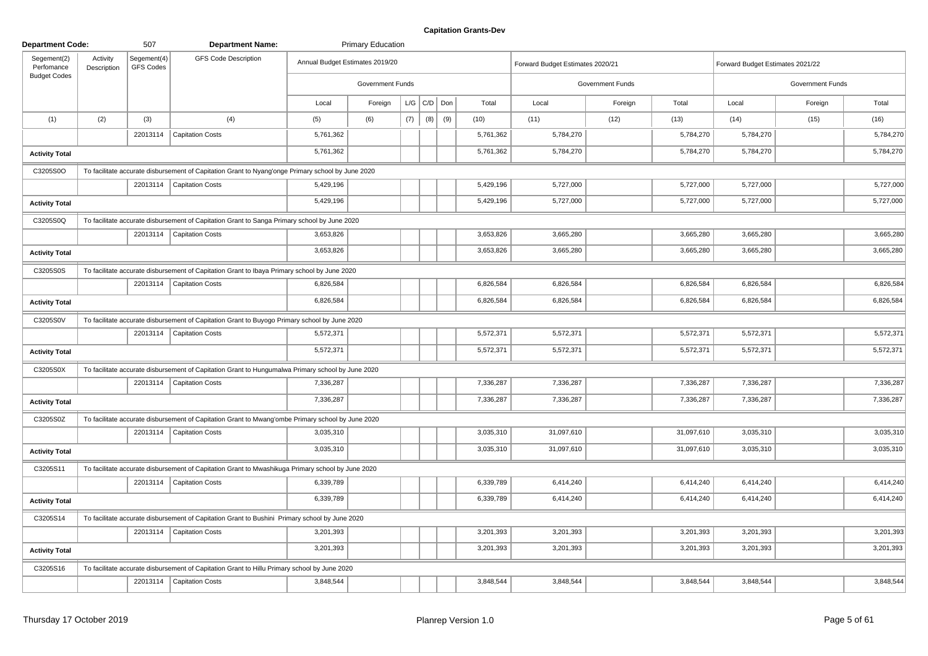| <b>Department Code:</b>   |                         | 507                      | <b>Department Name:</b>                                                                           |                                 | <b>Primary Education</b> |     |                   |     |           |                                  |                         |            |                                  |                  |           |
|---------------------------|-------------------------|--------------------------|---------------------------------------------------------------------------------------------------|---------------------------------|--------------------------|-----|-------------------|-----|-----------|----------------------------------|-------------------------|------------|----------------------------------|------------------|-----------|
| Segement(2)<br>Perfomance | Activity<br>Description | Segement(4)<br>GFS Codes | <b>GFS Code Description</b>                                                                       | Annual Budget Estimates 2019/20 |                          |     |                   |     |           | Forward Budget Estimates 2020/21 |                         |            | Forward Budget Estimates 2021/22 |                  |           |
| <b>Budget Codes</b>       |                         |                          |                                                                                                   |                                 | Government Funds         |     |                   |     |           |                                  | <b>Government Funds</b> |            |                                  | Government Funds |           |
|                           |                         |                          |                                                                                                   | Local                           | Foreign                  |     | $L/G$ $C/D$ $Don$ |     | Total     | Local                            | Foreign                 | Total      | Local                            | Foreign          | Total     |
| (1)                       | (2)                     | (3)                      | (4)                                                                                               | (5)                             | (6)                      | (7) | (8)               | (9) | (10)      | (11)                             | (12)                    | (13)       | (14)                             | (15)             | (16)      |
|                           |                         |                          | 22013114   Capitation Costs                                                                       | 5,761,362                       |                          |     |                   |     | 5,761,362 | 5,784,270                        |                         | 5,784,270  | 5,784,270                        |                  | 5,784,270 |
| <b>Activity Total</b>     |                         |                          |                                                                                                   | 5,761,362                       |                          |     |                   |     | 5,761,362 | 5,784,270                        |                         | 5,784,270  | 5,784,270                        |                  | 5,784,270 |
| C3205S0O                  |                         |                          | To facilitate accurate disbursement of Capitation Grant to Nyang'onge Primary school by June 2020 |                                 |                          |     |                   |     |           |                                  |                         |            |                                  |                  |           |
|                           |                         | 22013114                 | <b>Capitation Costs</b>                                                                           | 5,429,196                       |                          |     |                   |     | 5,429,196 | 5,727,000                        |                         | 5,727,000  | 5,727,000                        |                  | 5,727,000 |
| <b>Activity Total</b>     |                         |                          |                                                                                                   | 5,429,196                       |                          |     |                   |     | 5,429,196 | 5,727,000                        |                         | 5,727,000  | 5,727,000                        |                  | 5,727,000 |
| C3205S0Q                  |                         |                          | To facilitate accurate disbursement of Capitation Grant to Sanga Primary school by June 2020      |                                 |                          |     |                   |     |           |                                  |                         |            |                                  |                  |           |
|                           |                         |                          | 22013114   Capitation Costs                                                                       | 3,653,826                       |                          |     |                   |     | 3,653,826 | 3,665,280                        |                         | 3,665,280  | 3,665,280                        |                  | 3,665,280 |
| <b>Activity Total</b>     |                         |                          |                                                                                                   | 3,653,826                       |                          |     |                   |     | 3,653,826 | 3,665,280                        |                         | 3,665,280  | 3,665,280                        |                  | 3,665,280 |
| C3205S0S                  |                         |                          | To facilitate accurate disbursement of Capitation Grant to Ibaya Primary school by June 2020      |                                 |                          |     |                   |     |           |                                  |                         |            |                                  |                  |           |
|                           |                         |                          | 22013114   Capitation Costs                                                                       | 6,826,584                       |                          |     |                   |     | 6,826,584 | 6,826,584                        |                         | 6,826,584  | 6,826,584                        |                  | 6,826,584 |
| <b>Activity Total</b>     |                         |                          |                                                                                                   | 6,826,584                       |                          |     |                   |     | 6,826,584 | 6,826,584                        |                         | 6,826,584  | 6,826,584                        |                  | 6,826,584 |
| C3205S0V                  |                         |                          | To facilitate accurate disbursement of Capitation Grant to Buyogo Primary school by June 2020     |                                 |                          |     |                   |     |           |                                  |                         |            |                                  |                  |           |
|                           |                         |                          | 22013114   Capitation Costs                                                                       | 5,572,371                       |                          |     |                   |     | 5,572,371 | 5,572,371                        |                         | 5,572,371  | 5,572,371                        |                  | 5,572,371 |
| <b>Activity Total</b>     |                         |                          |                                                                                                   | 5,572,371                       |                          |     |                   |     | 5,572,371 | 5,572,371                        |                         | 5,572,371  | 5,572,371                        |                  | 5,572,371 |
| C3205S0X                  |                         |                          | To facilitate accurate disbursement of Capitation Grant to Hungumalwa Primary school by June 2020 |                                 |                          |     |                   |     |           |                                  |                         |            |                                  |                  |           |
|                           |                         |                          | 22013114   Capitation Costs                                                                       | 7,336,287                       |                          |     |                   |     | 7,336,287 | 7,336,287                        |                         | 7,336,287  | 7,336,287                        |                  | 7,336,287 |
| <b>Activity Total</b>     |                         |                          |                                                                                                   | 7,336,287                       |                          |     |                   |     | 7,336,287 | 7,336,287                        |                         | 7,336,287  | 7,336,287                        |                  | 7,336,287 |
| C3205S0Z                  |                         |                          | To facilitate accurate disbursement of Capitation Grant to Mwang'ombe Primary school by June 2020 |                                 |                          |     |                   |     |           |                                  |                         |            |                                  |                  |           |
|                           |                         |                          | 22013114   Capitation Costs                                                                       | 3,035,310                       |                          |     |                   |     | 3,035,310 | 31,097,610                       |                         | 31,097,610 | 3,035,310                        |                  | 3,035,310 |
| <b>Activity Total</b>     |                         |                          |                                                                                                   | 3,035,310                       |                          |     |                   |     | 3,035,310 | 31,097,610                       |                         | 31,097,610 | 3,035,310                        |                  | 3,035,310 |
| C3205S11                  |                         |                          | To facilitate accurate disbursement of Capitation Grant to Mwashikuga Primary school by June 2020 |                                 |                          |     |                   |     |           |                                  |                         |            |                                  |                  |           |
|                           |                         |                          | 22013114   Capitation Costs                                                                       | 6,339,789                       |                          |     |                   |     | 6,339,789 | 6,414,240                        |                         | 6,414,240  | 6,414,240                        |                  | 6,414,240 |
| <b>Activity Total</b>     |                         |                          |                                                                                                   | 6,339,789                       |                          |     |                   |     | 6,339,789 | 6,414,240                        |                         | 6,414,240  | 6,414,240                        |                  | 6,414,240 |
| C3205S14                  |                         |                          | To facilitate accurate disbursement of Capitation Grant to Bushini Primary school by June 2020    |                                 |                          |     |                   |     |           |                                  |                         |            |                                  |                  |           |
|                           |                         | 22013114                 | <b>Capitation Costs</b>                                                                           | 3,201,393                       |                          |     |                   |     | 3,201,393 | 3,201,393                        |                         | 3,201,393  | 3,201,393                        |                  | 3,201,393 |
| <b>Activity Total</b>     |                         |                          |                                                                                                   | 3,201,393                       |                          |     |                   |     | 3,201,393 | 3,201,393                        |                         | 3,201,393  | 3,201,393                        |                  | 3,201,393 |
| C3205S16                  |                         |                          | To facilitate accurate disbursement of Capitation Grant to Hillu Primary school by June 2020      |                                 |                          |     |                   |     |           |                                  |                         |            |                                  |                  |           |
|                           |                         |                          | 22013114   Capitation Costs                                                                       | 3,848,544                       |                          |     |                   |     | 3,848,544 | 3,848,544                        |                         | 3,848,544  | 3,848,544                        |                  | 3,848,544 |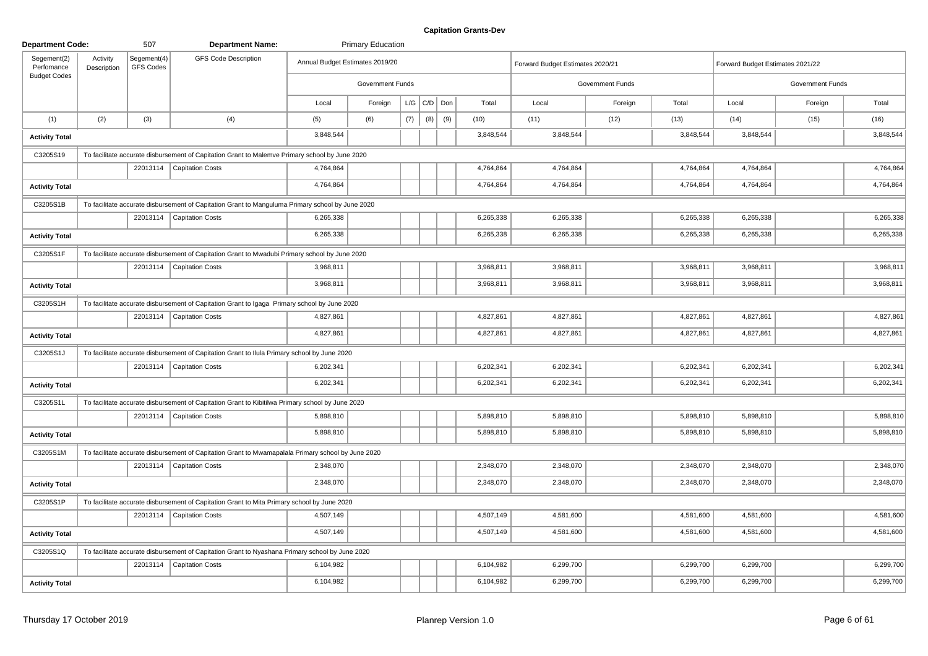| <b>Department Code:</b>   |                         | 507                      | <b>Department Name:</b>                                                                            |                                 | <b>Primary Education</b> |     |                 |     |           |                                  |                         |           |                                  |                  |           |
|---------------------------|-------------------------|--------------------------|----------------------------------------------------------------------------------------------------|---------------------------------|--------------------------|-----|-----------------|-----|-----------|----------------------------------|-------------------------|-----------|----------------------------------|------------------|-----------|
| Segement(2)<br>Perfomance | Activity<br>Description | Segement(4)<br>GFS Codes | <b>GFS Code Description</b>                                                                        | Annual Budget Estimates 2019/20 |                          |     |                 |     |           | Forward Budget Estimates 2020/21 |                         |           | Forward Budget Estimates 2021/22 |                  |           |
| <b>Budget Codes</b>       |                         |                          |                                                                                                    |                                 | <b>Government Funds</b>  |     |                 |     |           |                                  | <b>Government Funds</b> |           |                                  | Government Funds |           |
|                           |                         |                          |                                                                                                    | Local                           | Foreign                  |     | $L/G$ $C/D$ Don |     | Total     | Local                            | Foreign                 | Total     | Local                            | Foreign          | Total     |
| (1)                       | (2)                     | (3)                      | (4)                                                                                                | (5)                             | (6)                      | (7) | (8)             | (9) | (10)      | (11)                             | (12)                    | (13)      | (14)                             | (15)             | (16)      |
| <b>Activity Total</b>     |                         |                          |                                                                                                    | 3,848,544                       |                          |     |                 |     | 3,848,544 | 3,848,544                        |                         | 3,848,544 | 3,848,544                        |                  | 3,848,544 |
| C3205S19                  |                         |                          | To facilitate accurate disbursement of Capitation Grant to Malemve Primary school by June 2020     |                                 |                          |     |                 |     |           |                                  |                         |           |                                  |                  |           |
|                           |                         |                          | 22013114   Capitation Costs                                                                        | 4,764,864                       |                          |     |                 |     | 4,764,864 | 4,764,864                        |                         | 4,764,864 | 4,764,864                        |                  | 4,764,864 |
| <b>Activity Total</b>     |                         |                          |                                                                                                    | 4,764,864                       |                          |     |                 |     | 4,764,864 | 4,764,864                        |                         | 4,764,864 | 4,764,864                        |                  | 4,764,864 |
| C3205S1B                  |                         |                          | To facilitate accurate disbursement of Capitation Grant to Manguluma Primary school by June 2020   |                                 |                          |     |                 |     |           |                                  |                         |           |                                  |                  |           |
|                           |                         |                          | 22013114   Capitation Costs                                                                        | 6,265,338                       |                          |     |                 |     | 6,265,338 | 6,265,338                        |                         | 6,265,338 | 6,265,338                        |                  | 6,265,338 |
| <b>Activity Total</b>     |                         |                          |                                                                                                    | 6,265,338                       |                          |     |                 |     | 6,265,338 | 6,265,338                        |                         | 6,265,338 | 6,265,338                        |                  | 6,265,338 |
| C3205S1F                  |                         |                          | To facilitate accurate disbursement of Capitation Grant to Mwadubi Primary school by June 2020     |                                 |                          |     |                 |     |           |                                  |                         |           |                                  |                  |           |
|                           |                         |                          | 22013114   Capitation Costs                                                                        | 3,968,811                       |                          |     |                 |     | 3,968,811 | 3,968,811                        |                         | 3,968,811 | 3,968,811                        |                  | 3,968,811 |
| <b>Activity Total</b>     |                         |                          |                                                                                                    | 3,968,811                       |                          |     |                 |     | 3,968,811 | 3,968,811                        |                         | 3,968,811 | 3,968,811                        |                  | 3,968,811 |
| C3205S1H                  |                         |                          | To facilitate accurate disbursement of Capitation Grant to Igaga Primary school by June 2020       |                                 |                          |     |                 |     |           |                                  |                         |           |                                  |                  |           |
|                           |                         |                          | 22013114   Capitation Costs                                                                        | 4,827,861                       |                          |     |                 |     | 4,827,861 | 4,827,861                        |                         | 4,827,861 | 4,827,861                        |                  | 4,827,861 |
| <b>Activity Total</b>     |                         |                          |                                                                                                    | 4,827,861                       |                          |     |                 |     | 4,827,861 | 4,827,861                        |                         | 4,827,861 | 4,827,861                        |                  | 4,827,861 |
| C3205S1J                  |                         |                          | To facilitate accurate disbursement of Capitation Grant to Ilula Primary school by June 2020       |                                 |                          |     |                 |     |           |                                  |                         |           |                                  |                  |           |
|                           |                         |                          | 22013114   Capitation Costs                                                                        | 6,202,341                       |                          |     |                 |     | 6,202,341 | 6,202,341                        |                         | 6,202,341 | 6,202,341                        |                  | 6,202,341 |
| <b>Activity Total</b>     |                         |                          |                                                                                                    | 6,202,341                       |                          |     |                 |     | 6,202,341 | 6,202,341                        |                         | 6,202,341 | 6,202,341                        |                  | 6,202,341 |
| C3205S1L                  |                         |                          | To facilitate accurate disbursement of Capitation Grant to Kibitilwa Primary school by June 2020   |                                 |                          |     |                 |     |           |                                  |                         |           |                                  |                  |           |
|                           |                         |                          | 22013114   Capitation Costs                                                                        | 5,898,810                       |                          |     |                 |     | 5,898,810 | 5,898,810                        |                         | 5,898,810 | 5,898,810                        |                  | 5,898,810 |
| <b>Activity Total</b>     |                         |                          |                                                                                                    | 5,898,810                       |                          |     |                 |     | 5,898,810 | 5,898,810                        |                         | 5,898,810 | 5,898,810                        |                  | 5,898,810 |
| C3205S1M                  |                         |                          | To facilitate accurate disbursement of Capitation Grant to Mwamapalala Primary school by June 2020 |                                 |                          |     |                 |     |           |                                  |                         |           |                                  |                  |           |
|                           |                         |                          | 22013114   Capitation Costs                                                                        | 2,348,070                       |                          |     |                 |     | 2,348,070 | 2,348,070                        |                         | 2,348,070 | 2,348,070                        |                  | 2,348,070 |
| <b>Activity Total</b>     |                         |                          |                                                                                                    | 2,348,070                       |                          |     |                 |     | 2,348,070 | 2,348,070                        |                         | 2,348,070 | 2,348,070                        |                  | 2,348,070 |
| C3205S1P                  |                         |                          | To facilitate accurate disbursement of Capitation Grant to Mita Primary school by June 2020        |                                 |                          |     |                 |     |           |                                  |                         |           |                                  |                  |           |
|                           |                         |                          | 22013114   Capitation Costs                                                                        | 4,507,149                       |                          |     |                 |     | 4,507,149 | 4,581,600                        |                         | 4,581,600 | 4,581,600                        |                  | 4,581,600 |
| <b>Activity Total</b>     |                         |                          |                                                                                                    | 4,507,149                       |                          |     |                 |     | 4,507,149 | 4,581,600                        |                         | 4,581,600 | 4,581,600                        |                  | 4,581,600 |
| C3205S1Q                  |                         |                          | To facilitate accurate disbursement of Capitation Grant to Nyashana Primary school by June 2020    |                                 |                          |     |                 |     |           |                                  |                         |           |                                  |                  |           |
|                           |                         |                          | 22013114   Capitation Costs                                                                        | 6,104,982                       |                          |     |                 |     | 6,104,982 | 6,299,700                        |                         | 6,299,700 | 6,299,700                        |                  | 6,299,700 |
| <b>Activity Total</b>     |                         |                          |                                                                                                    | 6,104,982                       |                          |     |                 |     | 6,104,982 | 6,299,700                        |                         | 6,299,700 | 6,299,700                        |                  | 6,299,700 |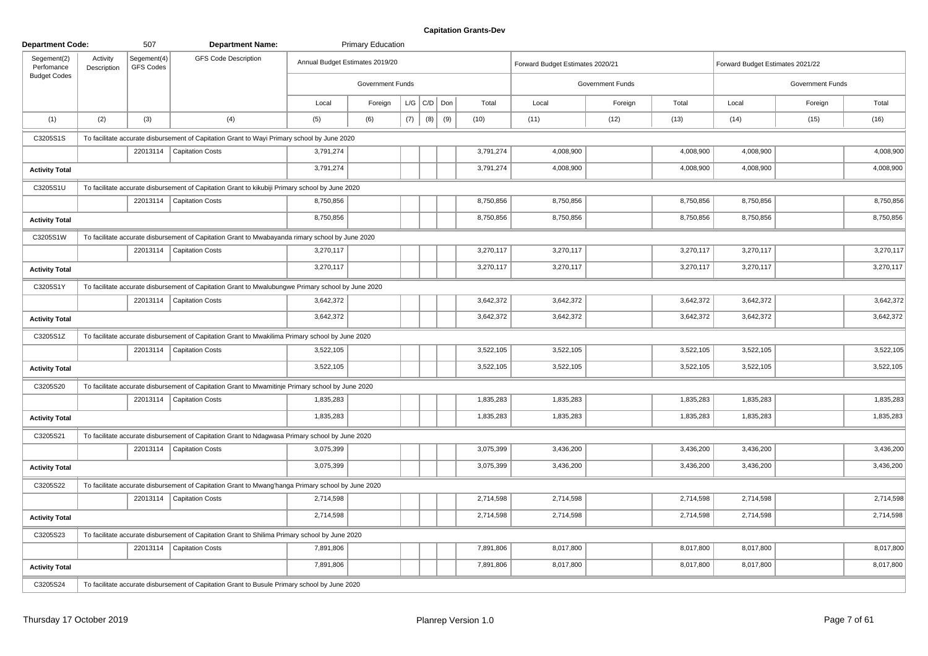| <b>Department Code:</b>   |                         | 507                             | <b>Department Name:</b>                                                                            |                                 | <b>Primary Education</b> |     |                 |     |      |           |                                  |                  |           |                                  |                  |           |
|---------------------------|-------------------------|---------------------------------|----------------------------------------------------------------------------------------------------|---------------------------------|--------------------------|-----|-----------------|-----|------|-----------|----------------------------------|------------------|-----------|----------------------------------|------------------|-----------|
| Segement(2)<br>Perfomance | Activity<br>Description | Segement(4)<br><b>GFS Codes</b> | <b>GFS Code Description</b>                                                                        | Annual Budget Estimates 2019/20 |                          |     |                 |     |      |           | Forward Budget Estimates 2020/21 |                  |           | Forward Budget Estimates 2021/22 |                  |           |
| <b>Budget Codes</b>       |                         |                                 |                                                                                                    |                                 | Government Funds         |     |                 |     |      |           |                                  | Government Funds |           |                                  | Government Funds |           |
|                           |                         |                                 |                                                                                                    | Local                           | Foreign                  |     | $L/G$ $C/D$ Don |     |      | Total     | Local                            | Foreign          | Total     | Local                            | Foreign          | Total     |
| (1)                       | (2)                     | (3)                             | (4)                                                                                                | (5)                             | (6)                      | (7) | (8)             | (9) | (10) |           | (11)                             | (12)             | (13)      | (14)                             | (15)             | (16)      |
| C3205S1S                  |                         |                                 | To facilitate accurate disbursement of Capitation Grant to Wayi Primary school by June 2020        |                                 |                          |     |                 |     |      |           |                                  |                  |           |                                  |                  |           |
|                           |                         |                                 | 22013114   Capitation Costs                                                                        | 3,791,274                       |                          |     |                 |     |      | 3,791,274 | 4,008,900                        |                  | 4,008,900 | 4,008,900                        |                  | 4,008,900 |
| <b>Activity Total</b>     |                         |                                 |                                                                                                    | 3,791,274                       |                          |     |                 |     |      | 3,791,274 | 4,008,900                        |                  | 4,008,900 | 4,008,900                        |                  | 4,008,900 |
| C3205S1U                  |                         |                                 | To facilitate accurate disbursement of Capitation Grant to kikubiji Primary school by June 2020    |                                 |                          |     |                 |     |      |           |                                  |                  |           |                                  |                  |           |
|                           |                         |                                 | 22013114   Capitation Costs                                                                        | 8,750,856                       |                          |     |                 |     |      | 8,750,856 | 8,750,856                        |                  | 8,750,856 | 8,750,856                        |                  | 8,750,856 |
| <b>Activity Total</b>     |                         |                                 |                                                                                                    | 8,750,856                       |                          |     |                 |     |      | 8,750,856 | 8,750,856                        |                  | 8,750,856 | 8,750,856                        |                  | 8,750,856 |
| C3205S1W                  |                         |                                 | To facilitate accurate disbursement of Capitation Grant to Mwabayanda rimary school by June 2020   |                                 |                          |     |                 |     |      |           |                                  |                  |           |                                  |                  |           |
|                           |                         | 22013114                        | <b>Capitation Costs</b>                                                                            | 3,270,117                       |                          |     |                 |     |      | 3,270,117 | 3,270,117                        |                  | 3,270,117 | 3,270,117                        |                  | 3,270,117 |
| <b>Activity Total</b>     |                         |                                 |                                                                                                    | 3,270,117                       |                          |     |                 |     |      | 3,270,117 | 3,270,117                        |                  | 3,270,117 | 3,270,117                        |                  | 3,270,117 |
| C3205S1Y                  |                         |                                 | To facilitate accurate disbursement of Capitation Grant to Mwalubungwe Primary school by June 2020 |                                 |                          |     |                 |     |      |           |                                  |                  |           |                                  |                  |           |
|                           |                         |                                 | 22013114   Capitation Costs                                                                        | 3,642,372                       |                          |     |                 |     |      | 3,642,372 | 3,642,372                        |                  | 3,642,372 | 3,642,372                        |                  | 3,642,372 |
| <b>Activity Total</b>     |                         |                                 |                                                                                                    | 3,642,372                       |                          |     |                 |     |      | 3,642,372 | 3,642,372                        |                  | 3,642,372 | 3,642,372                        |                  | 3,642,372 |
| C3205S1Z                  |                         |                                 | To facilitate accurate disbursement of Capitation Grant to Mwakilima Primary school by June 2020   |                                 |                          |     |                 |     |      |           |                                  |                  |           |                                  |                  |           |
|                           |                         |                                 | 22013114   Capitation Costs                                                                        | 3,522,105                       |                          |     |                 |     |      | 3,522,105 | 3,522,105                        |                  | 3,522,105 | 3,522,105                        |                  | 3,522,105 |
| <b>Activity Total</b>     |                         |                                 |                                                                                                    | 3,522,105                       |                          |     |                 |     |      | 3,522,105 | 3,522,105                        |                  | 3,522,105 | 3,522,105                        |                  | 3,522,105 |
| C3205S20                  |                         |                                 | To facilitate accurate disbursement of Capitation Grant to Mwamitinje Primary school by June 2020  |                                 |                          |     |                 |     |      |           |                                  |                  |           |                                  |                  |           |
|                           |                         |                                 | 22013114   Capitation Costs                                                                        | 1,835,283                       |                          |     |                 |     |      | 1,835,283 | 1,835,283                        |                  | 1,835,283 | 1,835,283                        |                  | 1,835,283 |
| <b>Activity Total</b>     |                         |                                 |                                                                                                    | 1,835,283                       |                          |     |                 |     |      | 1,835,283 | 1,835,283                        |                  | 1,835,283 | 1,835,283                        |                  | 1,835,283 |
| C3205S21                  |                         |                                 | To facilitate accurate disbursement of Capitation Grant to Ndagwasa Primary school by June 2020    |                                 |                          |     |                 |     |      |           |                                  |                  |           |                                  |                  |           |
|                           |                         |                                 | 22013114   Capitation Costs                                                                        | 3,075,399                       |                          |     |                 |     |      | 3,075,399 | 3,436,200                        |                  | 3,436,200 | 3,436,200                        |                  | 3,436,200 |
| <b>Activity Total</b>     |                         |                                 |                                                                                                    | 3,075,399                       |                          |     |                 |     |      | 3,075,399 | 3,436,200                        |                  | 3,436,200 | 3,436,200                        |                  | 3,436,200 |
| C3205S22                  |                         |                                 | To facilitate accurate disbursement of Capitation Grant to Mwang'hanga Primary school by June 2020 |                                 |                          |     |                 |     |      |           |                                  |                  |           |                                  |                  |           |
|                           |                         |                                 | 22013114   Capitation Costs                                                                        | 2,714,598                       |                          |     |                 |     |      | 2,714,598 | 2,714,598                        |                  | 2,714,598 | 2,714,598                        |                  | 2,714,598 |
| <b>Activity Total</b>     |                         |                                 |                                                                                                    | 2,714,598                       |                          |     |                 |     |      | 2,714,598 | 2,714,598                        |                  | 2,714,598 | 2,714,598                        |                  | 2,714,598 |
| C3205S23                  |                         |                                 | To facilitate accurate disbursement of Capitation Grant to Shilima Primary school by June 2020     |                                 |                          |     |                 |     |      |           |                                  |                  |           |                                  |                  |           |
|                           |                         |                                 | 22013114   Capitation Costs                                                                        | 7,891,806                       |                          |     |                 |     |      | 7,891,806 | 8,017,800                        |                  | 8,017,800 | 8,017,800                        |                  | 8,017,800 |
| <b>Activity Total</b>     |                         |                                 |                                                                                                    | 7,891,806                       |                          |     |                 |     |      | 7,891,806 | 8,017,800                        |                  | 8,017,800 | 8,017,800                        |                  | 8,017,800 |
| C3205S24                  |                         |                                 | To facilitate accurate disbursement of Capitation Grant to Busule Primary school by June 2020      |                                 |                          |     |                 |     |      |           |                                  |                  |           |                                  |                  |           |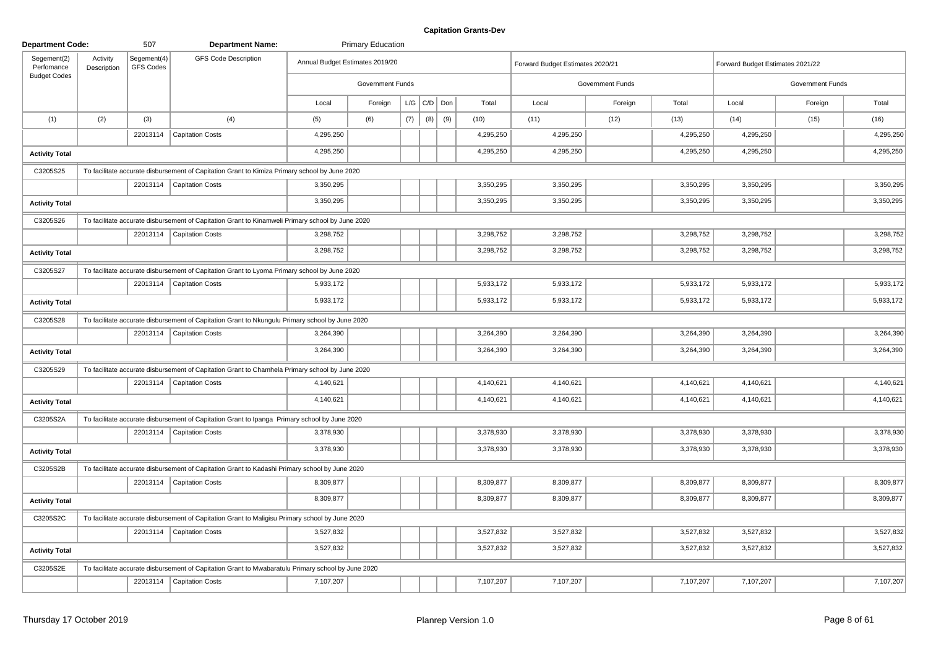| <b>Department Code:</b>                          |                         | 507                      | <b>Department Name:</b>                                                                            |                                 | <b>Primary Education</b> |     |                   |     |           |                                  |                         |           |                                  |                         |           |
|--------------------------------------------------|-------------------------|--------------------------|----------------------------------------------------------------------------------------------------|---------------------------------|--------------------------|-----|-------------------|-----|-----------|----------------------------------|-------------------------|-----------|----------------------------------|-------------------------|-----------|
| Segement(2)<br>Perfomance<br><b>Budget Codes</b> | Activity<br>Description | Segement(4)<br>GFS Codes | <b>GFS Code Description</b>                                                                        | Annual Budget Estimates 2019/20 |                          |     |                   |     |           | Forward Budget Estimates 2020/21 |                         |           | Forward Budget Estimates 2021/22 |                         |           |
|                                                  |                         |                          |                                                                                                    |                                 | Government Funds         |     |                   |     |           |                                  | <b>Government Funds</b> |           |                                  | <b>Government Funds</b> |           |
|                                                  |                         |                          |                                                                                                    | Local                           | Foreign                  |     | $L/G$ $C/D$ $Don$ |     | Total     | Local                            | Foreign                 | Total     | Local                            | Foreign                 | Total     |
| (1)                                              | (2)                     | (3)                      | (4)                                                                                                | (5)                             | (6)                      | (7) | (8)               | (9) | (10)      | (11)                             | (12)                    | (13)      | (14)                             | (15)                    | (16)      |
|                                                  |                         |                          | 22013114   Capitation Costs                                                                        | 4,295,250                       |                          |     |                   |     | 4,295,250 | 4,295,250                        |                         | 4,295,250 | 4,295,250                        |                         | 4,295,250 |
| <b>Activity Total</b>                            |                         |                          |                                                                                                    | 4,295,250                       |                          |     |                   |     | 4,295,250 | 4,295,250                        |                         | 4,295,250 | 4,295,250                        |                         | 4,295,250 |
| C3205S25                                         |                         |                          | To facilitate accurate disbursement of Capitation Grant to Kimiza Primary school by June 2020      |                                 |                          |     |                   |     |           |                                  |                         |           |                                  |                         |           |
|                                                  |                         |                          | 22013114   Capitation Costs                                                                        | 3,350,295                       |                          |     |                   |     | 3,350,295 | 3,350,295                        |                         | 3,350,295 | 3,350,295                        |                         | 3,350,295 |
| <b>Activity Total</b>                            |                         |                          |                                                                                                    | 3,350,295                       |                          |     |                   |     | 3,350,295 | 3,350,295                        |                         | 3,350,295 | 3,350,295                        |                         | 3,350,295 |
| C3205S26                                         |                         |                          | To facilitate accurate disbursement of Capitation Grant to Kinamweli Primary school by June 2020   |                                 |                          |     |                   |     |           |                                  |                         |           |                                  |                         |           |
|                                                  |                         |                          | 22013114   Capitation Costs                                                                        | 3,298,752                       |                          |     |                   |     | 3,298,752 | 3,298,752                        |                         | 3,298,752 | 3,298,752                        |                         | 3,298,752 |
| <b>Activity Total</b>                            |                         |                          |                                                                                                    | 3,298,752                       |                          |     |                   |     | 3,298,752 | 3,298,752                        |                         | 3,298,752 | 3,298,752                        |                         | 3,298,752 |
| C3205S27                                         |                         |                          | To facilitate accurate disbursement of Capitation Grant to Lyoma Primary school by June 2020       |                                 |                          |     |                   |     |           |                                  |                         |           |                                  |                         |           |
|                                                  |                         |                          | 22013114   Capitation Costs                                                                        | 5,933,172                       |                          |     |                   |     | 5,933,172 | 5,933,172                        |                         | 5,933,172 | 5,933,172                        |                         | 5,933,172 |
| <b>Activity Total</b>                            |                         |                          |                                                                                                    | 5,933,172                       |                          |     |                   |     | 5,933,172 | 5,933,172                        |                         | 5,933,172 | 5,933,172                        |                         | 5,933,172 |
| C3205S28                                         |                         |                          | To facilitate accurate disbursement of Capitation Grant to Nkungulu Primary school by June 2020    |                                 |                          |     |                   |     |           |                                  |                         |           |                                  |                         |           |
|                                                  |                         |                          | 22013114   Capitation Costs                                                                        | 3,264,390                       |                          |     |                   |     | 3,264,390 | 3,264,390                        |                         | 3,264,390 | 3,264,390                        |                         | 3,264,390 |
| <b>Activity Total</b>                            |                         |                          |                                                                                                    | 3,264,390                       |                          |     |                   |     | 3,264,390 | 3,264,390                        |                         | 3,264,390 | 3,264,390                        |                         | 3,264,390 |
| C3205S29                                         |                         |                          | To facilitate accurate disbursement of Capitation Grant to Chamhela Primary school by June 2020    |                                 |                          |     |                   |     |           |                                  |                         |           |                                  |                         |           |
|                                                  |                         |                          | 22013114   Capitation Costs                                                                        | 4,140,621                       |                          |     |                   |     | 4,140,621 | 4,140,621                        |                         | 4,140,621 | 4,140,621                        |                         | 4,140,621 |
| <b>Activity Total</b>                            |                         |                          |                                                                                                    | 4,140,621                       |                          |     |                   |     | 4,140,621 | 4,140,621                        |                         | 4,140,621 | 4,140,621                        |                         | 4,140,621 |
| C3205S2A                                         |                         |                          | To facilitate accurate disbursement of Capitation Grant to Ipanga Primary school by June 2020      |                                 |                          |     |                   |     |           |                                  |                         |           |                                  |                         |           |
|                                                  |                         |                          | 22013114   Capitation Costs                                                                        | 3,378,930                       |                          |     |                   |     | 3,378,930 | 3,378,930                        |                         | 3,378,930 | 3,378,930                        |                         | 3,378,930 |
| <b>Activity Total</b>                            |                         |                          |                                                                                                    | 3,378,930                       |                          |     |                   |     | 3,378,930 | 3,378,930                        |                         | 3,378,930 | 3,378,930                        |                         | 3,378,930 |
| C3205S2B                                         |                         |                          | To facilitate accurate disbursement of Capitation Grant to Kadashi Primary school by June 2020     |                                 |                          |     |                   |     |           |                                  |                         |           |                                  |                         |           |
|                                                  |                         |                          | 22013114   Capitation Costs                                                                        | 8,309,877                       |                          |     |                   |     | 8,309,877 | 8,309,877                        |                         | 8,309,877 | 8,309,877                        |                         | 8,309,877 |
| <b>Activity Total</b>                            |                         |                          |                                                                                                    | 8,309,877                       |                          |     |                   |     | 8,309,877 | 8,309,877                        |                         | 8,309,877 | 8,309,877                        |                         | 8,309,877 |
| C3205S2C                                         |                         |                          | To facilitate accurate disbursement of Capitation Grant to Maligisu Primary school by June 2020    |                                 |                          |     |                   |     |           |                                  |                         |           |                                  |                         |           |
|                                                  |                         |                          | 22013114   Capitation Costs                                                                        | 3,527,832                       |                          |     |                   |     | 3,527,832 | 3,527,832                        |                         | 3,527,832 | 3,527,832                        |                         | 3,527,832 |
| <b>Activity Total</b>                            |                         |                          |                                                                                                    | 3,527,832                       |                          |     |                   |     | 3,527,832 | 3,527,832                        |                         | 3,527,832 | 3,527,832                        |                         | 3,527,832 |
| C3205S2E                                         |                         |                          | To facilitate accurate disbursement of Capitation Grant to Mwabaratulu Primary school by June 2020 |                                 |                          |     |                   |     |           |                                  |                         |           |                                  |                         |           |
|                                                  |                         |                          | 22013114   Capitation Costs                                                                        | 7,107,207                       |                          |     |                   |     | 7,107,207 | 7,107,207                        |                         | 7,107,207 | 7,107,207                        |                         | 7,107,207 |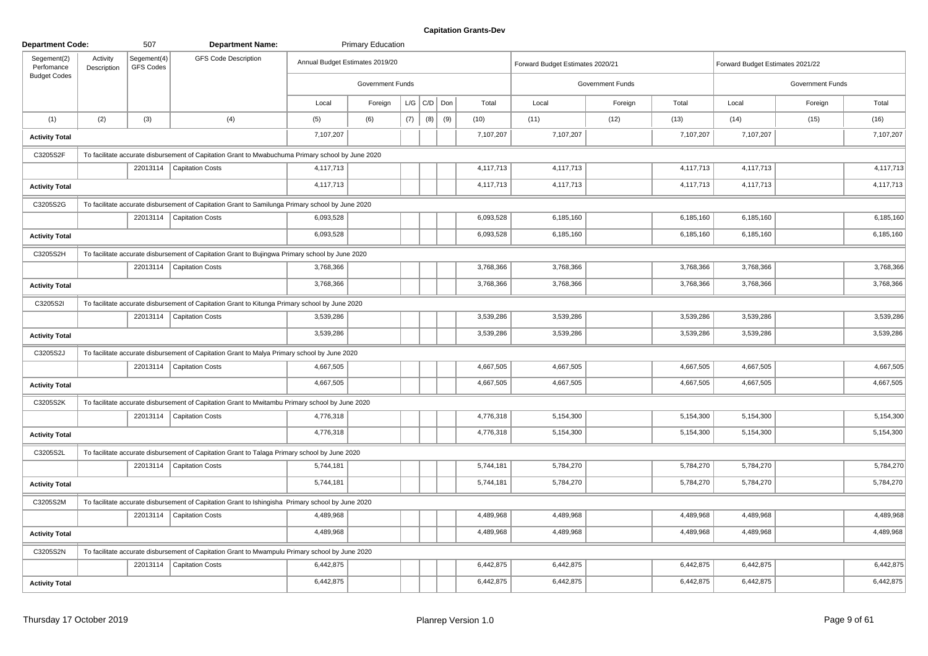| <b>Department Code:</b>   |                         | 507                      | <b>Department Name:</b>                                                                           |                                 | <b>Primary Education</b> |     |                   |     |           |                                  |                         |           |                                  |                  |           |
|---------------------------|-------------------------|--------------------------|---------------------------------------------------------------------------------------------------|---------------------------------|--------------------------|-----|-------------------|-----|-----------|----------------------------------|-------------------------|-----------|----------------------------------|------------------|-----------|
| Segement(2)<br>Perfomance | Activity<br>Description | Segement(4)<br>GFS Codes | <b>GFS Code Description</b>                                                                       | Annual Budget Estimates 2019/20 |                          |     |                   |     |           | Forward Budget Estimates 2020/21 |                         |           | Forward Budget Estimates 2021/22 |                  |           |
| <b>Budget Codes</b>       |                         |                          |                                                                                                   |                                 | <b>Government Funds</b>  |     |                   |     |           |                                  | <b>Government Funds</b> |           |                                  | Government Funds |           |
|                           |                         |                          |                                                                                                   | Local                           | Foreign                  |     | $L/G$ $C/D$ $Don$ |     | Total     | Local                            | Foreign                 | Total     | Local                            | Foreign          | Total     |
| (1)                       | (2)                     | (3)                      | (4)                                                                                               | (5)                             | (6)                      | (7) | (8)               | (9) | (10)      | (11)                             | (12)                    | (13)      | (14)                             | (15)             | (16)      |
| <b>Activity Total</b>     |                         |                          |                                                                                                   | 7,107,207                       |                          |     |                   |     | 7,107,207 | 7,107,207                        |                         | 7,107,207 | 7,107,207                        |                  | 7,107,207 |
| C3205S2F                  |                         |                          | To facilitate accurate disbursement of Capitation Grant to Mwabuchuma Primary school by June 2020 |                                 |                          |     |                   |     |           |                                  |                         |           |                                  |                  |           |
|                           |                         |                          | 22013114   Capitation Costs                                                                       | 4,117,713                       |                          |     |                   |     | 4,117,713 | 4,117,713                        |                         | 4,117,713 | 4,117,713                        |                  | 4,117,713 |
| <b>Activity Total</b>     |                         |                          |                                                                                                   | 4,117,713                       |                          |     |                   |     | 4,117,713 | 4,117,713                        |                         | 4,117,713 | 4,117,713                        |                  | 4,117,713 |
| C3205S2G                  |                         |                          | To facilitate accurate disbursement of Capitation Grant to Samilunga Primary school by June 2020  |                                 |                          |     |                   |     |           |                                  |                         |           |                                  |                  |           |
|                           |                         |                          | 22013114   Capitation Costs                                                                       | 6,093,528                       |                          |     |                   |     | 6,093,528 | 6,185,160                        |                         | 6,185,160 | 6,185,160                        |                  | 6,185,160 |
| <b>Activity Total</b>     |                         |                          |                                                                                                   | 6,093,528                       |                          |     |                   |     | 6,093,528 | 6,185,160                        |                         | 6,185,160 | 6,185,160                        |                  | 6,185,160 |
| C3205S2H                  |                         |                          | To facilitate accurate disbursement of Capitation Grant to Bujingwa Primary school by June 2020   |                                 |                          |     |                   |     |           |                                  |                         |           |                                  |                  |           |
|                           |                         |                          | 22013114   Capitation Costs                                                                       | 3,768,366                       |                          |     |                   |     | 3,768,366 | 3,768,366                        |                         | 3,768,366 | 3,768,366                        |                  | 3,768,366 |
| <b>Activity Total</b>     |                         |                          |                                                                                                   | 3,768,366                       |                          |     |                   |     | 3,768,366 | 3,768,366                        |                         | 3,768,366 | 3,768,366                        |                  | 3,768,366 |
| C3205S2I                  |                         |                          | To facilitate accurate disbursement of Capitation Grant to Kitunga Primary school by June 2020    |                                 |                          |     |                   |     |           |                                  |                         |           |                                  |                  |           |
|                           |                         |                          | 22013114   Capitation Costs                                                                       | 3,539,286                       |                          |     |                   |     | 3,539,286 | 3,539,286                        |                         | 3,539,286 | 3,539,286                        |                  | 3,539,286 |
| <b>Activity Total</b>     |                         |                          |                                                                                                   | 3,539,286                       |                          |     |                   |     | 3,539,286 | 3,539,286                        |                         | 3,539,286 | 3,539,286                        |                  | 3,539,286 |
| C3205S2J                  |                         |                          | To facilitate accurate disbursement of Capitation Grant to Malya Primary school by June 2020      |                                 |                          |     |                   |     |           |                                  |                         |           |                                  |                  |           |
|                           |                         |                          | 22013114   Capitation Costs                                                                       | 4,667,505                       |                          |     |                   |     | 4,667,505 | 4,667,505                        |                         | 4,667,505 | 4,667,505                        |                  | 4,667,505 |
| <b>Activity Total</b>     |                         |                          |                                                                                                   | 4,667,505                       |                          |     |                   |     | 4,667,505 | 4,667,505                        |                         | 4,667,505 | 4,667,505                        |                  | 4,667,505 |
| C3205S2K                  |                         |                          | To facilitate accurate disbursement of Capitation Grant to Mwitambu Primary school by June 2020   |                                 |                          |     |                   |     |           |                                  |                         |           |                                  |                  |           |
|                           |                         |                          | 22013114   Capitation Costs                                                                       | 4,776,318                       |                          |     |                   |     | 4,776,318 | 5,154,300                        |                         | 5,154,300 | 5,154,300                        |                  | 5,154,300 |
| <b>Activity Total</b>     |                         |                          |                                                                                                   | 4,776,318                       |                          |     |                   |     | 4,776,318 | 5,154,300                        |                         | 5,154,300 | 5,154,300                        |                  | 5,154,300 |
| C3205S2L                  |                         |                          | To facilitate accurate disbursement of Capitation Grant to Talaga Primary school by June 2020     |                                 |                          |     |                   |     |           |                                  |                         |           |                                  |                  |           |
|                           |                         |                          | 22013114   Capitation Costs                                                                       | 5,744,181                       |                          |     |                   |     | 5,744,181 | 5,784,270                        |                         | 5,784,270 | 5,784,270                        |                  | 5,784,270 |
| <b>Activity Total</b>     |                         |                          |                                                                                                   | 5,744,181                       |                          |     |                   |     | 5,744,181 | 5,784,270                        |                         | 5,784,270 | 5,784,270                        |                  | 5,784,270 |
| C3205S2M                  |                         |                          | To facilitate accurate disbursement of Capitation Grant to Ishingisha Primary school by June 2020 |                                 |                          |     |                   |     |           |                                  |                         |           |                                  |                  |           |
|                           |                         |                          | 22013114   Capitation Costs                                                                       | 4,489,968                       |                          |     |                   |     | 4,489,968 | 4,489,968                        |                         | 4,489,968 | 4,489,968                        |                  | 4,489,968 |
| <b>Activity Total</b>     |                         |                          |                                                                                                   | 4,489,968                       |                          |     |                   |     | 4,489,968 | 4,489,968                        |                         | 4,489,968 | 4,489,968                        |                  | 4,489,968 |
| C3205S2N                  |                         |                          | To facilitate accurate disbursement of Capitation Grant to Mwampulu Primary school by June 2020   |                                 |                          |     |                   |     |           |                                  |                         |           |                                  |                  |           |
|                           |                         |                          | 22013114   Capitation Costs                                                                       | 6,442,875                       |                          |     |                   |     | 6,442,875 | 6,442,875                        |                         | 6,442,875 | 6,442,875                        |                  | 6,442,875 |
| <b>Activity Total</b>     |                         |                          |                                                                                                   | 6,442,875                       |                          |     |                   |     | 6,442,875 | 6,442,875                        |                         | 6,442,875 | 6,442,875                        |                  | 6,442,875 |
|                           |                         |                          |                                                                                                   |                                 |                          |     |                   |     |           |                                  |                         |           |                                  |                  |           |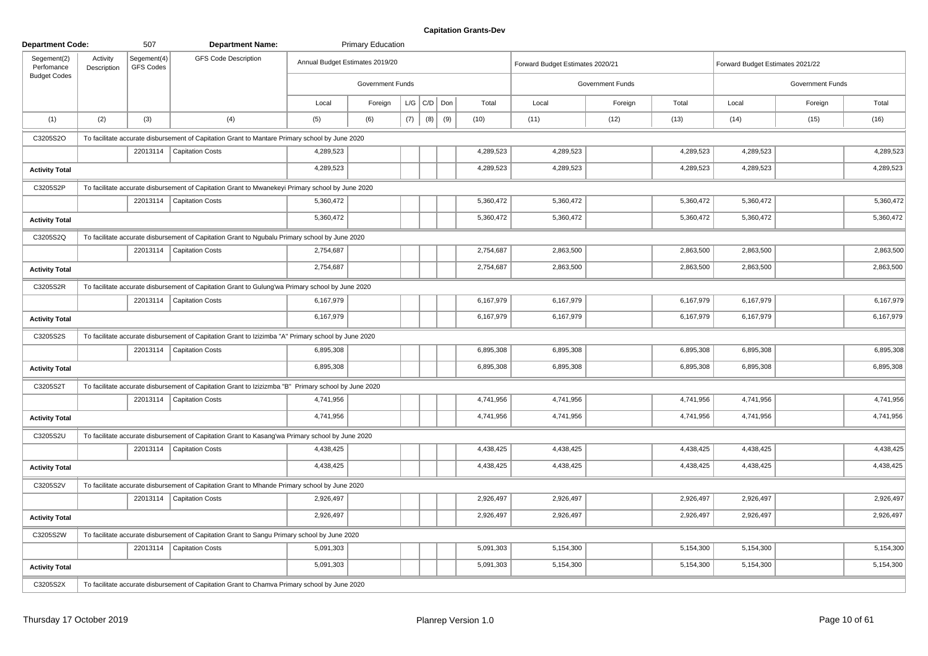| <b>Department Code:</b>   |                         | 507                             | <b>Department Name:</b>                                                                              |                                 | <b>Primary Education</b> |     |                   |     |           |                                  |           |                  |           |                                  |                  |           |
|---------------------------|-------------------------|---------------------------------|------------------------------------------------------------------------------------------------------|---------------------------------|--------------------------|-----|-------------------|-----|-----------|----------------------------------|-----------|------------------|-----------|----------------------------------|------------------|-----------|
| Segement(2)<br>Perfomance | Activity<br>Description | Segement(4)<br><b>GFS Codes</b> | <b>GFS Code Description</b>                                                                          | Annual Budget Estimates 2019/20 |                          |     |                   |     |           | Forward Budget Estimates 2020/21 |           |                  |           | Forward Budget Estimates 2021/22 |                  |           |
| <b>Budget Codes</b>       |                         |                                 |                                                                                                      |                                 | Government Funds         |     |                   |     |           |                                  |           | Government Funds |           |                                  | Government Funds |           |
|                           |                         |                                 |                                                                                                      | Local                           | Foreign                  |     | $L/G$ $C/D$ $Don$ |     | Total     | Local                            |           | Foreign          | Total     | Local                            | Foreign          | Total     |
| (1)                       | (2)                     | (3)                             | (4)                                                                                                  | (5)                             | (6)                      | (7) | (8)               | (9) | (10)      | (11)                             |           | (12)             | (13)      | (14)                             | (15)             | (16)      |
| C3205S2O                  |                         |                                 | To facilitate accurate disbursement of Capitation Grant to Mantare Primary school by June 2020       |                                 |                          |     |                   |     |           |                                  |           |                  |           |                                  |                  |           |
|                           |                         |                                 | 22013114   Capitation Costs                                                                          | 4,289,523                       |                          |     |                   |     | 4,289,523 |                                  | 4,289,523 |                  | 4,289,523 | 4,289,523                        |                  | 4,289,523 |
| <b>Activity Total</b>     |                         |                                 |                                                                                                      | 4,289,523                       |                          |     |                   |     | 4,289,523 |                                  | 4,289,523 |                  | 4,289,523 | 4,289,523                        |                  | 4,289,523 |
| C3205S2P                  |                         |                                 | To facilitate accurate disbursement of Capitation Grant to Mwanekeyi Primary school by June 2020     |                                 |                          |     |                   |     |           |                                  |           |                  |           |                                  |                  |           |
|                           |                         |                                 | 22013114   Capitation Costs                                                                          | 5,360,472                       |                          |     |                   |     | 5,360,472 |                                  | 5,360,472 |                  | 5,360,472 | 5,360,472                        |                  | 5,360,472 |
| <b>Activity Total</b>     |                         |                                 |                                                                                                      | 5,360,472                       |                          |     |                   |     | 5,360,472 |                                  | 5,360,472 |                  | 5,360,472 | 5,360,472                        |                  | 5,360,472 |
| C3205S2Q                  |                         |                                 | To facilitate accurate disbursement of Capitation Grant to Ngubalu Primary school by June 2020       |                                 |                          |     |                   |     |           |                                  |           |                  |           |                                  |                  |           |
|                           |                         | 22013114                        | <b>Capitation Costs</b>                                                                              | 2,754,687                       |                          |     |                   |     | 2,754,687 |                                  | 2,863,500 |                  | 2,863,500 | 2,863,500                        |                  | 2,863,500 |
| <b>Activity Total</b>     |                         |                                 |                                                                                                      | 2,754,687                       |                          |     |                   |     | 2,754,687 |                                  | 2,863,500 |                  | 2,863,500 | 2,863,500                        |                  | 2,863,500 |
| C3205S2R                  |                         |                                 | To facilitate accurate disbursement of Capitation Grant to Gulung'wa Primary school by June 2020     |                                 |                          |     |                   |     |           |                                  |           |                  |           |                                  |                  |           |
|                           |                         |                                 | 22013114   Capitation Costs                                                                          | 6,167,979                       |                          |     |                   |     | 6,167,979 |                                  | 6,167,979 |                  | 6,167,979 | 6,167,979                        |                  | 6,167,979 |
| <b>Activity Total</b>     |                         |                                 |                                                                                                      | 6,167,979                       |                          |     |                   |     | 6,167,979 |                                  | 6,167,979 |                  | 6,167,979 | 6,167,979                        |                  | 6,167,979 |
| C3205S2S                  |                         |                                 | To facilitate accurate disbursement of Capitation Grant to Izizimba "A" Primary school by June 2020  |                                 |                          |     |                   |     |           |                                  |           |                  |           |                                  |                  |           |
|                           |                         |                                 | 22013114   Capitation Costs                                                                          | 6,895,308                       |                          |     |                   |     | 6,895,308 |                                  | 6,895,308 |                  | 6,895,308 | 6,895,308                        |                  | 6,895,308 |
| <b>Activity Total</b>     |                         |                                 |                                                                                                      | 6,895,308                       |                          |     |                   |     | 6,895,308 |                                  | 6,895,308 |                  | 6,895,308 | 6,895,308                        |                  | 6,895,308 |
| C3205S2T                  |                         |                                 | To facilitate accurate disbursement of Capitation Grant to Izizizmba "B" Primary school by June 2020 |                                 |                          |     |                   |     |           |                                  |           |                  |           |                                  |                  |           |
|                           |                         |                                 | 22013114   Capitation Costs                                                                          | 4,741,956                       |                          |     |                   |     | 4,741,956 |                                  | 4,741,956 |                  | 4,741,956 | 4,741,956                        |                  | 4,741,956 |
| <b>Activity Total</b>     |                         |                                 |                                                                                                      | 4,741,956                       |                          |     |                   |     | 4,741,956 |                                  | 4,741,956 |                  | 4,741,956 | 4,741,956                        |                  | 4,741,956 |
| C3205S2U                  |                         |                                 | To facilitate accurate disbursement of Capitation Grant to Kasang'wa Primary school by June 2020     |                                 |                          |     |                   |     |           |                                  |           |                  |           |                                  |                  |           |
|                           |                         |                                 | 22013114   Capitation Costs                                                                          | 4,438,425                       |                          |     |                   |     | 4,438,425 |                                  | 4,438,425 |                  | 4,438,425 | 4,438,425                        |                  | 4,438,425 |
| <b>Activity Total</b>     |                         |                                 |                                                                                                      | 4,438,425                       |                          |     |                   |     | 4,438,425 |                                  | 4,438,425 |                  | 4,438,425 | 4,438,425                        |                  | 4,438,425 |
| C3205S2V                  |                         |                                 | To facilitate accurate disbursement of Capitation Grant to Mhande Primary school by June 2020        |                                 |                          |     |                   |     |           |                                  |           |                  |           |                                  |                  |           |
|                           |                         |                                 | 22013114   Capitation Costs                                                                          | 2,926,497                       |                          |     |                   |     | 2,926,497 |                                  | 2,926,497 |                  | 2,926,497 | 2,926,497                        |                  | 2,926,497 |
| <b>Activity Total</b>     |                         |                                 |                                                                                                      | 2,926,497                       |                          |     |                   |     | 2,926,497 |                                  | 2,926,497 |                  | 2,926,497 | 2,926,497                        |                  | 2,926,497 |
| C3205S2W                  |                         |                                 | To facilitate accurate disbursement of Capitation Grant to Sangu Primary school by June 2020         |                                 |                          |     |                   |     |           |                                  |           |                  |           |                                  |                  |           |
|                           |                         |                                 | 22013114   Capitation Costs                                                                          | 5,091,303                       |                          |     |                   |     | 5,091,303 |                                  | 5,154,300 |                  | 5,154,300 | 5,154,300                        |                  | 5,154,300 |
| <b>Activity Total</b>     |                         |                                 |                                                                                                      | 5,091,303                       |                          |     |                   |     | 5,091,303 |                                  | 5,154,300 |                  | 5,154,300 | 5,154,300                        |                  | 5,154,300 |
| C3205S2X                  |                         |                                 | To facilitate accurate disbursement of Capitation Grant to Chamva Primary school by June 2020        |                                 |                          |     |                   |     |           |                                  |           |                  |           |                                  |                  |           |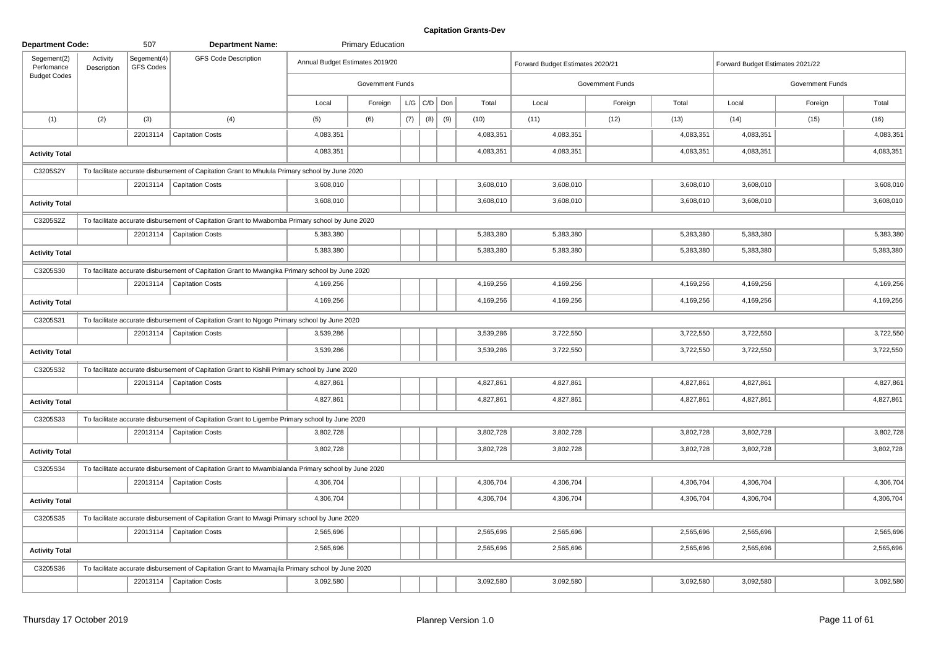| <b>Department Code:</b>                          |                         | 507                      | <b>Department Name:</b>                                                                             |                                 | <b>Primary Education</b> |     |                    |     |           |                                  |                         |           |                                  |                         |           |
|--------------------------------------------------|-------------------------|--------------------------|-----------------------------------------------------------------------------------------------------|---------------------------------|--------------------------|-----|--------------------|-----|-----------|----------------------------------|-------------------------|-----------|----------------------------------|-------------------------|-----------|
| Segement(2)<br>Perfomance<br><b>Budget Codes</b> | Activity<br>Description | Segement(4)<br>GFS Codes | <b>GFS Code Description</b>                                                                         | Annual Budget Estimates 2019/20 |                          |     |                    |     |           | Forward Budget Estimates 2020/21 |                         |           | Forward Budget Estimates 2021/22 |                         |           |
|                                                  |                         |                          |                                                                                                     |                                 | Government Funds         |     |                    |     |           |                                  | <b>Government Funds</b> |           |                                  | <b>Government Funds</b> |           |
|                                                  |                         |                          |                                                                                                     | Local                           | Foreign                  |     | $L/G$ $C/D$ $D$ on |     | Total     | Local                            | Foreign                 | Total     | Local                            | Foreign                 | Total     |
| (1)                                              | (2)                     | (3)                      | (4)                                                                                                 | (5)                             | (6)                      | (7) | (8)                | (9) | (10)      | (11)                             | (12)                    | (13)      | (14)                             | (15)                    | (16)      |
|                                                  |                         |                          | 22013114   Capitation Costs                                                                         | 4,083,351                       |                          |     |                    |     | 4,083,351 | 4,083,351                        |                         | 4,083,351 | 4,083,351                        |                         | 4,083,351 |
| <b>Activity Total</b>                            |                         |                          |                                                                                                     | 4,083,351                       |                          |     |                    |     | 4,083,351 | 4,083,351                        |                         | 4,083,351 | 4,083,351                        |                         | 4,083,351 |
| C3205S2Y                                         |                         |                          | To facilitate accurate disbursement of Capitation Grant to Mhulula Primary school by June 2020      |                                 |                          |     |                    |     |           |                                  |                         |           |                                  |                         |           |
|                                                  |                         |                          | 22013114   Capitation Costs                                                                         | 3,608,010                       |                          |     |                    |     | 3,608,010 | 3,608,010                        |                         | 3,608,010 | 3,608,010                        |                         | 3,608,010 |
| <b>Activity Total</b>                            |                         |                          |                                                                                                     | 3,608,010                       |                          |     |                    |     | 3,608,010 | 3,608,010                        |                         | 3,608,010 | 3,608,010                        |                         | 3,608,010 |
| C3205S2Z                                         |                         |                          | To facilitate accurate disbursement of Capitation Grant to Mwabomba Primary school by June 2020     |                                 |                          |     |                    |     |           |                                  |                         |           |                                  |                         |           |
|                                                  |                         |                          | 22013114   Capitation Costs                                                                         | 5,383,380                       |                          |     |                    |     | 5,383,380 | 5,383,380                        |                         | 5,383,380 | 5,383,380                        |                         | 5,383,380 |
| <b>Activity Total</b>                            |                         |                          |                                                                                                     | 5,383,380                       |                          |     |                    |     | 5,383,380 | 5,383,380                        |                         | 5,383,380 | 5,383,380                        |                         | 5,383,380 |
| C3205S30                                         |                         |                          | To facilitate accurate disbursement of Capitation Grant to Mwangika Primary school by June 2020     |                                 |                          |     |                    |     |           |                                  |                         |           |                                  |                         |           |
|                                                  |                         |                          | 22013114   Capitation Costs                                                                         | 4,169,256                       |                          |     |                    |     | 4,169,256 | 4,169,256                        |                         | 4,169,256 | 4,169,256                        |                         | 4,169,256 |
| <b>Activity Total</b>                            |                         |                          |                                                                                                     | 4,169,256                       |                          |     |                    |     | 4,169,256 | 4,169,256                        |                         | 4,169,256 | 4,169,256                        |                         | 4,169,256 |
| C3205S31                                         |                         |                          | To facilitate accurate disbursement of Capitation Grant to Ngogo Primary school by June 2020        |                                 |                          |     |                    |     |           |                                  |                         |           |                                  |                         |           |
|                                                  |                         |                          | 22013114   Capitation Costs                                                                         | 3,539,286                       |                          |     |                    |     | 3,539,286 | 3,722,550                        |                         | 3,722,550 | 3,722,550                        |                         | 3,722,550 |
| <b>Activity Total</b>                            |                         |                          |                                                                                                     | 3,539,286                       |                          |     |                    |     | 3,539,286 | 3,722,550                        |                         | 3,722,550 | 3,722,550                        |                         | 3,722,550 |
| C3205S32                                         |                         |                          | To facilitate accurate disbursement of Capitation Grant to Kishili Primary school by June 2020      |                                 |                          |     |                    |     |           |                                  |                         |           |                                  |                         |           |
|                                                  |                         |                          | 22013114   Capitation Costs                                                                         | 4,827,861                       |                          |     |                    |     | 4,827,861 | 4,827,861                        |                         | 4,827,861 | 4,827,861                        |                         | 4,827,861 |
| <b>Activity Total</b>                            |                         |                          |                                                                                                     | 4,827,861                       |                          |     |                    |     | 4,827,861 | 4,827,861                        |                         | 4,827,861 | 4,827,861                        |                         | 4,827,861 |
| C3205S33                                         |                         |                          | To facilitate accurate disbursement of Capitation Grant to Ligembe Primary school by June 2020      |                                 |                          |     |                    |     |           |                                  |                         |           |                                  |                         |           |
|                                                  |                         |                          | 22013114   Capitation Costs                                                                         | 3,802,728                       |                          |     |                    |     | 3,802,728 | 3,802,728                        |                         | 3,802,728 | 3,802,728                        |                         | 3,802,728 |
| <b>Activity Total</b>                            |                         |                          |                                                                                                     | 3,802,728                       |                          |     |                    |     | 3,802,728 | 3,802,728                        |                         | 3,802,728 | 3,802,728                        |                         | 3,802,728 |
| C3205S34                                         |                         |                          | To facilitate accurate disbursement of Capitation Grant to Mwambialanda Primary school by June 2020 |                                 |                          |     |                    |     |           |                                  |                         |           |                                  |                         |           |
|                                                  |                         |                          | 22013114   Capitation Costs                                                                         | 4,306,704                       |                          |     |                    |     | 4,306,704 | 4,306,704                        |                         | 4,306,704 | 4,306,704                        |                         | 4,306,704 |
| <b>Activity Total</b>                            |                         |                          |                                                                                                     | 4,306,704                       |                          |     |                    |     | 4,306,704 | 4,306,704                        |                         | 4,306,704 | 4,306,704                        |                         | 4,306,704 |
| C3205S35                                         |                         |                          | To facilitate accurate disbursement of Capitation Grant to Mwagi Primary school by June 2020        |                                 |                          |     |                    |     |           |                                  |                         |           |                                  |                         |           |
|                                                  |                         |                          | 22013114   Capitation Costs                                                                         | 2,565,696                       |                          |     |                    |     | 2,565,696 | 2,565,696                        |                         | 2,565,696 | 2,565,696                        |                         | 2,565,696 |
| <b>Activity Total</b>                            |                         |                          |                                                                                                     | 2,565,696                       |                          |     |                    |     | 2,565,696 | 2,565,696                        |                         | 2,565,696 | 2,565,696                        |                         | 2,565,696 |
| C3205S36                                         |                         |                          | To facilitate accurate disbursement of Capitation Grant to Mwamajila Primary school by June 2020    |                                 |                          |     |                    |     |           |                                  |                         |           |                                  |                         |           |
|                                                  |                         |                          | 22013114   Capitation Costs                                                                         | 3,092,580                       |                          |     |                    |     | 3,092,580 | 3,092,580                        |                         | 3,092,580 | 3,092,580                        |                         | 3,092,580 |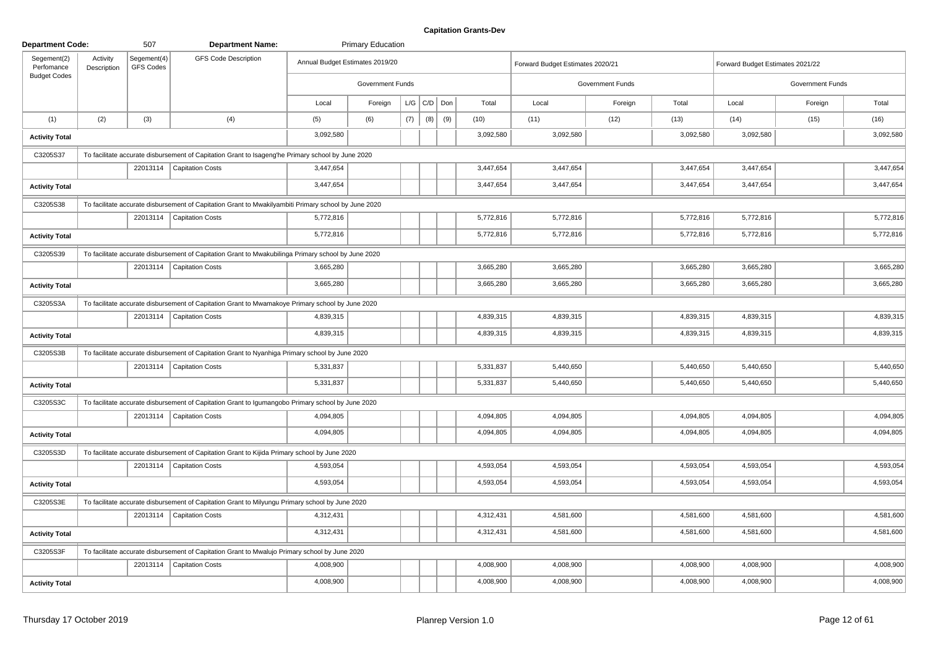| <b>Department Code:</b>   |                         | 507                      | <b>Department Name:</b>                                                                              |                                 | <b>Primary Education</b> |     |                 |     |           |                                  |                         |           |                                  |                  |           |
|---------------------------|-------------------------|--------------------------|------------------------------------------------------------------------------------------------------|---------------------------------|--------------------------|-----|-----------------|-----|-----------|----------------------------------|-------------------------|-----------|----------------------------------|------------------|-----------|
| Segement(2)<br>Perfomance | Activity<br>Description | Segement(4)<br>GFS Codes | <b>GFS Code Description</b>                                                                          | Annual Budget Estimates 2019/20 |                          |     |                 |     |           | Forward Budget Estimates 2020/21 |                         |           | Forward Budget Estimates 2021/22 |                  |           |
| <b>Budget Codes</b>       |                         |                          |                                                                                                      |                                 | Government Funds         |     |                 |     |           |                                  | <b>Government Funds</b> |           |                                  | Government Funds |           |
|                           |                         |                          |                                                                                                      | Local                           | Foreign                  |     | $L/G$ $C/D$ Don |     | Total     | Local                            | Foreign                 | Total     | Local                            | Foreign          | Total     |
| (1)                       | (2)                     | (3)                      | (4)                                                                                                  | (5)                             | (6)                      | (7) | (8)             | (9) | (10)      | (11)                             | (12)                    | (13)      | (14)                             | (15)             | (16)      |
| <b>Activity Total</b>     |                         |                          |                                                                                                      | 3,092,580                       |                          |     |                 |     | 3,092,580 | 3,092,580                        |                         | 3,092,580 | 3,092,580                        |                  | 3,092,580 |
| C3205S37                  |                         |                          | To facilitate accurate disbursement of Capitation Grant to Isageng'he Primary school by June 2020    |                                 |                          |     |                 |     |           |                                  |                         |           |                                  |                  |           |
|                           |                         |                          | 22013114   Capitation Costs                                                                          | 3,447,654                       |                          |     |                 |     | 3,447,654 | 3,447,654                        |                         | 3,447,654 | 3,447,654                        |                  | 3,447,654 |
| <b>Activity Total</b>     |                         |                          |                                                                                                      | 3,447,654                       |                          |     |                 |     | 3,447,654 | 3,447,654                        |                         | 3,447,654 | 3,447,654                        |                  | 3,447,654 |
| C3205S38                  |                         |                          | To facilitate accurate disbursement of Capitation Grant to Mwakilyambiti Primary school by June 2020 |                                 |                          |     |                 |     |           |                                  |                         |           |                                  |                  |           |
|                           |                         |                          | 22013114   Capitation Costs                                                                          | 5,772,816                       |                          |     |                 |     | 5,772,816 | 5,772,816                        |                         | 5,772,816 | 5,772,816                        |                  | 5,772,816 |
| <b>Activity Total</b>     |                         |                          |                                                                                                      | 5,772,816                       |                          |     |                 |     | 5,772,816 | 5,772,816                        |                         | 5,772,816 | 5,772,816                        |                  | 5,772,816 |
| C3205S39                  |                         |                          | To facilitate accurate disbursement of Capitation Grant to Mwakubilinga Primary school by June 2020  |                                 |                          |     |                 |     |           |                                  |                         |           |                                  |                  |           |
|                           |                         |                          | 22013114   Capitation Costs                                                                          | 3,665,280                       |                          |     |                 |     | 3,665,280 | 3,665,280                        |                         | 3,665,280 | 3,665,280                        |                  | 3,665,280 |
| <b>Activity Total</b>     |                         |                          |                                                                                                      | 3,665,280                       |                          |     |                 |     | 3,665,280 | 3,665,280                        |                         | 3,665,280 | 3,665,280                        |                  | 3,665,280 |
| C3205S3A                  |                         |                          | To facilitate accurate disbursement of Capitation Grant to Mwamakoye Primary school by June 2020     |                                 |                          |     |                 |     |           |                                  |                         |           |                                  |                  |           |
|                           |                         |                          | 22013114   Capitation Costs                                                                          | 4,839,315                       |                          |     |                 |     | 4,839,315 | 4,839,315                        |                         | 4,839,315 | 4,839,315                        |                  | 4,839,315 |
| <b>Activity Total</b>     |                         |                          |                                                                                                      | 4,839,315                       |                          |     |                 |     | 4,839,315 | 4,839,315                        |                         | 4,839,315 | 4,839,315                        |                  | 4,839,315 |
| C3205S3B                  |                         |                          | To facilitate accurate disbursement of Capitation Grant to Nyanhiga Primary school by June 2020      |                                 |                          |     |                 |     |           |                                  |                         |           |                                  |                  |           |
|                           |                         |                          | 22013114   Capitation Costs                                                                          | 5,331,837                       |                          |     |                 |     | 5,331,837 | 5,440,650                        |                         | 5,440,650 | 5,440,650                        |                  | 5,440,650 |
| <b>Activity Total</b>     |                         |                          |                                                                                                      | 5,331,837                       |                          |     |                 |     | 5,331,837 | 5,440,650                        |                         | 5,440,650 | 5,440,650                        |                  | 5,440,650 |
| C3205S3C                  |                         |                          | To facilitate accurate disbursement of Capitation Grant to Igumangobo Primary school by June 2020    |                                 |                          |     |                 |     |           |                                  |                         |           |                                  |                  |           |
|                           |                         |                          | 22013114   Capitation Costs                                                                          | 4,094,805                       |                          |     |                 |     | 4,094,805 | 4,094,805                        |                         | 4,094,805 | 4,094,805                        |                  | 4,094,805 |
| <b>Activity Total</b>     |                         |                          |                                                                                                      | 4,094,805                       |                          |     |                 |     | 4,094,805 | 4,094,805                        |                         | 4,094,805 | 4,094,805                        |                  | 4,094,805 |
| C3205S3D                  |                         |                          | To facilitate accurate disbursement of Capitation Grant to Kijida Primary school by June 2020        |                                 |                          |     |                 |     |           |                                  |                         |           |                                  |                  |           |
|                           |                         |                          | 22013114   Capitation Costs                                                                          | 4,593,054                       |                          |     |                 |     | 4,593,054 | 4,593,054                        |                         | 4,593,054 | 4,593,054                        |                  | 4,593,054 |
| <b>Activity Total</b>     |                         |                          |                                                                                                      | 4,593,054                       |                          |     |                 |     | 4,593,054 | 4,593,054                        |                         | 4,593,054 | 4,593,054                        |                  | 4,593,054 |
| C3205S3E                  |                         |                          | To facilitate accurate disbursement of Capitation Grant to Milyungu Primary school by June 2020      |                                 |                          |     |                 |     |           |                                  |                         |           |                                  |                  |           |
|                           |                         |                          | 22013114   Capitation Costs                                                                          | 4,312,431                       |                          |     |                 |     | 4,312,431 | 4,581,600                        |                         | 4,581,600 | 4,581,600                        |                  | 4,581,600 |
| <b>Activity Total</b>     |                         |                          |                                                                                                      | 4,312,431                       |                          |     |                 |     | 4,312,431 | 4,581,600                        |                         | 4,581,600 | 4,581,600                        |                  | 4,581,600 |
| C3205S3F                  |                         |                          | To facilitate accurate disbursement of Capitation Grant to Mwalujo Primary school by June 2020       |                                 |                          |     |                 |     |           |                                  |                         |           |                                  |                  |           |
|                           |                         |                          | 22013114   Capitation Costs                                                                          | 4,008,900                       |                          |     |                 |     | 4,008,900 | 4,008,900                        |                         | 4,008,900 | 4,008,900                        |                  | 4,008,900 |
| <b>Activity Total</b>     |                         |                          |                                                                                                      | 4,008,900                       |                          |     |                 |     | 4,008,900 | 4,008,900                        |                         | 4,008,900 | 4,008,900                        |                  | 4,008,900 |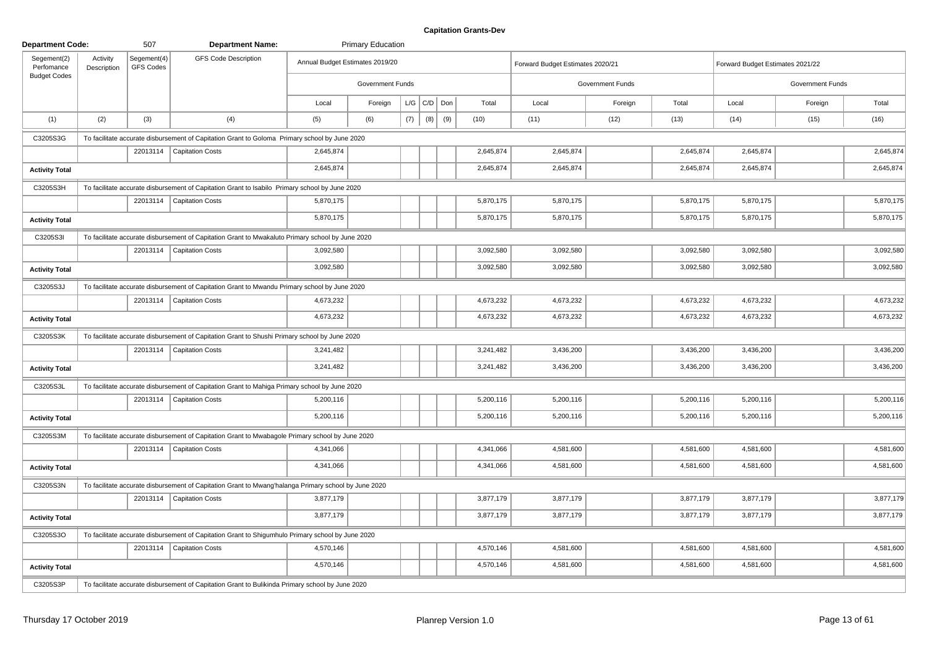| <b>Department Code:</b>   |                         | 507                             | <b>Department Name:</b>                                                                              |                                 | <b>Primary Education</b> |     |                 |     |           |                                  |                  |           |                                  |                  |           |
|---------------------------|-------------------------|---------------------------------|------------------------------------------------------------------------------------------------------|---------------------------------|--------------------------|-----|-----------------|-----|-----------|----------------------------------|------------------|-----------|----------------------------------|------------------|-----------|
| Segement(2)<br>Perfomance | Activity<br>Description | Segement(4)<br><b>GFS Codes</b> | <b>GFS Code Description</b>                                                                          | Annual Budget Estimates 2019/20 |                          |     |                 |     |           | Forward Budget Estimates 2020/21 |                  |           | Forward Budget Estimates 2021/22 |                  |           |
| <b>Budget Codes</b>       |                         |                                 |                                                                                                      |                                 | Government Funds         |     |                 |     |           |                                  | Government Funds |           |                                  | Government Funds |           |
|                           |                         |                                 |                                                                                                      | Local                           | Foreign                  |     | $L/G$ $C/D$ Don |     | Total     | Local                            | Foreign          | Total     | Local                            | Foreign          | Total     |
| (1)                       | (2)                     | (3)                             | (4)                                                                                                  | (5)                             | (6)                      | (7) | (8)             | (9) | (10)      | (11)                             | (12)             | (13)      | (14)                             | (15)             | (16)      |
| C3205S3G                  |                         |                                 | To facilitate accurate disbursement of Capitation Grant to Goloma Primary school by June 2020        |                                 |                          |     |                 |     |           |                                  |                  |           |                                  |                  |           |
|                           |                         |                                 | 22013114   Capitation Costs                                                                          | 2,645,874                       |                          |     |                 |     | 2,645,874 | 2,645,874                        |                  | 2,645,874 | 2,645,874                        |                  | 2,645,874 |
| <b>Activity Total</b>     |                         |                                 |                                                                                                      | 2,645,874                       |                          |     |                 |     | 2,645,874 | 2,645,874                        |                  | 2,645,874 | 2,645,874                        |                  | 2,645,874 |
| C3205S3H                  |                         |                                 | To facilitate accurate disbursement of Capitation Grant to Isabilo Primary school by June 2020       |                                 |                          |     |                 |     |           |                                  |                  |           |                                  |                  |           |
|                           |                         |                                 | 22013114   Capitation Costs                                                                          | 5,870,175                       |                          |     |                 |     | 5,870,175 | 5,870,175                        |                  | 5,870,175 | 5,870,175                        |                  | 5,870,175 |
| <b>Activity Total</b>     |                         |                                 |                                                                                                      | 5,870,175                       |                          |     |                 |     | 5,870,175 | 5,870,175                        |                  | 5,870,175 | 5,870,175                        |                  | 5,870,175 |
| C3205S3I                  |                         |                                 | To facilitate accurate disbursement of Capitation Grant to Mwakaluto Primary school by June 2020     |                                 |                          |     |                 |     |           |                                  |                  |           |                                  |                  |           |
|                           |                         | 22013114                        | <b>Capitation Costs</b>                                                                              | 3,092,580                       |                          |     |                 |     | 3,092,580 | 3,092,580                        |                  | 3,092,580 | 3,092,580                        |                  | 3,092,580 |
| <b>Activity Total</b>     |                         |                                 |                                                                                                      | 3,092,580                       |                          |     |                 |     | 3,092,580 | 3,092,580                        |                  | 3,092,580 | 3,092,580                        |                  | 3,092,580 |
| C3205S3J                  |                         |                                 | To facilitate accurate disbursement of Capitation Grant to Mwandu Primary school by June 2020        |                                 |                          |     |                 |     |           |                                  |                  |           |                                  |                  |           |
|                           |                         |                                 | 22013114   Capitation Costs                                                                          | 4,673,232                       |                          |     |                 |     | 4,673,232 | 4,673,232                        |                  | 4,673,232 | 4,673,232                        |                  | 4,673,232 |
| <b>Activity Total</b>     |                         |                                 |                                                                                                      | 4,673,232                       |                          |     |                 |     | 4,673,232 | 4,673,232                        |                  | 4,673,232 | 4,673,232                        |                  | 4,673,232 |
| C3205S3K                  |                         |                                 | To facilitate accurate disbursement of Capitation Grant to Shushi Primary school by June 2020        |                                 |                          |     |                 |     |           |                                  |                  |           |                                  |                  |           |
|                           |                         |                                 | 22013114   Capitation Costs                                                                          | 3,241,482                       |                          |     |                 |     | 3,241,482 | 3,436,200                        |                  | 3,436,200 | 3,436,200                        |                  | 3,436,200 |
| <b>Activity Total</b>     |                         |                                 |                                                                                                      | 3,241,482                       |                          |     |                 |     | 3,241,482 | 3,436,200                        |                  | 3,436,200 | 3,436,200                        |                  | 3,436,200 |
| C3205S3L                  |                         |                                 | To facilitate accurate disbursement of Capitation Grant to Mahiga Primary school by June 2020        |                                 |                          |     |                 |     |           |                                  |                  |           |                                  |                  |           |
|                           |                         |                                 | 22013114   Capitation Costs                                                                          | 5,200,116                       |                          |     |                 |     | 5,200,116 | 5,200,116                        |                  | 5,200,116 | 5,200,116                        |                  | 5,200,116 |
| <b>Activity Total</b>     |                         |                                 |                                                                                                      | 5,200,116                       |                          |     |                 |     | 5,200,116 | 5,200,116                        |                  | 5,200,116 | 5,200,116                        |                  | 5,200,116 |
| C3205S3M                  |                         |                                 | To facilitate accurate disbursement of Capitation Grant to Mwabagole Primary school by June 2020     |                                 |                          |     |                 |     |           |                                  |                  |           |                                  |                  |           |
|                           |                         |                                 | 22013114   Capitation Costs                                                                          | 4,341,066                       |                          |     |                 |     | 4,341,066 | 4,581,600                        |                  | 4,581,600 | 4,581,600                        |                  | 4,581,600 |
| <b>Activity Total</b>     |                         |                                 |                                                                                                      | 4,341,066                       |                          |     |                 |     | 4,341,066 | 4,581,600                        |                  | 4,581,600 | 4,581,600                        |                  | 4,581,600 |
| C3205S3N                  |                         |                                 | To facilitate accurate disbursement of Capitation Grant to Mwang'halanga Primary school by June 2020 |                                 |                          |     |                 |     |           |                                  |                  |           |                                  |                  |           |
|                           |                         |                                 | 22013114   Capitation Costs                                                                          | 3,877,179                       |                          |     |                 |     | 3,877,179 | 3,877,179                        |                  | 3,877,179 | 3,877,179                        |                  | 3,877,179 |
| <b>Activity Total</b>     |                         |                                 |                                                                                                      | 3,877,179                       |                          |     |                 |     | 3,877,179 | 3,877,179                        |                  | 3,877,179 | 3,877,179                        |                  | 3,877,179 |
| C3205S3O                  |                         |                                 | To facilitate accurate disbursement of Capitation Grant to Shigumhulo Primary school by June 2020    |                                 |                          |     |                 |     |           |                                  |                  |           |                                  |                  |           |
|                           |                         |                                 | 22013114   Capitation Costs                                                                          | 4,570,146                       |                          |     |                 |     | 4,570,146 | 4,581,600                        |                  | 4,581,600 | 4,581,600                        |                  | 4,581,600 |
| <b>Activity Total</b>     |                         |                                 |                                                                                                      | 4,570,146                       |                          |     |                 |     | 4,570,146 | 4,581,600                        |                  | 4,581,600 | 4,581,600                        |                  | 4,581,600 |
| C3205S3P                  |                         |                                 | To facilitate accurate disbursement of Capitation Grant to Bulikinda Primary school by June 2020     |                                 |                          |     |                 |     |           |                                  |                  |           |                                  |                  |           |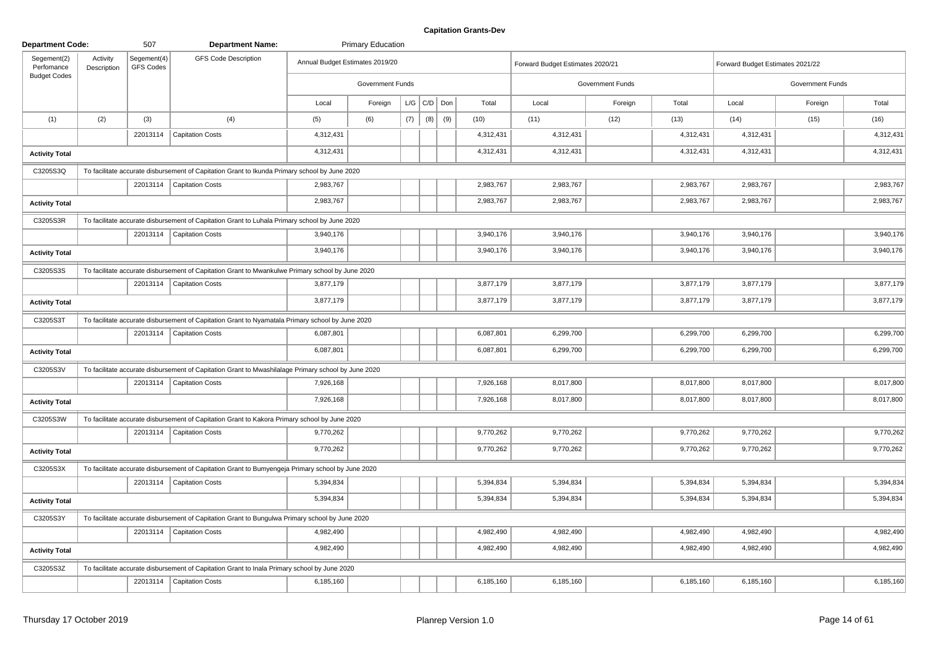| <b>Department Code:</b>                          |                         | 507                      | <b>Department Name:</b>                                                                             |                                 | <b>Primary Education</b> |     |                   |     |           |                                  |                         |           |                                  |                         |           |
|--------------------------------------------------|-------------------------|--------------------------|-----------------------------------------------------------------------------------------------------|---------------------------------|--------------------------|-----|-------------------|-----|-----------|----------------------------------|-------------------------|-----------|----------------------------------|-------------------------|-----------|
| Segement(2)<br>Perfomance<br><b>Budget Codes</b> | Activity<br>Description | Segement(4)<br>GFS Codes | <b>GFS Code Description</b>                                                                         | Annual Budget Estimates 2019/20 |                          |     |                   |     |           | Forward Budget Estimates 2020/21 |                         |           | Forward Budget Estimates 2021/22 |                         |           |
|                                                  |                         |                          |                                                                                                     |                                 | Government Funds         |     |                   |     |           |                                  | <b>Government Funds</b> |           |                                  | <b>Government Funds</b> |           |
|                                                  |                         |                          |                                                                                                     | Local                           | Foreign                  |     | $L/G$ $C/D$ $Don$ |     | Total     | Local                            | Foreign                 | Total     | Local                            | Foreign                 | Total     |
| (1)                                              | (2)                     | (3)                      | (4)                                                                                                 | (5)                             | (6)                      | (7) | (8)               | (9) | (10)      | (11)                             | (12)                    | (13)      | (14)                             | (15)                    | (16)      |
|                                                  |                         |                          | 22013114   Capitation Costs                                                                         | 4,312,431                       |                          |     |                   |     | 4,312,431 | 4,312,431                        |                         | 4,312,431 | 4,312,431                        |                         | 4,312,431 |
| <b>Activity Total</b>                            |                         |                          |                                                                                                     | 4,312,431                       |                          |     |                   |     | 4,312,431 | 4,312,431                        |                         | 4,312,431 | 4,312,431                        |                         | 4,312,431 |
| C3205S3Q                                         |                         |                          | To facilitate accurate disbursement of Capitation Grant to Ikunda Primary school by June 2020       |                                 |                          |     |                   |     |           |                                  |                         |           |                                  |                         |           |
|                                                  |                         |                          | 22013114   Capitation Costs                                                                         | 2,983,767                       |                          |     |                   |     | 2,983,767 | 2,983,767                        |                         | 2,983,767 | 2,983,767                        |                         | 2,983,767 |
| <b>Activity Total</b>                            |                         |                          |                                                                                                     | 2,983,767                       |                          |     |                   |     | 2,983,767 | 2,983,767                        |                         | 2,983,767 | 2,983,767                        |                         | 2,983,767 |
| C3205S3R                                         |                         |                          | To facilitate accurate disbursement of Capitation Grant to Luhala Primary school by June 2020       |                                 |                          |     |                   |     |           |                                  |                         |           |                                  |                         |           |
|                                                  |                         |                          | 22013114   Capitation Costs                                                                         | 3,940,176                       |                          |     |                   |     | 3,940,176 | 3,940,176                        |                         | 3,940,176 | 3,940,176                        |                         | 3,940,176 |
| <b>Activity Total</b>                            |                         |                          |                                                                                                     | 3,940,176                       |                          |     |                   |     | 3,940,176 | 3,940,176                        |                         | 3,940,176 | 3,940,176                        |                         | 3,940,176 |
| C3205S3S                                         |                         |                          | To facilitate accurate disbursement of Capitation Grant to Mwankulwe Primary school by June 2020    |                                 |                          |     |                   |     |           |                                  |                         |           |                                  |                         |           |
|                                                  |                         |                          | 22013114   Capitation Costs                                                                         | 3,877,179                       |                          |     |                   |     | 3,877,179 | 3,877,179                        |                         | 3,877,179 | 3,877,179                        |                         | 3,877,179 |
| <b>Activity Total</b>                            |                         |                          |                                                                                                     | 3,877,179                       |                          |     |                   |     | 3,877,179 | 3,877,179                        |                         | 3,877,179 | 3,877,179                        |                         | 3,877,179 |
| C3205S3T                                         |                         |                          | To facilitate accurate disbursement of Capitation Grant to Nyamatala Primary school by June 2020    |                                 |                          |     |                   |     |           |                                  |                         |           |                                  |                         |           |
|                                                  |                         |                          | 22013114   Capitation Costs                                                                         | 6,087,801                       |                          |     |                   |     | 6,087,801 | 6,299,700                        |                         | 6,299,700 | 6,299,700                        |                         | 6,299,700 |
| <b>Activity Total</b>                            |                         |                          |                                                                                                     | 6,087,801                       |                          |     |                   |     | 6,087,801 | 6,299,700                        |                         | 6,299,700 | 6,299,700                        |                         | 6,299,700 |
| C3205S3V                                         |                         |                          | To facilitate accurate disbursement of Capitation Grant to Mwashilalage Primary school by June 2020 |                                 |                          |     |                   |     |           |                                  |                         |           |                                  |                         |           |
|                                                  |                         |                          | 22013114   Capitation Costs                                                                         | 7,926,168                       |                          |     |                   |     | 7,926,168 | 8,017,800                        |                         | 8,017,800 | 8,017,800                        |                         | 8,017,800 |
| <b>Activity Total</b>                            |                         |                          |                                                                                                     | 7,926,168                       |                          |     |                   |     | 7,926,168 | 8,017,800                        |                         | 8,017,800 | 8,017,800                        |                         | 8,017,800 |
| C3205S3W                                         |                         |                          | To facilitate accurate disbursement of Capitation Grant to Kakora Primary school by June 2020       |                                 |                          |     |                   |     |           |                                  |                         |           |                                  |                         |           |
|                                                  |                         |                          | 22013114   Capitation Costs                                                                         | 9,770,262                       |                          |     |                   |     | 9,770,262 | 9,770,262                        |                         | 9,770,262 | 9,770,262                        |                         | 9,770,262 |
| <b>Activity Total</b>                            |                         |                          |                                                                                                     | 9,770,262                       |                          |     |                   |     | 9,770,262 | 9,770,262                        |                         | 9,770,262 | 9,770,262                        |                         | 9,770,262 |
| C3205S3X                                         |                         |                          | To facilitate accurate disbursement of Capitation Grant to Bumyengeja Primary school by June 2020   |                                 |                          |     |                   |     |           |                                  |                         |           |                                  |                         |           |
|                                                  |                         |                          | 22013114   Capitation Costs                                                                         | 5,394,834                       |                          |     |                   |     | 5,394,834 | 5,394,834                        |                         | 5,394,834 | 5,394,834                        |                         | 5,394,834 |
| <b>Activity Total</b>                            |                         |                          |                                                                                                     | 5,394,834                       |                          |     |                   |     | 5,394,834 | 5,394,834                        |                         | 5,394,834 | 5,394,834                        |                         | 5,394,834 |
| C3205S3Y                                         |                         |                          | To facilitate accurate disbursement of Capitation Grant to Bungulwa Primary school by June 2020     |                                 |                          |     |                   |     |           |                                  |                         |           |                                  |                         |           |
|                                                  |                         |                          | 22013114   Capitation Costs                                                                         | 4,982,490                       |                          |     |                   |     | 4,982,490 | 4,982,490                        |                         | 4,982,490 | 4,982,490                        |                         | 4,982,490 |
| <b>Activity Total</b>                            |                         |                          |                                                                                                     | 4,982,490                       |                          |     |                   |     | 4,982,490 | 4,982,490                        |                         | 4,982,490 | 4,982,490                        |                         | 4,982,490 |
| C3205S3Z                                         |                         |                          | To facilitate accurate disbursement of Capitation Grant to Inala Primary school by June 2020        |                                 |                          |     |                   |     |           |                                  |                         |           |                                  |                         |           |
|                                                  |                         |                          | 22013114   Capitation Costs                                                                         | 6,185,160                       |                          |     |                   |     | 6,185,160 | 6,185,160                        |                         | 6,185,160 | 6,185,160                        |                         | 6,185,160 |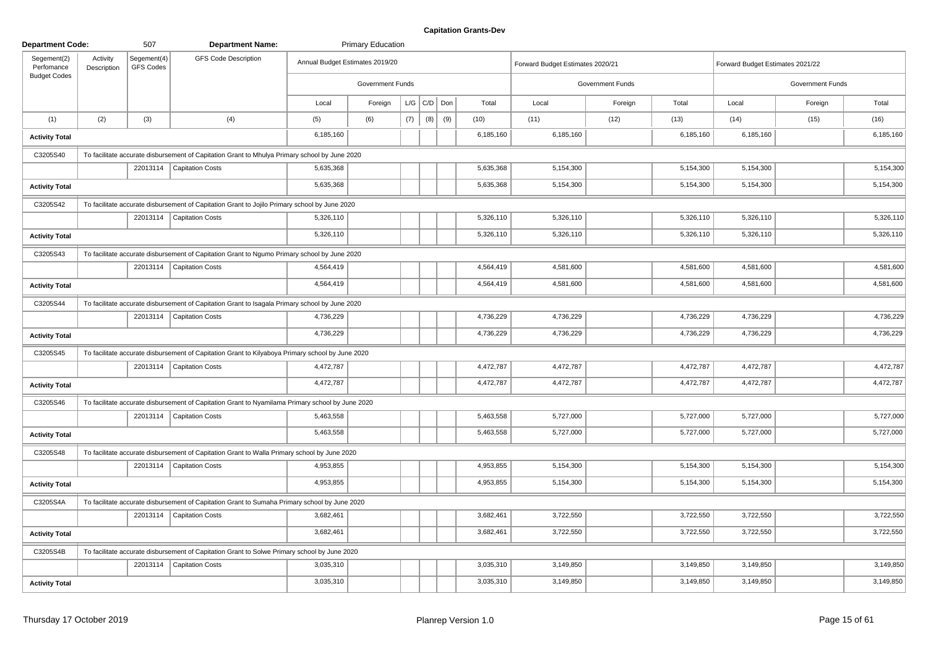| <b>Department Code:</b>   |                         | 507                      | <b>Department Name:</b>                                                                          |                                 | <b>Primary Education</b> |     |                 |     |           |                                  |                         |           |                                  |                  |           |
|---------------------------|-------------------------|--------------------------|--------------------------------------------------------------------------------------------------|---------------------------------|--------------------------|-----|-----------------|-----|-----------|----------------------------------|-------------------------|-----------|----------------------------------|------------------|-----------|
| Segement(2)<br>Perfomance | Activity<br>Description | Segement(4)<br>GFS Codes | <b>GFS Code Description</b>                                                                      | Annual Budget Estimates 2019/20 |                          |     |                 |     |           | Forward Budget Estimates 2020/21 |                         |           | Forward Budget Estimates 2021/22 |                  |           |
| <b>Budget Codes</b>       |                         |                          |                                                                                                  |                                 | <b>Government Funds</b>  |     |                 |     |           |                                  | <b>Government Funds</b> |           |                                  | Government Funds |           |
|                           |                         |                          |                                                                                                  | Local                           | Foreign                  |     | $L/G$ $C/D$ Don |     | Total     | Local                            | Foreign                 | Total     | Local                            | Foreign          | Total     |
| (1)                       | (2)                     | (3)                      | (4)                                                                                              | (5)                             | (6)                      | (7) | (8)             | (9) | (10)      | (11)                             | (12)                    | (13)      | (14)                             | (15)             | (16)      |
| <b>Activity Total</b>     |                         |                          |                                                                                                  | 6,185,160                       |                          |     |                 |     | 6,185,160 | 6,185,160                        |                         | 6,185,160 | 6,185,160                        |                  | 6,185,160 |
| C3205S40                  |                         |                          | To facilitate accurate disbursement of Capitation Grant to Mhulya Primary school by June 2020    |                                 |                          |     |                 |     |           |                                  |                         |           |                                  |                  |           |
|                           |                         |                          | 22013114   Capitation Costs                                                                      | 5,635,368                       |                          |     |                 |     | 5,635,368 | 5,154,300                        |                         | 5,154,300 | 5,154,300                        |                  | 5,154,300 |
| <b>Activity Total</b>     |                         |                          |                                                                                                  | 5,635,368                       |                          |     |                 |     | 5,635,368 | 5,154,300                        |                         | 5,154,300 | 5,154,300                        |                  | 5,154,300 |
| C3205S42                  |                         |                          | To facilitate accurate disbursement of Capitation Grant to Jojilo Primary school by June 2020    |                                 |                          |     |                 |     |           |                                  |                         |           |                                  |                  |           |
|                           |                         |                          | 22013114   Capitation Costs                                                                      | 5,326,110                       |                          |     |                 |     | 5,326,110 | 5,326,110                        |                         | 5,326,110 | 5,326,110                        |                  | 5,326,110 |
| <b>Activity Total</b>     |                         |                          |                                                                                                  | 5,326,110                       |                          |     |                 |     | 5,326,110 | 5,326,110                        |                         | 5,326,110 | 5,326,110                        |                  | 5,326,110 |
| C3205S43                  |                         |                          | To facilitate accurate disbursement of Capitation Grant to Ngumo Primary school by June 2020     |                                 |                          |     |                 |     |           |                                  |                         |           |                                  |                  |           |
|                           |                         |                          | 22013114   Capitation Costs                                                                      | 4,564,419                       |                          |     |                 |     | 4,564,419 | 4,581,600                        |                         | 4,581,600 | 4,581,600                        |                  | 4,581,600 |
| <b>Activity Total</b>     |                         |                          |                                                                                                  | 4,564,419                       |                          |     |                 |     | 4,564,419 | 4,581,600                        |                         | 4,581,600 | 4,581,600                        |                  | 4,581,600 |
| C3205S44                  |                         |                          | To facilitate accurate disbursement of Capitation Grant to Isagala Primary school by June 2020   |                                 |                          |     |                 |     |           |                                  |                         |           |                                  |                  |           |
|                           |                         |                          | 22013114   Capitation Costs                                                                      | 4,736,229                       |                          |     |                 |     | 4,736,229 | 4,736,229                        |                         | 4,736,229 | 4,736,229                        |                  | 4,736,229 |
| <b>Activity Total</b>     |                         |                          |                                                                                                  | 4,736,229                       |                          |     |                 |     | 4,736,229 | 4,736,229                        |                         | 4,736,229 | 4,736,229                        |                  | 4,736,229 |
| C3205S45                  |                         |                          | To facilitate accurate disbursement of Capitation Grant to Kilyaboya Primary school by June 2020 |                                 |                          |     |                 |     |           |                                  |                         |           |                                  |                  |           |
|                           |                         |                          | 22013114   Capitation Costs                                                                      | 4,472,787                       |                          |     |                 |     | 4,472,787 | 4,472,787                        |                         | 4,472,787 | 4,472,787                        |                  | 4,472,787 |
| <b>Activity Total</b>     |                         |                          |                                                                                                  | 4,472,787                       |                          |     |                 |     | 4,472,787 | 4,472,787                        |                         | 4,472,787 | 4,472,787                        |                  | 4,472,787 |
| C3205S46                  |                         |                          | To facilitate accurate disbursement of Capitation Grant to Nyamilama Primary school by June 2020 |                                 |                          |     |                 |     |           |                                  |                         |           |                                  |                  |           |
|                           |                         |                          | 22013114   Capitation Costs                                                                      | 5,463,558                       |                          |     |                 |     | 5,463,558 | 5,727,000                        |                         | 5,727,000 | 5,727,000                        |                  | 5,727,000 |
| <b>Activity Total</b>     |                         |                          |                                                                                                  | 5,463,558                       |                          |     |                 |     | 5,463,558 | 5,727,000                        |                         | 5,727,000 | 5,727,000                        |                  | 5,727,000 |
| C3205S48                  |                         |                          | To facilitate accurate disbursement of Capitation Grant to Walla Primary school by June 2020     |                                 |                          |     |                 |     |           |                                  |                         |           |                                  |                  |           |
|                           |                         |                          | 22013114   Capitation Costs                                                                      | 4,953,855                       |                          |     |                 |     | 4,953,855 | 5,154,300                        |                         | 5,154,300 | 5,154,300                        |                  | 5,154,300 |
| <b>Activity Total</b>     |                         |                          |                                                                                                  | 4,953,855                       |                          |     |                 |     | 4,953,855 | 5,154,300                        |                         | 5,154,300 | 5,154,300                        |                  | 5,154,300 |
| C3205S4A                  |                         |                          | To facilitate accurate disbursement of Capitation Grant to Sumaha Primary school by June 2020    |                                 |                          |     |                 |     |           |                                  |                         |           |                                  |                  |           |
|                           |                         |                          | 22013114   Capitation Costs                                                                      | 3,682,461                       |                          |     |                 |     | 3,682,461 | 3,722,550                        |                         | 3,722,550 | 3,722,550                        |                  | 3,722,550 |
| <b>Activity Total</b>     |                         |                          |                                                                                                  | 3,682,461                       |                          |     |                 |     | 3,682,461 | 3,722,550                        |                         | 3,722,550 | 3,722,550                        |                  | 3,722,550 |
| C3205S4B                  |                         |                          | To facilitate accurate disbursement of Capitation Grant to Solwe Primary school by June 2020     |                                 |                          |     |                 |     |           |                                  |                         |           |                                  |                  |           |
|                           |                         |                          | 22013114   Capitation Costs                                                                      | 3,035,310                       |                          |     |                 |     | 3,035,310 | 3,149,850                        |                         | 3,149,850 | 3,149,850                        |                  | 3,149,850 |
| <b>Activity Total</b>     |                         |                          |                                                                                                  | 3,035,310                       |                          |     |                 |     | 3,035,310 | 3,149,850                        |                         | 3,149,850 | 3,149,850                        |                  | 3,149,850 |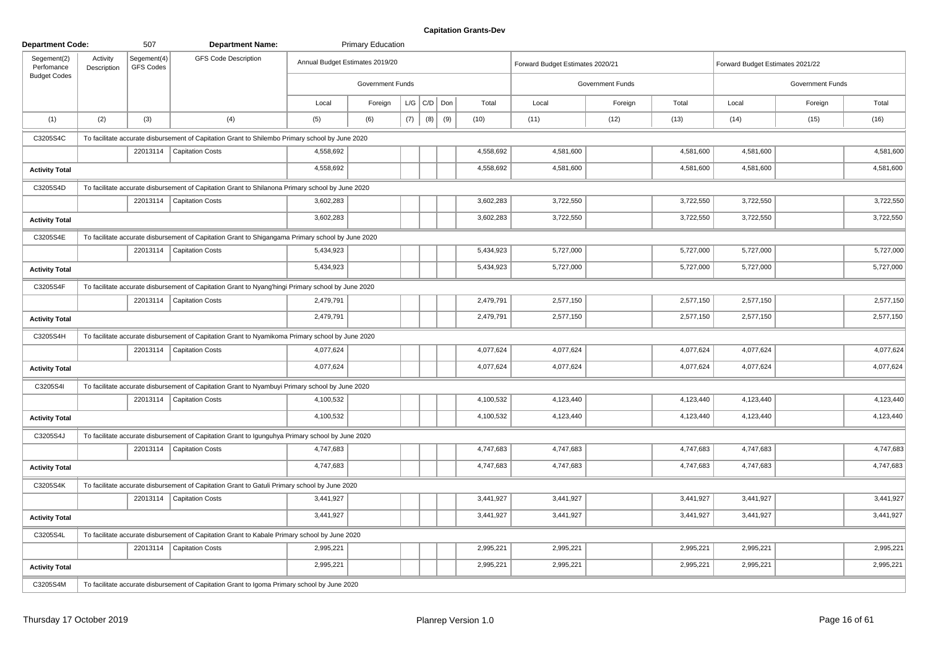| <b>Department Code:</b>   |                         | 507                      | <b>Department Name:</b>                                                                            |                                 | <b>Primary Education</b> |     |                   |     |           |                                  |                         |           |                                  |                  |           |
|---------------------------|-------------------------|--------------------------|----------------------------------------------------------------------------------------------------|---------------------------------|--------------------------|-----|-------------------|-----|-----------|----------------------------------|-------------------------|-----------|----------------------------------|------------------|-----------|
| Segement(2)<br>Perfomance | Activity<br>Description | Segement(4)<br>GFS Codes | <b>GFS Code Description</b>                                                                        | Annual Budget Estimates 2019/20 |                          |     |                   |     |           | Forward Budget Estimates 2020/21 |                         |           | Forward Budget Estimates 2021/22 |                  |           |
| <b>Budget Codes</b>       |                         |                          |                                                                                                    |                                 | <b>Government Funds</b>  |     |                   |     |           |                                  | <b>Government Funds</b> |           |                                  | Government Funds |           |
|                           |                         |                          |                                                                                                    | Local                           | Foreign                  |     | $L/G$ $C/D$ $Don$ |     | Total     | Local                            | Foreign                 | Total     | Local                            | Foreign          | Total     |
| (1)                       | (2)                     | (3)                      | (4)                                                                                                | (5)                             | (6)                      | (7) | (8)               | (9) | (10)      | (11)                             | (12)                    | (13)      | (14)                             | (15)             | (16)      |
| C3205S4C                  |                         |                          | To facilitate accurate disbursement of Capitation Grant to Shilembo Primary school by June 2020    |                                 |                          |     |                   |     |           |                                  |                         |           |                                  |                  |           |
|                           |                         |                          | 22013114   Capitation Costs                                                                        | 4,558,692                       |                          |     |                   |     | 4,558,692 | 4,581,600                        |                         | 4,581,600 | 4,581,600                        |                  | 4,581,600 |
| <b>Activity Total</b>     |                         |                          |                                                                                                    | 4,558,692                       |                          |     |                   |     | 4,558,692 | 4,581,600                        |                         | 4,581,600 | 4,581,600                        |                  | 4,581,600 |
| C3205S4D                  |                         |                          | To facilitate accurate disbursement of Capitation Grant to Shilanona Primary school by June 2020   |                                 |                          |     |                   |     |           |                                  |                         |           |                                  |                  |           |
|                           |                         |                          | 22013114   Capitation Costs                                                                        | 3,602,283                       |                          |     |                   |     | 3,602,283 | 3,722,550                        |                         | 3,722,550 | 3,722,550                        |                  | 3,722,550 |
| <b>Activity Total</b>     |                         |                          |                                                                                                    | 3,602,283                       |                          |     |                   |     | 3,602,283 | 3,722,550                        |                         | 3,722,550 | 3,722,550                        |                  | 3,722,550 |
| C3205S4E                  |                         |                          | To facilitate accurate disbursement of Capitation Grant to Shigangama Primary school by June 2020  |                                 |                          |     |                   |     |           |                                  |                         |           |                                  |                  |           |
|                           |                         | 22013114                 | Capitation Costs                                                                                   | 5,434,923                       |                          |     |                   |     | 5,434,923 | 5,727,000                        |                         | 5,727,000 | 5,727,000                        |                  | 5,727,000 |
| <b>Activity Total</b>     |                         |                          |                                                                                                    | 5,434,923                       |                          |     |                   |     | 5,434,923 | 5,727,000                        |                         | 5,727,000 | 5,727,000                        |                  | 5,727,000 |
| C3205S4F                  |                         |                          | To facilitate accurate disbursement of Capitation Grant to Nyang'hingi Primary school by June 2020 |                                 |                          |     |                   |     |           |                                  |                         |           |                                  |                  |           |
|                           |                         |                          | 22013114   Capitation Costs                                                                        | 2,479,791                       |                          |     |                   |     | 2,479,791 | 2,577,150                        |                         | 2,577,150 | 2,577,150                        |                  | 2,577,150 |
| <b>Activity Total</b>     |                         |                          |                                                                                                    | 2,479,791                       |                          |     |                   |     | 2,479,791 | 2,577,150                        |                         | 2,577,150 | 2,577,150                        |                  | 2,577,150 |
| C3205S4H                  |                         |                          | To facilitate accurate disbursement of Capitation Grant to Nyamikoma Primary school by June 2020   |                                 |                          |     |                   |     |           |                                  |                         |           |                                  |                  |           |
|                           |                         |                          | 22013114   Capitation Costs                                                                        | 4,077,624                       |                          |     |                   |     | 4,077,624 | 4,077,624                        |                         | 4,077,624 | 4,077,624                        |                  | 4,077,624 |
| <b>Activity Total</b>     |                         |                          |                                                                                                    | 4,077,624                       |                          |     |                   |     | 4,077,624 | 4,077,624                        |                         | 4,077,624 | 4,077,624                        |                  | 4,077,624 |
| C3205S4I                  |                         |                          | To facilitate accurate disbursement of Capitation Grant to Nyambuyi Primary school by June 2020    |                                 |                          |     |                   |     |           |                                  |                         |           |                                  |                  |           |
|                           |                         | 22013114                 | <b>Capitation Costs</b>                                                                            | 4,100,532                       |                          |     |                   |     | 4,100,532 | 4,123,440                        |                         | 4,123,440 | 4,123,440                        |                  | 4,123,440 |
| <b>Activity Total</b>     |                         |                          |                                                                                                    | 4,100,532                       |                          |     |                   |     | 4,100,532 | 4,123,440                        |                         | 4,123,440 | 4,123,440                        |                  | 4,123,440 |
| C3205S4J                  |                         |                          | To facilitate accurate disbursement of Capitation Grant to Igunguhya Primary school by June 2020   |                                 |                          |     |                   |     |           |                                  |                         |           |                                  |                  |           |
|                           |                         |                          | 22013114   Capitation Costs                                                                        | 4,747,683                       |                          |     |                   |     | 4,747,683 | 4,747,683                        |                         | 4,747,683 | 4,747,683                        |                  | 4,747,683 |
| <b>Activity Total</b>     |                         |                          |                                                                                                    | 4,747,683                       |                          |     |                   |     | 4,747,683 | 4,747,683                        |                         | 4,747,683 | 4,747,683                        |                  | 4,747,683 |
| C3205S4K                  |                         |                          | To facilitate accurate disbursement of Capitation Grant to Gatuli Primary school by June 2020      |                                 |                          |     |                   |     |           |                                  |                         |           |                                  |                  |           |
|                           |                         |                          | 22013114   Capitation Costs                                                                        | 3,441,927                       |                          |     |                   |     | 3,441,927 | 3,441,927                        |                         | 3,441,927 | 3,441,927                        |                  | 3,441,927 |
| <b>Activity Total</b>     |                         |                          |                                                                                                    | 3,441,927                       |                          |     |                   |     | 3,441,927 | 3,441,927                        |                         | 3,441,927 | 3,441,927                        |                  | 3,441,927 |
| C3205S4L                  |                         |                          | To facilitate accurate disbursement of Capitation Grant to Kabale Primary school by June 2020      |                                 |                          |     |                   |     |           |                                  |                         |           |                                  |                  |           |
|                           |                         |                          | 22013114   Capitation Costs                                                                        | 2,995,221                       |                          |     |                   |     | 2,995,221 | 2,995,221                        |                         | 2,995,221 | 2,995,221                        |                  | 2,995,221 |
| <b>Activity Total</b>     |                         |                          |                                                                                                    | 2,995,221                       |                          |     |                   |     | 2,995,221 | 2,995,221                        |                         | 2,995,221 | 2,995,221                        |                  | 2,995,221 |
| C3205S4M                  |                         |                          | To facilitate accurate disbursement of Capitation Grant to Igoma Primary school by June 2020       |                                 |                          |     |                   |     |           |                                  |                         |           |                                  |                  |           |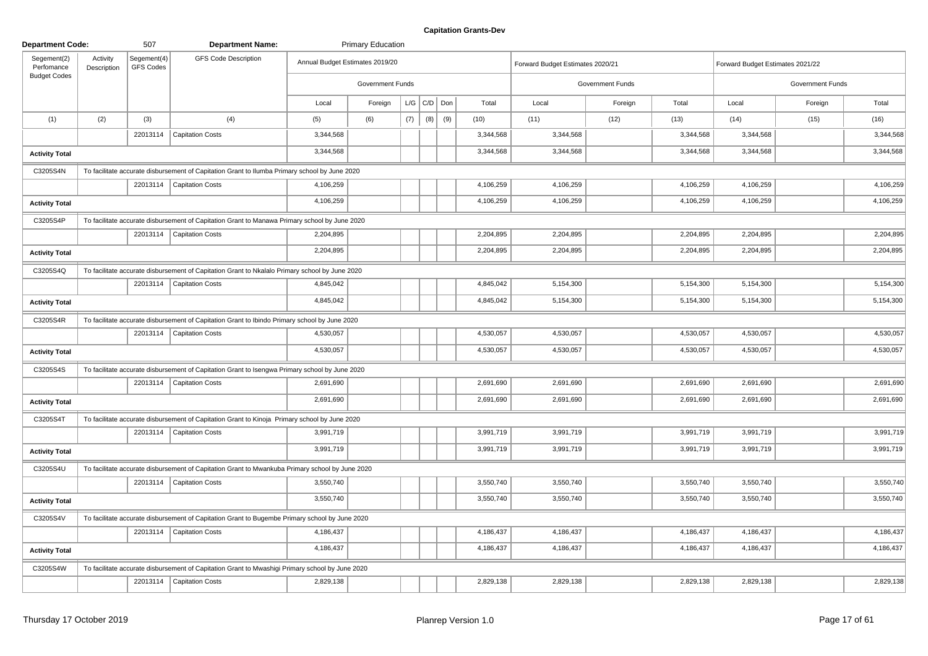| <b>Department Code:</b>                          |                         | 507                      | <b>Department Name:</b>                                                                         |                                 | <b>Primary Education</b> |     |                   |     |           |                                  |                         |           |                                  |                         |           |
|--------------------------------------------------|-------------------------|--------------------------|-------------------------------------------------------------------------------------------------|---------------------------------|--------------------------|-----|-------------------|-----|-----------|----------------------------------|-------------------------|-----------|----------------------------------|-------------------------|-----------|
| Segement(2)<br>Perfomance<br><b>Budget Codes</b> | Activity<br>Description | Segement(4)<br>GFS Codes | <b>GFS Code Description</b>                                                                     | Annual Budget Estimates 2019/20 |                          |     |                   |     |           | Forward Budget Estimates 2020/21 |                         |           | Forward Budget Estimates 2021/22 |                         |           |
|                                                  |                         |                          |                                                                                                 |                                 | Government Funds         |     |                   |     |           |                                  | <b>Government Funds</b> |           |                                  | <b>Government Funds</b> |           |
|                                                  |                         |                          |                                                                                                 | Local                           | Foreign                  |     | $L/G$ $C/D$ $Don$ |     | Total     | Local                            | Foreign                 | Total     | Local                            | Foreign                 | Total     |
| (1)                                              | (2)                     | (3)                      | (4)                                                                                             | (5)                             | (6)                      | (7) | (8)               | (9) | (10)      | (11)                             | (12)                    | (13)      | (14)                             | (15)                    | (16)      |
|                                                  |                         |                          | 22013114   Capitation Costs                                                                     | 3,344,568                       |                          |     |                   |     | 3,344,568 | 3,344,568                        |                         | 3,344,568 | 3,344,568                        |                         | 3,344,568 |
| <b>Activity Total</b>                            |                         |                          |                                                                                                 | 3,344,568                       |                          |     |                   |     | 3,344,568 | 3,344,568                        |                         | 3,344,568 | 3,344,568                        |                         | 3,344,568 |
| C3205S4N                                         |                         |                          | To facilitate accurate disbursement of Capitation Grant to Ilumba Primary school by June 2020   |                                 |                          |     |                   |     |           |                                  |                         |           |                                  |                         |           |
|                                                  |                         |                          | 22013114   Capitation Costs                                                                     | 4,106,259                       |                          |     |                   |     | 4,106,259 | 4,106,259                        |                         | 4,106,259 | 4,106,259                        |                         | 4,106,259 |
| <b>Activity Total</b>                            |                         |                          |                                                                                                 | 4,106,259                       |                          |     |                   |     | 4,106,259 | 4,106,259                        |                         | 4,106,259 | 4,106,259                        |                         | 4,106,259 |
| C3205S4P                                         |                         |                          | To facilitate accurate disbursement of Capitation Grant to Manawa Primary school by June 2020   |                                 |                          |     |                   |     |           |                                  |                         |           |                                  |                         |           |
|                                                  |                         |                          | 22013114   Capitation Costs                                                                     | 2,204,895                       |                          |     |                   |     | 2,204,895 | 2,204,895                        |                         | 2,204,895 | 2,204,895                        |                         | 2,204,895 |
| <b>Activity Total</b>                            |                         |                          |                                                                                                 | 2,204,895                       |                          |     |                   |     | 2,204,895 | 2,204,895                        |                         | 2,204,895 | 2,204,895                        |                         | 2,204,895 |
| C3205S4Q                                         |                         |                          | To facilitate accurate disbursement of Capitation Grant to Nkalalo Primary school by June 2020  |                                 |                          |     |                   |     |           |                                  |                         |           |                                  |                         |           |
|                                                  |                         |                          | 22013114   Capitation Costs                                                                     | 4,845,042                       |                          |     |                   |     | 4,845,042 | 5,154,300                        |                         | 5,154,300 | 5,154,300                        |                         | 5,154,300 |
| <b>Activity Total</b>                            |                         |                          |                                                                                                 | 4,845,042                       |                          |     |                   |     | 4,845,042 | 5,154,300                        |                         | 5,154,300 | 5,154,300                        |                         | 5,154,300 |
| C3205S4R                                         |                         |                          | To facilitate accurate disbursement of Capitation Grant to Ibindo Primary school by June 2020   |                                 |                          |     |                   |     |           |                                  |                         |           |                                  |                         |           |
|                                                  |                         |                          | 22013114   Capitation Costs                                                                     | 4,530,057                       |                          |     |                   |     | 4,530,057 | 4,530,057                        |                         | 4,530,057 | 4,530,057                        |                         | 4,530,057 |
| <b>Activity Total</b>                            |                         |                          |                                                                                                 | 4,530,057                       |                          |     |                   |     | 4,530,057 | 4,530,057                        |                         | 4,530,057 | 4,530,057                        |                         | 4,530,057 |
| C3205S4S                                         |                         |                          | To facilitate accurate disbursement of Capitation Grant to Isengwa Primary school by June 2020  |                                 |                          |     |                   |     |           |                                  |                         |           |                                  |                         |           |
|                                                  |                         |                          | 22013114   Capitation Costs                                                                     | 2,691,690                       |                          |     |                   |     | 2,691,690 | 2,691,690                        |                         | 2,691,690 | 2,691,690                        |                         | 2,691,690 |
| <b>Activity Total</b>                            |                         |                          |                                                                                                 | 2,691,690                       |                          |     |                   |     | 2,691,690 | 2,691,690                        |                         | 2,691,690 | 2,691,690                        |                         | 2,691,690 |
| C3205S4T                                         |                         |                          | To facilitate accurate disbursement of Capitation Grant to Kinoja Primary school by June 2020   |                                 |                          |     |                   |     |           |                                  |                         |           |                                  |                         |           |
|                                                  |                         |                          | 22013114   Capitation Costs                                                                     | 3,991,719                       |                          |     |                   |     | 3,991,719 | 3,991,719                        |                         | 3,991,719 | 3,991,719                        |                         | 3,991,719 |
| <b>Activity Total</b>                            |                         |                          |                                                                                                 | 3,991,719                       |                          |     |                   |     | 3,991,719 | 3,991,719                        |                         | 3,991,719 | 3,991,719                        |                         | 3,991,719 |
| C3205S4U                                         |                         |                          | To facilitate accurate disbursement of Capitation Grant to Mwankuba Primary school by June 2020 |                                 |                          |     |                   |     |           |                                  |                         |           |                                  |                         |           |
|                                                  |                         |                          | 22013114   Capitation Costs                                                                     | 3,550,740                       |                          |     |                   |     | 3,550,740 | 3,550,740                        |                         | 3,550,740 | 3,550,740                        |                         | 3,550,740 |
| <b>Activity Total</b>                            |                         |                          |                                                                                                 | 3,550,740                       |                          |     |                   |     | 3,550,740 | 3,550,740                        |                         | 3,550,740 | 3,550,740                        |                         | 3,550,740 |
| C3205S4V                                         |                         |                          | To facilitate accurate disbursement of Capitation Grant to Bugembe Primary school by June 2020  |                                 |                          |     |                   |     |           |                                  |                         |           |                                  |                         |           |
|                                                  |                         |                          | 22013114   Capitation Costs                                                                     | 4,186,437                       |                          |     |                   |     | 4,186,437 | 4,186,437                        |                         | 4,186,437 | 4,186,437                        |                         | 4,186,437 |
| <b>Activity Total</b>                            |                         |                          |                                                                                                 | 4,186,437                       |                          |     |                   |     | 4,186,437 | 4,186,437                        |                         | 4,186,437 | 4,186,437                        |                         | 4,186,437 |
| C3205S4W                                         |                         |                          | To facilitate accurate disbursement of Capitation Grant to Mwashigi Primary school by June 2020 |                                 |                          |     |                   |     |           |                                  |                         |           |                                  |                         |           |
|                                                  |                         |                          | 22013114   Capitation Costs                                                                     | 2,829,138                       |                          |     |                   |     | 2,829,138 | 2,829,138                        |                         | 2,829,138 | 2,829,138                        |                         | 2,829,138 |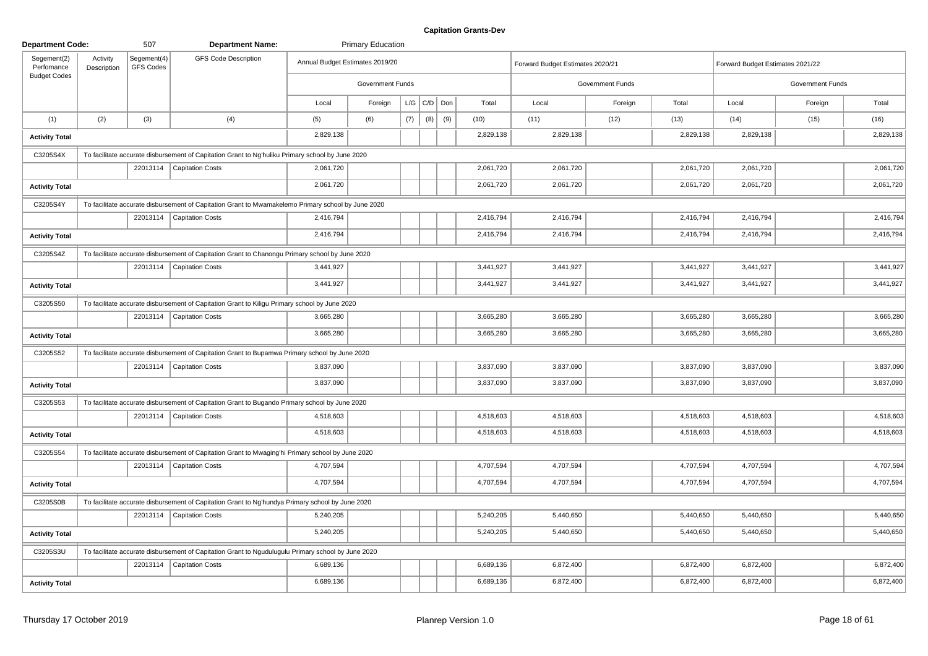| <b>Department Code:</b>   |                         | 507                      | <b>Department Name:</b>                                                                            |           | <b>Primary Education</b>        |     |                   |     |           |                                  |                         |           |                                  |                  |           |
|---------------------------|-------------------------|--------------------------|----------------------------------------------------------------------------------------------------|-----------|---------------------------------|-----|-------------------|-----|-----------|----------------------------------|-------------------------|-----------|----------------------------------|------------------|-----------|
| Segement(2)<br>Perfomance | Activity<br>Description | Segement(4)<br>GFS Codes | <b>GFS Code Description</b>                                                                        |           | Annual Budget Estimates 2019/20 |     |                   |     |           | Forward Budget Estimates 2020/21 |                         |           | Forward Budget Estimates 2021/22 |                  |           |
| <b>Budget Codes</b>       |                         |                          |                                                                                                    |           | <b>Government Funds</b>         |     |                   |     |           |                                  | <b>Government Funds</b> |           |                                  | Government Funds |           |
|                           |                         |                          |                                                                                                    | Local     | Foreign                         |     | $L/G$ $C/D$ $Don$ |     | Total     | Local                            | Foreign                 | Total     | Local                            | Foreign          | Total     |
| (1)                       | (2)                     | (3)                      | (4)                                                                                                | (5)       | (6)                             | (7) | (8)               | (9) | (10)      | (11)                             | (12)                    | (13)      | (14)                             | (15)             | (16)      |
| <b>Activity Total</b>     |                         |                          |                                                                                                    | 2,829,138 |                                 |     |                   |     | 2,829,138 | 2,829,138                        |                         | 2,829,138 | 2,829,138                        |                  | 2,829,138 |
| C3205S4X                  |                         |                          | To facilitate accurate disbursement of Capitation Grant to Ng'huliku Primary school by June 2020   |           |                                 |     |                   |     |           |                                  |                         |           |                                  |                  |           |
|                           |                         |                          | 22013114   Capitation Costs                                                                        | 2,061,720 |                                 |     |                   |     | 2,061,720 | 2,061,720                        |                         | 2,061,720 | 2,061,720                        |                  | 2,061,720 |
| <b>Activity Total</b>     |                         |                          |                                                                                                    | 2,061,720 |                                 |     |                   |     | 2,061,720 | 2,061,720                        |                         | 2,061,720 | 2,061,720                        |                  | 2,061,720 |
| C3205S4Y                  |                         |                          | To facilitate accurate disbursement of Capitation Grant to Mwamakelemo Primary school by June 2020 |           |                                 |     |                   |     |           |                                  |                         |           |                                  |                  |           |
|                           |                         |                          | 22013114   Capitation Costs                                                                        | 2,416,794 |                                 |     |                   |     | 2,416,794 | 2,416,794                        |                         | 2,416,794 | 2,416,794                        |                  | 2,416,794 |
| <b>Activity Total</b>     |                         |                          |                                                                                                    | 2,416,794 |                                 |     |                   |     | 2,416,794 | 2,416,794                        |                         | 2,416,794 | 2,416,794                        |                  | 2,416,794 |
| C3205S4Z                  |                         |                          | To facilitate accurate disbursement of Capitation Grant to Chanongu Primary school by June 2020    |           |                                 |     |                   |     |           |                                  |                         |           |                                  |                  |           |
|                           |                         |                          | 22013114   Capitation Costs                                                                        | 3,441,927 |                                 |     |                   |     | 3,441,927 | 3,441,927                        |                         | 3,441,927 | 3,441,927                        |                  | 3,441,927 |
| <b>Activity Total</b>     |                         |                          |                                                                                                    | 3,441,927 |                                 |     |                   |     | 3,441,927 | 3,441,927                        |                         | 3,441,927 | 3,441,927                        |                  | 3,441,927 |
| C3205S50                  |                         |                          | To facilitate accurate disbursement of Capitation Grant to Kiligu Primary school by June 2020      |           |                                 |     |                   |     |           |                                  |                         |           |                                  |                  |           |
|                           |                         |                          | 22013114   Capitation Costs                                                                        | 3,665,280 |                                 |     |                   |     | 3,665,280 | 3,665,280                        |                         | 3,665,280 | 3,665,280                        |                  | 3,665,280 |
| <b>Activity Total</b>     |                         |                          |                                                                                                    | 3,665,280 |                                 |     |                   |     | 3,665,280 | 3,665,280                        |                         | 3,665,280 | 3,665,280                        |                  | 3,665,280 |
| C3205S52                  |                         |                          | To facilitate accurate disbursement of Capitation Grant to Bupamwa Primary school by June 2020     |           |                                 |     |                   |     |           |                                  |                         |           |                                  |                  |           |
|                           |                         |                          | 22013114   Capitation Costs                                                                        | 3,837,090 |                                 |     |                   |     | 3,837,090 | 3,837,090                        |                         | 3,837,090 | 3,837,090                        |                  | 3,837,090 |
| <b>Activity Total</b>     |                         |                          |                                                                                                    | 3,837,090 |                                 |     |                   |     | 3,837,090 | 3,837,090                        |                         | 3,837,090 | 3,837,090                        |                  | 3,837,090 |
| C3205S53                  |                         |                          | To facilitate accurate disbursement of Capitation Grant to Bugando Primary school by June 2020     |           |                                 |     |                   |     |           |                                  |                         |           |                                  |                  |           |
|                           |                         |                          | 22013114   Capitation Costs                                                                        | 4,518,603 |                                 |     |                   |     | 4,518,603 | 4,518,603                        |                         | 4,518,603 | 4,518,603                        |                  | 4,518,603 |
| <b>Activity Total</b>     |                         |                          |                                                                                                    | 4,518,603 |                                 |     |                   |     | 4,518,603 | 4,518,603                        |                         | 4,518,603 | 4,518,603                        |                  | 4,518,603 |
| C3205S54                  |                         |                          | To facilitate accurate disbursement of Capitation Grant to Mwaging'hi Primary school by June 2020  |           |                                 |     |                   |     |           |                                  |                         |           |                                  |                  |           |
|                           |                         |                          | 22013114   Capitation Costs                                                                        | 4,707,594 |                                 |     |                   |     | 4,707,594 | 4,707,594                        |                         | 4,707,594 | 4,707,594                        |                  | 4,707,594 |
| <b>Activity Total</b>     |                         |                          |                                                                                                    | 4,707,594 |                                 |     |                   |     | 4,707,594 | 4,707,594                        |                         | 4,707,594 | 4,707,594                        |                  | 4,707,594 |
| C3205S0B                  |                         |                          | To facilitate accurate disbursement of Capitation Grant to Ng'hundya Primary school by June 2020   |           |                                 |     |                   |     |           |                                  |                         |           |                                  |                  |           |
|                           |                         |                          | 22013114   Capitation Costs                                                                        | 5,240,205 |                                 |     |                   |     | 5,240,205 | 5,440,650                        |                         | 5,440,650 | 5,440,650                        |                  | 5,440,650 |
| <b>Activity Total</b>     |                         |                          |                                                                                                    | 5,240,205 |                                 |     |                   |     | 5,240,205 | 5,440,650                        |                         | 5,440,650 | 5,440,650                        |                  | 5,440,650 |
| C3205S3U                  |                         |                          | To facilitate accurate disbursement of Capitation Grant to Ngudulugulu Primary school by June 2020 |           |                                 |     |                   |     |           |                                  |                         |           |                                  |                  |           |
|                           |                         |                          | 22013114   Capitation Costs                                                                        | 6,689,136 |                                 |     |                   |     | 6,689,136 | 6,872,400                        |                         | 6,872,400 | 6,872,400                        |                  | 6,872,400 |
| <b>Activity Total</b>     |                         |                          |                                                                                                    | 6,689,136 |                                 |     |                   |     | 6,689,136 | 6,872,400                        |                         | 6,872,400 | 6,872,400                        |                  | 6,872,400 |
|                           |                         |                          |                                                                                                    |           |                                 |     |                   |     |           |                                  |                         |           |                                  |                  |           |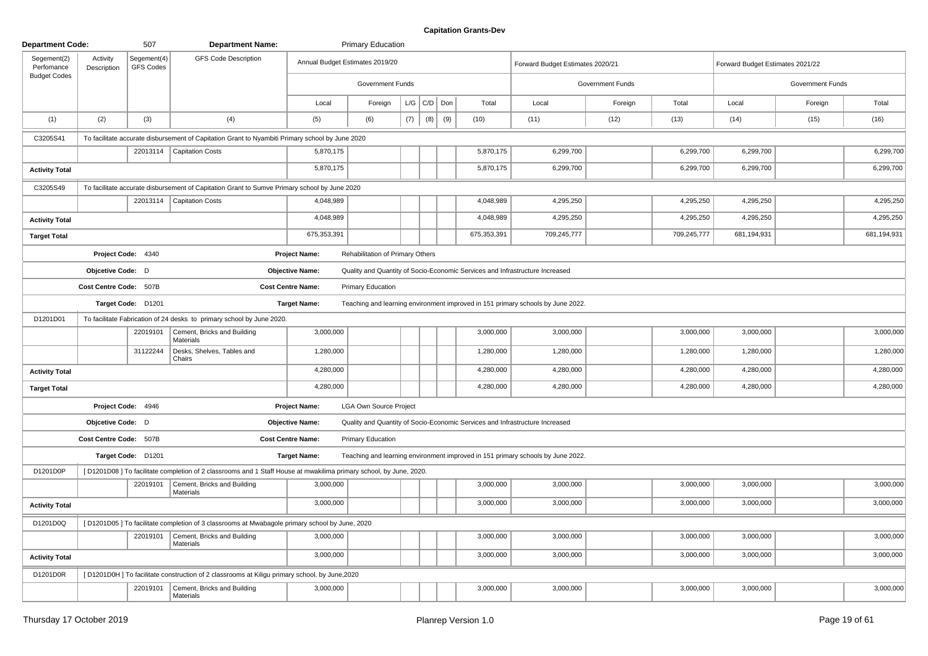| <b>Department Code:</b>   |                         | 507                             | <b>Department Name:</b>                                                                                           |                          | <b>Primary Education</b>         |     |                 |     |             |                                                                                 |                  |             |                                  |                  |             |
|---------------------------|-------------------------|---------------------------------|-------------------------------------------------------------------------------------------------------------------|--------------------------|----------------------------------|-----|-----------------|-----|-------------|---------------------------------------------------------------------------------|------------------|-------------|----------------------------------|------------------|-------------|
| Segement(2)<br>Perfomance | Activity<br>Description | Segement(4)<br><b>GFS Codes</b> | <b>GFS Code Description</b>                                                                                       |                          | Annual Budget Estimates 2019/20  |     |                 |     |             | Forward Budget Estimates 2020/21                                                |                  |             | Forward Budget Estimates 2021/22 |                  |             |
| <b>Budget Codes</b>       |                         |                                 |                                                                                                                   |                          | Government Funds                 |     |                 |     |             |                                                                                 | Government Funds |             |                                  | Government Funds |             |
|                           |                         |                                 |                                                                                                                   | Local                    | Foreign                          |     | $L/G$ $C/D$ Don |     | Total       | Local                                                                           | Foreign          | Total       | Local                            | Foreign          | Total       |
| (1)                       | (2)                     | (3)                             | (4)                                                                                                               | (5)                      | (6)                              | (7) | (8)             | (9) | (10)        | (11)                                                                            | (12)             | (13)        | (14)                             | (15)             | (16)        |
| C3205S41                  |                         |                                 | To facilitate accurate disbursement of Capitation Grant to Nyambiti Primary school by June 2020                   |                          |                                  |     |                 |     |             |                                                                                 |                  |             |                                  |                  |             |
|                           |                         |                                 | 22013114   Capitation Costs                                                                                       | 5,870,175                |                                  |     |                 |     | 5,870,175   | 6,299,700                                                                       |                  | 6,299,700   | 6,299,700                        |                  | 6,299,700   |
| <b>Activity Total</b>     |                         |                                 |                                                                                                                   | 5,870,175                |                                  |     |                 |     | 5,870,175   | 6,299,700                                                                       |                  | 6,299,700   | 6,299,700                        |                  | 6,299,700   |
| C3205S49                  |                         |                                 | To facilitate accurate disbursement of Capitation Grant to Sumve Primary school by June 2020                      |                          |                                  |     |                 |     |             |                                                                                 |                  |             |                                  |                  |             |
|                           |                         | 22013114                        | <b>Capitation Costs</b>                                                                                           | 4,048,989                |                                  |     |                 |     | 4,048,989   | 4,295,250                                                                       |                  | 4,295,250   | 4,295,250                        |                  | 4,295,250   |
| <b>Activity Total</b>     |                         |                                 |                                                                                                                   | 4,048,989                |                                  |     |                 |     | 4,048,989   | 4,295,250                                                                       |                  | 4,295,250   | 4,295,250                        |                  | 4,295,250   |
| <b>Target Total</b>       |                         |                                 |                                                                                                                   | 675,353,391              |                                  |     |                 |     | 675,353,391 | 709,245,777                                                                     |                  | 709,245,777 | 681,194,931                      |                  | 681,194,931 |
|                           |                         | Project Code: 4340              |                                                                                                                   | <b>Project Name:</b>     | Rehabilitation of Primary Others |     |                 |     |             |                                                                                 |                  |             |                                  |                  |             |
|                           | Objcetive Code: D       |                                 |                                                                                                                   | <b>Objective Name:</b>   |                                  |     |                 |     |             | Quality and Quantity of Socio-Economic Services and Infrastructure Increased    |                  |             |                                  |                  |             |
|                           | Cost Centre Code: 507B  |                                 |                                                                                                                   | <b>Cost Centre Name:</b> | <b>Primary Education</b>         |     |                 |     |             |                                                                                 |                  |             |                                  |                  |             |
|                           |                         | Target Code: D1201              |                                                                                                                   | <b>Target Name:</b>      |                                  |     |                 |     |             | Teaching and learning environment improved in 151 primary schools by June 2022. |                  |             |                                  |                  |             |
| D1201D01                  |                         |                                 | To facilitate Fabrication of 24 desks to primary school by June 2020.                                             |                          |                                  |     |                 |     |             |                                                                                 |                  |             |                                  |                  |             |
|                           |                         | 22019101                        | Cement, Bricks and Building<br>Materials                                                                          | 3,000,000                |                                  |     |                 |     | 3,000,000   | 3,000,000                                                                       |                  | 3,000,000   | 3,000,000                        |                  | 3,000,000   |
|                           |                         | 31122244                        | Desks, Shelves, Tables and<br>Chairs                                                                              | 1,280,000                |                                  |     |                 |     | 1,280,000   | 1,280,000                                                                       |                  | 1,280,000   | 1,280,000                        |                  | 1,280,000   |
| <b>Activity Total</b>     |                         |                                 |                                                                                                                   | 4,280,000                |                                  |     |                 |     | 4,280,000   | 4,280,000                                                                       |                  | 4,280,000   | 4,280,000                        |                  | 4,280,000   |
| <b>Target Total</b>       |                         |                                 |                                                                                                                   | 4,280,000                |                                  |     |                 |     | 4,280,000   | 4,280,000                                                                       |                  | 4,280,000   | 4,280,000                        |                  | 4,280,000   |
|                           |                         | Project Code: 4946              |                                                                                                                   | <b>Project Name:</b>     | <b>LGA Own Source Project</b>    |     |                 |     |             |                                                                                 |                  |             |                                  |                  |             |
|                           | Objcetive Code: D       |                                 |                                                                                                                   | <b>Objective Name:</b>   |                                  |     |                 |     |             | Quality and Quantity of Socio-Economic Services and Infrastructure Increased    |                  |             |                                  |                  |             |
|                           | Cost Centre Code: 507B  |                                 |                                                                                                                   | <b>Cost Centre Name:</b> | <b>Primary Education</b>         |     |                 |     |             |                                                                                 |                  |             |                                  |                  |             |
|                           |                         | Target Code: D1201              |                                                                                                                   | <b>Target Name:</b>      |                                  |     |                 |     |             | Teaching and learning environment improved in 151 primary schools by June 2022. |                  |             |                                  |                  |             |
| D1201D0P                  |                         |                                 | [D1201D08] To facilitate completion of 2 classrooms and 1 Staff House at mwakilima primary school, by June, 2020. |                          |                                  |     |                 |     |             |                                                                                 |                  |             |                                  |                  |             |
|                           |                         | 22019101                        | Cement, Bricks and Building<br>Materials                                                                          | 3,000,000                |                                  |     |                 |     | 3,000,000   | 3,000,000                                                                       |                  | 3,000,000   | 3,000,000                        |                  | 3,000,000   |
| <b>Activity Total</b>     |                         |                                 |                                                                                                                   | 3,000,000                |                                  |     |                 |     | 3,000,000   | 3,000,000                                                                       |                  | 3,000,000   | 3,000,000                        |                  | 3,000,000   |
| D1201D0Q                  |                         |                                 | [D1201D05] To facilitate completion of 3 classrooms at Mwabagole primary school by June, 2020                     |                          |                                  |     |                 |     |             |                                                                                 |                  |             |                                  |                  |             |
|                           |                         | 22019101                        | Cement, Bricks and Building<br>Materials                                                                          | 3,000,000                |                                  |     |                 |     | 3,000,000   | 3,000,000                                                                       |                  | 3,000,000   | 3,000,000                        |                  | 3,000,000   |
| <b>Activity Total</b>     |                         |                                 |                                                                                                                   | 3,000,000                |                                  |     |                 |     | 3,000,000   | 3,000,000                                                                       |                  | 3,000,000   | 3,000,000                        |                  | 3,000,000   |
| D1201D0R                  |                         |                                 | [D1201D0H] To facilitate construction of 2 classrooms at Kiligu primary school, by June, 2020                     |                          |                                  |     |                 |     |             |                                                                                 |                  |             |                                  |                  |             |
|                           |                         | 22019101                        | Cement, Bricks and Building<br>Materials                                                                          | 3,000,000                |                                  |     |                 |     | 3,000,000   | 3,000,000                                                                       |                  | 3,000,000   | 3,000,000                        |                  | 3,000,000   |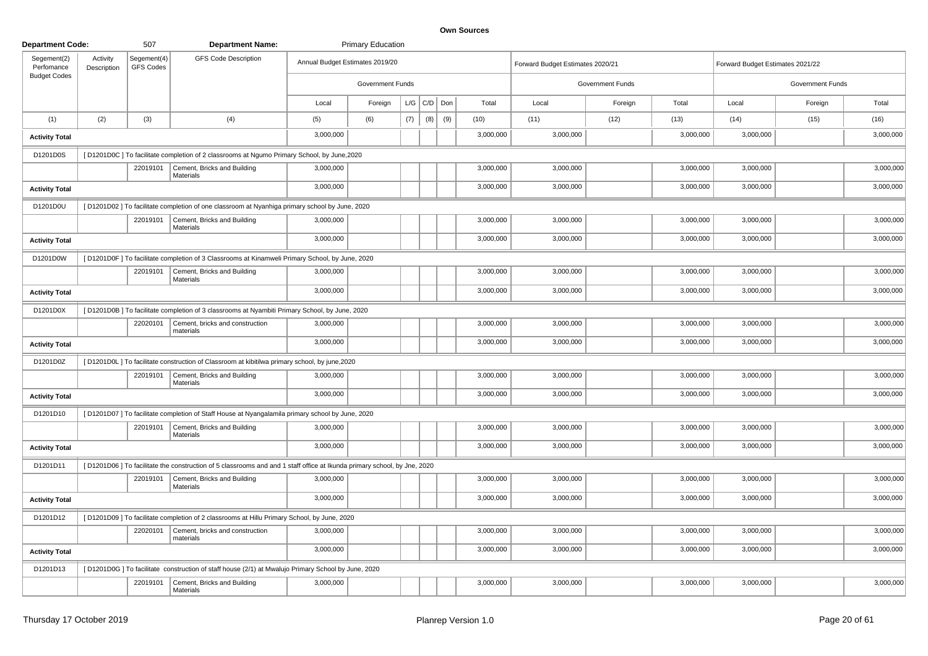| <b>Department Code:</b>   |                         | 507                             | <b>Department Name:</b>                                                                                                 |                                 | <b>Primary Education</b> |     |     |     |           |                                  |                  |           |                                  |                  |           |
|---------------------------|-------------------------|---------------------------------|-------------------------------------------------------------------------------------------------------------------------|---------------------------------|--------------------------|-----|-----|-----|-----------|----------------------------------|------------------|-----------|----------------------------------|------------------|-----------|
| Segement(2)<br>Perfomance | Activity<br>Description | Segement(4)<br><b>GFS Codes</b> | <b>GFS Code Description</b>                                                                                             | Annual Budget Estimates 2019/20 |                          |     |     |     |           | Forward Budget Estimates 2020/21 |                  |           | Forward Budget Estimates 2021/22 |                  |           |
| <b>Budget Codes</b>       |                         |                                 |                                                                                                                         |                                 | Government Funds         |     |     |     |           |                                  | Government Funds |           |                                  | Government Funds |           |
|                           |                         |                                 |                                                                                                                         | Local                           | Foreign                  | L/G | C/D | Don | Total     | Local                            | Foreign          | Total     | Local                            | Foreign          | Total     |
| (1)                       | (2)                     | (3)                             | (4)                                                                                                                     | (5)                             | (6)                      | (7) | (8) | (9) | (10)      | (11)                             | (12)             | (13)      | (14)                             | (15)             | (16)      |
| <b>Activity Total</b>     |                         |                                 |                                                                                                                         | 3,000,000                       |                          |     |     |     | 3,000,000 | 3,000,000                        |                  | 3,000,000 | 3,000,000                        |                  | 3,000,000 |
| D1201D0S                  |                         |                                 | [D1201D0C] To facilitate completion of 2 classrooms at Ngumo Primary School, by June, 2020                              |                                 |                          |     |     |     |           |                                  |                  |           |                                  |                  |           |
|                           |                         | 22019101                        | Cement, Bricks and Building<br>Materials                                                                                | 3,000,000                       |                          |     |     |     | 3,000,000 | 3,000,000                        |                  | 3,000,000 | 3,000,000                        |                  | 3,000,000 |
| <b>Activity Total</b>     |                         |                                 |                                                                                                                         | 3,000,000                       |                          |     |     |     | 3,000,000 | 3,000,000                        |                  | 3,000,000 | 3,000,000                        |                  | 3,000,000 |
| D1201D0U                  |                         |                                 | [D1201D02] To facilitate completion of one classroom at Nyanhiga primary school by June, 2020                           |                                 |                          |     |     |     |           |                                  |                  |           |                                  |                  |           |
|                           |                         | 22019101                        | Cement, Bricks and Building<br>Materials                                                                                | 3,000,000                       |                          |     |     |     | 3,000,000 | 3,000,000                        |                  | 3,000,000 | 3,000,000                        |                  | 3,000,000 |
| <b>Activity Total</b>     |                         |                                 |                                                                                                                         | 3,000,000                       |                          |     |     |     | 3,000,000 | 3,000,000                        |                  | 3,000,000 | 3,000,000                        |                  | 3,000,000 |
| D1201D0W                  |                         |                                 | [D1201D0F] To facilitate completion of 3 Classrooms at Kinamweli Primary School, by June, 2020                          |                                 |                          |     |     |     |           |                                  |                  |           |                                  |                  |           |
|                           |                         | 22019101                        | Cement, Bricks and Building<br><b>Materials</b>                                                                         | 3,000,000                       |                          |     |     |     | 3,000,000 | 3,000,000                        |                  | 3,000,000 | 3,000,000                        |                  | 3,000,000 |
| <b>Activity Total</b>     |                         |                                 |                                                                                                                         | 3,000,000                       |                          |     |     |     | 3,000,000 | 3,000,000                        |                  | 3,000,000 | 3,000,000                        |                  | 3,000,000 |
| D1201D0X                  |                         |                                 | [D1201D0B] To facilitate completion of 3 classrooms at Nyambiti Primary School, by June, 2020                           |                                 |                          |     |     |     |           |                                  |                  |           |                                  |                  |           |
|                           |                         | 22020101                        | Cement, bricks and construction<br>materials                                                                            | 3,000,000                       |                          |     |     |     | 3,000,000 | 3,000,000                        |                  | 3,000,000 | 3,000,000                        |                  | 3,000,000 |
| <b>Activity Total</b>     |                         |                                 |                                                                                                                         | 3,000,000                       |                          |     |     |     | 3,000,000 | 3,000,000                        |                  | 3,000,000 | 3,000,000                        |                  | 3,000,000 |
| D1201D0Z                  |                         |                                 | [D1201D0L] To facilitate construction of Classroom at kibitilwa primary school, by june, 2020                           |                                 |                          |     |     |     |           |                                  |                  |           |                                  |                  |           |
|                           |                         | 22019101                        | Cement, Bricks and Building<br><b>Materials</b>                                                                         | 3,000,000                       |                          |     |     |     | 3,000,000 | 3,000,000                        |                  | 3,000,000 | 3,000,000                        |                  | 3,000,000 |
| <b>Activity Total</b>     |                         |                                 |                                                                                                                         | 3,000,000                       |                          |     |     |     | 3,000,000 | 3,000,000                        |                  | 3,000,000 | 3,000,000                        |                  | 3,000,000 |
| D1201D10                  |                         |                                 | [D1201D07] To facilitate completion of Staff House at Nyangalamila primary school by June, 2020                         |                                 |                          |     |     |     |           |                                  |                  |           |                                  |                  |           |
|                           |                         | 22019101                        | Cement, Bricks and Building<br><b>Materials</b>                                                                         | 3,000,000                       |                          |     |     |     | 3,000,000 | 3,000,000                        |                  | 3,000,000 | 3,000,000                        |                  | 3,000,000 |
| <b>Activity Total</b>     |                         |                                 |                                                                                                                         | 3,000,000                       |                          |     |     |     | 3,000,000 | 3,000,000                        |                  | 3,000,000 | 3,000,000                        |                  | 3,000,000 |
| D1201D11                  |                         |                                 | [D1201D06] To facilitate the construction of 5 classrooms and and 1 staff office at Ikunda primary school, by Jne, 2020 |                                 |                          |     |     |     |           |                                  |                  |           |                                  |                  |           |
|                           |                         | 22019101                        | Cement, Bricks and Building<br><b>Materials</b>                                                                         | 3,000,000                       |                          |     |     |     | 3,000,000 | 3,000,000                        |                  | 3,000,000 | 3,000,000                        |                  | 3,000,000 |
| <b>Activity Total</b>     |                         |                                 |                                                                                                                         | 3,000,000                       |                          |     |     |     | 3,000,000 | 3,000,000                        |                  | 3,000,000 | 3,000,000                        |                  | 3,000,000 |
| D1201D12                  |                         |                                 | [D1201D09] To facilitate completion of 2 classrooms at Hillu Primary School, by June, 2020                              |                                 |                          |     |     |     |           |                                  |                  |           |                                  |                  |           |
|                           |                         | 22020101                        | Cement, bricks and construction<br>materials                                                                            | 3,000,000                       |                          |     |     |     | 3,000,000 | 3,000,000                        |                  | 3,000,000 | 3,000,000                        |                  | 3,000,000 |
| <b>Activity Total</b>     |                         |                                 |                                                                                                                         | 3,000,000                       |                          |     |     |     | 3,000,000 | 3,000,000                        |                  | 3,000,000 | 3,000,000                        |                  | 3,000,000 |
| D1201D13                  |                         |                                 | [D1201D0G] To facilitate construction of staff house (2/1) at Mwalujo Primary School by June, 2020                      |                                 |                          |     |     |     |           |                                  |                  |           |                                  |                  |           |
|                           |                         | 22019101                        | Cement, Bricks and Building<br>Materials                                                                                | 3,000,000                       |                          |     |     |     | 3,000,000 | 3,000,000                        |                  | 3,000,000 | 3,000,000                        |                  | 3,000,000 |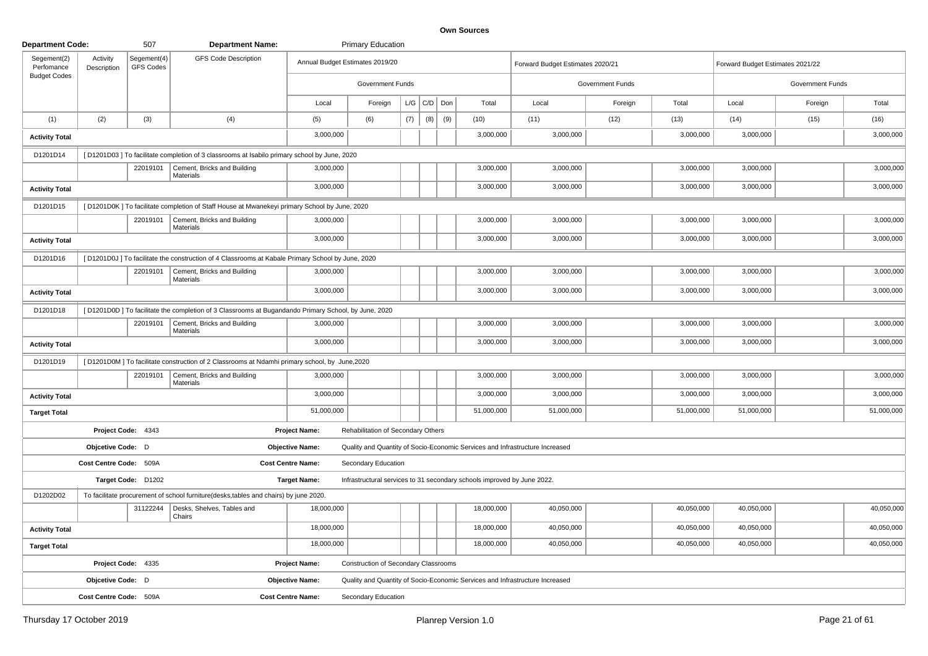| <b>Department Code:</b>   |                         | 507                             | <b>Department Name:</b>                                                                             |                                 | <b>Primary Education</b>                    |     |                    |     |                                                                         |                                                                              |                  |            |                                  |                  |            |
|---------------------------|-------------------------|---------------------------------|-----------------------------------------------------------------------------------------------------|---------------------------------|---------------------------------------------|-----|--------------------|-----|-------------------------------------------------------------------------|------------------------------------------------------------------------------|------------------|------------|----------------------------------|------------------|------------|
| Segement(2)<br>Perfomance | Activity<br>Description | Segement(4)<br><b>GFS Codes</b> | <b>GFS Code Description</b>                                                                         | Annual Budget Estimates 2019/20 |                                             |     |                    |     |                                                                         | Forward Budget Estimates 2020/21                                             |                  |            | Forward Budget Estimates 2021/22 |                  |            |
| <b>Budget Codes</b>       |                         |                                 |                                                                                                     |                                 | <b>Government Funds</b>                     |     |                    |     |                                                                         |                                                                              | Government Funds |            |                                  | Government Funds |            |
|                           |                         |                                 |                                                                                                     | Local                           | Foreign                                     |     | $L/G$ $C/D$ $D$ on |     | Total                                                                   | Local                                                                        | Foreign          | Total      | Local                            | Foreign          | Total      |
| (1)                       | (2)                     | (3)                             | (4)                                                                                                 | (5)                             | (6)                                         | (7) | (8)                | (9) | (10)                                                                    | (11)                                                                         | (12)             | (13)       | (14)                             | (15)             | (16)       |
| <b>Activity Total</b>     |                         |                                 |                                                                                                     | 3,000,000                       |                                             |     |                    |     | 3,000,000                                                               | 3,000,000                                                                    |                  | 3,000,000  | 3,000,000                        |                  | 3,000,000  |
| D1201D14                  |                         |                                 | [D1201D03] To facilitate completion of 3 classrooms at Isabilo primary school by June, 2020         |                                 |                                             |     |                    |     |                                                                         |                                                                              |                  |            |                                  |                  |            |
|                           |                         | 22019101                        | Cement, Bricks and Building<br><b>Materials</b>                                                     | 3,000,000                       |                                             |     |                    |     | 3,000,000                                                               | 3,000,000                                                                    |                  | 3,000,000  | 3,000,000                        |                  | 3,000,000  |
| <b>Activity Total</b>     |                         |                                 |                                                                                                     | 3,000,000                       |                                             |     |                    |     | 3,000,000                                                               | 3,000,000                                                                    |                  | 3,000,000  | 3,000,000                        |                  | 3,000,000  |
| D1201D15                  |                         |                                 | [D1201D0K] To facilitate completion of Staff House at Mwanekeyi primary School by June, 2020        |                                 |                                             |     |                    |     |                                                                         |                                                                              |                  |            |                                  |                  |            |
|                           |                         | 22019101                        | Cement, Bricks and Building<br>Materials                                                            | 3,000,000                       |                                             |     |                    |     | 3,000,000                                                               | 3,000,000                                                                    |                  | 3,000,000  | 3,000,000                        |                  | 3,000,000  |
| <b>Activity Total</b>     |                         |                                 |                                                                                                     | 3,000,000                       |                                             |     |                    |     | 3,000,000                                                               | 3,000,000                                                                    |                  | 3,000,000  | 3,000,000                        |                  | 3,000,000  |
| D1201D16                  |                         |                                 | [D1201D0J] To facilitate the construction of 4 Classrooms at Kabale Primary School by June, 2020    |                                 |                                             |     |                    |     |                                                                         |                                                                              |                  |            |                                  |                  |            |
|                           |                         | 22019101                        | Cement, Bricks and Building<br><b>Materials</b>                                                     | 3,000,000                       |                                             |     |                    |     | 3,000,000                                                               | 3,000,000                                                                    |                  | 3,000,000  | 3,000,000                        |                  | 3,000,000  |
| <b>Activity Total</b>     |                         |                                 |                                                                                                     | 3,000,000                       |                                             |     |                    |     | 3,000,000                                                               | 3,000,000                                                                    |                  | 3,000,000  | 3,000,000                        |                  | 3,000,000  |
| D1201D18                  |                         |                                 | [D1201D0D] To facilitate the completion of 3 Classrooms at Bugandando Primary School, by June, 2020 |                                 |                                             |     |                    |     |                                                                         |                                                                              |                  |            |                                  |                  |            |
|                           |                         | 22019101                        | Cement, Bricks and Building<br>Materials                                                            | 3,000,000                       |                                             |     |                    |     | 3,000,000                                                               | 3,000,000                                                                    |                  | 3,000,000  | 3,000,000                        |                  | 3,000,000  |
| <b>Activity Total</b>     |                         |                                 |                                                                                                     | 3,000,000                       |                                             |     |                    |     | 3,000,000                                                               | 3,000,000                                                                    |                  | 3,000,000  | 3,000,000                        |                  | 3,000,000  |
| D1201D19                  |                         |                                 | [D1201D0M] To facilitate construction of 2 Classrooms at Ndamhi primary school, by June, 2020       |                                 |                                             |     |                    |     |                                                                         |                                                                              |                  |            |                                  |                  |            |
|                           |                         | 22019101                        | Cement, Bricks and Building<br>Materials                                                            | 3,000,000                       |                                             |     |                    |     | 3,000,000                                                               | 3,000,000                                                                    |                  | 3,000,000  | 3,000,000                        |                  | 3,000,000  |
| <b>Activity Total</b>     |                         |                                 |                                                                                                     | 3,000,000                       |                                             |     |                    |     | 3,000,000                                                               | 3,000,000                                                                    |                  | 3,000,000  | 3,000,000                        |                  | 3,000,000  |
| <b>Target Total</b>       |                         |                                 |                                                                                                     | 51,000,000                      |                                             |     |                    |     | 51,000,000                                                              | 51,000,000                                                                   |                  | 51,000,000 | 51,000,000                       |                  | 51,000,000 |
|                           |                         | Project Code: 4343              |                                                                                                     | <b>Project Name:</b>            | Rehabilitation of Secondary Others          |     |                    |     |                                                                         |                                                                              |                  |            |                                  |                  |            |
|                           | Objcetive Code: D       |                                 |                                                                                                     | <b>Objective Name:</b>          |                                             |     |                    |     |                                                                         | Quality and Quantity of Socio-Economic Services and Infrastructure Increased |                  |            |                                  |                  |            |
|                           | Cost Centre Code: 509A  |                                 |                                                                                                     | <b>Cost Centre Name:</b>        | Secondary Education                         |     |                    |     |                                                                         |                                                                              |                  |            |                                  |                  |            |
|                           |                         | Target Code: D1202              |                                                                                                     | <b>Target Name:</b>             |                                             |     |                    |     | Infrastructural services to 31 secondary schools improved by June 2022. |                                                                              |                  |            |                                  |                  |            |
| D1202D02                  |                         |                                 | To facilitate procurement of school furniture(desks,tables and chairs) by june 2020.                |                                 |                                             |     |                    |     |                                                                         |                                                                              |                  |            |                                  |                  |            |
|                           |                         | 31122244                        | Desks, Shelves, Tables and<br>Chairs                                                                | 18,000,000                      |                                             |     |                    |     | 18,000,000                                                              | 40,050,000                                                                   |                  | 40,050,000 | 40,050,000                       |                  | 40,050,000 |
| <b>Activity Total</b>     |                         |                                 |                                                                                                     | 18,000,000                      |                                             |     |                    |     | 18,000,000                                                              | 40,050,000                                                                   |                  | 40,050,000 | 40,050,000                       |                  | 40,050,000 |
| <b>Target Total</b>       |                         |                                 |                                                                                                     | 18,000,000                      |                                             |     |                    |     | 18,000,000                                                              | 40,050,000                                                                   |                  | 40,050,000 | 40,050,000                       |                  | 40,050,000 |
|                           |                         | Project Code: 4335              |                                                                                                     | <b>Project Name:</b>            | <b>Construction of Secondary Classrooms</b> |     |                    |     |                                                                         |                                                                              |                  |            |                                  |                  |            |
|                           | Objcetive Code: D       |                                 |                                                                                                     | <b>Objective Name:</b>          |                                             |     |                    |     |                                                                         | Quality and Quantity of Socio-Economic Services and Infrastructure Increased |                  |            |                                  |                  |            |
|                           | Cost Centre Code: 509A  |                                 |                                                                                                     | <b>Cost Centre Name:</b>        | <b>Secondary Education</b>                  |     |                    |     |                                                                         |                                                                              |                  |            |                                  |                  |            |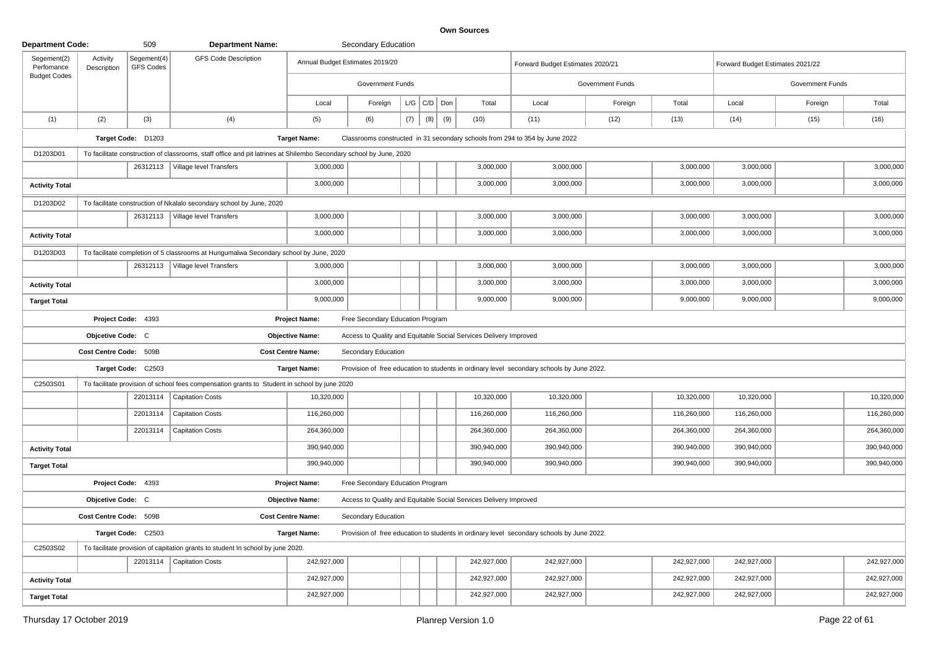| <b>Department Code:</b>   |                         | 509                             | <b>Department Name:</b>                                                                                            |                          | Secondary Education              |     |                   |     |                                                                   |                                                                                           |                         |             |                                  |                  |             |
|---------------------------|-------------------------|---------------------------------|--------------------------------------------------------------------------------------------------------------------|--------------------------|----------------------------------|-----|-------------------|-----|-------------------------------------------------------------------|-------------------------------------------------------------------------------------------|-------------------------|-------------|----------------------------------|------------------|-------------|
| Segement(2)<br>Perfomance | Activity<br>Description | Segement(4)<br><b>GFS Codes</b> | <b>GFS Code Description</b>                                                                                        |                          | Annual Budget Estimates 2019/20  |     |                   |     |                                                                   | Forward Budget Estimates 2020/21                                                          |                         |             | Forward Budget Estimates 2021/22 |                  |             |
| <b>Budget Codes</b>       |                         |                                 |                                                                                                                    |                          | Government Funds                 |     |                   |     |                                                                   |                                                                                           | <b>Government Funds</b> |             |                                  | Government Funds |             |
|                           |                         |                                 |                                                                                                                    | Local                    | Foreign                          |     | $L/G$ $C/D$ $Don$ |     | Total                                                             | Local                                                                                     | Foreign                 | Total       | Local                            | Foreign          | Total       |
| (1)                       | (2)                     | (3)                             | (4)                                                                                                                | (5)                      | (6)                              | (7) | (8)               | (9) | (10)                                                              | (11)                                                                                      | (12)                    | (13)        | (14)                             | (15)             | (16)        |
|                           |                         | Target Code: D1203              |                                                                                                                    | <b>Target Name:</b>      |                                  |     |                   |     |                                                                   | Classrooms constructed in 31 secondary schools from 294 to 354 by June 2022               |                         |             |                                  |                  |             |
| D1203D01                  |                         |                                 | To facilitate construction of classrooms, staff office and pit latrines at Shilembo Secondary school by June, 2020 |                          |                                  |     |                   |     |                                                                   |                                                                                           |                         |             |                                  |                  |             |
|                           |                         | 26312113                        | Village level Transfers                                                                                            | 3,000,000                |                                  |     |                   |     | 3,000,000                                                         | 3,000,000                                                                                 |                         | 3,000,000   | 3,000,000                        |                  | 3,000,000   |
| <b>Activity Total</b>     |                         |                                 |                                                                                                                    | 3,000,000                |                                  |     |                   |     | 3,000,000                                                         | 3,000,000                                                                                 |                         | 3,000,000   | 3,000,000                        |                  | 3,000,000   |
| D1203D02                  |                         |                                 | To facilitate construction of Nkalalo secondary school by June, 2020                                               |                          |                                  |     |                   |     |                                                                   |                                                                                           |                         |             |                                  |                  |             |
|                           |                         | 26312113                        | Village level Transfers                                                                                            | 3,000,000                |                                  |     |                   |     | 3,000,000                                                         | 3,000,000                                                                                 |                         | 3,000,000   | 3,000,000                        |                  | 3,000,000   |
| <b>Activity Total</b>     |                         |                                 |                                                                                                                    | 3,000,000                |                                  |     |                   |     | 3,000,000                                                         | 3,000,000                                                                                 |                         | 3,000,000   | 3,000,000                        |                  | 3,000,000   |
| D1203D03                  |                         |                                 | To facilitate completion of 5 classrooms at Hungumalwa Secondary school by June, 2020                              |                          |                                  |     |                   |     |                                                                   |                                                                                           |                         |             |                                  |                  |             |
|                           |                         |                                 | 26312113   Village level Transfers                                                                                 | 3,000,000                |                                  |     |                   |     | 3,000,000                                                         | 3,000,000                                                                                 |                         | 3,000,000   | 3,000,000                        |                  | 3,000,000   |
| <b>Activity Total</b>     |                         |                                 |                                                                                                                    | 3,000,000                |                                  |     |                   |     | 3,000,000                                                         | 3,000,000                                                                                 |                         | 3,000,000   | 3,000,000                        |                  | 3,000,000   |
| <b>Target Total</b>       |                         |                                 |                                                                                                                    | 9,000,000                |                                  |     |                   |     | 9,000,000                                                         | 9,000,000                                                                                 |                         | 9,000,000   | 9,000,000                        |                  | 9,000,000   |
|                           |                         | Project Code: 4393              |                                                                                                                    | <b>Project Name:</b>     | Free Secondary Education Program |     |                   |     |                                                                   |                                                                                           |                         |             |                                  |                  |             |
|                           | Objcetive Code: C       |                                 |                                                                                                                    | <b>Objective Name:</b>   |                                  |     |                   |     | Access to Quality and Equitable Social Services Delivery Improved |                                                                                           |                         |             |                                  |                  |             |
|                           | Cost Centre Code: 509B  |                                 |                                                                                                                    | <b>Cost Centre Name:</b> | Secondary Education              |     |                   |     |                                                                   |                                                                                           |                         |             |                                  |                  |             |
|                           |                         | Target Code: C2503              |                                                                                                                    | <b>Target Name:</b>      |                                  |     |                   |     |                                                                   | Provision of free education to students in ordinary level secondary schools by June 2022. |                         |             |                                  |                  |             |
| C2503S01                  |                         |                                 | To facilitate provision of school fees compensation grants to Student in school by june 2020                       |                          |                                  |     |                   |     |                                                                   |                                                                                           |                         |             |                                  |                  |             |
|                           |                         | 22013114                        | <b>Capitation Costs</b>                                                                                            | 10,320,000               |                                  |     |                   |     | 10,320,000                                                        | 10,320,000                                                                                |                         | 10,320,000  | 10,320,000                       |                  | 10,320,000  |
|                           |                         | 22013114                        | <b>Capitation Costs</b>                                                                                            | 116,260,000              |                                  |     |                   |     | 116,260,000                                                       | 116,260,000                                                                               |                         | 116,260,000 | 116,260,000                      |                  | 116,260,000 |
|                           |                         | 22013114                        | <b>Capitation Costs</b>                                                                                            | 264,360,000              |                                  |     |                   |     | 264,360,000                                                       | 264,360,000                                                                               |                         | 264,360,000 | 264,360,000                      |                  | 264,360,000 |
| <b>Activity Total</b>     |                         |                                 |                                                                                                                    | 390,940,000              |                                  |     |                   |     | 390,940,000                                                       | 390,940,000                                                                               |                         | 390,940,000 | 390,940,000                      |                  | 390,940,000 |
| <b>Target Total</b>       |                         |                                 |                                                                                                                    | 390,940,000              |                                  |     |                   |     | 390,940,000                                                       | 390,940,000                                                                               |                         | 390,940,000 | 390,940,000                      |                  | 390,940,000 |
|                           |                         | Project Code: 4393              |                                                                                                                    | <b>Project Name:</b>     | Free Secondary Education Program |     |                   |     |                                                                   |                                                                                           |                         |             |                                  |                  |             |
|                           | Objcetive Code: C       |                                 |                                                                                                                    | <b>Objective Name:</b>   |                                  |     |                   |     | Access to Quality and Equitable Social Services Delivery Improved |                                                                                           |                         |             |                                  |                  |             |
|                           | Cost Centre Code: 509B  |                                 |                                                                                                                    | <b>Cost Centre Name:</b> | Secondary Education              |     |                   |     |                                                                   |                                                                                           |                         |             |                                  |                  |             |
|                           |                         | Target Code: C2503              |                                                                                                                    | <b>Target Name:</b>      |                                  |     |                   |     |                                                                   | Provision of free education to students in ordinary level secondary schools by June 2022. |                         |             |                                  |                  |             |
| C2503S02                  |                         |                                 | To facilitate provision of capitation grants to student In school by june 2020.                                    |                          |                                  |     |                   |     |                                                                   |                                                                                           |                         |             |                                  |                  |             |
|                           |                         |                                 | 22013114   Capitation Costs                                                                                        | 242,927,000              |                                  |     |                   |     | 242,927,000                                                       | 242,927,000                                                                               |                         | 242,927,000 | 242,927,000                      |                  | 242,927,000 |
| <b>Activity Total</b>     |                         |                                 |                                                                                                                    | 242,927,000              |                                  |     |                   |     | 242,927,000                                                       | 242,927,000                                                                               |                         | 242,927,000 | 242,927,000                      |                  | 242,927,000 |
| <b>Target Total</b>       |                         |                                 |                                                                                                                    | 242,927,000              |                                  |     |                   |     | 242,927,000                                                       | 242,927,000                                                                               |                         | 242,927,000 | 242,927,000                      |                  | 242,927,000 |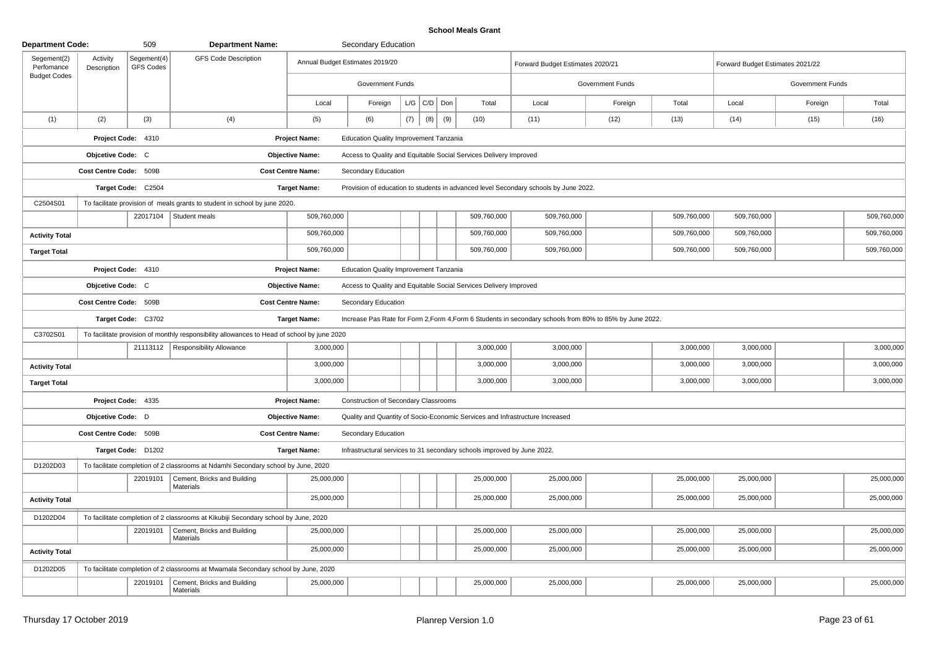## **School Meals Grant**

| <b>Department Code:</b>   |                         | 509                             | <b>Department Name:</b>                                                                     |                                 | Secondary Education                         |     |                 |     |                                                                         |                                                                                                          |                  |             |                                  |                  |             |
|---------------------------|-------------------------|---------------------------------|---------------------------------------------------------------------------------------------|---------------------------------|---------------------------------------------|-----|-----------------|-----|-------------------------------------------------------------------------|----------------------------------------------------------------------------------------------------------|------------------|-------------|----------------------------------|------------------|-------------|
| Segement(2)<br>Perfomance | Activity<br>Description | Segement(4)<br><b>GFS Codes</b> | <b>GFS Code Description</b>                                                                 | Annual Budget Estimates 2019/20 |                                             |     |                 |     |                                                                         | Forward Budget Estimates 2020/21                                                                         |                  |             | Forward Budget Estimates 2021/22 |                  |             |
| <b>Budget Codes</b>       |                         |                                 |                                                                                             |                                 | <b>Government Funds</b>                     |     |                 |     |                                                                         |                                                                                                          | Government Funds |             |                                  | Government Funds |             |
|                           |                         |                                 |                                                                                             | Local                           | Foreign                                     |     | $L/G$ $C/D$ Don |     | Total                                                                   | Local                                                                                                    | Foreign          | Total       | Local                            | Foreign          | Total       |
| (1)                       | (2)                     | (3)                             | (4)                                                                                         | (5)                             | (6)                                         | (7) | (8)             | (9) | (10)                                                                    | (11)                                                                                                     | (12)             | (13)        | (14)                             | (15)             | (16)        |
|                           |                         | Project Code: 4310              |                                                                                             | <b>Project Name:</b>            | Education Quality Improvement Tanzania      |     |                 |     |                                                                         |                                                                                                          |                  |             |                                  |                  |             |
|                           | Objcetive Code: C       |                                 |                                                                                             | <b>Objective Name:</b>          |                                             |     |                 |     | Access to Quality and Equitable Social Services Delivery Improved       |                                                                                                          |                  |             |                                  |                  |             |
|                           | Cost Centre Code: 509B  |                                 |                                                                                             | <b>Cost Centre Name:</b>        | Secondary Education                         |     |                 |     |                                                                         |                                                                                                          |                  |             |                                  |                  |             |
|                           |                         | Target Code: C2504              |                                                                                             | <b>Target Name:</b>             |                                             |     |                 |     |                                                                         | Provision of education to students in advanced level Secondary schools by June 2022.                     |                  |             |                                  |                  |             |
| C2504S01                  |                         |                                 | To facilitate provision of meals grants to student in school by june 2020.                  |                                 |                                             |     |                 |     |                                                                         |                                                                                                          |                  |             |                                  |                  |             |
|                           |                         |                                 | 22017104 Student meals                                                                      | 509,760,000                     |                                             |     |                 |     | 509,760,000                                                             | 509,760,000                                                                                              |                  | 509,760,000 | 509,760,000                      |                  | 509,760,000 |
| <b>Activity Total</b>     |                         |                                 |                                                                                             | 509,760,000                     |                                             |     |                 |     | 509,760,000                                                             | 509,760,000                                                                                              |                  | 509,760,000 | 509,760,000                      |                  | 509,760,000 |
| <b>Target Total</b>       |                         |                                 |                                                                                             | 509,760,000                     |                                             |     |                 |     | 509,760,000                                                             | 509,760,000                                                                                              |                  | 509,760,000 | 509,760,000                      |                  | 509,760,000 |
|                           |                         | Project Code: 4310              |                                                                                             | Project Name:                   | Education Quality Improvement Tanzania      |     |                 |     |                                                                         |                                                                                                          |                  |             |                                  |                  |             |
|                           | Objcetive Code: C       |                                 |                                                                                             | <b>Objective Name:</b>          |                                             |     |                 |     | Access to Quality and Equitable Social Services Delivery Improved       |                                                                                                          |                  |             |                                  |                  |             |
|                           | Cost Centre Code: 509B  |                                 |                                                                                             | <b>Cost Centre Name:</b>        | Secondary Education                         |     |                 |     |                                                                         |                                                                                                          |                  |             |                                  |                  |             |
|                           |                         | Target Code: C3702              |                                                                                             | <b>Target Name:</b>             |                                             |     |                 |     |                                                                         | Increase Pas Rate for Form 2, Form 4, Form 6 Students in secondary schools from 80% to 85% by June 2022. |                  |             |                                  |                  |             |
| C3702S01                  |                         |                                 | To facilitate provision of monthly responsibility allowances to Head of school by june 2020 |                                 |                                             |     |                 |     |                                                                         |                                                                                                          |                  |             |                                  |                  |             |
|                           |                         |                                 | 21113112   Responsibility Allowance                                                         | 3,000,000                       |                                             |     |                 |     | 3,000,000                                                               | 3,000,000                                                                                                |                  | 3,000,000   | 3,000,000                        |                  | 3,000,000   |
| <b>Activity Total</b>     |                         |                                 |                                                                                             | 3,000,000                       |                                             |     |                 |     | 3,000,000                                                               | 3,000,000                                                                                                |                  | 3,000,000   | 3,000,000                        |                  | 3,000,000   |
| <b>Target Total</b>       |                         |                                 |                                                                                             | 3,000,000                       |                                             |     |                 |     | 3,000,000                                                               | 3,000,000                                                                                                |                  | 3,000,000   | 3,000,000                        |                  | 3,000,000   |
|                           |                         | Project Code: 4335              |                                                                                             | <b>Project Name:</b>            | <b>Construction of Secondary Classrooms</b> |     |                 |     |                                                                         |                                                                                                          |                  |             |                                  |                  |             |
|                           | Objcetive Code: D       |                                 |                                                                                             | <b>Objective Name:</b>          |                                             |     |                 |     |                                                                         | Quality and Quantity of Socio-Economic Services and Infrastructure Increased                             |                  |             |                                  |                  |             |
|                           | Cost Centre Code: 509B  |                                 |                                                                                             | <b>Cost Centre Name:</b>        | Secondary Education                         |     |                 |     |                                                                         |                                                                                                          |                  |             |                                  |                  |             |
|                           |                         | Target Code: D1202              |                                                                                             | <b>Target Name:</b>             |                                             |     |                 |     | Infrastructural services to 31 secondary schools improved by June 2022. |                                                                                                          |                  |             |                                  |                  |             |
| D1202D03                  |                         |                                 | To facilitate completion of 2 classrooms at Ndamhi Secondary school by June, 2020           |                                 |                                             |     |                 |     |                                                                         |                                                                                                          |                  |             |                                  |                  |             |
|                           |                         | 22019101                        | Cement, Bricks and Building<br>Materials                                                    | 25,000,000                      |                                             |     |                 |     | 25,000,000                                                              | 25,000,000                                                                                               |                  | 25,000,000  | 25,000,000                       |                  | 25,000,000  |
| <b>Activity Total</b>     |                         |                                 |                                                                                             | 25,000,000                      |                                             |     |                 |     | 25,000,000                                                              | 25,000,000                                                                                               |                  | 25,000,000  | 25,000,000                       |                  | 25,000,000  |
| D1202D04                  |                         |                                 | To facilitate completion of 2 classrooms at Kikubiji Secondary school by June, 2020         |                                 |                                             |     |                 |     |                                                                         |                                                                                                          |                  |             |                                  |                  |             |
|                           |                         | 22019101                        | Cement, Bricks and Building<br>Materials                                                    | 25,000,000                      |                                             |     |                 |     | 25,000,000                                                              | 25,000,000                                                                                               |                  | 25,000,000  | 25,000,000                       |                  | 25,000,000  |
| <b>Activity Total</b>     |                         |                                 |                                                                                             | 25,000,000                      |                                             |     |                 |     | 25,000,000                                                              | 25,000,000                                                                                               |                  | 25,000,000  | 25,000,000                       |                  | 25,000,000  |
| D1202D05                  |                         |                                 | To facilitate completion of 2 classrooms at Mwamala Secondary school by June, 2020          |                                 |                                             |     |                 |     |                                                                         |                                                                                                          |                  |             |                                  |                  |             |
|                           |                         | 22019101                        | Cement, Bricks and Building<br>Materials                                                    | 25,000,000                      |                                             |     |                 |     | 25,000,000                                                              | 25,000,000                                                                                               |                  | 25,000,000  | 25,000,000                       |                  | 25,000,000  |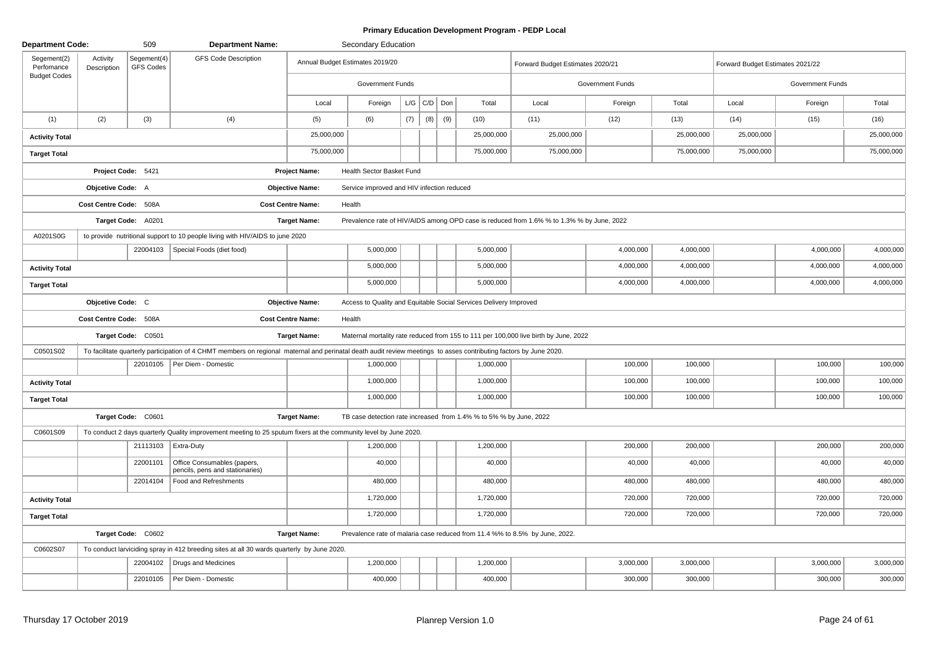## **Primary Education Development Program - PEDP Local**

| <b>Department Code:</b>   |                         | 509                             | <b>Department Name:</b>                                                                                                                                            |                          | Secondary Education                        |     |                 |     |                                                                    |                                                                                           |                  |            |                                  |                  |            |
|---------------------------|-------------------------|---------------------------------|--------------------------------------------------------------------------------------------------------------------------------------------------------------------|--------------------------|--------------------------------------------|-----|-----------------|-----|--------------------------------------------------------------------|-------------------------------------------------------------------------------------------|------------------|------------|----------------------------------|------------------|------------|
| Segement(2)<br>Perfomance | Activity<br>Description | Segement(4)<br><b>GFS Codes</b> | <b>GFS Code Description</b>                                                                                                                                        |                          | Annual Budget Estimates 2019/20            |     |                 |     |                                                                    | Forward Budget Estimates 2020/21                                                          |                  |            | Forward Budget Estimates 2021/22 |                  |            |
| <b>Budget Codes</b>       |                         |                                 |                                                                                                                                                                    |                          | <b>Government Funds</b>                    |     |                 |     |                                                                    |                                                                                           | Government Funds |            |                                  | Government Funds |            |
|                           |                         |                                 |                                                                                                                                                                    | Local                    | Foreign                                    |     | $L/G$ $C/D$ Don |     | Total                                                              | Local                                                                                     | Foreign          | Total      | Local                            | Foreign          | Total      |
| (1)                       | (2)                     | (3)                             | (4)                                                                                                                                                                | (5)                      | (6)                                        | (7) | (8)             | (9) | (10)                                                               | (11)                                                                                      | (12)             | (13)       | (14)                             | (15)             | (16)       |
| <b>Activity Total</b>     |                         |                                 |                                                                                                                                                                    | 25,000,000               |                                            |     |                 |     | 25,000,000                                                         | 25,000,000                                                                                |                  | 25,000,000 | 25,000,000                       |                  | 25,000,000 |
| <b>Target Total</b>       |                         |                                 |                                                                                                                                                                    | 75,000,000               |                                            |     |                 |     | 75,000,000                                                         | 75,000,000                                                                                |                  | 75,000,000 | 75,000,000                       |                  | 75,000,000 |
|                           | Project Code: 5421      |                                 |                                                                                                                                                                    | <b>Project Name:</b>     | Health Sector Basket Fund                  |     |                 |     |                                                                    |                                                                                           |                  |            |                                  |                  |            |
|                           | Objcetive Code: A       |                                 |                                                                                                                                                                    | <b>Objective Name:</b>   | Service improved and HIV infection reduced |     |                 |     |                                                                    |                                                                                           |                  |            |                                  |                  |            |
|                           | Cost Centre Code: 508A  |                                 |                                                                                                                                                                    | <b>Cost Centre Name:</b> | Health                                     |     |                 |     |                                                                    |                                                                                           |                  |            |                                  |                  |            |
|                           |                         | Target Code: A0201              |                                                                                                                                                                    | <b>Target Name:</b>      |                                            |     |                 |     |                                                                    | Prevalence rate of HIV/AIDS among OPD case is reduced from 1.6% % to 1.3% % by June, 2022 |                  |            |                                  |                  |            |
| A0201S0G                  |                         |                                 | to provide nutritional support to 10 people living with HIV/AIDS to june 2020                                                                                      |                          |                                            |     |                 |     |                                                                    |                                                                                           |                  |            |                                  |                  |            |
|                           |                         | 22004103                        | Special Foods (diet food)                                                                                                                                          |                          | 5,000,000                                  |     |                 |     | 5,000,000                                                          |                                                                                           | 4,000,000        | 4,000,000  |                                  | 4,000,000        | 4,000,000  |
| <b>Activity Total</b>     |                         |                                 |                                                                                                                                                                    |                          | 5,000,000                                  |     |                 |     | 5,000,000                                                          |                                                                                           | 4,000,000        | 4,000,000  |                                  | 4,000,000        | 4,000,000  |
| <b>Target Total</b>       |                         |                                 |                                                                                                                                                                    |                          | 5,000,000                                  |     |                 |     | 5,000,000                                                          |                                                                                           | 4,000,000        | 4,000,000  |                                  | 4,000,000        | 4,000,000  |
|                           | Objcetive Code: C       |                                 |                                                                                                                                                                    | <b>Objective Name:</b>   |                                            |     |                 |     | Access to Quality and Equitable Social Services Delivery Improved  |                                                                                           |                  |            |                                  |                  |            |
|                           | Cost Centre Code: 508A  |                                 |                                                                                                                                                                    | <b>Cost Centre Name:</b> | Health                                     |     |                 |     |                                                                    |                                                                                           |                  |            |                                  |                  |            |
|                           |                         | Target Code: C0501              |                                                                                                                                                                    | <b>Target Name:</b>      |                                            |     |                 |     |                                                                    | Maternal mortality rate reduced from 155 to 111 per 100,000 live birth by June, 2022      |                  |            |                                  |                  |            |
| C0501S02                  |                         |                                 | To facilitate quarterly participation of 4 CHMT members on regional maternal and perinatal death audit review meetings to asses contributing factors by June 2020. |                          |                                            |     |                 |     |                                                                    |                                                                                           |                  |            |                                  |                  |            |
|                           |                         |                                 | 22010105   Per Diem - Domestic                                                                                                                                     |                          | 1,000,000                                  |     |                 |     | 1,000,000                                                          |                                                                                           | 100,000          | 100,000    |                                  | 100,000          | 100,000    |
| <b>Activity Total</b>     |                         |                                 |                                                                                                                                                                    |                          | 1,000,000                                  |     |                 |     | 1,000,000                                                          |                                                                                           | 100,000          | 100,000    |                                  | 100,000          | 100,000    |
| <b>Target Total</b>       |                         |                                 |                                                                                                                                                                    |                          | 1,000,000                                  |     |                 |     | 1,000,000                                                          |                                                                                           | 100,000          | 100,000    |                                  | 100,000          | 100,000    |
|                           |                         | Target Code: C0601              |                                                                                                                                                                    | <b>Target Name:</b>      |                                            |     |                 |     | TB case detection rate increased from 1.4% % to 5% % by June, 2022 |                                                                                           |                  |            |                                  |                  |            |
| C0601S09                  |                         |                                 | To conduct 2 days quarterly Quality improvement meeting to 25 sputum fixers at the community level by June 2020.                                                   |                          |                                            |     |                 |     |                                                                    |                                                                                           |                  |            |                                  |                  |            |
|                           |                         |                                 | 21113103   Extra-Duty                                                                                                                                              |                          | 1,200,000                                  |     |                 |     | 1,200,000                                                          |                                                                                           | 200,000          | 200,000    |                                  | 200,000          | 200,000    |
|                           |                         | 22001101                        | Office Consumables (papers,<br>pencils, pens and stationaries)                                                                                                     |                          | 40,000                                     |     |                 |     | 40,000                                                             |                                                                                           | 40,000           | 40,000     |                                  | 40,000           | 40,000     |
|                           |                         | 22014104                        | Food and Refreshments                                                                                                                                              |                          | 480,000                                    |     |                 |     | 480,000                                                            |                                                                                           | 480,000          | 480,000    |                                  | 480,000          | 480,000    |
| <b>Activity Total</b>     |                         |                                 |                                                                                                                                                                    |                          | 1,720,000                                  |     |                 |     | 1,720,000                                                          |                                                                                           | 720,000          | 720,000    |                                  | 720,000          | 720,000    |
| <b>Target Total</b>       |                         |                                 |                                                                                                                                                                    |                          | 1,720,000                                  |     |                 |     | 1,720,000                                                          |                                                                                           | 720,000          | 720,000    |                                  | 720,000          | 720,000    |
|                           |                         | Target Code: C0602              |                                                                                                                                                                    | <b>Target Name:</b>      |                                            |     |                 |     |                                                                    | Prevalence rate of malaria case reduced from 11.4 %% to 8.5% by June, 2022.               |                  |            |                                  |                  |            |
| C0602S07                  |                         |                                 | To conduct larviciding spray in 412 breeding sites at all 30 wards quarterly by June 2020.                                                                         |                          |                                            |     |                 |     |                                                                    |                                                                                           |                  |            |                                  |                  |            |
|                           |                         | 22004102                        | Drugs and Medicines                                                                                                                                                |                          | 1,200,000                                  |     |                 |     | 1,200,000                                                          |                                                                                           | 3,000,000        | 3,000,000  |                                  | 3,000,000        | 3,000,000  |
|                           |                         | 22010105                        | Per Diem - Domestic                                                                                                                                                |                          | 400,000                                    |     |                 |     | 400,000                                                            |                                                                                           | 300,000          | 300,000    |                                  | 300,000          | 300,000    |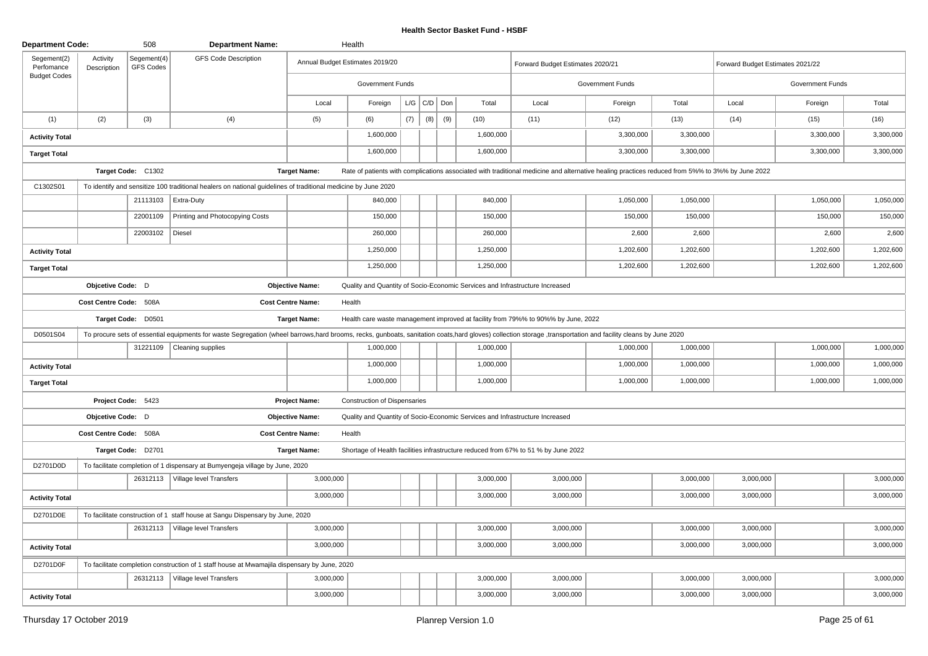| <b>Department Code:</b>                          |                         | 508                      | <b>Department Name:</b>                                                                                                                                                                                      |                          | Health                              |     |                   |     |                                                                              |                                                                                                                                                 |                  |           |                                  |                  |           |
|--------------------------------------------------|-------------------------|--------------------------|--------------------------------------------------------------------------------------------------------------------------------------------------------------------------------------------------------------|--------------------------|-------------------------------------|-----|-------------------|-----|------------------------------------------------------------------------------|-------------------------------------------------------------------------------------------------------------------------------------------------|------------------|-----------|----------------------------------|------------------|-----------|
| Segement(2)<br>Perfomance<br><b>Budget Codes</b> | Activity<br>Description | Segement(4)<br>GFS Codes | <b>GFS Code Description</b>                                                                                                                                                                                  |                          | Annual Budget Estimates 2019/20     |     |                   |     |                                                                              | Forward Budget Estimates 2020/21                                                                                                                |                  |           | Forward Budget Estimates 2021/22 |                  |           |
|                                                  |                         |                          |                                                                                                                                                                                                              |                          | <b>Government Funds</b>             |     |                   |     |                                                                              |                                                                                                                                                 | Government Funds |           |                                  | Government Funds |           |
|                                                  |                         |                          |                                                                                                                                                                                                              | Local                    | Foreign                             |     | $L/G$ $C/D$ $Don$ |     | Total                                                                        | Local                                                                                                                                           | Foreign          | Total     | Local                            | Foreign          | Total     |
| (1)                                              | (2)                     | (3)                      | (4)                                                                                                                                                                                                          | (5)                      | (6)                                 | (7) | (8)               | (9) | (10)                                                                         | (11)                                                                                                                                            | (12)             | (13)      | (14)                             | (15)             | (16)      |
| <b>Activity Total</b>                            |                         |                          |                                                                                                                                                                                                              |                          | 1,600,000                           |     |                   |     | 1,600,000                                                                    |                                                                                                                                                 | 3,300,000        | 3,300,000 |                                  | 3,300,000        | 3,300,000 |
| <b>Target Total</b>                              |                         |                          |                                                                                                                                                                                                              |                          | 1,600,000                           |     |                   |     | 1,600,000                                                                    |                                                                                                                                                 | 3,300,000        | 3,300,000 |                                  | 3,300,000        | 3,300,000 |
|                                                  |                         | Target Code: C1302       |                                                                                                                                                                                                              | <b>Target Name:</b>      |                                     |     |                   |     |                                                                              | Rate of patients with complications associated with traditional medicine and alternative healing practices reduced from 5%% to 3%% by June 2022 |                  |           |                                  |                  |           |
| C1302S01                                         |                         |                          | To identify and sensitize 100 traditional healers on national guidelines of traditional medicine by June 2020                                                                                                |                          |                                     |     |                   |     |                                                                              |                                                                                                                                                 |                  |           |                                  |                  |           |
|                                                  |                         | 21113103                 | Extra-Duty                                                                                                                                                                                                   |                          | 840,000                             |     |                   |     | 840,000                                                                      |                                                                                                                                                 | 1,050,000        | 1,050,000 |                                  | 1,050,000        | 1,050,000 |
|                                                  |                         | 22001109                 | Printing and Photocopying Costs                                                                                                                                                                              |                          | 150,000                             |     |                   |     | 150,000                                                                      |                                                                                                                                                 | 150,000          | 150,000   |                                  | 150,000          | 150,000   |
|                                                  |                         | 22003102                 | Diesel                                                                                                                                                                                                       |                          | 260,000                             |     |                   |     | 260,000                                                                      |                                                                                                                                                 | 2,600            | 2,600     |                                  | 2,600            | 2,600     |
| <b>Activity Total</b>                            |                         |                          |                                                                                                                                                                                                              |                          | 1,250,000                           |     |                   |     | 1,250,000                                                                    |                                                                                                                                                 | 1,202,600        | 1,202,600 |                                  | 1,202,600        | 1,202,600 |
| <b>Target Total</b>                              |                         |                          |                                                                                                                                                                                                              |                          | 1,250,000                           |     |                   |     | 1,250,000                                                                    |                                                                                                                                                 | 1,202,600        | 1,202,600 |                                  | 1,202,600        | 1,202,600 |
|                                                  | Objcetive Code: D       |                          |                                                                                                                                                                                                              | <b>Objective Name:</b>   |                                     |     |                   |     | Quality and Quantity of Socio-Economic Services and Infrastructure Increased |                                                                                                                                                 |                  |           |                                  |                  |           |
|                                                  | Cost Centre Code: 508A  |                          |                                                                                                                                                                                                              | <b>Cost Centre Name:</b> | Health                              |     |                   |     |                                                                              |                                                                                                                                                 |                  |           |                                  |                  |           |
|                                                  |                         | Target Code: D0501       |                                                                                                                                                                                                              | <b>Target Name:</b>      |                                     |     |                   |     |                                                                              | Health care waste management improved at facility from 79%% to 90%% by June, 2022                                                               |                  |           |                                  |                  |           |
| D0501S04                                         |                         |                          | To procure sets of essential equipments for waste Segregation (wheel barrows,hard brooms, recks, gunboats, sanitation coats,hard gloves) collection storage, transportation and facility cleans by June 2020 |                          |                                     |     |                   |     |                                                                              |                                                                                                                                                 |                  |           |                                  |                  |           |
|                                                  |                         |                          | 31221109 Cleaning supplies                                                                                                                                                                                   |                          | 1,000,000                           |     |                   |     | 1,000,000                                                                    |                                                                                                                                                 | 1,000,000        | 1,000,000 |                                  | 1,000,000        | 1,000,000 |
| <b>Activity Total</b>                            |                         |                          |                                                                                                                                                                                                              |                          | 1,000,000                           |     |                   |     | 1,000,000                                                                    |                                                                                                                                                 | 1,000,000        | 1,000,000 |                                  | 1,000,000        | 1,000,000 |
| <b>Target Total</b>                              |                         |                          |                                                                                                                                                                                                              |                          | 1,000,000                           |     |                   |     | 1,000,000                                                                    |                                                                                                                                                 | 1,000,000        | 1,000,000 |                                  | 1,000,000        | 1,000,000 |
|                                                  |                         | Project Code: 5423       |                                                                                                                                                                                                              | <b>Project Name:</b>     | <b>Construction of Dispensaries</b> |     |                   |     |                                                                              |                                                                                                                                                 |                  |           |                                  |                  |           |
|                                                  | Objcetive Code: D       |                          |                                                                                                                                                                                                              | <b>Objective Name:</b>   |                                     |     |                   |     | Quality and Quantity of Socio-Economic Services and Infrastructure Increased |                                                                                                                                                 |                  |           |                                  |                  |           |
|                                                  | Cost Centre Code: 508A  |                          |                                                                                                                                                                                                              | <b>Cost Centre Name:</b> | Health                              |     |                   |     |                                                                              |                                                                                                                                                 |                  |           |                                  |                  |           |
|                                                  |                         | Target Code: D2701       |                                                                                                                                                                                                              | <b>Target Name:</b>      |                                     |     |                   |     |                                                                              | Shortage of Health facilities infrastructure reduced from 67% to 51 % by June 2022                                                              |                  |           |                                  |                  |           |
| D2701D0D                                         |                         |                          | To facilitate completion of 1 dispensary at Bumyengeja village by June, 2020                                                                                                                                 |                          |                                     |     |                   |     |                                                                              |                                                                                                                                                 |                  |           |                                  |                  |           |
|                                                  |                         |                          | 26312113   Village level Transfers                                                                                                                                                                           | 3,000,000                |                                     |     |                   |     | 3,000,000                                                                    | 3,000,000                                                                                                                                       |                  | 3,000,000 | 3,000,000                        |                  | 3,000,000 |
| <b>Activity Total</b>                            |                         |                          |                                                                                                                                                                                                              | 3,000,000                |                                     |     |                   |     | 3,000,000                                                                    | 3,000,000                                                                                                                                       |                  | 3,000,000 | 3,000,000                        |                  | 3,000,000 |
| D2701D0E                                         |                         |                          | To facilitate construction of 1 staff house at Sangu Dispensary by June, 2020                                                                                                                                |                          |                                     |     |                   |     |                                                                              |                                                                                                                                                 |                  |           |                                  |                  |           |
|                                                  |                         |                          | 26312113   Village level Transfers                                                                                                                                                                           | 3,000,000                |                                     |     |                   |     | 3,000,000                                                                    | 3,000,000                                                                                                                                       |                  | 3,000,000 | 3,000,000                        |                  | 3,000,000 |
| <b>Activity Total</b>                            |                         |                          |                                                                                                                                                                                                              | 3,000,000                |                                     |     |                   |     | 3,000,000                                                                    | 3,000,000                                                                                                                                       |                  | 3,000,000 | 3,000,000                        |                  | 3,000,000 |
| D2701D0F                                         |                         |                          | To facilitate completion construction of 1 staff house at Mwamajila dispensary by June, 2020                                                                                                                 |                          |                                     |     |                   |     |                                                                              |                                                                                                                                                 |                  |           |                                  |                  |           |
|                                                  |                         |                          | 26312113   Village level Transfers                                                                                                                                                                           | 3,000,000                |                                     |     |                   |     | 3,000,000                                                                    | 3,000,000                                                                                                                                       |                  | 3,000,000 | 3,000,000                        |                  | 3,000,000 |
| <b>Activity Total</b>                            |                         |                          |                                                                                                                                                                                                              | 3,000,000                |                                     |     |                   |     | 3,000,000                                                                    | 3,000,000                                                                                                                                       |                  | 3,000,000 | 3,000,000                        |                  | 3,000,000 |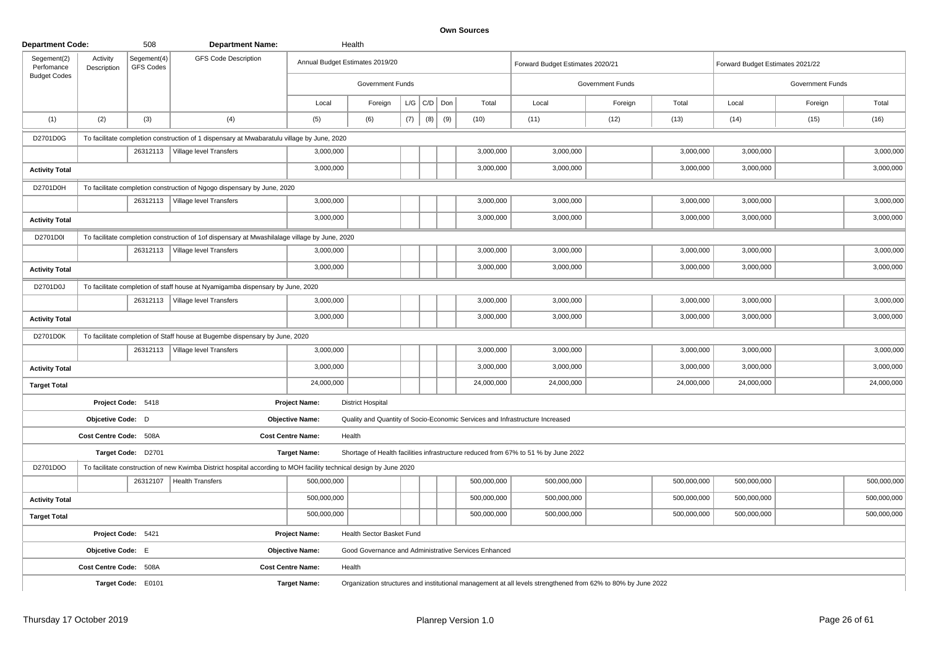| <b>Department Code:</b>   |                         | 508                             | <b>Department Name:</b>                                                                                            |                          | Health                          |     |                   |     |                                                      |                                                                                                              |                  |             |                                  |                  |             |
|---------------------------|-------------------------|---------------------------------|--------------------------------------------------------------------------------------------------------------------|--------------------------|---------------------------------|-----|-------------------|-----|------------------------------------------------------|--------------------------------------------------------------------------------------------------------------|------------------|-------------|----------------------------------|------------------|-------------|
| Segement(2)<br>Perfomance | Activity<br>Description | Segement(4)<br><b>GFS Codes</b> | <b>GFS Code Description</b>                                                                                        |                          | Annual Budget Estimates 2019/20 |     |                   |     |                                                      | Forward Budget Estimates 2020/21                                                                             |                  |             | Forward Budget Estimates 2021/22 |                  |             |
| <b>Budget Codes</b>       |                         |                                 |                                                                                                                    |                          | Government Funds                |     |                   |     |                                                      |                                                                                                              | Government Funds |             |                                  | Government Funds |             |
|                           |                         |                                 |                                                                                                                    | Local                    | Foreign                         |     | $L/G$ $C/D$ $Don$ |     | Total                                                | Local                                                                                                        | Foreign          | Total       | Local                            | Foreign          | Total       |
| (1)                       | (2)                     | (3)                             | (4)                                                                                                                | (5)                      | (6)                             | (7) | (8)               | (9) | (10)                                                 | (11)                                                                                                         | (12)             | (13)        | (14)                             | (15)             | (16)        |
| D2701D0G                  |                         |                                 | To facilitate completion construction of 1 dispensary at Mwabaratulu village by June, 2020                         |                          |                                 |     |                   |     |                                                      |                                                                                                              |                  |             |                                  |                  |             |
|                           |                         | 26312113                        | Village level Transfers                                                                                            | 3,000,000                |                                 |     |                   |     | 3,000,000                                            | 3,000,000                                                                                                    |                  | 3,000,000   | 3,000,000                        |                  | 3,000,000   |
| <b>Activity Total</b>     |                         |                                 |                                                                                                                    | 3,000,000                |                                 |     |                   |     | 3,000,000                                            | 3,000,000                                                                                                    |                  | 3,000,000   | 3,000,000                        |                  | 3,000,000   |
| D2701D0H                  |                         |                                 | To facilitate completion construction of Ngogo dispensary by June, 2020                                            |                          |                                 |     |                   |     |                                                      |                                                                                                              |                  |             |                                  |                  |             |
|                           |                         |                                 | 26312113   Village level Transfers                                                                                 | 3,000,000                |                                 |     |                   |     | 3,000,000                                            | 3,000,000                                                                                                    |                  | 3,000,000   | 3,000,000                        |                  | 3,000,000   |
| <b>Activity Total</b>     |                         |                                 |                                                                                                                    | 3,000,000                |                                 |     |                   |     | 3,000,000                                            | 3,000,000                                                                                                    |                  | 3,000,000   | 3,000,000                        |                  | 3,000,000   |
| D2701D0I                  |                         |                                 | To facilitate completion construction of 1of dispensary at Mwashilalage village by June, 2020                      |                          |                                 |     |                   |     |                                                      |                                                                                                              |                  |             |                                  |                  |             |
|                           |                         | 26312113                        | Village level Transfers                                                                                            | 3,000,000                |                                 |     |                   |     | 3,000,000                                            | 3,000,000                                                                                                    |                  | 3,000,000   | 3,000,000                        |                  | 3,000,000   |
| <b>Activity Total</b>     |                         |                                 |                                                                                                                    | 3,000,000                |                                 |     |                   |     | 3,000,000                                            | 3,000,000                                                                                                    |                  | 3,000,000   | 3,000,000                        |                  | 3,000,000   |
| D2701D0J                  |                         |                                 | To facilitate completion of staff house at Nyamigamba dispensary by June, 2020                                     |                          |                                 |     |                   |     |                                                      |                                                                                                              |                  |             |                                  |                  |             |
|                           |                         |                                 | 26312113   Village level Transfers                                                                                 | 3,000,000                |                                 |     |                   |     | 3,000,000                                            | 3,000,000                                                                                                    |                  | 3,000,000   | 3,000,000                        |                  | 3,000,000   |
| <b>Activity Total</b>     |                         |                                 |                                                                                                                    | 3,000,000                |                                 |     |                   |     | 3,000,000                                            | 3,000,000                                                                                                    |                  | 3,000,000   | 3,000,000                        |                  | 3,000,000   |
| D2701D0K                  |                         |                                 | To facilitate completion of Staff house at Bugembe dispensary by June, 2020                                        |                          |                                 |     |                   |     |                                                      |                                                                                                              |                  |             |                                  |                  |             |
|                           |                         |                                 | 26312113   Village level Transfers                                                                                 | 3,000,000                |                                 |     |                   |     | 3,000,000                                            | 3,000,000                                                                                                    |                  | 3,000,000   | 3,000,000                        |                  | 3,000,000   |
| <b>Activity Total</b>     |                         |                                 |                                                                                                                    | 3,000,000                |                                 |     |                   |     | 3,000,000                                            | 3,000,000                                                                                                    |                  | 3,000,000   | 3,000,000                        |                  | 3,000,000   |
| <b>Target Total</b>       |                         |                                 |                                                                                                                    | 24,000,000               |                                 |     |                   |     | 24,000,000                                           | 24,000,000                                                                                                   |                  | 24,000,000  | 24,000,000                       |                  | 24,000,000  |
|                           |                         | Project Code: 5418              |                                                                                                                    | <b>Project Name:</b>     | <b>District Hospital</b>        |     |                   |     |                                                      |                                                                                                              |                  |             |                                  |                  |             |
|                           | Objcetive Code: D       |                                 |                                                                                                                    | <b>Objective Name:</b>   |                                 |     |                   |     |                                                      | Quality and Quantity of Socio-Economic Services and Infrastructure Increased                                 |                  |             |                                  |                  |             |
|                           | Cost Centre Code: 508A  |                                 |                                                                                                                    | <b>Cost Centre Name:</b> | Health                          |     |                   |     |                                                      |                                                                                                              |                  |             |                                  |                  |             |
|                           |                         | Target Code: D2701              |                                                                                                                    | <b>Target Name:</b>      |                                 |     |                   |     |                                                      | Shortage of Health facilities infrastructure reduced from 67% to 51 % by June 2022                           |                  |             |                                  |                  |             |
| D2701D0O                  |                         |                                 | To facilitate construction of new Kwimba District hospital according to MOH facility technical design by June 2020 |                          |                                 |     |                   |     |                                                      |                                                                                                              |                  |             |                                  |                  |             |
|                           |                         | 26312107                        | Health Transfers                                                                                                   | 500,000,000              |                                 |     |                   |     | 500,000,000                                          | 500,000,000                                                                                                  |                  | 500,000,000 | 500,000,000                      |                  | 500,000,000 |
| <b>Activity Total</b>     |                         |                                 |                                                                                                                    | 500,000,000              |                                 |     |                   |     | 500,000,000                                          | 500,000,000                                                                                                  |                  | 500,000,000 | 500,000,000                      |                  | 500,000,000 |
| <b>Target Total</b>       |                         |                                 |                                                                                                                    | 500,000,000              |                                 |     |                   |     | 500,000,000                                          | 500,000,000                                                                                                  |                  | 500,000,000 | 500,000,000                      |                  | 500,000,000 |
|                           | Project Code: 5421      |                                 |                                                                                                                    | <b>Project Name:</b>     | Health Sector Basket Fund       |     |                   |     |                                                      |                                                                                                              |                  |             |                                  |                  |             |
|                           | Objcetive Code: E       |                                 |                                                                                                                    | <b>Objective Name:</b>   |                                 |     |                   |     | Good Governance and Administrative Services Enhanced |                                                                                                              |                  |             |                                  |                  |             |
|                           | Cost Centre Code: 508A  |                                 |                                                                                                                    | <b>Cost Centre Name:</b> | Health                          |     |                   |     |                                                      |                                                                                                              |                  |             |                                  |                  |             |
|                           |                         | Target Code: E0101              |                                                                                                                    | <b>Target Name:</b>      |                                 |     |                   |     |                                                      | Organization structures and institutional management at all levels strengthened from 62% to 80% by June 2022 |                  |             |                                  |                  |             |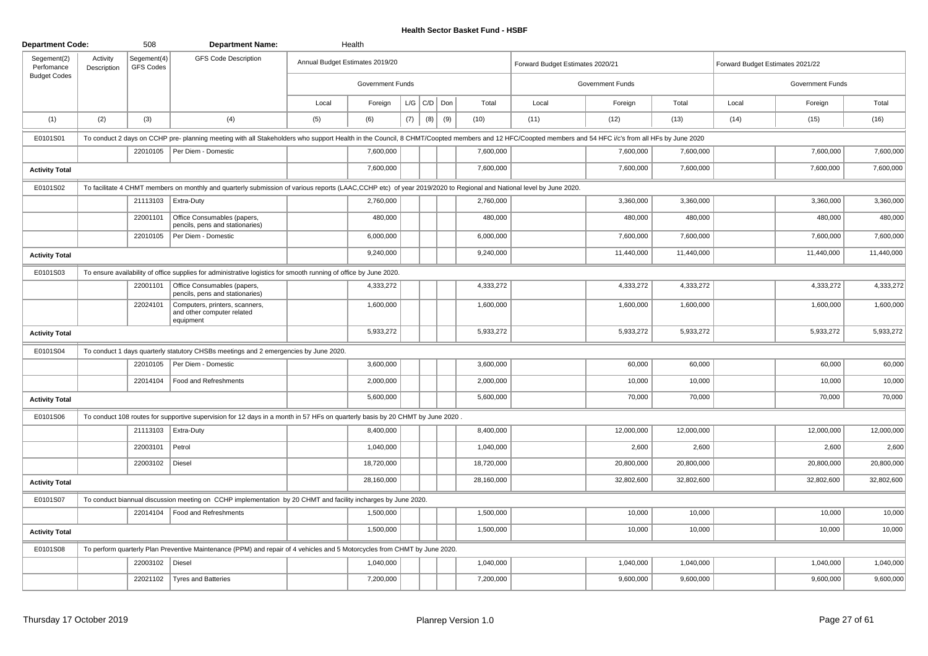| <b>Department Code:</b>   |                         | 508                      | <b>Department Name:</b>                                                                                                                                                                              |       | Health                          |     |             |     |            |                                  |                  |            |                                  |                         |            |
|---------------------------|-------------------------|--------------------------|------------------------------------------------------------------------------------------------------------------------------------------------------------------------------------------------------|-------|---------------------------------|-----|-------------|-----|------------|----------------------------------|------------------|------------|----------------------------------|-------------------------|------------|
| Segement(2)<br>Perfomance | Activity<br>Description | Segement(4)<br>GFS Codes | <b>GFS Code Description</b>                                                                                                                                                                          |       | Annual Budget Estimates 2019/20 |     |             |     |            | Forward Budget Estimates 2020/21 |                  |            | Forward Budget Estimates 2021/22 |                         |            |
| <b>Budget Codes</b>       |                         |                          |                                                                                                                                                                                                      |       | <b>Government Funds</b>         |     |             |     |            |                                  | Government Funds |            |                                  | <b>Government Funds</b> |            |
|                           |                         |                          |                                                                                                                                                                                                      | Local | Foreign                         |     | $L/G$ $C/D$ | Don | Total      | Local                            | Foreign          | Total      | Local                            | Foreign                 | Total      |
| (1)                       | (2)                     | (3)                      | (4)                                                                                                                                                                                                  | (5)   | (6)                             | (7) | (8)         | (9) | (10)       | (11)                             | (12)             | (13)       | (14)                             | (15)                    | (16)       |
| E0101S01                  |                         |                          | To conduct 2 days on CCHP pre-planning meeting with all Stakeholders who support Health in the Council, 8 CHMT/Coopted members and 12 HFC/Coopted members and 54 HFC i/c's from all HFs by June 2020 |       |                                 |     |             |     |            |                                  |                  |            |                                  |                         |            |
|                           |                         |                          | 22010105   Per Diem - Domestic                                                                                                                                                                       |       | 7,600,000                       |     |             |     | 7,600,000  |                                  | 7,600,000        | 7,600,000  |                                  | 7,600,000               | 7,600,000  |
| <b>Activity Total</b>     |                         |                          |                                                                                                                                                                                                      |       | 7,600,000                       |     |             |     | 7,600,000  |                                  | 7,600,000        | 7,600,000  |                                  | 7,600,000               | 7,600,000  |
| E0101S02                  |                         |                          | To facilitate 4 CHMT members on monthly and quarterly submission of various reports (LAAC,CCHP etc) of year 2019/2020 to Regional and National level by June 2020.                                   |       |                                 |     |             |     |            |                                  |                  |            |                                  |                         |            |
|                           |                         |                          | 21113103   Extra-Duty                                                                                                                                                                                |       | 2,760,000                       |     |             |     | 2,760,000  |                                  | 3,360,000        | 3,360,000  |                                  | 3,360,000               | 3,360,000  |
|                           |                         | 22001101                 | Office Consumables (papers,<br>pencils, pens and stationaries)                                                                                                                                       |       | 480,000                         |     |             |     | 480,000    |                                  | 480,000          | 480,000    |                                  | 480,000                 | 480,000    |
|                           |                         | 22010105                 | Per Diem - Domestic                                                                                                                                                                                  |       | 6,000,000                       |     |             |     | 6,000,000  |                                  | 7,600,000        | 7,600,000  |                                  | 7,600,000               | 7,600,000  |
| <b>Activity Total</b>     |                         |                          |                                                                                                                                                                                                      |       | 9,240,000                       |     |             |     | 9,240,000  |                                  | 11,440,000       | 11,440,000 |                                  | 11,440,000              | 11,440,000 |
| E0101S03                  |                         |                          | To ensure availability of office supplies for administrative logistics for smooth running of office by June 2020.                                                                                    |       |                                 |     |             |     |            |                                  |                  |            |                                  |                         |            |
|                           |                         | 22001101                 | Office Consumables (papers,<br>pencils, pens and stationaries)                                                                                                                                       |       | 4,333,272                       |     |             |     | 4,333,272  |                                  | 4,333,272        | 4,333,272  |                                  | 4,333,272               | 4,333,272  |
|                           |                         | 22024101                 | Computers, printers, scanners,<br>and other computer related<br>equipment                                                                                                                            |       | 1,600,000                       |     |             |     | 1,600,000  |                                  | 1,600,000        | 1,600,000  |                                  | 1,600,000               | 1,600,000  |
| <b>Activity Total</b>     |                         |                          |                                                                                                                                                                                                      |       | 5,933,272                       |     |             |     | 5,933,272  |                                  | 5,933,272        | 5,933,272  |                                  | 5,933,272               | 5,933,272  |
| E0101S04                  |                         |                          | To conduct 1 days quarterly statutory CHSBs meetings and 2 emergencies by June 2020.                                                                                                                 |       |                                 |     |             |     |            |                                  |                  |            |                                  |                         |            |
|                           |                         |                          | 22010105   Per Diem - Domestic                                                                                                                                                                       |       | 3,600,000                       |     |             |     | 3,600,000  |                                  | 60,000           | 60,000     |                                  | 60,000                  | 60,000     |
|                           |                         | 22014104                 | Food and Refreshments                                                                                                                                                                                |       | 2,000,000                       |     |             |     | 2,000,000  |                                  | 10,000           | 10,000     |                                  | 10,000                  | 10,000     |
| <b>Activity Total</b>     |                         |                          |                                                                                                                                                                                                      |       | 5,600,000                       |     |             |     | 5,600,000  |                                  | 70,000           | 70,000     |                                  | 70,000                  | 70,000     |
| E0101S06                  |                         |                          | To conduct 108 routes for supportive supervision for 12 days in a month in 57 HFs on quarterly basis by 20 CHMT by June 2020.                                                                        |       |                                 |     |             |     |            |                                  |                  |            |                                  |                         |            |
|                           |                         |                          | 21113103   Extra-Duty                                                                                                                                                                                |       | 8,400,000                       |     |             |     | 8,400,000  |                                  | 12.000.000       | 12.000.000 |                                  | 12,000,000              | 12,000,000 |
|                           |                         | 22003101                 | Petrol                                                                                                                                                                                               |       | 1,040,000                       |     |             |     | 1,040,000  |                                  | 2,600            | 2,600      |                                  | 2,600                   | 2,600      |
|                           |                         | 22003102                 | Diesel                                                                                                                                                                                               |       | 18,720,000                      |     |             |     | 18,720,000 |                                  | 20,800,000       | 20,800,000 |                                  | 20,800,000              | 20,800,000 |
| <b>Activity Total</b>     |                         |                          |                                                                                                                                                                                                      |       | 28,160,000                      |     |             |     | 28,160,000 |                                  | 32,802,600       | 32,802,600 |                                  | 32,802,600              | 32,802,600 |
| E0101S07                  |                         |                          | To conduct biannual discussion meeting on CCHP implementation by 20 CHMT and facility incharges by June 2020.                                                                                        |       |                                 |     |             |     |            |                                  |                  |            |                                  |                         |            |
|                           |                         |                          | 22014104   Food and Refreshments                                                                                                                                                                     |       | 1,500,000                       |     |             |     | 1,500,000  |                                  | 10,000           | 10,000     |                                  | 10,000                  | 10,000     |
| <b>Activity Total</b>     |                         |                          |                                                                                                                                                                                                      |       | 1,500,000                       |     |             |     | 1,500,000  |                                  | 10,000           | 10,000     |                                  | 10,000                  | 10,000     |
| E0101S08                  |                         |                          | To perform quarterly Plan Preventive Maintenance (PPM) and repair of 4 vehicles and 5 Motorcycles from CHMT by June 2020.                                                                            |       |                                 |     |             |     |            |                                  |                  |            |                                  |                         |            |
|                           |                         | 22003102                 | Diesel                                                                                                                                                                                               |       | 1,040,000                       |     |             |     | 1,040,000  |                                  | 1,040,000        | 1,040,000  |                                  | 1,040,000               | 1,040,000  |
|                           |                         | 22021102                 | Tyres and Batteries                                                                                                                                                                                  |       | 7,200,000                       |     |             |     | 7,200,000  |                                  | 9,600,000        | 9,600,000  |                                  | 9,600,000               | 9,600,000  |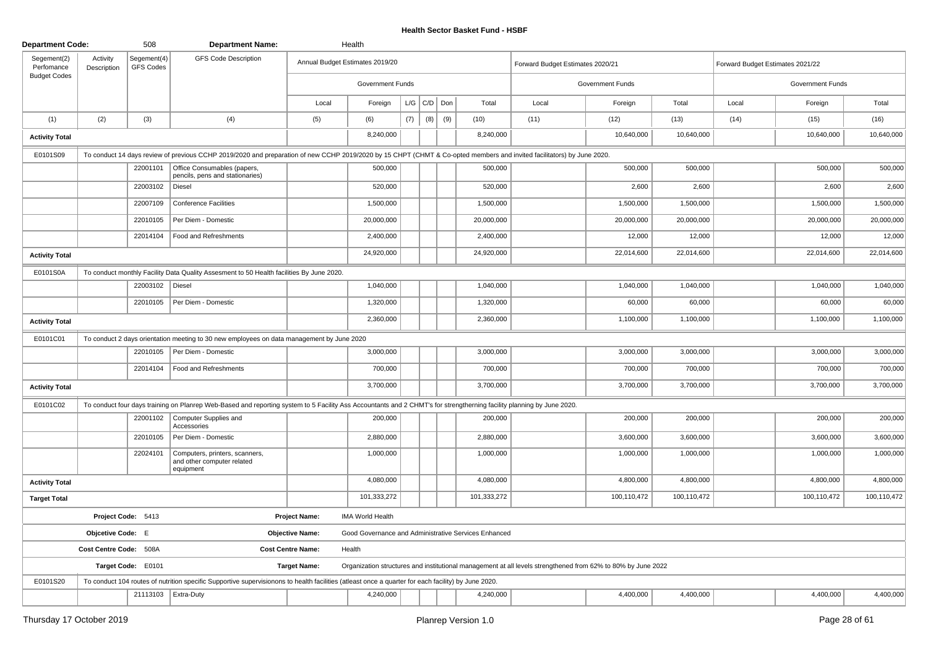| <b>Department Code:</b>   |                         | 508                             | <b>Department Name:</b>                                                                                                                                                |                          | Health                                               |     |     |     |             |                                                                                                              |                  |             |                                  |                  |             |
|---------------------------|-------------------------|---------------------------------|------------------------------------------------------------------------------------------------------------------------------------------------------------------------|--------------------------|------------------------------------------------------|-----|-----|-----|-------------|--------------------------------------------------------------------------------------------------------------|------------------|-------------|----------------------------------|------------------|-------------|
| Segement(2)<br>Perfomance | Activity<br>Description | Segement(4)<br><b>GFS Codes</b> | <b>GFS Code Description</b>                                                                                                                                            |                          | Annual Budget Estimates 2019/20                      |     |     |     |             | Forward Budget Estimates 2020/21                                                                             |                  |             | Forward Budget Estimates 2021/22 |                  |             |
| <b>Budget Codes</b>       |                         |                                 |                                                                                                                                                                        |                          | Government Funds                                     |     |     |     |             |                                                                                                              | Government Funds |             |                                  | Government Funds |             |
|                           |                         |                                 |                                                                                                                                                                        | Local                    | Foreign                                              | L/G | C/D | Don | Total       | Local                                                                                                        | Foreign          | Total       | Local                            | Foreign          | Total       |
| (1)                       | (2)                     | (3)                             | (4)                                                                                                                                                                    | (5)                      | (6)                                                  | (7) | (8) | (9) | (10)        | (11)                                                                                                         | (12)             | (13)        | (14)                             | (15)             | (16)        |
| <b>Activity Total</b>     |                         |                                 |                                                                                                                                                                        |                          | 8,240,000                                            |     |     |     | 8,240,000   |                                                                                                              | 10,640,000       | 10,640,000  |                                  | 10,640,000       | 10,640,000  |
| E0101S09                  |                         |                                 | To conduct 14 days review of previous CCHP 2019/2020 and preparation of new CCHP 2019/2020 by 15 CHPT (CHMT & Co-opted members and invited facilitators) by June 2020. |                          |                                                      |     |     |     |             |                                                                                                              |                  |             |                                  |                  |             |
|                           |                         | 22001101                        | Office Consumables (papers,<br>pencils, pens and stationaries)                                                                                                         |                          | 500,000                                              |     |     |     | 500,000     |                                                                                                              | 500,000          | 500,000     |                                  | 500,000          | 500,000     |
|                           |                         | 22003102                        | Diesel                                                                                                                                                                 |                          | 520,000                                              |     |     |     | 520,000     |                                                                                                              | 2,600            | 2,600       |                                  | 2,600            | 2,600       |
|                           |                         | 22007109                        | <b>Conference Facilities</b>                                                                                                                                           |                          | 1,500,000                                            |     |     |     | 1,500,000   |                                                                                                              | 1,500,000        | 1,500,000   |                                  | 1,500,000        | 1,500,000   |
|                           |                         | 22010105                        | Per Diem - Domestic                                                                                                                                                    |                          | 20,000,000                                           |     |     |     | 20,000,000  |                                                                                                              | 20,000,000       | 20,000,000  |                                  | 20,000,000       | 20,000,000  |
|                           |                         | 22014104                        | Food and Refreshments                                                                                                                                                  |                          | 2,400,000                                            |     |     |     | 2,400,000   |                                                                                                              | 12,000           | 12,000      |                                  | 12,000           | 12,000      |
| <b>Activity Total</b>     |                         |                                 |                                                                                                                                                                        |                          | 24,920,000                                           |     |     |     | 24,920,000  |                                                                                                              | 22,014,600       | 22,014,600  |                                  | 22,014,600       | 22,014,600  |
| E0101S0A                  |                         |                                 | To conduct monthly Facility Data Quality Assesment to 50 Health facilities By June 2020.                                                                               |                          |                                                      |     |     |     |             |                                                                                                              |                  |             |                                  |                  |             |
|                           |                         | 22003102                        | Diesel                                                                                                                                                                 |                          | 1,040,000                                            |     |     |     | 1,040,000   |                                                                                                              | 1,040,000        | 1,040,000   |                                  | 1,040,000        | 1,040,000   |
|                           |                         | 22010105                        | Per Diem - Domestic                                                                                                                                                    |                          | 1,320,000                                            |     |     |     | 1,320,000   |                                                                                                              | 60,000           | 60,000      |                                  | 60,000           | 60,000      |
| <b>Activity Total</b>     |                         |                                 |                                                                                                                                                                        |                          | 2,360,000                                            |     |     |     | 2,360,000   |                                                                                                              | 1,100,000        | 1,100,000   |                                  | 1,100,000        | 1,100,000   |
| E0101C01                  |                         |                                 | To conduct 2 days orientation meeting to 30 new employees on data management by June 2020                                                                              |                          |                                                      |     |     |     |             |                                                                                                              |                  |             |                                  |                  |             |
|                           |                         | 22010105                        | Per Diem - Domestic                                                                                                                                                    |                          | 3,000,000                                            |     |     |     | 3,000,000   |                                                                                                              | 3,000,000        | 3,000,000   |                                  | 3,000,000        | 3,000,000   |
|                           |                         | 22014104                        | Food and Refreshments                                                                                                                                                  |                          | 700,000                                              |     |     |     | 700,000     |                                                                                                              | 700,000          | 700,000     |                                  | 700,000          | 700,000     |
| <b>Activity Total</b>     |                         |                                 |                                                                                                                                                                        |                          | 3,700,000                                            |     |     |     | 3,700,000   |                                                                                                              | 3,700,000        | 3,700,000   |                                  | 3,700,000        | 3,700,000   |
| E0101C02                  |                         |                                 | To conduct four days training on Planrep Web-Based and reporting system to 5 Facility Ass Accountants and 2 CHMT's for strengtherning facility planning by June 2020.  |                          |                                                      |     |     |     |             |                                                                                                              |                  |             |                                  |                  |             |
|                           |                         | 22001102                        | Computer Supplies and<br>Accessories                                                                                                                                   |                          | 200,000                                              |     |     |     | 200,000     |                                                                                                              | 200,000          | 200,000     |                                  | 200,000          | 200,000     |
|                           |                         | 22010105                        | Per Diem - Domestic                                                                                                                                                    |                          | 2,880,000                                            |     |     |     | 2,880,000   |                                                                                                              | 3,600,000        | 3,600,000   |                                  | 3,600,000        | 3,600,000   |
|                           |                         | 22024101                        | Computers, printers, scanners,<br>and other computer related<br>equipment                                                                                              |                          | 1,000,000                                            |     |     |     | 1,000,000   |                                                                                                              | 1,000,000        | 1,000,000   |                                  | 1,000,000        | 1,000,000   |
| <b>Activity Total</b>     |                         |                                 |                                                                                                                                                                        |                          | 4,080,000                                            |     |     |     | 4,080,000   |                                                                                                              | 4,800,000        | 4,800,000   |                                  | 4,800,000        | 4,800,000   |
| <b>Target Total</b>       |                         |                                 |                                                                                                                                                                        |                          | 101,333,272                                          |     |     |     | 101,333,272 |                                                                                                              | 100,110,472      | 100,110,472 |                                  | 100,110,472      | 100,110,472 |
|                           |                         | Project Code: 5413              |                                                                                                                                                                        | <b>Project Name:</b>     | <b>IMA World Health</b>                              |     |     |     |             |                                                                                                              |                  |             |                                  |                  |             |
|                           | Objcetive Code: E       |                                 |                                                                                                                                                                        | <b>Objective Name:</b>   | Good Governance and Administrative Services Enhanced |     |     |     |             |                                                                                                              |                  |             |                                  |                  |             |
|                           | Cost Centre Code: 508A  |                                 |                                                                                                                                                                        | <b>Cost Centre Name:</b> | Health                                               |     |     |     |             |                                                                                                              |                  |             |                                  |                  |             |
|                           |                         | Target Code: E0101              |                                                                                                                                                                        | <b>Target Name:</b>      |                                                      |     |     |     |             | Organization structures and institutional management at all levels strengthened from 62% to 80% by June 2022 |                  |             |                                  |                  |             |
| E0101S20                  |                         |                                 | To conduct 104 routes of nutrition specific Supportive supervisionons to health facilities (atleast once a quarter for each facility) by June 2020.                    |                          |                                                      |     |     |     |             |                                                                                                              |                  |             |                                  |                  |             |
|                           |                         |                                 | 21113103   Extra-Duty                                                                                                                                                  |                          | 4,240,000                                            |     |     |     | 4,240,000   |                                                                                                              | 4,400,000        | 4,400,000   |                                  | 4,400,000        | 4,400,000   |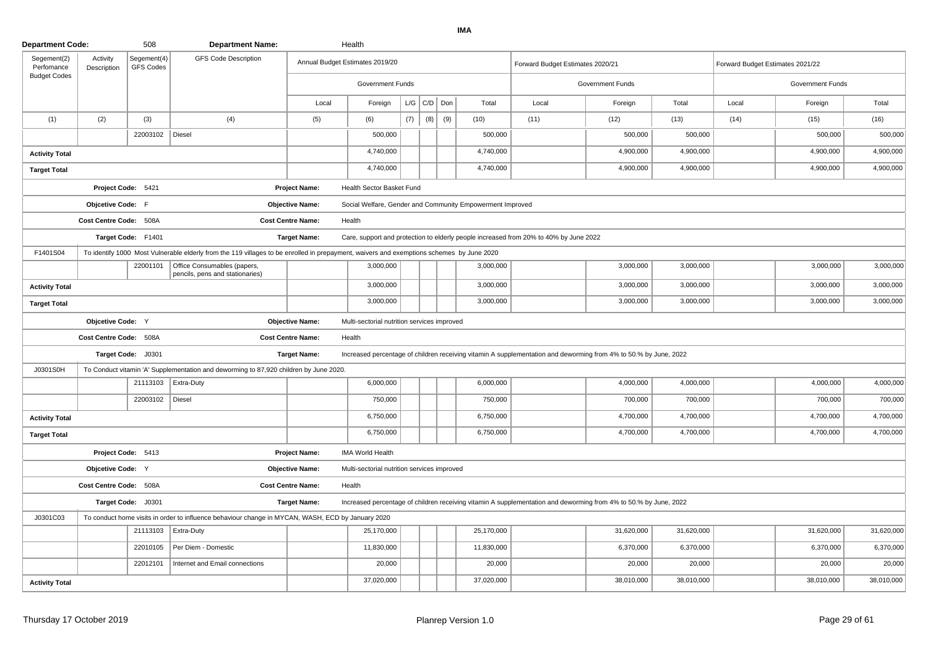| <b>Department Code:</b>   |                         | 508                             | <b>Department Name:</b>                                                                                                                  |                          | Health                                                    |     |                   |     |            |                                                                                                                  |                  |            |                                  |                  |            |
|---------------------------|-------------------------|---------------------------------|------------------------------------------------------------------------------------------------------------------------------------------|--------------------------|-----------------------------------------------------------|-----|-------------------|-----|------------|------------------------------------------------------------------------------------------------------------------|------------------|------------|----------------------------------|------------------|------------|
| Segement(2)<br>Perfomance | Activity<br>Description | Segement(4)<br><b>GFS Codes</b> | <b>GFS Code Description</b>                                                                                                              |                          | Annual Budget Estimates 2019/20                           |     |                   |     |            | Forward Budget Estimates 2020/21                                                                                 |                  |            | Forward Budget Estimates 2021/22 |                  |            |
| <b>Budget Codes</b>       |                         |                                 |                                                                                                                                          |                          | Government Funds                                          |     |                   |     |            |                                                                                                                  | Government Funds |            |                                  | Government Funds |            |
|                           |                         |                                 |                                                                                                                                          | Local                    | Foreign                                                   |     | $L/G$ $C/D$ $Don$ |     | Total      | Local                                                                                                            | Foreign          | Total      | Local                            | Foreign          | Total      |
| (1)                       | (2)                     | (3)                             | (4)                                                                                                                                      | (5)                      | (6)                                                       | (7) | (8)               | (9) | (10)       | (11)                                                                                                             | (12)             | (13)       | (14)                             | (15)             | (16)       |
|                           |                         | 22003102   Diesel               |                                                                                                                                          |                          | 500,000                                                   |     |                   |     | 500,000    |                                                                                                                  | 500,000          | 500,000    |                                  | 500,000          | 500,000    |
| <b>Activity Total</b>     |                         |                                 |                                                                                                                                          |                          | 4,740,000                                                 |     |                   |     | 4,740,000  |                                                                                                                  | 4,900,000        | 4,900,000  |                                  | 4,900,000        | 4,900,000  |
| <b>Target Total</b>       |                         |                                 |                                                                                                                                          |                          | 4,740,000                                                 |     |                   |     | 4,740,000  |                                                                                                                  | 4,900,000        | 4,900,000  |                                  | 4,900,000        | 4,900,000  |
|                           | Project Code: 5421      |                                 |                                                                                                                                          | <b>Project Name:</b>     | Health Sector Basket Fund                                 |     |                   |     |            |                                                                                                                  |                  |            |                                  |                  |            |
|                           | Objcetive Code: F       |                                 |                                                                                                                                          | <b>Objective Name:</b>   | Social Welfare, Gender and Community Empowerment Improved |     |                   |     |            |                                                                                                                  |                  |            |                                  |                  |            |
|                           | Cost Centre Code: 508A  |                                 |                                                                                                                                          | <b>Cost Centre Name:</b> | Health                                                    |     |                   |     |            |                                                                                                                  |                  |            |                                  |                  |            |
|                           |                         | Target Code: F1401              |                                                                                                                                          | <b>Target Name:</b>      |                                                           |     |                   |     |            | Care, support and protection to elderly people increased from 20% to 40% by June 2022                            |                  |            |                                  |                  |            |
| F1401S04                  |                         |                                 | To identify 1000 Most Vulnerable elderly from the 119 villages to be enrolled in prepayment, waivers and exemptions schemes by June 2020 |                          |                                                           |     |                   |     |            |                                                                                                                  |                  |            |                                  |                  |            |
|                           |                         | 22001101                        | Office Consumables (papers,<br>pencils, pens and stationaries)                                                                           |                          | 3,000,000                                                 |     |                   |     | 3,000,000  |                                                                                                                  | 3,000,000        | 3,000,000  |                                  | 3,000,000        | 3,000,000  |
| <b>Activity Total</b>     |                         |                                 |                                                                                                                                          |                          | 3,000,000                                                 |     |                   |     | 3,000,000  |                                                                                                                  | 3,000,000        | 3,000,000  |                                  | 3,000,000        | 3,000,000  |
| <b>Target Total</b>       |                         |                                 |                                                                                                                                          |                          | 3,000,000                                                 |     |                   |     | 3,000,000  |                                                                                                                  | 3,000,000        | 3,000,000  |                                  | 3,000,000        | 3,000,000  |
|                           | Objcetive Code: Y       |                                 |                                                                                                                                          | <b>Objective Name:</b>   | Multi-sectorial nutrition services improved               |     |                   |     |            |                                                                                                                  |                  |            |                                  |                  |            |
|                           | Cost Centre Code: 508A  |                                 |                                                                                                                                          | <b>Cost Centre Name:</b> | Health                                                    |     |                   |     |            |                                                                                                                  |                  |            |                                  |                  |            |
|                           |                         | Target Code: J0301              |                                                                                                                                          | <b>Target Name:</b>      |                                                           |     |                   |     |            | Increased percentage of children receiving vitamin A supplementation and deworming from 4% to 50.% by June, 2022 |                  |            |                                  |                  |            |
| J0301S0H                  |                         |                                 | To Conduct vitamin 'A' Supplementation and deworming to 87,920 children by June 2020.                                                    |                          |                                                           |     |                   |     |            |                                                                                                                  |                  |            |                                  |                  |            |
|                           |                         | 21113103                        | Extra-Duty                                                                                                                               |                          | 6,000,000                                                 |     |                   |     | 6,000,000  |                                                                                                                  | 4,000,000        | 4,000,000  |                                  | 4,000,000        | 4,000,000  |
|                           |                         | 22003102                        | Diesel                                                                                                                                   |                          | 750,000                                                   |     |                   |     | 750,000    |                                                                                                                  | 700,000          | 700,000    |                                  | 700,000          | 700,000    |
| <b>Activity Total</b>     |                         |                                 |                                                                                                                                          |                          | 6,750,000                                                 |     |                   |     | 6,750,000  |                                                                                                                  | 4,700,000        | 4,700,000  |                                  | 4,700,000        | 4,700,000  |
| <b>Target Total</b>       |                         |                                 |                                                                                                                                          |                          | 6,750,000                                                 |     |                   |     | 6,750,000  |                                                                                                                  | 4,700,000        | 4,700,000  |                                  | 4,700,000        | 4,700,000  |
|                           |                         | Project Code: 5413              |                                                                                                                                          | <b>Project Name:</b>     | <b>IMA World Health</b>                                   |     |                   |     |            |                                                                                                                  |                  |            |                                  |                  |            |
|                           | Objcetive Code: Y       |                                 |                                                                                                                                          | <b>Objective Name:</b>   | Multi-sectorial nutrition services improved               |     |                   |     |            |                                                                                                                  |                  |            |                                  |                  |            |
|                           | Cost Centre Code: 508A  |                                 |                                                                                                                                          | <b>Cost Centre Name:</b> | Health                                                    |     |                   |     |            |                                                                                                                  |                  |            |                                  |                  |            |
|                           |                         | Target Code: J0301              |                                                                                                                                          | <b>Target Name:</b>      |                                                           |     |                   |     |            | Increased percentage of children receiving vitamin A supplementation and deworming from 4% to 50.% by June, 2022 |                  |            |                                  |                  |            |
| J0301C03                  |                         |                                 | To conduct home visits in order to influence behaviour change in MYCAN, WASH, ECD by January 2020                                        |                          |                                                           |     |                   |     |            |                                                                                                                  |                  |            |                                  |                  |            |
|                           |                         | 21113103                        | Extra-Duty                                                                                                                               |                          | 25,170,000                                                |     |                   |     | 25,170,000 |                                                                                                                  | 31,620,000       | 31,620,000 |                                  | 31,620,000       | 31,620,000 |
|                           |                         | 22010105                        | Per Diem - Domestic                                                                                                                      |                          | 11,830,000                                                |     |                   |     | 11,830,000 |                                                                                                                  | 6,370,000        | 6,370,000  |                                  | 6,370,000        | 6,370,000  |
|                           |                         | 22012101                        | Internet and Email connections                                                                                                           |                          | 20,000                                                    |     |                   |     | 20,000     |                                                                                                                  | 20,000           | 20,000     |                                  | 20,000           | 20,000     |
| <b>Activity Total</b>     |                         |                                 |                                                                                                                                          |                          | 37,020,000                                                |     |                   |     | 37,020,000 |                                                                                                                  | 38,010,000       | 38,010,000 |                                  | 38,010,000       | 38,010,000 |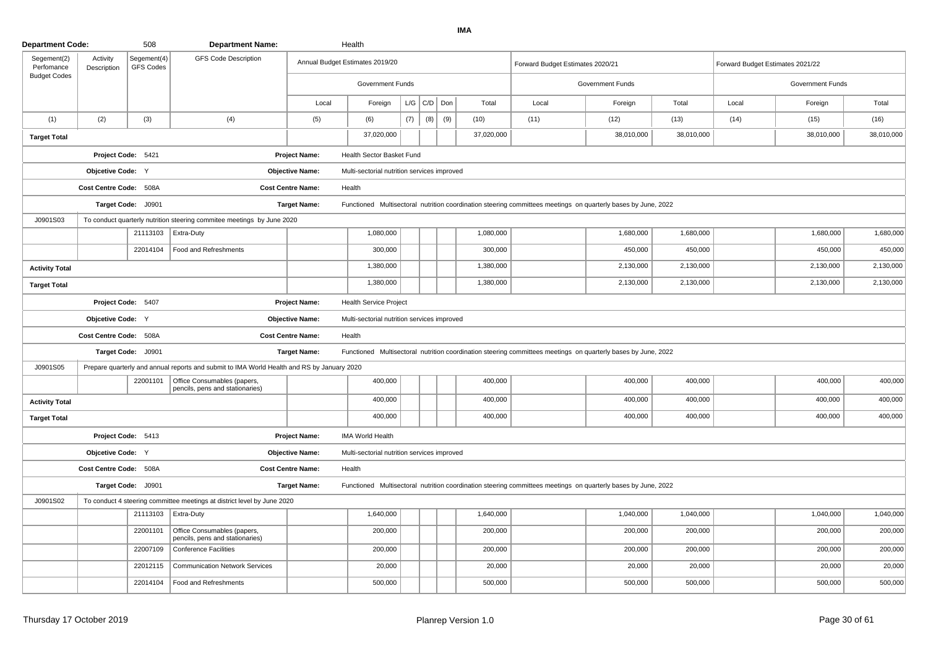| <b>Department Code:</b>   |                         | 508                             | <b>Department Name:</b>                                                                    |                          | Health                                      |     |                 |     |            |                                                                                                               |                  |            |                                  |                  |            |
|---------------------------|-------------------------|---------------------------------|--------------------------------------------------------------------------------------------|--------------------------|---------------------------------------------|-----|-----------------|-----|------------|---------------------------------------------------------------------------------------------------------------|------------------|------------|----------------------------------|------------------|------------|
| Segement(2)<br>Perfomance | Activity<br>Description | Segement(4)<br><b>GFS Codes</b> | <b>GFS Code Description</b>                                                                |                          | Annual Budget Estimates 2019/20             |     |                 |     |            | Forward Budget Estimates 2020/21                                                                              |                  |            | Forward Budget Estimates 2021/22 |                  |            |
| <b>Budget Codes</b>       |                         |                                 |                                                                                            |                          | Government Funds                            |     |                 |     |            |                                                                                                               | Government Funds |            |                                  | Government Funds |            |
|                           |                         |                                 |                                                                                            | Local                    | Foreign                                     |     | $L/G$ $C/D$ Don |     | Total      | Local                                                                                                         | Foreign          | Total      | Local                            | Foreign          | Total      |
| (1)                       | (2)                     | (3)                             | (4)                                                                                        | (5)                      | (6)                                         | (7) | (8)             | (9) | (10)       | (11)                                                                                                          | (12)             | (13)       | (14)                             | (15)             | (16)       |
| <b>Target Total</b>       |                         |                                 |                                                                                            |                          | 37,020,000                                  |     |                 |     | 37,020,000 |                                                                                                               | 38,010,000       | 38,010,000 |                                  | 38,010,000       | 38,010,000 |
|                           | Project Code: 5421      |                                 |                                                                                            | <b>Project Name:</b>     | Health Sector Basket Fund                   |     |                 |     |            |                                                                                                               |                  |            |                                  |                  |            |
|                           | Objcetive Code: Y       |                                 |                                                                                            | <b>Objective Name:</b>   | Multi-sectorial nutrition services improved |     |                 |     |            |                                                                                                               |                  |            |                                  |                  |            |
|                           | Cost Centre Code: 508A  |                                 |                                                                                            | <b>Cost Centre Name:</b> | Health                                      |     |                 |     |            |                                                                                                               |                  |            |                                  |                  |            |
|                           |                         | Target Code: J0901              |                                                                                            | <b>Target Name:</b>      |                                             |     |                 |     |            | Functioned Multisectoral nutrition coordination steering committees meetings on quarterly bases by June, 2022 |                  |            |                                  |                  |            |
| J0901S03                  |                         |                                 | To conduct quarterly nutrition steering commitee meetings by June 2020                     |                          |                                             |     |                 |     |            |                                                                                                               |                  |            |                                  |                  |            |
|                           |                         |                                 | 21113103   Extra-Duty                                                                      |                          | 1,080,000                                   |     |                 |     | 1,080,000  |                                                                                                               | 1,680,000        | 1,680,000  |                                  | 1,680,000        | 1,680,000  |
|                           |                         | 22014104                        | Food and Refreshments                                                                      |                          | 300,000                                     |     |                 |     | 300,000    |                                                                                                               | 450,000          | 450,000    |                                  | 450,000          | 450,000    |
| <b>Activity Total</b>     |                         |                                 |                                                                                            |                          | 1,380,000                                   |     |                 |     | 1,380,000  |                                                                                                               | 2,130,000        | 2,130,000  |                                  | 2,130,000        | 2,130,000  |
| <b>Target Total</b>       |                         |                                 |                                                                                            |                          | 1,380,000                                   |     |                 |     | 1,380,000  |                                                                                                               | 2,130,000        | 2,130,000  |                                  | 2,130,000        | 2,130,000  |
|                           | Project Code: 5407      |                                 |                                                                                            | <b>Project Name:</b>     | <b>Health Service Project</b>               |     |                 |     |            |                                                                                                               |                  |            |                                  |                  |            |
|                           | Objcetive Code: Y       |                                 |                                                                                            | <b>Objective Name:</b>   | Multi-sectorial nutrition services improved |     |                 |     |            |                                                                                                               |                  |            |                                  |                  |            |
|                           | Cost Centre Code: 508A  |                                 |                                                                                            | <b>Cost Centre Name:</b> | Health                                      |     |                 |     |            |                                                                                                               |                  |            |                                  |                  |            |
|                           |                         | Target Code: J0901              |                                                                                            | <b>Target Name:</b>      |                                             |     |                 |     |            | Functioned Multisectoral nutrition coordination steering committees meetings on quarterly bases by June, 2022 |                  |            |                                  |                  |            |
| J0901S05                  |                         |                                 | Prepare quarterly and annual reports and submit to IMA World Health and RS by January 2020 |                          |                                             |     |                 |     |            |                                                                                                               |                  |            |                                  |                  |            |
|                           |                         | 22001101                        | Office Consumables (papers,<br>pencils, pens and stationaries)                             |                          | 400,000                                     |     |                 |     | 400,000    |                                                                                                               | 400,000          | 400,000    |                                  | 400,000          | 400,000    |
| <b>Activity Total</b>     |                         |                                 |                                                                                            |                          | 400,000                                     |     |                 |     | 400,000    |                                                                                                               | 400,000          | 400,000    |                                  | 400,000          | 400,000    |
| <b>Target Total</b>       |                         |                                 |                                                                                            |                          | 400,000                                     |     |                 |     | 400,000    |                                                                                                               | 400,000          | 400,000    |                                  | 400,000          | 400,000    |
|                           |                         | Project Code: 5413              |                                                                                            | <b>Project Name:</b>     | <b>IMA World Health</b>                     |     |                 |     |            |                                                                                                               |                  |            |                                  |                  |            |
|                           | Objcetive Code: Y       |                                 |                                                                                            | <b>Objective Name:</b>   | Multi-sectorial nutrition services improved |     |                 |     |            |                                                                                                               |                  |            |                                  |                  |            |
|                           | Cost Centre Code: 508A  |                                 |                                                                                            | <b>Cost Centre Name:</b> | Health                                      |     |                 |     |            |                                                                                                               |                  |            |                                  |                  |            |
|                           |                         | Target Code: J0901              |                                                                                            | <b>Target Name:</b>      |                                             |     |                 |     |            | Functioned Multisectoral nutrition coordination steering committees meetings on quarterly bases by June, 2022 |                  |            |                                  |                  |            |
| J0901S02                  |                         |                                 | To conduct 4 steering committee meetings at district level by June 2020                    |                          |                                             |     |                 |     |            |                                                                                                               |                  |            |                                  |                  |            |
|                           |                         | 21113103                        | Extra-Duty                                                                                 |                          | 1,640,000                                   |     |                 |     | 1,640,000  |                                                                                                               | 1,040,000        | 1,040,000  |                                  | 1,040,000        | 1,040,000  |
|                           |                         | 22001101                        | Office Consumables (papers,<br>pencils, pens and stationaries)                             |                          | 200,000                                     |     |                 |     | 200,000    |                                                                                                               | 200,000          | 200,000    |                                  | 200,000          | 200,000    |
|                           |                         | 22007109                        | <b>Conference Facilities</b>                                                               |                          | 200,000                                     |     |                 |     | 200,000    |                                                                                                               | 200,000          | 200,000    |                                  | 200,000          | 200,000    |
|                           |                         | 22012115                        | <b>Communication Network Services</b>                                                      |                          | 20,000                                      |     |                 |     | 20,000     |                                                                                                               | 20,000           | 20,000     |                                  | 20,000           | 20,000     |
|                           |                         | 22014104                        | Food and Refreshments                                                                      |                          | 500,000                                     |     |                 |     | 500,000    |                                                                                                               | 500,000          | 500,000    |                                  | 500,000          | 500,000    |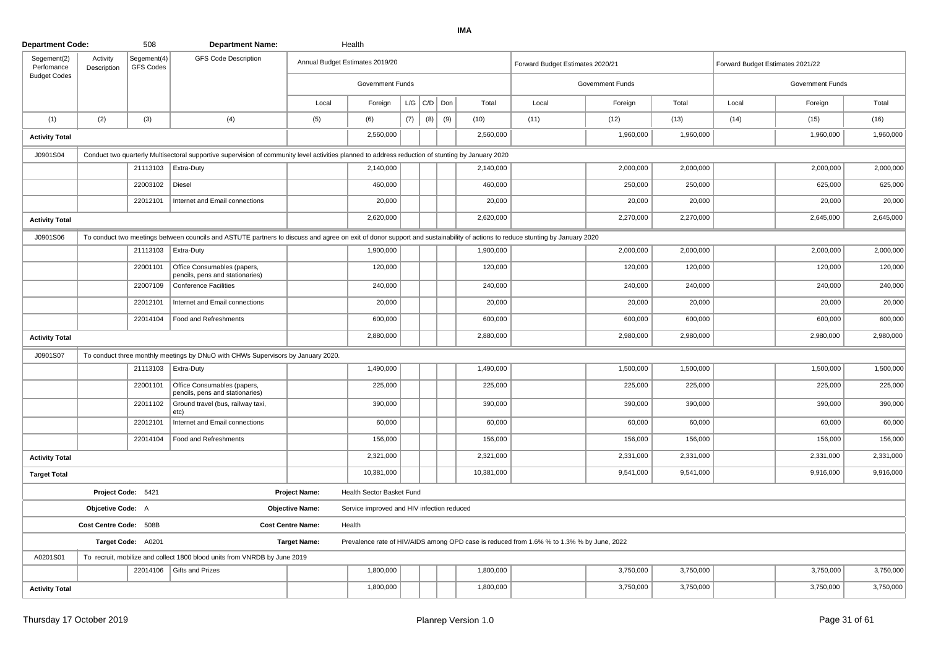| Segement(2)<br>Perfomance | Activity<br>Description                   | Segement(4)<br><b>GFS Codes</b> | <b>GFS Code Description</b>                                                                                                                                                 |                          | Annual Budget Estimates 2019/20            |     |                    |     |                                                                                           | Forward Budget Estimates 2020/21 |                         |           | Forward Budget Estimates 2021/22 |                  |           |
|---------------------------|-------------------------------------------|---------------------------------|-----------------------------------------------------------------------------------------------------------------------------------------------------------------------------|--------------------------|--------------------------------------------|-----|--------------------|-----|-------------------------------------------------------------------------------------------|----------------------------------|-------------------------|-----------|----------------------------------|------------------|-----------|
| <b>Budget Codes</b>       |                                           |                                 |                                                                                                                                                                             |                          | <b>Government Funds</b>                    |     |                    |     |                                                                                           |                                  | <b>Government Funds</b> |           |                                  | Government Funds |           |
|                           |                                           |                                 |                                                                                                                                                                             | Local                    | Foreign                                    |     | $L/G$ $C/D$ $D$ on |     | Total                                                                                     | Local                            | Foreign                 | Total     | Local                            | Foreign          | Total     |
| (1)                       | (2)                                       | (3)                             | (4)                                                                                                                                                                         | (5)                      | (6)                                        | (7) | (8)                | (9) | (10)                                                                                      | (11)                             | (12)                    | (13)      | (14)                             | (15)             | (16)      |
| <b>Activity Total</b>     |                                           |                                 |                                                                                                                                                                             |                          | 2,560,000                                  |     |                    |     | 2,560,000                                                                                 |                                  | 1,960,000               | 1,960,000 |                                  | 1,960,000        | 1,960,000 |
| J0901S04                  |                                           |                                 | Conduct two quarterly Multisectoral supportive supervision of community level activities planned to address reduction of stunting by January 2020                           |                          |                                            |     |                    |     |                                                                                           |                                  |                         |           |                                  |                  |           |
|                           |                                           |                                 | 21113103   Extra-Duty                                                                                                                                                       |                          | 2,140,000                                  |     |                    |     | 2,140,000                                                                                 |                                  | 2,000,000               | 2,000,000 |                                  | 2,000,000        | 2,000,000 |
|                           |                                           | 22003102                        | Diesel                                                                                                                                                                      |                          | 460,000                                    |     |                    |     | 460,000                                                                                   |                                  | 250,000                 | 250,000   |                                  | 625,000          | 625,000   |
|                           |                                           | 22012101                        | Internet and Email connections                                                                                                                                              |                          | 20,000                                     |     |                    |     | 20,000                                                                                    |                                  | 20,000                  | 20,000    |                                  | 20,000           | 20,000    |
| <b>Activity Total</b>     |                                           |                                 |                                                                                                                                                                             |                          | 2,620,000                                  |     |                    |     | 2,620,000                                                                                 |                                  | 2,270,000               | 2,270,000 |                                  | 2,645,000        | 2,645,000 |
| J0901S06                  |                                           |                                 | To conduct two meetings between councils and ASTUTE partners to discuss and agree on exit of donor support and sustainability of actions to reduce stunting by January 2020 |                          |                                            |     |                    |     |                                                                                           |                                  |                         |           |                                  |                  |           |
|                           |                                           | 21113103                        | Extra-Duty                                                                                                                                                                  |                          | 1,900,000                                  |     |                    |     | 1,900,000                                                                                 |                                  | 2,000,000               | 2,000,000 |                                  | 2,000,000        | 2,000,000 |
|                           |                                           | 22001101                        | Office Consumables (papers,<br>pencils, pens and stationaries)                                                                                                              |                          | 120,000                                    |     |                    |     | 120,000                                                                                   |                                  | 120,000                 | 120,000   |                                  | 120,000          | 120,000   |
|                           |                                           | 22007109                        | <b>Conference Facilities</b>                                                                                                                                                |                          | 240,000                                    |     |                    |     | 240,000                                                                                   |                                  | 240,000                 | 240,000   |                                  | 240,000          | 240,000   |
|                           |                                           | 22012101                        | Internet and Email connections                                                                                                                                              |                          | 20,000                                     |     |                    |     | 20,000                                                                                    |                                  | 20,000                  | 20,000    |                                  | 20,000           | 20,000    |
|                           |                                           | 22014104                        | Food and Refreshments                                                                                                                                                       |                          | 600,000                                    |     |                    |     | 600,000                                                                                   |                                  | 600,000                 | 600,000   |                                  | 600,000          | 600,000   |
| <b>Activity Total</b>     |                                           |                                 |                                                                                                                                                                             |                          | 2,880,000                                  |     |                    |     | 2,880,000                                                                                 |                                  | 2,980,000               | 2,980,000 |                                  | 2,980,000        | 2,980,000 |
| J0901S07                  |                                           |                                 | To conduct three monthly meetings by DNuO with CHWs Supervisors by January 2020.                                                                                            |                          |                                            |     |                    |     |                                                                                           |                                  |                         |           |                                  |                  |           |
|                           |                                           | 21113103                        | Extra-Duty                                                                                                                                                                  |                          | 1,490,000                                  |     |                    |     | 1.490.000                                                                                 |                                  | 1,500,000               | 1,500,000 |                                  | 1,500,000        | 1,500,000 |
|                           |                                           | 22001101                        | Office Consumables (papers,<br>pencils, pens and stationaries)                                                                                                              |                          | 225,000                                    |     |                    |     | 225,000                                                                                   |                                  | 225,000                 | 225,000   |                                  | 225,000          | 225,000   |
|                           |                                           | 22011102                        | Ground travel (bus, railway taxi,<br>etc)                                                                                                                                   |                          | 390,000                                    |     |                    |     | 390,000                                                                                   |                                  | 390,000                 | 390,000   |                                  | 390,000          | 390,000   |
|                           |                                           | 22012101                        | Internet and Email connections                                                                                                                                              |                          | 60,000                                     |     |                    |     | 60,000                                                                                    |                                  | 60,000                  | 60,000    |                                  | 60,000           | 60,000    |
|                           |                                           | 22014104                        | Food and Refreshments                                                                                                                                                       |                          | 156,000                                    |     |                    |     | 156,000                                                                                   |                                  | 156,000                 | 156,000   |                                  | 156,000          | 156,000   |
| <b>Activity Total</b>     |                                           |                                 |                                                                                                                                                                             |                          | 2,321,000                                  |     |                    |     | 2,321,000                                                                                 |                                  | 2,331,000               | 2,331,000 |                                  | 2,331,000        | 2,331,000 |
| <b>Target Total</b>       |                                           |                                 |                                                                                                                                                                             |                          | 10,381,000                                 |     |                    |     | 10,381,000                                                                                |                                  | 9,541,000               | 9,541,000 |                                  | 9,916,000        | 9,916,000 |
|                           |                                           | Project Code: 5421              |                                                                                                                                                                             | <b>Project Name:</b>     | Health Sector Basket Fund                  |     |                    |     |                                                                                           |                                  |                         |           |                                  |                  |           |
|                           | Objcetive Code: A                         |                                 |                                                                                                                                                                             | <b>Objective Name:</b>   | Service improved and HIV infection reduced |     |                    |     |                                                                                           |                                  |                         |           |                                  |                  |           |
|                           | Cost Centre Code: 508B                    |                                 |                                                                                                                                                                             | <b>Cost Centre Name:</b> | Health                                     |     |                    |     |                                                                                           |                                  |                         |           |                                  |                  |           |
|                           |                                           | Target Code: A0201              |                                                                                                                                                                             | <b>Target Name:</b>      |                                            |     |                    |     | Prevalence rate of HIV/AIDS among OPD case is reduced from 1.6% % to 1.3% % by June, 2022 |                                  |                         |           |                                  |                  |           |
| A0201S01                  |                                           |                                 | To recruit, mobilize and collect 1800 blood units from VNRDB by June 2019                                                                                                   |                          |                                            |     |                    |     |                                                                                           |                                  |                         |           |                                  |                  |           |
|                           | 22014106<br>Gifts and Prizes<br>1,800,000 |                                 |                                                                                                                                                                             |                          |                                            |     |                    |     |                                                                                           |                                  | 3,750,000               | 3,750,000 |                                  | 3,750,000        | 3,750,000 |
| <b>Activity Total</b>     |                                           |                                 |                                                                                                                                                                             |                          | 1,800,000                                  |     |                    |     | 1,800,000                                                                                 |                                  | 3,750,000               | 3,750,000 |                                  | 3,750,000        | 3,750,000 |

**Department Code:**

<sup>508</sup>

**Department Name:** Health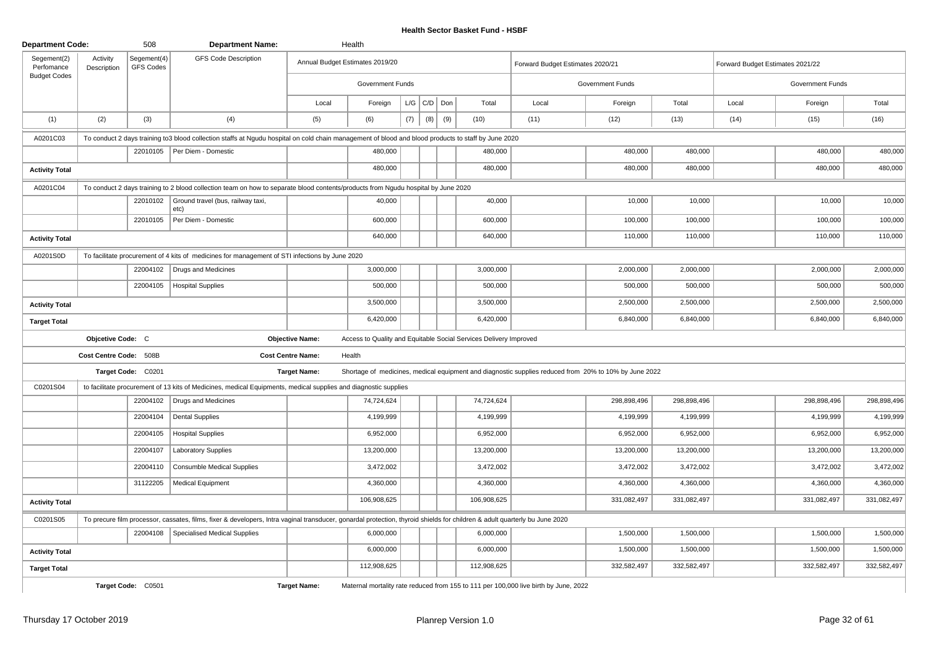| <b>Department Code:</b>   |                         | 508                      | <b>Department Name:</b>                                                                                                                                                    |                          | Health                                                            |     |                   |     |             |                                                                                                       |                         |             |                                  |                         |             |
|---------------------------|-------------------------|--------------------------|----------------------------------------------------------------------------------------------------------------------------------------------------------------------------|--------------------------|-------------------------------------------------------------------|-----|-------------------|-----|-------------|-------------------------------------------------------------------------------------------------------|-------------------------|-------------|----------------------------------|-------------------------|-------------|
| Segement(2)<br>Perfomance | Activity<br>Description | Segement(4)<br>GFS Codes | <b>GFS Code Description</b>                                                                                                                                                |                          | Annual Budget Estimates 2019/20                                   |     |                   |     |             | Forward Budget Estimates 2020/21                                                                      |                         |             | Forward Budget Estimates 2021/22 |                         |             |
| <b>Budget Codes</b>       |                         |                          |                                                                                                                                                                            |                          | <b>Government Funds</b>                                           |     |                   |     |             |                                                                                                       | <b>Government Funds</b> |             |                                  | <b>Government Funds</b> |             |
|                           |                         |                          |                                                                                                                                                                            | Local                    | Foreign                                                           |     | $L/G$ $C/D$ $Don$ |     | Total       | Local                                                                                                 | Foreign                 | Total       | Local                            | Foreign                 | Total       |
| (1)                       | (2)                     | (3)                      | (4)                                                                                                                                                                        | (5)                      | (6)                                                               | (7) | (8)               | (9) | (10)        | (11)                                                                                                  | (12)                    | (13)        | (14)                             | (15)                    | (16)        |
| A0201C03                  |                         |                          | To conduct 2 days training to 3 blood collection staffs at Ngudu hospital on cold chain management of blood and blood products to staff by June 2020                       |                          |                                                                   |     |                   |     |             |                                                                                                       |                         |             |                                  |                         |             |
|                           |                         |                          | 22010105   Per Diem - Domestic                                                                                                                                             |                          | 480,000                                                           |     |                   |     | 480,000     |                                                                                                       | 480,000                 | 480,000     |                                  | 480,000                 | 480,000     |
| <b>Activity Total</b>     |                         |                          |                                                                                                                                                                            |                          | 480,000                                                           |     |                   |     | 480,000     |                                                                                                       | 480,000                 | 480,000     |                                  | 480,000                 | 480,000     |
| A0201C04                  |                         |                          | To conduct 2 days training to 2 blood collection team on how to separate blood contents/products from Ngudu hospital by June 2020                                          |                          |                                                                   |     |                   |     |             |                                                                                                       |                         |             |                                  |                         |             |
|                           |                         | 22010102                 | Ground travel (bus, railway taxi,<br>$ $ etc)                                                                                                                              |                          | 40,000                                                            |     |                   |     | 40,000      |                                                                                                       | 10,000                  | 10,000      |                                  | 10,000                  | 10,000      |
|                           |                         | 22010105                 | Per Diem - Domestic                                                                                                                                                        |                          | 600,000                                                           |     |                   |     | 600,000     |                                                                                                       | 100,000                 | 100,000     |                                  | 100,000                 | 100,000     |
| <b>Activity Total</b>     |                         |                          |                                                                                                                                                                            |                          | 640,000                                                           |     |                   |     | 640,000     |                                                                                                       | 110,000                 | 110,000     |                                  | 110,000                 | 110,000     |
| A0201S0D                  |                         |                          | To facilitate procurement of 4 kits of medicines for management of STI infections by June 2020                                                                             |                          |                                                                   |     |                   |     |             |                                                                                                       |                         |             |                                  |                         |             |
|                           |                         | 22004102                 | Drugs and Medicines                                                                                                                                                        |                          | 3,000,000                                                         |     |                   |     | 3,000,000   |                                                                                                       | 2,000,000               | 2,000,000   |                                  | 2,000,000               | 2,000,000   |
|                           |                         | 22004105                 | Hospital Supplies                                                                                                                                                          |                          | 500,000                                                           |     |                   |     | 500,000     |                                                                                                       | 500,000                 | 500,000     |                                  | 500,000                 | 500,000     |
| <b>Activity Total</b>     |                         |                          |                                                                                                                                                                            |                          | 3,500,000                                                         |     |                   |     | 3,500,000   |                                                                                                       | 2,500,000               | 2,500,000   |                                  | 2,500,000               | 2,500,000   |
| <b>Target Total</b>       |                         |                          |                                                                                                                                                                            |                          | 6,420,000                                                         |     |                   |     | 6,420,000   |                                                                                                       | 6,840,000               | 6,840,000   |                                  | 6,840,000               | 6,840,000   |
|                           | Objcetive Code: C       |                          |                                                                                                                                                                            | <b>Objective Name:</b>   | Access to Quality and Equitable Social Services Delivery Improved |     |                   |     |             |                                                                                                       |                         |             |                                  |                         |             |
|                           | Cost Centre Code: 508B  |                          |                                                                                                                                                                            | <b>Cost Centre Name:</b> | Health                                                            |     |                   |     |             |                                                                                                       |                         |             |                                  |                         |             |
|                           |                         | Target Code: C0201       |                                                                                                                                                                            | <b>Target Name:</b>      |                                                                   |     |                   |     |             | Shortage of medicines, medical equipment and diagnostic supplies reduced from 20% to 10% by June 2022 |                         |             |                                  |                         |             |
| C0201S04                  |                         |                          | to facilitate procurement of 13 kits of Medicines, medical Equipments, medical supplies and diagnostic supplies                                                            |                          |                                                                   |     |                   |     |             |                                                                                                       |                         |             |                                  |                         |             |
|                           |                         | 22004102                 | Drugs and Medicines                                                                                                                                                        |                          | 74,724,624                                                        |     |                   |     | 74,724,624  |                                                                                                       | 298,898,496             | 298,898,496 |                                  | 298,898,496             | 298,898,496 |
|                           |                         | 22004104                 | <b>Dental Supplies</b>                                                                                                                                                     |                          | 4,199,999                                                         |     |                   |     | 4,199,999   |                                                                                                       | 4,199,999               | 4,199,999   |                                  | 4,199,999               | 4,199,999   |
|                           |                         | 22004105                 | <b>Hospital Supplies</b>                                                                                                                                                   |                          | 6,952,000                                                         |     |                   |     | 6,952,000   |                                                                                                       | 6,952,000               | 6,952,000   |                                  | 6,952,000               | 6,952,000   |
|                           |                         | 22004107                 | <b>Laboratory Supplies</b>                                                                                                                                                 |                          | 13,200,000                                                        |     |                   |     | 13,200,000  |                                                                                                       | 13,200,000              | 13,200,000  |                                  | 13,200,000              | 13,200,000  |
|                           |                         | 22004110                 | <b>Consumble Medical Supplies</b>                                                                                                                                          |                          | 3,472,002                                                         |     |                   |     | 3,472,002   |                                                                                                       | 3,472,002               | 3,472,002   |                                  | 3,472,002               | 3,472,002   |
|                           |                         | 31122205                 | Medical Equipment                                                                                                                                                          |                          | 4,360,000                                                         |     |                   |     | 4,360,000   |                                                                                                       | 4,360,000               | 4,360,000   |                                  | 4,360,000               | 4,360,000   |
| <b>Activity Total</b>     |                         |                          |                                                                                                                                                                            |                          | 106,908,625                                                       |     |                   |     | 106,908,625 |                                                                                                       | 331,082,497             | 331,082,497 |                                  | 331,082,497             | 331,082,497 |
| C0201S05                  |                         |                          | To precure film processor, cassates, films, fixer & developers, Intra vaginal transducer, gonardal protection, thyroid shields for children & adult quarterly bu June 2020 |                          |                                                                   |     |                   |     |             |                                                                                                       |                         |             |                                  |                         |             |
|                           |                         | 22004108                 | Specialised Medical Supplies                                                                                                                                               |                          | 6,000,000                                                         |     |                   |     | 6,000,000   |                                                                                                       | 1,500,000               | 1,500,000   |                                  | 1,500,000               | 1,500,000   |
| <b>Activity Total</b>     |                         |                          |                                                                                                                                                                            |                          | 6,000,000                                                         |     |                   |     | 6,000,000   |                                                                                                       | 1,500,000               | 1,500,000   |                                  | 1,500,000               | 1,500,000   |
| <b>Target Total</b>       |                         |                          |                                                                                                                                                                            |                          | 112,908,625                                                       |     |                   |     | 112,908,625 |                                                                                                       | 332,582,497             | 332,582,497 |                                  | 332,582,497             | 332,582,497 |
|                           |                         | Target Code: C0501       |                                                                                                                                                                            | <b>Target Name:</b>      |                                                                   |     |                   |     |             | Maternal mortality rate reduced from 155 to 111 per 100,000 live birth by June, 2022                  |                         |             |                                  |                         |             |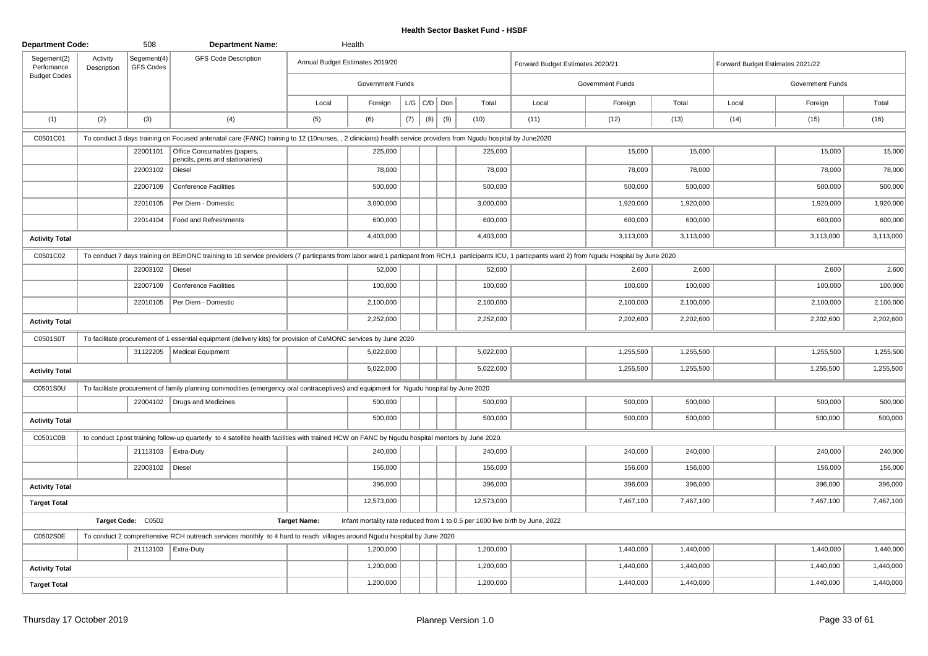| <b>Department Code:</b>   |                         | 508                      | <b>Department Name:</b>                                                                                                                                                                               |                     | Health                                                                        |     |                 |     |            |                                  |                         |           |                                  |                  |           |
|---------------------------|-------------------------|--------------------------|-------------------------------------------------------------------------------------------------------------------------------------------------------------------------------------------------------|---------------------|-------------------------------------------------------------------------------|-----|-----------------|-----|------------|----------------------------------|-------------------------|-----------|----------------------------------|------------------|-----------|
| Segement(2)<br>Perfomance | Activity<br>Description | Segement(4)<br>GFS Codes | <b>GFS Code Description</b>                                                                                                                                                                           |                     | Annual Budget Estimates 2019/20                                               |     |                 |     |            | Forward Budget Estimates 2020/21 |                         |           | Forward Budget Estimates 2021/22 |                  |           |
| <b>Budget Codes</b>       |                         |                          |                                                                                                                                                                                                       |                     | <b>Government Funds</b>                                                       |     |                 |     |            |                                  | <b>Government Funds</b> |           |                                  | Government Funds |           |
|                           |                         |                          |                                                                                                                                                                                                       | Local               | Foreign                                                                       |     | $L/G$ $C/D$ Don |     | Total      | Local                            | Foreign                 | Total     | Local                            | Foreign          | Total     |
| (1)                       | (2)                     | (3)                      | (4)                                                                                                                                                                                                   | (5)                 | (6)                                                                           | (7) | (8)             | (9) | (10)       | (11)                             | (12)                    | (13)      | (14)                             | (15)             | (16)      |
| C0501C01                  |                         |                          | To conduct 3 days training on Focused antenatal care (FANC) training to 12 (10nurses, , 2 clinicians) health service providers from Ngudu hospital by June2020                                        |                     |                                                                               |     |                 |     |            |                                  |                         |           |                                  |                  |           |
|                           |                         | 22001101                 | Office Consumables (papers,<br>pencils, pens and stationaries)                                                                                                                                        |                     | 225,000                                                                       |     |                 |     | 225,000    |                                  | 15,000                  | 15,000    |                                  | 15,000           | 15,000    |
|                           |                         | 22003102                 | Diesel                                                                                                                                                                                                |                     | 78,000                                                                        |     |                 |     | 78,000     |                                  | 78,000                  | 78,000    |                                  | 78,000           | 78,000    |
|                           |                         | 22007109                 | <b>Conference Facilities</b>                                                                                                                                                                          |                     | 500,000                                                                       |     |                 |     | 500,000    |                                  | 500,000                 | 500,000   |                                  | 500,000          | 500,000   |
|                           |                         | 22010105                 | Per Diem - Domestic                                                                                                                                                                                   |                     | 3,000,000                                                                     |     |                 |     | 3,000,000  |                                  | 1,920,000               | 1,920,000 |                                  | 1,920,000        | 1,920,000 |
|                           |                         | 22014104                 | Food and Refreshments                                                                                                                                                                                 |                     | 600,000                                                                       |     |                 |     | 600,000    |                                  | 600,000                 | 600,000   |                                  | 600,000          | 600,000   |
| <b>Activity Total</b>     |                         |                          |                                                                                                                                                                                                       |                     | 4,403,000                                                                     |     |                 |     | 4,403,000  |                                  | 3,113,000               | 3,113,000 |                                  | 3,113,000        | 3,113,000 |
| C0501C02                  |                         |                          | To conduct 7 days training on BEmONC training to 10 service providers (7 particpants from labor ward,1 particpant from RCH,1 participants ICU, 1 particpants ward 2) from Ngudu Hospital by June 2020 |                     |                                                                               |     |                 |     |            |                                  |                         |           |                                  |                  |           |
|                           |                         | 22003102   Diesel        |                                                                                                                                                                                                       |                     | 52,000                                                                        |     |                 |     | 52,000     |                                  | 2,600                   | 2,600     |                                  | 2,600            | 2,600     |
|                           |                         | 22007109                 | <b>Conference Facilities</b>                                                                                                                                                                          |                     | 100,000                                                                       |     |                 |     | 100,000    |                                  | 100,000                 | 100,000   |                                  | 100,000          | 100,000   |
|                           |                         | 22010105                 | Per Diem - Domestic                                                                                                                                                                                   |                     | 2,100,000                                                                     |     |                 |     | 2,100,000  |                                  | 2,100,000               | 2,100,000 |                                  | 2,100,000        | 2,100,000 |
| <b>Activity Total</b>     |                         |                          |                                                                                                                                                                                                       |                     | 2,252,000                                                                     |     |                 |     | 2,252,000  |                                  | 2,202,600               | 2,202,600 |                                  | 2,202,600        | 2,202,600 |
| C0501S0T                  |                         |                          | To facilitate procurement of 1 essential equipment (delivery kits) for provision of CeMONC services by June 2020                                                                                      |                     |                                                                               |     |                 |     |            |                                  |                         |           |                                  |                  |           |
|                           |                         | 31122205                 | Medical Equipment                                                                                                                                                                                     |                     | 5,022,000                                                                     |     |                 |     | 5,022,000  |                                  | 1,255,500               | 1,255,500 |                                  | 1,255,500        | 1,255,500 |
| <b>Activity Total</b>     |                         |                          |                                                                                                                                                                                                       |                     | 5,022,000                                                                     |     |                 |     | 5,022,000  |                                  | 1,255,500               | 1,255,500 |                                  | 1,255,500        | 1,255,500 |
| C0501S0U                  |                         |                          | To facilitate procurement of family planning commodities (emergency oral contraceptives) and equipment for Ngudu hospital by June 2020                                                                |                     |                                                                               |     |                 |     |            |                                  |                         |           |                                  |                  |           |
|                           |                         |                          | 22004102   Drugs and Medicines                                                                                                                                                                        |                     | 500,000                                                                       |     |                 |     | 500,000    |                                  | 500,000                 | 500,000   |                                  | 500,000          | 500,000   |
| <b>Activity Total</b>     |                         |                          |                                                                                                                                                                                                       |                     | 500,000                                                                       |     |                 |     | 500,000    |                                  | 500,000                 | 500,000   |                                  | 500,000          | 500,000   |
| C0501C0B                  |                         |                          | to conduct 1post training follow-up quarterly to 4 satellite health facilities with trained HCW on FANC by Ngudu hospital mentors by June 2020.                                                       |                     |                                                                               |     |                 |     |            |                                  |                         |           |                                  |                  |           |
|                           |                         |                          | 21113103   Extra-Duty                                                                                                                                                                                 |                     | 240,000                                                                       |     |                 |     | 240,000    |                                  | 240,000                 | 240,000   |                                  | 240,000          | 240,000   |
|                           |                         | 22003102                 | Diesel                                                                                                                                                                                                |                     | 156,000                                                                       |     |                 |     | 156,000    |                                  | 156,000                 | 156,000   |                                  | 156,000          | 156,000   |
| <b>Activity Total</b>     |                         |                          |                                                                                                                                                                                                       |                     | 396,000                                                                       |     |                 |     | 396,000    |                                  | 396,000                 | 396,000   |                                  | 396,000          | 396,000   |
| <b>Target Total</b>       |                         |                          |                                                                                                                                                                                                       |                     | 12,573,000                                                                    |     |                 |     | 12,573,000 |                                  | 7,467,100               | 7,467,100 |                                  | 7,467,100        | 7,467,100 |
|                           |                         | Target Code: C0502       |                                                                                                                                                                                                       | <b>Target Name:</b> | Infant mortality rate reduced from 1 to 0.5 per 1000 live birth by June, 2022 |     |                 |     |            |                                  |                         |           |                                  |                  |           |
| C0502S0E                  |                         |                          | To conduct 2 comprehensive RCH outreach services monthly to 4 hard to reach villages around Ngudu hospital by June 2020                                                                               |                     |                                                                               |     |                 |     |            |                                  |                         |           |                                  |                  |           |
|                           |                         |                          | 21113103   Extra-Duty                                                                                                                                                                                 |                     | 1,200,000                                                                     |     |                 |     | 1,200,000  |                                  | 1,440,000               | 1,440,000 |                                  | 1,440,000        | 1,440,000 |
| <b>Activity Total</b>     |                         |                          |                                                                                                                                                                                                       |                     | 1,200,000                                                                     |     |                 |     | 1,200,000  |                                  | 1,440,000               | 1,440,000 |                                  | 1,440,000        | 1,440,000 |
| <b>Target Total</b>       |                         |                          |                                                                                                                                                                                                       |                     | 1,200,000                                                                     |     |                 |     | 1,200,000  |                                  | 1,440,000               | 1,440,000 |                                  | 1,440,000        | 1,440,000 |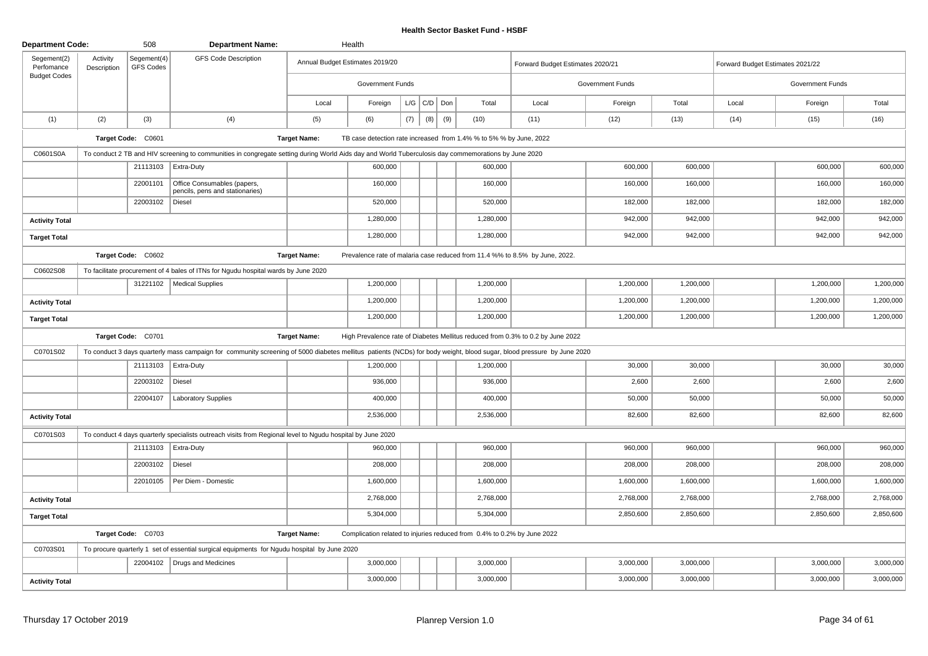| <b>Department Code:</b>   |                         | 508                      | <b>Department Name:</b>                                                                                                                                               |                     | Health                          |     |                   |     |                                                                         |                                                                                 |                         |           |                                  |                  |           |
|---------------------------|-------------------------|--------------------------|-----------------------------------------------------------------------------------------------------------------------------------------------------------------------|---------------------|---------------------------------|-----|-------------------|-----|-------------------------------------------------------------------------|---------------------------------------------------------------------------------|-------------------------|-----------|----------------------------------|------------------|-----------|
| Segement(2)<br>Perfomance | Activity<br>Description | Segement(4)<br>GFS Codes | <b>GFS Code Description</b>                                                                                                                                           |                     | Annual Budget Estimates 2019/20 |     |                   |     |                                                                         | Forward Budget Estimates 2020/21                                                |                         |           | Forward Budget Estimates 2021/22 |                  |           |
| <b>Budget Codes</b>       |                         |                          |                                                                                                                                                                       |                     | <b>Government Funds</b>         |     |                   |     |                                                                         |                                                                                 | <b>Government Funds</b> |           |                                  | Government Funds |           |
|                           |                         |                          |                                                                                                                                                                       | Local               | Foreign                         |     | $L/G$ $C/D$ $Don$ |     | Total                                                                   | Local                                                                           | Foreign                 | Total     | Local                            | Foreign          | Total     |
| (1)                       | (2)                     | (3)                      | (4)                                                                                                                                                                   | (5)                 | (6)                             | (7) | (8)               | (9) | (10)                                                                    | (11)                                                                            | (12)                    | (13)      | (14)                             | (15)             | (16)      |
|                           |                         | Target Code: C0601       |                                                                                                                                                                       | <b>Target Name:</b> |                                 |     |                   |     | TB case detection rate increased from 1.4% % to 5% % by June, 2022      |                                                                                 |                         |           |                                  |                  |           |
| C0601S0A                  |                         |                          | To conduct 2 TB and HIV screening to communities in congregate setting during World Aids day and World Tuberculosis day commemorations by June 2020                   |                     |                                 |     |                   |     |                                                                         |                                                                                 |                         |           |                                  |                  |           |
|                           |                         | 21113103                 | Extra-Duty                                                                                                                                                            |                     | 600,000                         |     |                   |     | 600,000                                                                 |                                                                                 | 600,000                 | 600,000   |                                  | 600,000          | 600,000   |
|                           |                         | 22001101                 | Office Consumables (papers,<br>pencils, pens and stationaries)                                                                                                        |                     | 160,000                         |     |                   |     | 160,000                                                                 |                                                                                 | 160,000                 | 160,000   |                                  | 160,000          | 160,000   |
|                           |                         | 22003102                 | Diesel                                                                                                                                                                |                     | 520,000                         |     |                   |     | 520,000                                                                 |                                                                                 | 182,000                 | 182,000   |                                  | 182,000          | 182,000   |
| <b>Activity Total</b>     |                         |                          |                                                                                                                                                                       |                     | 1,280,000                       |     |                   |     | 1,280,000                                                               |                                                                                 | 942,000                 | 942,000   |                                  | 942,000          | 942,000   |
| <b>Target Total</b>       |                         |                          |                                                                                                                                                                       |                     | 1,280,000                       |     |                   |     | 1,280,000                                                               |                                                                                 | 942,000                 | 942,000   |                                  | 942,000          | 942,000   |
|                           |                         | Target Code: C0602       |                                                                                                                                                                       | <b>Target Name:</b> |                                 |     |                   |     |                                                                         | Prevalence rate of malaria case reduced from 11.4 %% to 8.5% by June, 2022.     |                         |           |                                  |                  |           |
| C0602S08                  |                         |                          | To facilitate procurement of 4 bales of ITNs for Ngudu hospital wards by June 2020                                                                                    |                     |                                 |     |                   |     |                                                                         |                                                                                 |                         |           |                                  |                  |           |
|                           |                         |                          | 31221102   Medical Supplies                                                                                                                                           |                     | 1,200,000                       |     |                   |     | 1,200,000                                                               |                                                                                 | 1,200,000               | 1,200,000 |                                  | 1,200,000        | 1,200,000 |
| <b>Activity Total</b>     |                         |                          |                                                                                                                                                                       |                     | 1,200,000                       |     |                   |     | 1,200,000                                                               |                                                                                 | 1,200,000               | 1,200,000 |                                  | 1,200,000        | 1,200,000 |
| <b>Target Total</b>       |                         |                          |                                                                                                                                                                       |                     | 1,200,000                       |     |                   |     | 1,200,000                                                               |                                                                                 | 1,200,000               | 1,200,000 |                                  | 1,200,000        | 1,200,000 |
|                           |                         | Target Code: C0701       |                                                                                                                                                                       | <b>Target Name:</b> |                                 |     |                   |     |                                                                         | High Prevalence rate of Diabetes Mellitus reduced from 0.3% to 0.2 by June 2022 |                         |           |                                  |                  |           |
| C0701S02                  |                         |                          | To conduct 3 days quarterly mass campaign for community screening of 5000 diabetes mellitus patients (NCDs) for body weight, blood sugar, blood pressure by June 2020 |                     |                                 |     |                   |     |                                                                         |                                                                                 |                         |           |                                  |                  |           |
|                           |                         |                          | 21113103   Extra-Duty                                                                                                                                                 |                     | 1,200,000                       |     |                   |     | 1,200,000                                                               |                                                                                 | 30,000                  | 30,000    |                                  | 30,000           | 30,000    |
|                           |                         | 22003102                 | Diesel                                                                                                                                                                |                     | 936,000                         |     |                   |     | 936,000                                                                 |                                                                                 | 2,600                   | 2,600     |                                  | 2,600            | 2,600     |
|                           |                         | 22004107                 | <b>Laboratory Supplies</b>                                                                                                                                            |                     | 400,000                         |     |                   |     | 400,000                                                                 |                                                                                 | 50,000                  | 50,000    |                                  | 50,000           | 50,000    |
| <b>Activity Total</b>     |                         |                          |                                                                                                                                                                       |                     | 2,536,000                       |     |                   |     | 2,536,000                                                               |                                                                                 | 82,600                  | 82,600    |                                  | 82,600           | 82,600    |
| C0701S03                  |                         |                          | To conduct 4 days quarterly specialists outreach visits from Regional level to Ngudu hospital by June 2020                                                            |                     |                                 |     |                   |     |                                                                         |                                                                                 |                         |           |                                  |                  |           |
|                           |                         |                          | 21113103   Extra-Duty                                                                                                                                                 |                     | 960,000                         |     |                   |     | 960,000                                                                 |                                                                                 | 960,000                 | 960,000   |                                  | 960,000          | 960,000   |
|                           |                         | 22003102                 | Diesel                                                                                                                                                                |                     | 208,000                         |     |                   |     | 208,000                                                                 |                                                                                 | 208,000                 | 208,000   |                                  | 208,000          | 208,000   |
|                           |                         | 22010105                 | Per Diem - Domestic                                                                                                                                                   |                     | 1,600,000                       |     |                   |     | 1,600,000                                                               |                                                                                 | 1,600,000               | 1,600,000 |                                  | 1,600,000        | 1,600,000 |
| <b>Activity Total</b>     |                         |                          |                                                                                                                                                                       |                     | 2,768,000                       |     |                   |     | 2,768,000                                                               |                                                                                 | 2,768,000               | 2,768,000 |                                  | 2,768,000        | 2,768,000 |
| <b>Target Total</b>       |                         |                          |                                                                                                                                                                       |                     | 5,304,000                       |     |                   |     | 5,304,000                                                               |                                                                                 | 2,850,600               | 2,850,600 |                                  | 2,850,600        | 2,850,600 |
|                           |                         | Target Code: C0703       |                                                                                                                                                                       | <b>Target Name:</b> |                                 |     |                   |     | Complication related to injuries reduced from 0.4% to 0.2% by June 2022 |                                                                                 |                         |           |                                  |                  |           |
| C0703S01                  |                         |                          | To procure quarterly 1 set of essential surgical equipments for Ngudu hospital by June 2020                                                                           |                     |                                 |     |                   |     |                                                                         |                                                                                 |                         |           |                                  |                  |           |
|                           |                         |                          | 22004102   Drugs and Medicines                                                                                                                                        |                     | 3,000,000                       |     |                   |     | 3,000,000                                                               |                                                                                 | 3,000,000               | 3,000,000 |                                  | 3,000,000        | 3,000,000 |
| <b>Activity Total</b>     |                         |                          |                                                                                                                                                                       |                     | 3,000,000                       |     |                   |     | 3,000,000                                                               |                                                                                 | 3,000,000               | 3,000,000 |                                  | 3,000,000        | 3,000,000 |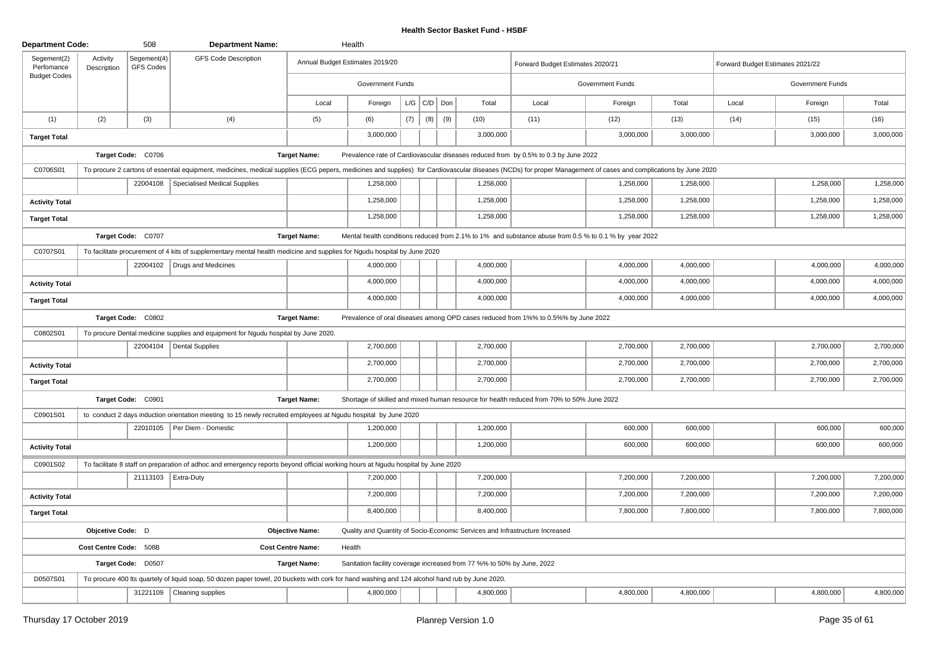| <b>Department Code:</b>                          |                         | 508                             | <b>Department Name:</b>                                                                                                                                                                                        |                          | Health                                                                 |     |                    |     |           |                                                                                                       |                         |           |                                  |                         |           |
|--------------------------------------------------|-------------------------|---------------------------------|----------------------------------------------------------------------------------------------------------------------------------------------------------------------------------------------------------------|--------------------------|------------------------------------------------------------------------|-----|--------------------|-----|-----------|-------------------------------------------------------------------------------------------------------|-------------------------|-----------|----------------------------------|-------------------------|-----------|
| Segement(2)<br>Perfomance<br><b>Budget Codes</b> | Activity<br>Description | Segement(4)<br><b>GFS Codes</b> | <b>GFS Code Description</b>                                                                                                                                                                                    |                          | Annual Budget Estimates 2019/20                                        |     |                    |     |           | Forward Budget Estimates 2020/21                                                                      |                         |           | Forward Budget Estimates 2021/22 |                         |           |
|                                                  |                         |                                 |                                                                                                                                                                                                                |                          | <b>Government Funds</b>                                                |     |                    |     |           |                                                                                                       | <b>Government Funds</b> |           |                                  | <b>Government Funds</b> |           |
|                                                  |                         |                                 |                                                                                                                                                                                                                | Local                    | Foreign                                                                |     | $L/G$ $C/D$ $D$ on |     | Total     | Local                                                                                                 | Foreign                 | Total     | Local                            | Foreign                 | Total     |
| (1)                                              | (2)                     | (3)                             | (4)                                                                                                                                                                                                            | (5)                      | (6)                                                                    | (7) | (8)                | (9) | (10)      | (11)                                                                                                  | (12)                    | (13)      | (14)                             | (15)                    | (16)      |
| <b>Target Total</b>                              |                         |                                 |                                                                                                                                                                                                                |                          | 3,000,000                                                              |     |                    |     | 3,000,000 |                                                                                                       | 3,000,000               | 3,000,000 |                                  | 3,000,000               | 3,000,000 |
|                                                  |                         | Target Code: C0706              |                                                                                                                                                                                                                | <b>Target Name:</b>      |                                                                        |     |                    |     |           | Prevalence rate of Cardiovascular diseases reduced from by 0.5% to 0.3 by June 2022                   |                         |           |                                  |                         |           |
| C0706S01                                         |                         |                                 | To procure 2 cartons of essential equipment, medicines, medical supplies (ECG pepers, medicines and supplies) for Cardiovascular diseases (NCDs) for proper Management of cases and complications by June 2020 |                          |                                                                        |     |                    |     |           |                                                                                                       |                         |           |                                  |                         |           |
|                                                  |                         | 22004108                        | Specialised Medical Supplies                                                                                                                                                                                   |                          | 1,258,000                                                              |     |                    |     | 1,258,000 |                                                                                                       | 1,258,000               | 1,258,000 |                                  | 1,258,000               | 1,258,000 |
| <b>Activity Total</b>                            |                         |                                 |                                                                                                                                                                                                                |                          | 1,258,000                                                              |     |                    |     | 1,258,000 |                                                                                                       | 1,258,000               | 1,258,000 |                                  | 1,258,000               | 1,258,000 |
| <b>Target Total</b>                              |                         |                                 |                                                                                                                                                                                                                |                          | 1,258,000                                                              |     |                    |     | 1,258,000 |                                                                                                       | 1,258,000               | 1,258,000 |                                  | 1,258,000               | 1,258,000 |
|                                                  |                         | Target Code: C0707              |                                                                                                                                                                                                                | <b>Target Name:</b>      |                                                                        |     |                    |     |           | Mental health conditions reduced from 2.1% to 1% and substance abuse from 0.5 % to 0.1 % by year 2022 |                         |           |                                  |                         |           |
| C0707S01                                         |                         |                                 | To facilitate procurement of 4 kits of supplementary mental health medicine and supplies for Ngudu hospital by June 2020                                                                                       |                          |                                                                        |     |                    |     |           |                                                                                                       |                         |           |                                  |                         |           |
|                                                  |                         |                                 | 22004102   Drugs and Medicines                                                                                                                                                                                 |                          | 4,000,000                                                              |     |                    |     | 4,000,000 |                                                                                                       | 4,000,000               | 4,000,000 |                                  | 4,000,000               | 4,000,000 |
| <b>Activity Total</b>                            |                         |                                 |                                                                                                                                                                                                                |                          | 4,000,000                                                              |     |                    |     | 4,000,000 |                                                                                                       | 4,000,000               | 4,000,000 |                                  | 4,000,000               | 4,000,000 |
| <b>Target Total</b>                              |                         |                                 |                                                                                                                                                                                                                |                          | 4,000,000                                                              |     |                    |     | 4,000,000 |                                                                                                       | 4,000,000               | 4,000,000 |                                  | 4,000,000               | 4,000,000 |
|                                                  |                         | Target Code: C0802              |                                                                                                                                                                                                                | <b>Target Name:</b>      |                                                                        |     |                    |     |           | Prevalence of oral diseases among OPD cases reduced from 1%% to 0.5%% by June 2022                    |                         |           |                                  |                         |           |
| C0802S01                                         |                         |                                 | To procure Dental medicine supplies and equipment for Ngudu hospital by June 2020.                                                                                                                             |                          |                                                                        |     |                    |     |           |                                                                                                       |                         |           |                                  |                         |           |
|                                                  |                         |                                 | 22004104   Dental Supplies                                                                                                                                                                                     |                          | 2,700,000                                                              |     |                    |     | 2,700,000 |                                                                                                       | 2,700,000               | 2,700,000 |                                  | 2,700,000               | 2,700,000 |
| <b>Activity Total</b>                            |                         |                                 |                                                                                                                                                                                                                |                          | 2,700,000                                                              |     |                    |     | 2,700,000 |                                                                                                       | 2,700,000               | 2,700,000 |                                  | 2,700,000               | 2,700,000 |
| <b>Target Total</b>                              |                         |                                 |                                                                                                                                                                                                                |                          | 2,700,000                                                              |     |                    |     | 2,700,000 |                                                                                                       | 2,700,000               | 2,700,000 |                                  | 2,700,000               | 2,700,000 |
|                                                  |                         | Target Code: C0901              |                                                                                                                                                                                                                | <b>Target Name:</b>      |                                                                        |     |                    |     |           | Shortage of skilled and mixed human resource for health reduced from 70% to 50% June 2022             |                         |           |                                  |                         |           |
| C0901S01                                         |                         |                                 | to conduct 2 days induction orientation meeting to 15 newly recruited employees at Ngudu hospital by June 2020                                                                                                 |                          |                                                                        |     |                    |     |           |                                                                                                       |                         |           |                                  |                         |           |
|                                                  |                         |                                 | 22010105   Per Diem - Domestic                                                                                                                                                                                 |                          | 1,200,000                                                              |     |                    |     | 1,200,000 |                                                                                                       | 600,000                 | 600,000   |                                  | 600,000                 | 600,000   |
| <b>Activity Total</b>                            |                         |                                 |                                                                                                                                                                                                                |                          | 1,200,000                                                              |     |                    |     | 1,200,000 |                                                                                                       | 600,000                 | 600,000   |                                  | 600,000                 | 600,000   |
| C0901S02                                         |                         |                                 | To facilitate 8 staff on preparation of adhoc and emergency reports beyond official working hours at Ngudu hospital by June 2020                                                                               |                          |                                                                        |     |                    |     |           |                                                                                                       |                         |           |                                  |                         |           |
|                                                  |                         |                                 | 21113103   Extra-Duty                                                                                                                                                                                          |                          | 7,200,000                                                              |     |                    |     | 7,200,000 |                                                                                                       | 7,200,000               | 7,200,000 |                                  | 7,200,000               | 7,200,000 |
| <b>Activity Total</b>                            |                         |                                 |                                                                                                                                                                                                                |                          | 7,200,000                                                              |     |                    |     | 7,200,000 |                                                                                                       | 7,200,000               | 7,200,000 |                                  | 7,200,000               | 7,200,000 |
| <b>Target Total</b>                              |                         |                                 |                                                                                                                                                                                                                |                          | 8,400,000                                                              |     |                    |     | 8,400,000 |                                                                                                       | 7,800,000               | 7,800,000 |                                  | 7,800,000               | 7,800,000 |
|                                                  | Objcetive Code: D       |                                 |                                                                                                                                                                                                                | <b>Objective Name:</b>   |                                                                        |     |                    |     |           | Quality and Quantity of Socio-Economic Services and Infrastructure Increased                          |                         |           |                                  |                         |           |
|                                                  | Cost Centre Code: 508B  |                                 |                                                                                                                                                                                                                | <b>Cost Centre Name:</b> | Health                                                                 |     |                    |     |           |                                                                                                       |                         |           |                                  |                         |           |
|                                                  |                         | Target Code: D0507              |                                                                                                                                                                                                                | <b>Target Name:</b>      | Sanitation facility coverage increased from 77 %% to 50% by June, 2022 |     |                    |     |           |                                                                                                       |                         |           |                                  |                         |           |
| D0507S01                                         |                         |                                 | To procure 400 lts quartely of liquid soap, 50 dozen paper towel, 20 buckets with cork for hand washing and 124 alcohol hand rub by June 2020.                                                                 |                          |                                                                        |     |                    |     |           |                                                                                                       |                         |           |                                  |                         |           |
|                                                  |                         | 31221109                        | Cleaning supplies                                                                                                                                                                                              |                          | 4,800,000                                                              |     |                    |     | 4,800,000 |                                                                                                       | 4,800,000               | 4,800,000 |                                  | 4,800,000               | 4,800,000 |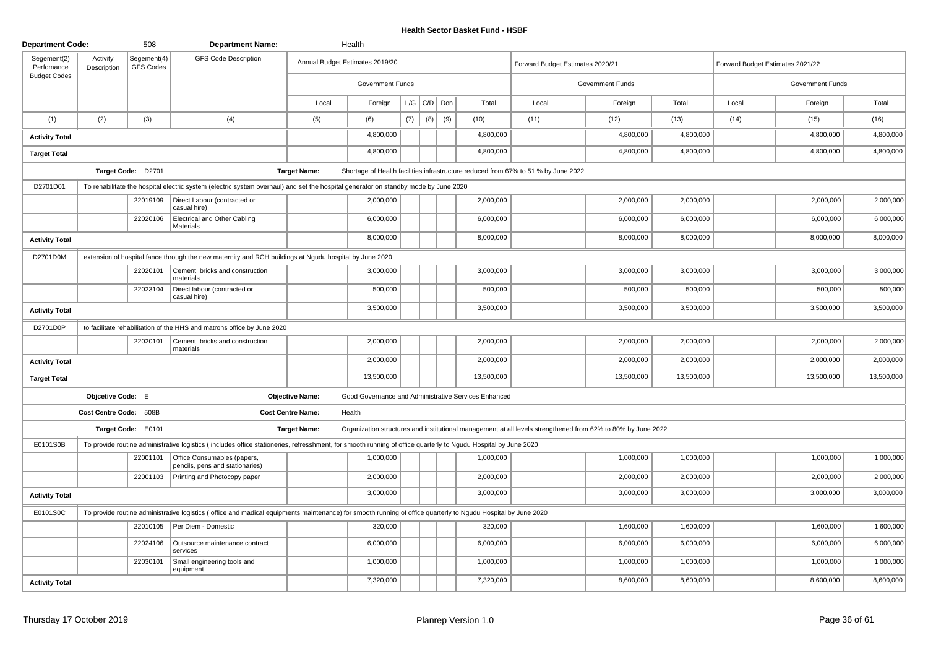| <b>Department Code:</b>   |                         | 508                      | <b>Department Name:</b>                                                                                                                                        |                          | Health                                               |     |     |     |             |                                                                                    |                                                                                                              |            |       |                                  |            |
|---------------------------|-------------------------|--------------------------|----------------------------------------------------------------------------------------------------------------------------------------------------------------|--------------------------|------------------------------------------------------|-----|-----|-----|-------------|------------------------------------------------------------------------------------|--------------------------------------------------------------------------------------------------------------|------------|-------|----------------------------------|------------|
| Segement(2)<br>Perfomance | Activity<br>Description | Segement(4)<br>GFS Codes | <b>GFS Code Description</b>                                                                                                                                    |                          | Annual Budget Estimates 2019/20                      |     |     |     |             | Forward Budget Estimates 2020/21                                                   |                                                                                                              |            |       | Forward Budget Estimates 2021/22 |            |
| <b>Budget Codes</b>       |                         |                          |                                                                                                                                                                |                          | <b>Government Funds</b>                              |     |     |     |             |                                                                                    | <b>Government Funds</b>                                                                                      |            |       | Government Funds                 |            |
|                           |                         |                          |                                                                                                                                                                | Local                    | Foreign                                              | L/G | C/D | Don | Total       | Local                                                                              | Foreign                                                                                                      | Total      | Local | Foreign                          | Total      |
| (1)                       | (2)                     | (3)                      | (4)                                                                                                                                                            | (5)                      | (6)                                                  | (7) | (8) |     | (9)<br>(10) | (11)                                                                               | (12)                                                                                                         | (13)       | (14)  | (15)                             | (16)       |
| <b>Activity Total</b>     |                         |                          |                                                                                                                                                                |                          | 4,800,000                                            |     |     |     | 4,800,000   |                                                                                    | 4,800,000                                                                                                    | 4,800,000  |       | 4,800,000                        | 4,800,000  |
| <b>Target Total</b>       |                         |                          |                                                                                                                                                                |                          | 4,800,000                                            |     |     |     | 4,800,000   |                                                                                    | 4,800,000                                                                                                    | 4,800,000  |       | 4,800,000                        | 4,800,000  |
|                           |                         | Target Code: D2701       |                                                                                                                                                                | <b>Target Name:</b>      |                                                      |     |     |     |             | Shortage of Health facilities infrastructure reduced from 67% to 51 % by June 2022 |                                                                                                              |            |       |                                  |            |
| D2701D01                  |                         |                          | To rehabilitate the hospital electric system (electric system overhaul) and set the hospital generator on standby mode by June 2020                            |                          |                                                      |     |     |     |             |                                                                                    |                                                                                                              |            |       |                                  |            |
|                           |                         | 22019109                 | Direct Labour (contracted or<br>casual hire)                                                                                                                   |                          | 2,000,000                                            |     |     |     | 2,000,000   |                                                                                    | 2,000,000                                                                                                    | 2,000,000  |       | 2,000,000                        | 2,000,000  |
|                           |                         | 22020106                 | Electrical and Other Cabling<br>Materials                                                                                                                      |                          | 6,000,000                                            |     |     |     | 6,000,000   |                                                                                    | 6,000,000                                                                                                    | 6,000,000  |       | 6,000,000                        | 6,000,000  |
| <b>Activity Total</b>     |                         |                          |                                                                                                                                                                |                          | 8,000,000                                            |     |     |     | 8,000,000   |                                                                                    | 8,000,000                                                                                                    | 8,000,000  |       | 8,000,000                        | 8,000,000  |
| D2701D0M                  |                         |                          | extension of hospital fance through the new maternity and RCH buildings at Ngudu hospital by June 2020                                                         |                          |                                                      |     |     |     |             |                                                                                    |                                                                                                              |            |       |                                  |            |
|                           |                         | 22020101                 | Cement, bricks and construction<br>materials                                                                                                                   |                          | 3,000,000                                            |     |     |     | 3,000,000   |                                                                                    | 3,000,000                                                                                                    | 3,000,000  |       | 3,000,000                        | 3,000,000  |
|                           |                         | 22023104                 | Direct labour (contracted or<br>casual hire)                                                                                                                   |                          | 500,000                                              |     |     |     | 500.000     |                                                                                    | 500,000                                                                                                      | 500,000    |       | 500,000                          | 500,000    |
| <b>Activity Total</b>     |                         |                          |                                                                                                                                                                |                          | 3,500,000                                            |     |     |     | 3,500,000   |                                                                                    | 3,500,000                                                                                                    | 3,500,000  |       | 3,500,000                        | 3,500,000  |
| D2701D0P                  |                         |                          | to facilitate rehabilitation of the HHS and matrons office by June 2020                                                                                        |                          |                                                      |     |     |     |             |                                                                                    |                                                                                                              |            |       |                                  |            |
|                           |                         | 22020101                 | Cement, bricks and construction<br>materials                                                                                                                   |                          | 2,000,000                                            |     |     |     | 2,000,000   |                                                                                    | 2,000,000                                                                                                    | 2,000,000  |       | 2,000,000                        | 2,000,000  |
| <b>Activity Total</b>     |                         |                          |                                                                                                                                                                |                          | 2,000,000                                            |     |     |     | 2,000,000   |                                                                                    | 2,000,000                                                                                                    | 2,000,000  |       | 2,000,000                        | 2,000,000  |
| <b>Target Total</b>       |                         |                          |                                                                                                                                                                |                          | 13,500,000                                           |     |     |     | 13,500,000  |                                                                                    | 13,500,000                                                                                                   | 13,500,000 |       | 13,500,000                       | 13,500,000 |
|                           | Objcetive Code: E       |                          |                                                                                                                                                                | <b>Objective Name:</b>   | Good Governance and Administrative Services Enhanced |     |     |     |             |                                                                                    |                                                                                                              |            |       |                                  |            |
|                           | Cost Centre Code: 508B  |                          |                                                                                                                                                                | <b>Cost Centre Name:</b> | Health                                               |     |     |     |             |                                                                                    |                                                                                                              |            |       |                                  |            |
|                           |                         | Target Code: E0101       |                                                                                                                                                                | <b>Target Name:</b>      |                                                      |     |     |     |             |                                                                                    | Organization structures and institutional management at all levels strengthened from 62% to 80% by June 2022 |            |       |                                  |            |
| E0101S0B                  |                         |                          | To provide routine administrative logistics (includes office stationeries, refresshment, for smooth running of office quarterly to Ngudu Hospital by June 2020 |                          |                                                      |     |     |     |             |                                                                                    |                                                                                                              |            |       |                                  |            |
|                           |                         | 22001101                 | Office Consumables (papers,<br>pencils, pens and stationaries)                                                                                                 |                          | 1,000,000                                            |     |     |     | 1,000,000   |                                                                                    | 1,000,000                                                                                                    | 1,000,000  |       | 1,000,000                        | 1,000,000  |
|                           |                         | 22001103                 | Printing and Photocopy paper                                                                                                                                   |                          | 2,000,000                                            |     |     |     | 2,000,000   |                                                                                    | 2,000,000                                                                                                    | 2,000,000  |       | 2,000,000                        | 2,000,000  |
| <b>Activity Total</b>     |                         |                          |                                                                                                                                                                |                          | 3,000,000                                            |     |     |     | 3,000,000   |                                                                                    | 3,000,000                                                                                                    | 3,000,000  |       | 3,000,000                        | 3,000,000  |
| E0101S0C                  |                         |                          | To provide routine administrative logistics (office and madical equipments maintenance) for smooth running of office quarterly to Ngudu Hospital by June 2020  |                          |                                                      |     |     |     |             |                                                                                    |                                                                                                              |            |       |                                  |            |
|                           |                         | 22010105                 | Per Diem - Domestic                                                                                                                                            |                          | 320,000                                              |     |     |     | 320,000     |                                                                                    | 1,600,000                                                                                                    | 1,600,000  |       | 1,600,000                        | 1,600,000  |
|                           |                         | 22024106                 | Outsource maintenance contract<br>services                                                                                                                     |                          | 6,000,000                                            |     |     |     | 6,000,000   |                                                                                    | 6,000,000                                                                                                    | 6,000,000  |       | 6,000,000                        | 6,000,000  |
|                           |                         | 22030101                 | Small engineering tools and<br>equipment                                                                                                                       |                          | 1,000,000                                            |     |     |     | 1,000,000   |                                                                                    | 1,000,000                                                                                                    | 1,000,000  |       | 1,000,000                        | 1,000,000  |
| <b>Activity Total</b>     |                         |                          |                                                                                                                                                                |                          | 7,320,000                                            |     |     |     | 7,320,000   |                                                                                    | 8,600,000                                                                                                    | 8,600,000  |       | 8,600,000                        | 8,600,000  |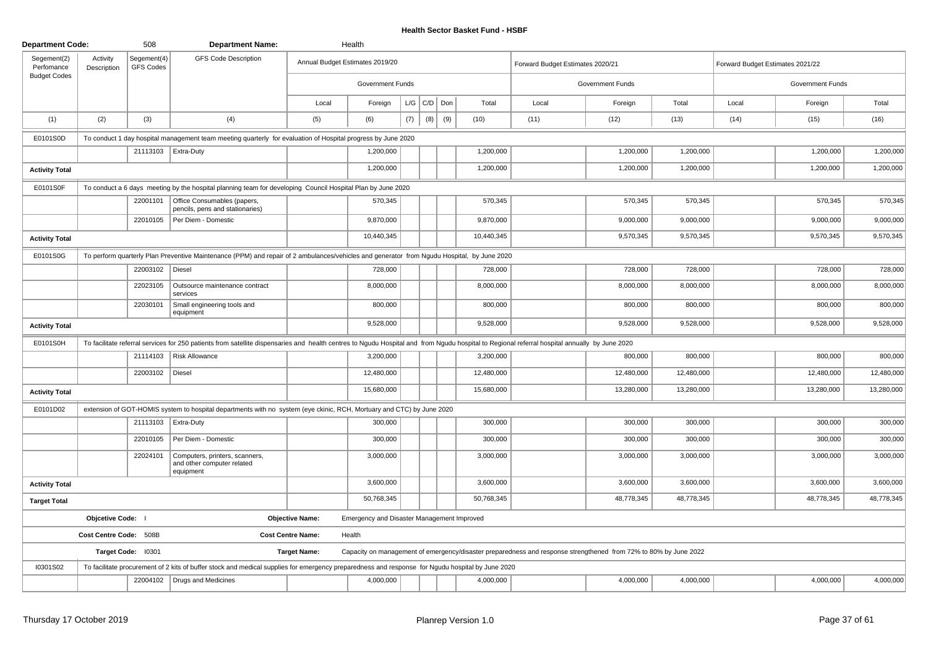| <b>Department Code:</b>   |                         | 508                             | <b>Department Name:</b>                                                                                                                                                                       |                          | Health                                     |     |             |     |            |                                  |                                                                                                                  |            |                                  |                         |            |
|---------------------------|-------------------------|---------------------------------|-----------------------------------------------------------------------------------------------------------------------------------------------------------------------------------------------|--------------------------|--------------------------------------------|-----|-------------|-----|------------|----------------------------------|------------------------------------------------------------------------------------------------------------------|------------|----------------------------------|-------------------------|------------|
| Segement(2)<br>Perfomance | Activity<br>Description | Segement(4)<br><b>GFS Codes</b> | <b>GFS Code Description</b>                                                                                                                                                                   |                          | Annual Budget Estimates 2019/20            |     |             |     |            | Forward Budget Estimates 2020/21 |                                                                                                                  |            | Forward Budget Estimates 2021/22 |                         |            |
| <b>Budget Codes</b>       |                         |                                 |                                                                                                                                                                                               |                          | <b>Government Funds</b>                    |     |             |     |            |                                  | Government Funds                                                                                                 |            |                                  | <b>Government Funds</b> |            |
|                           |                         |                                 |                                                                                                                                                                                               | Local                    | Foreign                                    |     | $L/G$ $C/D$ | Don | Total      | Local                            | Foreign                                                                                                          | Total      | Local                            | Foreign                 | Total      |
| (1)                       | (2)                     | (3)                             | (4)                                                                                                                                                                                           | (5)                      | (6)                                        | (7) | (8)         | (9) | (10)       | (11)                             | (12)                                                                                                             | (13)       | (14)                             | (15)                    | (16)       |
| E0101S0D                  |                         |                                 | To conduct 1 day hospital management team meeting quarterly for evaluation of Hospital progress by June 2020                                                                                  |                          |                                            |     |             |     |            |                                  |                                                                                                                  |            |                                  |                         |            |
|                           |                         |                                 | 21113103   Extra-Duty                                                                                                                                                                         |                          | 1,200,000                                  |     |             |     | 1,200,000  |                                  | 1,200,000                                                                                                        | 1,200,000  |                                  | 1,200,000               | 1,200,000  |
| <b>Activity Total</b>     |                         |                                 |                                                                                                                                                                                               |                          | 1,200,000                                  |     |             |     | 1,200,000  |                                  | 1,200,000                                                                                                        | 1,200,000  |                                  | 1,200,000               | 1,200,000  |
| E0101S0F                  |                         |                                 | To conduct a 6 days meeting by the hospital planning team for developing Council Hospital Plan by June 2020                                                                                   |                          |                                            |     |             |     |            |                                  |                                                                                                                  |            |                                  |                         |            |
|                           |                         | 22001101                        | Office Consumables (papers,<br>pencils, pens and stationaries)                                                                                                                                |                          | 570,345                                    |     |             |     | 570,345    |                                  | 570,345                                                                                                          | 570,345    |                                  | 570,345                 | 570,345    |
|                           |                         | 22010105                        | Per Diem - Domestic                                                                                                                                                                           |                          | 9,870,000                                  |     |             |     | 9,870,000  |                                  | 9,000,000                                                                                                        | 9,000,000  |                                  | 9,000,000               | 9,000,000  |
| <b>Activity Total</b>     |                         |                                 |                                                                                                                                                                                               |                          | 10,440,345                                 |     |             |     | 10,440,345 |                                  | 9,570,345                                                                                                        | 9,570,345  |                                  | 9,570,345               | 9,570,345  |
| E0101S0G                  |                         |                                 | To perform quarterly Plan Preventive Maintenance (PPM) and repair of 2 ambulances/vehicles and generator from Ngudu Hospital, by June 2020                                                    |                          |                                            |     |             |     |            |                                  |                                                                                                                  |            |                                  |                         |            |
|                           |                         | 22003102   Diesel               |                                                                                                                                                                                               |                          | 728,000                                    |     |             |     | 728,000    |                                  | 728,000                                                                                                          | 728,000    |                                  | 728,000                 | 728,000    |
|                           |                         | 22023105                        | Outsource maintenance contract<br>services                                                                                                                                                    |                          | 8,000,000                                  |     |             |     | 8,000,000  |                                  | 8,000,000                                                                                                        | 8,000,000  |                                  | 8,000,000               | 8,000,000  |
|                           |                         | 22030101                        | Small engineering tools and<br>equipment                                                                                                                                                      |                          | 800,000                                    |     |             |     | 800,000    |                                  | 800,000                                                                                                          | 800,000    |                                  | 800,000                 | 800,000    |
| <b>Activity Total</b>     |                         |                                 |                                                                                                                                                                                               |                          | 9,528,000                                  |     |             |     | 9,528,000  |                                  | 9,528,000                                                                                                        | 9,528,000  |                                  | 9,528,000               | 9,528,000  |
| E0101S0H                  |                         |                                 | To facilitate referral services for 250 patients from satellite dispensaries and health centres to Ngudu Hospital and from Ngudu hospital to Regional referral hospital annually by June 2020 |                          |                                            |     |             |     |            |                                  |                                                                                                                  |            |                                  |                         |            |
|                           |                         |                                 | 21114103   Risk Allowance                                                                                                                                                                     |                          | 3,200,000                                  |     |             |     | 3,200,000  |                                  | 800,000                                                                                                          | 800,000    |                                  | 800,000                 | 800,000    |
|                           |                         | 22003102                        | Diesel                                                                                                                                                                                        |                          | 12,480,000                                 |     |             |     | 12,480,000 |                                  | 12,480,000                                                                                                       | 12,480,000 |                                  | 12,480,000              | 12,480,000 |
| <b>Activity Total</b>     |                         |                                 |                                                                                                                                                                                               |                          | 15,680,000                                 |     |             |     | 15,680,000 |                                  | 13,280,000                                                                                                       | 13,280,000 |                                  | 13,280,000              | 13,280,000 |
| E0101D02                  |                         |                                 | extension of GOT-HOMIS system to hospital departments with no system (eye ckinic, RCH, Mortuary and CTC) by June 2020                                                                         |                          |                                            |     |             |     |            |                                  |                                                                                                                  |            |                                  |                         |            |
|                           |                         |                                 | 21113103   Extra-Duty                                                                                                                                                                         |                          | 300,000                                    |     |             |     | 300,000    |                                  | 300,000                                                                                                          | 300,000    |                                  | 300,000                 | 300,000    |
|                           |                         | 22010105                        | Per Diem - Domestic                                                                                                                                                                           |                          | 300,000                                    |     |             |     | 300,000    |                                  | 300,000                                                                                                          | 300,000    |                                  | 300,000                 | 300,000    |
|                           |                         | 22024101                        | Computers, printers, scanners,<br>and other computer related<br>equipment                                                                                                                     |                          | 3,000,000                                  |     |             |     | 3,000,000  |                                  | 3,000,000                                                                                                        | 3,000,000  |                                  | 3,000,000               | 3,000,000  |
| <b>Activity Total</b>     |                         |                                 |                                                                                                                                                                                               |                          | 3,600,000                                  |     |             |     | 3,600,000  |                                  | 3,600,000                                                                                                        | 3,600,000  |                                  | 3,600,000               | 3,600,000  |
| <b>Target Total</b>       |                         |                                 |                                                                                                                                                                                               |                          | 50,768,345                                 |     |             |     | 50,768,345 |                                  | 48,778,345                                                                                                       | 48,778,345 |                                  | 48,778,345              | 48,778,345 |
|                           | Objcetive Code:         |                                 |                                                                                                                                                                                               | <b>Objective Name:</b>   | Emergency and Disaster Management Improved |     |             |     |            |                                  |                                                                                                                  |            |                                  |                         |            |
|                           | Cost Centre Code: 508B  |                                 |                                                                                                                                                                                               | <b>Cost Centre Name:</b> | Health                                     |     |             |     |            |                                  |                                                                                                                  |            |                                  |                         |            |
|                           |                         | Target Code: I0301              |                                                                                                                                                                                               | <b>Target Name:</b>      |                                            |     |             |     |            |                                  | Capacity on management of emergency/disaster preparedness and response strengthened from 72% to 80% by June 2022 |            |                                  |                         |            |
| I0301S02                  |                         |                                 | To facilitate procurement of 2 kits of buffer stock and medical supplies for emergency preparedness and response for Ngudu hospital by June 2020                                              |                          |                                            |     |             |     |            |                                  |                                                                                                                  |            |                                  |                         |            |
|                           |                         |                                 | 22004102   Drugs and Medicines                                                                                                                                                                |                          | 4,000,000                                  |     |             |     | 4,000,000  |                                  | 4,000,000                                                                                                        | 4,000,000  |                                  | 4,000,000               | 4,000,000  |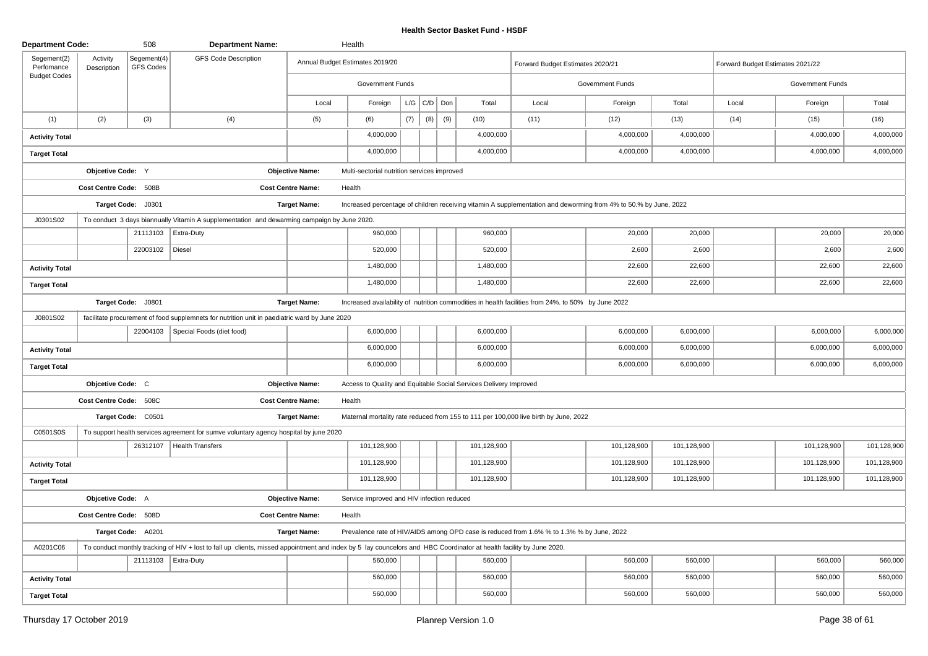| <b>Department Code:</b>   |                         | 508                             | <b>Department Name:</b>                                                                                                                                             |                          | Health                                      |     |                 |     |                                                                   |                                                                                                                  |                         |             |                                  |                  |             |
|---------------------------|-------------------------|---------------------------------|---------------------------------------------------------------------------------------------------------------------------------------------------------------------|--------------------------|---------------------------------------------|-----|-----------------|-----|-------------------------------------------------------------------|------------------------------------------------------------------------------------------------------------------|-------------------------|-------------|----------------------------------|------------------|-------------|
| Segement(2)<br>Perfomance | Activity<br>Description | Segement(4)<br><b>GFS Codes</b> | <b>GFS Code Description</b>                                                                                                                                         |                          | Annual Budget Estimates 2019/20             |     |                 |     |                                                                   | Forward Budget Estimates 2020/21                                                                                 |                         |             | Forward Budget Estimates 2021/22 |                  |             |
| <b>Budget Codes</b>       |                         |                                 |                                                                                                                                                                     |                          | Government Funds                            |     |                 |     |                                                                   |                                                                                                                  | <b>Government Funds</b> |             |                                  | Government Funds |             |
|                           |                         |                                 |                                                                                                                                                                     | Local                    | Foreign                                     |     | $L/G$ $C/D$ Don |     | Total                                                             | Local                                                                                                            | Foreign                 | Total       | Local                            | Foreign          | Total       |
| (1)                       | (2)                     | (3)                             | (4)                                                                                                                                                                 | (5)                      | (6)                                         | (7) | (8)             | (9) | (10)                                                              | (11)                                                                                                             | (12)                    | (13)        | (14)                             | (15)             | (16)        |
| <b>Activity Total</b>     |                         |                                 |                                                                                                                                                                     |                          | 4,000,000                                   |     |                 |     | 4,000,000                                                         |                                                                                                                  | 4,000,000               | 4,000,000   |                                  | 4,000,000        | 4,000,000   |
| <b>Target Total</b>       |                         |                                 |                                                                                                                                                                     |                          | 4,000,000                                   |     |                 |     | 4,000,000                                                         |                                                                                                                  | 4,000,000               | 4,000,000   |                                  | 4,000,000        | 4,000,000   |
|                           | Objcetive Code: Y       |                                 |                                                                                                                                                                     | <b>Objective Name:</b>   | Multi-sectorial nutrition services improved |     |                 |     |                                                                   |                                                                                                                  |                         |             |                                  |                  |             |
|                           | Cost Centre Code: 508B  |                                 |                                                                                                                                                                     | <b>Cost Centre Name:</b> | Health                                      |     |                 |     |                                                                   |                                                                                                                  |                         |             |                                  |                  |             |
|                           |                         | Target Code: J0301              |                                                                                                                                                                     | <b>Target Name:</b>      |                                             |     |                 |     |                                                                   | Increased percentage of children receiving vitamin A supplementation and deworming from 4% to 50.% by June, 2022 |                         |             |                                  |                  |             |
| J0301S02                  |                         |                                 | To conduct 3 days biannually Vitamin A supplementation and dewarming campaign by June 2020.                                                                         |                          |                                             |     |                 |     |                                                                   |                                                                                                                  |                         |             |                                  |                  |             |
|                           |                         |                                 | 21113103   Extra-Duty                                                                                                                                               |                          | 960,000                                     |     |                 |     | 960,000                                                           |                                                                                                                  | 20,000                  | 20,000      |                                  | 20,000           | 20,000      |
|                           |                         | 22003102 Diesel                 |                                                                                                                                                                     |                          | 520,000                                     |     |                 |     | 520,000                                                           |                                                                                                                  | 2,600                   | 2,600       |                                  | 2,600            | 2,600       |
| <b>Activity Total</b>     |                         |                                 |                                                                                                                                                                     |                          | 1,480,000                                   |     |                 |     | 1,480,000                                                         |                                                                                                                  | 22,600                  | 22,600      |                                  | 22,600           | 22,600      |
| <b>Target Total</b>       |                         |                                 |                                                                                                                                                                     |                          | 1,480,000                                   |     |                 |     | 1,480,000                                                         |                                                                                                                  | 22,600                  | 22,600      |                                  | 22,600           | 22,600      |
|                           |                         | Target Code: J0801              |                                                                                                                                                                     | <b>Target Name:</b>      |                                             |     |                 |     |                                                                   | Increased availability of nutrition commodities in health facilities from 24%. to 50% by June 2022               |                         |             |                                  |                  |             |
| J0801S02                  |                         |                                 | facilitate procurement of food supplemnets for nutrition unit in paediatric ward by June 2020                                                                       |                          |                                             |     |                 |     |                                                                   |                                                                                                                  |                         |             |                                  |                  |             |
|                           |                         | 22004103                        | Special Foods (diet food)                                                                                                                                           |                          | 6,000,000                                   |     |                 |     | 6,000,000                                                         |                                                                                                                  | 6,000,000               | 6,000,000   |                                  | 6,000,000        | 6,000,000   |
| <b>Activity Total</b>     |                         |                                 |                                                                                                                                                                     |                          | 6,000,000                                   |     |                 |     | 6,000,000                                                         |                                                                                                                  | 6,000,000               | 6,000,000   |                                  | 6,000,000        | 6,000,000   |
| <b>Target Total</b>       |                         |                                 |                                                                                                                                                                     |                          | 6,000,000                                   |     |                 |     | 6,000,000                                                         |                                                                                                                  | 6,000,000               | 6,000,000   |                                  | 6,000,000        | 6,000,000   |
|                           | Objcetive Code: C       |                                 |                                                                                                                                                                     | <b>Objective Name:</b>   |                                             |     |                 |     | Access to Quality and Equitable Social Services Delivery Improved |                                                                                                                  |                         |             |                                  |                  |             |
|                           | Cost Centre Code: 508C  |                                 |                                                                                                                                                                     | <b>Cost Centre Name:</b> | Health                                      |     |                 |     |                                                                   |                                                                                                                  |                         |             |                                  |                  |             |
|                           |                         | Target Code: C0501              |                                                                                                                                                                     | <b>Target Name:</b>      |                                             |     |                 |     |                                                                   | Maternal mortality rate reduced from 155 to 111 per 100,000 live birth by June, 2022                             |                         |             |                                  |                  |             |
| C0501S0S                  |                         |                                 | To support health services agreement for sumve voluntary agency hospital by june 2020                                                                               |                          |                                             |     |                 |     |                                                                   |                                                                                                                  |                         |             |                                  |                  |             |
|                           |                         |                                 | 26312107   Health Transfers                                                                                                                                         |                          | 101,128,900                                 |     |                 |     | 101,128,900                                                       |                                                                                                                  | 101,128,900             | 101,128,900 |                                  | 101,128,900      | 101,128,900 |
| <b>Activity Total</b>     |                         |                                 |                                                                                                                                                                     |                          | 101,128,900                                 |     |                 |     | 101,128,900                                                       |                                                                                                                  | 101,128,900             | 101,128,900 |                                  | 101,128,900      | 101,128,900 |
| <b>Target Total</b>       |                         |                                 |                                                                                                                                                                     |                          | 101,128,900                                 |     |                 |     | 101,128,900                                                       |                                                                                                                  | 101,128,900             | 101,128,900 |                                  | 101,128,900      | 101,128,900 |
|                           | Objcetive Code: A       |                                 |                                                                                                                                                                     | <b>Objective Name:</b>   | Service improved and HIV infection reduced  |     |                 |     |                                                                   |                                                                                                                  |                         |             |                                  |                  |             |
|                           | Cost Centre Code: 508D  |                                 |                                                                                                                                                                     | <b>Cost Centre Name:</b> | Health                                      |     |                 |     |                                                                   |                                                                                                                  |                         |             |                                  |                  |             |
|                           |                         | Target Code: A0201              |                                                                                                                                                                     | <b>Target Name:</b>      |                                             |     |                 |     |                                                                   | Prevalence rate of HIV/AIDS among OPD case is reduced from 1.6% % to 1.3% % by June, 2022                        |                         |             |                                  |                  |             |
| A0201C06                  |                         |                                 | To conduct monthly tracking of HIV + lost to fall up clients, missed appointment and index by 5 lay councelors and HBC Coordinator at health facility by June 2020. |                          |                                             |     |                 |     |                                                                   |                                                                                                                  |                         |             |                                  |                  |             |
|                           |                         |                                 | 21113103   Extra-Duty                                                                                                                                               |                          | 560,000                                     |     |                 |     | 560,000                                                           |                                                                                                                  | 560,000                 | 560,000     |                                  | 560,000          | 560,000     |
| <b>Activity Total</b>     |                         |                                 |                                                                                                                                                                     |                          | 560,000                                     |     |                 |     | 560,000                                                           |                                                                                                                  | 560,000                 | 560,000     |                                  | 560,000          | 560,000     |
| <b>Target Total</b>       |                         |                                 |                                                                                                                                                                     |                          | 560,000                                     |     |                 |     | 560,000                                                           |                                                                                                                  | 560,000                 | 560,000     |                                  | 560,000          | 560,000     |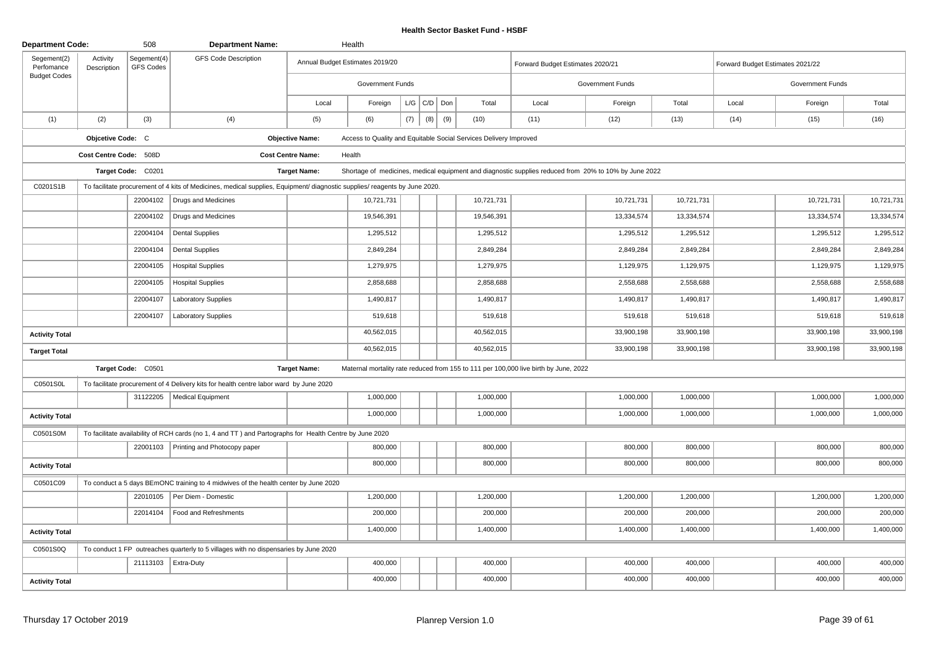| <b>Department Code:</b>   |                         | 508                      | <b>Department Name:</b>                                                                                                    |                          | Health                                                            |     |             |     |            |                                                                                                       |                  |            |                                  |                         |            |
|---------------------------|-------------------------|--------------------------|----------------------------------------------------------------------------------------------------------------------------|--------------------------|-------------------------------------------------------------------|-----|-------------|-----|------------|-------------------------------------------------------------------------------------------------------|------------------|------------|----------------------------------|-------------------------|------------|
| Segement(2)<br>Perfomance | Activity<br>Description | Segement(4)<br>GFS Codes | <b>GFS Code Description</b>                                                                                                |                          | Annual Budget Estimates 2019/20                                   |     |             |     |            | Forward Budget Estimates 2020/21                                                                      |                  |            | Forward Budget Estimates 2021/22 |                         |            |
| <b>Budget Codes</b>       |                         |                          |                                                                                                                            |                          | <b>Government Funds</b>                                           |     |             |     |            |                                                                                                       | Government Funds |            |                                  | <b>Government Funds</b> |            |
|                           |                         |                          |                                                                                                                            | Local                    | Foreign                                                           |     | $L/G$ $C/D$ | Don | Total      | Local                                                                                                 | Foreign          | Total      | Local                            | Foreign                 | Total      |
| (1)                       | (2)                     | (3)                      | (4)                                                                                                                        | (5)                      | (6)                                                               | (7) | (8)         | (9) | (10)       | (11)                                                                                                  | (12)             | (13)       | (14)                             | (15)                    | (16)       |
|                           | Objcetive Code: C       |                          |                                                                                                                            | <b>Objective Name:</b>   | Access to Quality and Equitable Social Services Delivery Improved |     |             |     |            |                                                                                                       |                  |            |                                  |                         |            |
|                           | Cost Centre Code: 508D  |                          |                                                                                                                            | <b>Cost Centre Name:</b> | Health                                                            |     |             |     |            |                                                                                                       |                  |            |                                  |                         |            |
|                           |                         | Target Code: C0201       |                                                                                                                            | <b>Target Name:</b>      |                                                                   |     |             |     |            | Shortage of medicines, medical equipment and diagnostic supplies reduced from 20% to 10% by June 2022 |                  |            |                                  |                         |            |
| C0201S1B                  |                         |                          | To facilitate procurement of 4 kits of Medicines, medical supplies, Equipment/ diagnostic supplies/ reagents by June 2020. |                          |                                                                   |     |             |     |            |                                                                                                       |                  |            |                                  |                         |            |
|                           |                         |                          | 22004102   Drugs and Medicines                                                                                             |                          | 10,721,731                                                        |     |             |     | 10,721,731 |                                                                                                       | 10,721,731       | 10,721,731 |                                  | 10,721,731              | 10,721,731 |
|                           |                         | 22004102                 | Drugs and Medicines                                                                                                        |                          | 19,546,391                                                        |     |             |     | 19,546,391 |                                                                                                       | 13,334,574       | 13,334,574 |                                  | 13,334,574              | 13,334,574 |
|                           |                         | 22004104                 | <b>Dental Supplies</b>                                                                                                     |                          | 1,295,512                                                         |     |             |     | 1,295,512  |                                                                                                       | 1,295,512        | 1,295,512  |                                  | 1,295,512               | 1,295,512  |
|                           |                         | 22004104                 | <b>Dental Supplies</b>                                                                                                     |                          | 2,849,284                                                         |     |             |     | 2,849,284  |                                                                                                       | 2,849,284        | 2,849,284  |                                  | 2,849,284               | 2,849,284  |
|                           |                         | 22004105                 | <b>Hospital Supplies</b>                                                                                                   |                          | 1,279,975                                                         |     |             |     | 1,279,975  |                                                                                                       | 1,129,975        | 1,129,975  |                                  | 1,129,975               | 1,129,975  |
|                           |                         | 22004105                 | <b>Hospital Supplies</b>                                                                                                   |                          | 2,858,688                                                         |     |             |     | 2,858,688  |                                                                                                       | 2,558,688        | 2,558,688  |                                  | 2,558,688               | 2,558,688  |
|                           |                         | 22004107                 | <b>Laboratory Supplies</b>                                                                                                 |                          | 1,490,817                                                         |     |             |     | 1,490,817  |                                                                                                       | 1,490,817        | 1,490,817  |                                  | 1,490,817               | 1,490,817  |
|                           |                         | 22004107                 | <b>Laboratory Supplies</b>                                                                                                 |                          | 519,618                                                           |     |             |     | 519,618    |                                                                                                       | 519,618          | 519,618    |                                  | 519,618                 | 519,618    |
| <b>Activity Total</b>     |                         |                          |                                                                                                                            |                          | 40,562,015                                                        |     |             |     | 40,562,015 |                                                                                                       | 33,900,198       | 33,900,198 |                                  | 33,900,198              | 33,900,198 |
| <b>Target Total</b>       |                         |                          |                                                                                                                            |                          | 40,562,015                                                        |     |             |     | 40,562,015 |                                                                                                       | 33,900,198       | 33,900,198 |                                  | 33,900,198              | 33,900,198 |
|                           |                         | Target Code: C0501       |                                                                                                                            | <b>Target Name:</b>      |                                                                   |     |             |     |            | Maternal mortality rate reduced from 155 to 111 per 100,000 live birth by June, 2022                  |                  |            |                                  |                         |            |
| C0501S0L                  |                         |                          | To facilitate procurement of 4 Delivery kits for health centre labor ward by June 2020                                     |                          |                                                                   |     |             |     |            |                                                                                                       |                  |            |                                  |                         |            |
|                           |                         | 31122205                 | <b>Medical Equipment</b>                                                                                                   |                          | 1,000,000                                                         |     |             |     | 1,000,000  |                                                                                                       | 1,000,000        | 1,000,000  |                                  | 1,000,000               | 1,000,000  |
| <b>Activity Total</b>     |                         |                          |                                                                                                                            |                          | 1,000,000                                                         |     |             |     | 1,000,000  |                                                                                                       | 1,000,000        | 1,000,000  |                                  | 1,000,000               | 1,000,000  |
| C0501S0M                  |                         |                          | To facilitate availability of RCH cards (no 1, 4 and TT) and Partographs for Health Centre by June 2020                    |                          |                                                                   |     |             |     |            |                                                                                                       |                  |            |                                  |                         |            |
|                           |                         |                          | 22001103 Printing and Photocopy paper                                                                                      |                          | 800,000                                                           |     |             |     | 800,000    |                                                                                                       | 800,000          | 800,000    |                                  | 800,000                 | 800,000    |
| <b>Activity Total</b>     |                         |                          |                                                                                                                            |                          | 800,000                                                           |     |             |     | 800,000    |                                                                                                       | 800,000          | 800,000    |                                  | 800,000                 | 800,000    |
| C0501C09                  |                         |                          | To conduct a 5 days BEmONC training to 4 midwives of the health center by June 2020                                        |                          |                                                                   |     |             |     |            |                                                                                                       |                  |            |                                  |                         |            |
|                           |                         | 22010105                 | Per Diem - Domestic                                                                                                        |                          | 1,200,000                                                         |     |             |     | 1,200,000  |                                                                                                       | 1,200,000        | 1,200,000  |                                  | 1,200,000               | 1,200,000  |
|                           |                         | 22014104                 | Food and Refreshments                                                                                                      |                          | 200,000                                                           |     |             |     | 200,000    |                                                                                                       | 200,000          | 200,000    |                                  | 200,000                 | 200,000    |
| <b>Activity Total</b>     |                         |                          |                                                                                                                            |                          | 1,400,000                                                         |     |             |     | 1,400,000  |                                                                                                       | 1,400,000        | 1,400,000  |                                  | 1,400,000               | 1,400,000  |
| C0501S0Q                  |                         |                          | To conduct 1 FP outreaches quarterly to 5 villages with no dispensaries by June 2020                                       |                          |                                                                   |     |             |     |            |                                                                                                       |                  |            |                                  |                         |            |
|                           |                         | 21113103   Extra-Duty    |                                                                                                                            |                          | 400,000                                                           |     |             |     | 400,000    |                                                                                                       | 400,000          | 400,000    |                                  | 400,000                 | 400,000    |
| <b>Activity Total</b>     |                         |                          |                                                                                                                            |                          | 400,000                                                           |     |             |     | 400,000    |                                                                                                       | 400,000          | 400,000    |                                  | 400,000                 | 400,000    |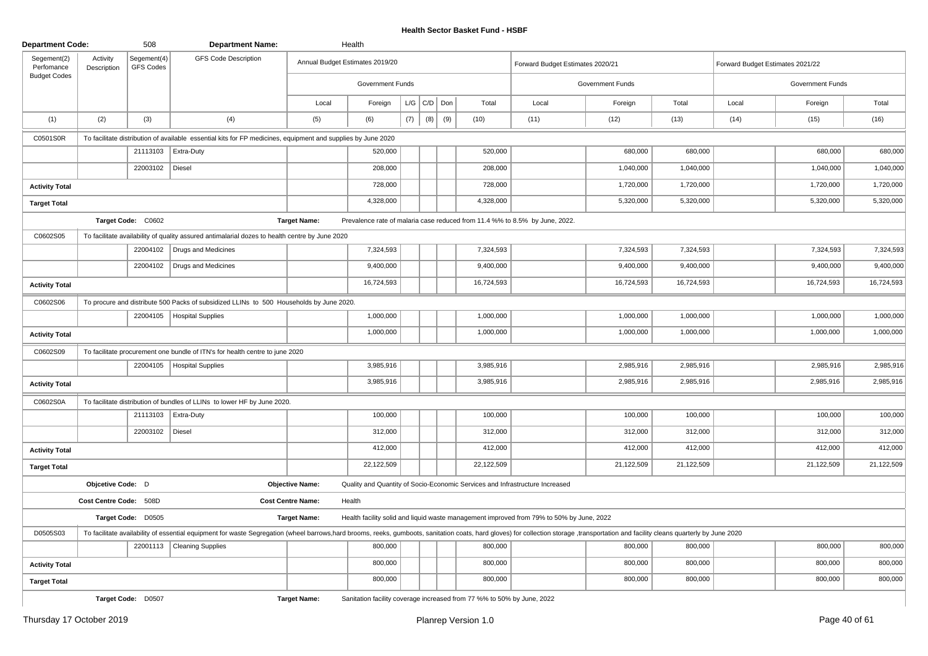| <b>Department Code:</b>   |                         | 508                             | <b>Department Name:</b>                                                                                                                                                                                                        |                          | Health                                                                 |     |                 |     |            |                                                                                          |                  |            |                                  |                  |            |
|---------------------------|-------------------------|---------------------------------|--------------------------------------------------------------------------------------------------------------------------------------------------------------------------------------------------------------------------------|--------------------------|------------------------------------------------------------------------|-----|-----------------|-----|------------|------------------------------------------------------------------------------------------|------------------|------------|----------------------------------|------------------|------------|
| Segement(2)<br>Perfomance | Activity<br>Description | Segement(4)<br><b>GFS Codes</b> | <b>GFS Code Description</b>                                                                                                                                                                                                    |                          | Annual Budget Estimates 2019/20                                        |     |                 |     |            | Forward Budget Estimates 2020/21                                                         |                  |            | Forward Budget Estimates 2021/22 |                  |            |
| <b>Budget Codes</b>       |                         |                                 |                                                                                                                                                                                                                                |                          | <b>Government Funds</b>                                                |     |                 |     |            |                                                                                          | Government Funds |            |                                  | Government Funds |            |
|                           |                         |                                 |                                                                                                                                                                                                                                | Local                    | Foreign                                                                |     | $L/G$ $C/D$ $D$ |     | Total      | Local                                                                                    | Foreign          | Total      | Local                            | Foreign          | Total      |
| (1)                       | (2)                     | (3)                             | (4)                                                                                                                                                                                                                            | (5)                      | (6)                                                                    | (7) | (8)             | (9) | (10)       | (11)                                                                                     | (12)             | (13)       | (14)                             | (15)             | (16)       |
| C0501S0R                  |                         |                                 | To facilitate distribution of available essential kits for FP medicines, equipment and supplies by June 2020                                                                                                                   |                          |                                                                        |     |                 |     |            |                                                                                          |                  |            |                                  |                  |            |
|                           |                         | 21113103                        | <b>Extra-Duty</b>                                                                                                                                                                                                              |                          | 520,000                                                                |     |                 |     | 520,000    |                                                                                          | 680,000          | 680,000    |                                  | 680,000          | 680,000    |
|                           |                         | 22003102   Diesel               |                                                                                                                                                                                                                                |                          | 208,000                                                                |     |                 |     | 208,000    |                                                                                          | 1,040,000        | 1,040,000  |                                  | 1,040,000        | 1,040,000  |
| <b>Activity Total</b>     |                         |                                 |                                                                                                                                                                                                                                |                          | 728,000                                                                |     |                 |     | 728,000    |                                                                                          | 1,720,000        | 1,720,000  |                                  | 1,720,000        | 1,720,000  |
| <b>Target Total</b>       |                         |                                 |                                                                                                                                                                                                                                |                          | 4,328,000                                                              |     |                 |     | 4,328,000  |                                                                                          | 5,320,000        | 5,320,000  |                                  | 5,320,000        | 5,320,000  |
|                           |                         | Target Code: C0602              |                                                                                                                                                                                                                                | <b>Target Name:</b>      |                                                                        |     |                 |     |            | Prevalence rate of malaria case reduced from 11.4 %% to 8.5% by June, 2022.              |                  |            |                                  |                  |            |
| C0602S05                  |                         |                                 | To facilitate availability of quality assured antimalarial dozes to health centre by June 2020                                                                                                                                 |                          |                                                                        |     |                 |     |            |                                                                                          |                  |            |                                  |                  |            |
|                           |                         |                                 | 22004102   Drugs and Medicines                                                                                                                                                                                                 |                          | 7,324,593                                                              |     |                 |     | 7,324,593  |                                                                                          | 7,324,593        | 7,324,593  |                                  | 7,324,593        | 7,324,593  |
|                           |                         | 22004102                        | Drugs and Medicines                                                                                                                                                                                                            |                          | 9,400,000                                                              |     |                 |     | 9,400,000  |                                                                                          | 9,400,000        | 9,400,000  |                                  | 9,400,000        | 9,400,000  |
| <b>Activity Total</b>     |                         |                                 |                                                                                                                                                                                                                                |                          | 16,724,593                                                             |     |                 |     | 16,724,593 |                                                                                          | 16,724,593       | 16,724,593 |                                  | 16,724,593       | 16,724,593 |
| C0602S06                  |                         |                                 | To procure and distribute 500 Packs of subsidized LLINs to 500 Households by June 2020.                                                                                                                                        |                          |                                                                        |     |                 |     |            |                                                                                          |                  |            |                                  |                  |            |
|                           |                         | 22004105                        | <b>Hospital Supplies</b>                                                                                                                                                                                                       |                          | 1,000,000                                                              |     |                 |     | 1,000,000  |                                                                                          | 1,000,000        | 1,000,000  |                                  | 1,000,000        | 1,000,000  |
| <b>Activity Total</b>     |                         |                                 |                                                                                                                                                                                                                                |                          | 1,000,000                                                              |     |                 |     | 1,000,000  |                                                                                          | 1,000,000        | 1,000,000  |                                  | 1,000,000        | 1,000,000  |
| C0602S09                  |                         |                                 | To facilitate procurement one bundle of ITN's for health centre to june 2020                                                                                                                                                   |                          |                                                                        |     |                 |     |            |                                                                                          |                  |            |                                  |                  |            |
|                           |                         |                                 | 22004105   Hospital Supplies                                                                                                                                                                                                   |                          | 3,985,916                                                              |     |                 |     | 3,985,916  |                                                                                          | 2,985,916        | 2,985,916  |                                  | 2,985,916        | 2,985,916  |
| <b>Activity Total</b>     |                         |                                 |                                                                                                                                                                                                                                |                          | 3,985,916                                                              |     |                 |     | 3,985,916  |                                                                                          | 2,985,916        | 2,985,916  |                                  | 2,985,916        | 2,985,916  |
| C0602S0A                  |                         |                                 | To facilitate distribution of bundles of LLINs to lower HF by June 2020.                                                                                                                                                       |                          |                                                                        |     |                 |     |            |                                                                                          |                  |            |                                  |                  |            |
|                           |                         |                                 | 21113103   Extra-Duty                                                                                                                                                                                                          |                          | 100,000                                                                |     |                 |     | 100,000    |                                                                                          | 100,000          | 100,000    |                                  | 100,000          | 100,000    |
|                           |                         | 22003102   Diesel               |                                                                                                                                                                                                                                |                          | 312,000                                                                |     |                 |     | 312,000    |                                                                                          | 312,000          | 312,000    |                                  | 312,000          | 312,000    |
| <b>Activity Total</b>     |                         |                                 |                                                                                                                                                                                                                                |                          | 412,000                                                                |     |                 |     | 412,000    |                                                                                          | 412,000          | 412,000    |                                  | 412,000          | 412,000    |
| <b>Target Total</b>       |                         |                                 |                                                                                                                                                                                                                                |                          | 22,122,509                                                             |     |                 |     | 22,122,509 |                                                                                          | 21,122,509       | 21,122,509 |                                  | 21,122,509       | 21,122,509 |
|                           | Objcetive Code: D       |                                 |                                                                                                                                                                                                                                | <b>Objective Name:</b>   |                                                                        |     |                 |     |            | Quality and Quantity of Socio-Economic Services and Infrastructure Increased             |                  |            |                                  |                  |            |
|                           | Cost Centre Code: 508D  |                                 |                                                                                                                                                                                                                                | <b>Cost Centre Name:</b> | Health                                                                 |     |                 |     |            |                                                                                          |                  |            |                                  |                  |            |
|                           |                         | Target Code: D0505              |                                                                                                                                                                                                                                | <b>Target Name:</b>      |                                                                        |     |                 |     |            | Health facility solid and liquid waste management improved from 79% to 50% by June, 2022 |                  |            |                                  |                  |            |
| D0505S03                  |                         |                                 | To facilitate availability of essential equipment for waste Segregation (wheel barrows,hard brooms, reeks, gumboots, sanitation coats, hard gloves) for collection storage ,transportation and facility cleans quarterly by Ju |                          |                                                                        |     |                 |     |            |                                                                                          |                  |            |                                  |                  |            |
|                           |                         |                                 | 22001113   Cleaning Supplies                                                                                                                                                                                                   |                          | 800,000                                                                |     |                 |     | 800,000    |                                                                                          | 800,000          | 800,000    |                                  | 800,000          | 800,000    |
| <b>Activity Total</b>     |                         |                                 |                                                                                                                                                                                                                                |                          | 800,000                                                                |     |                 |     | 800,000    |                                                                                          | 800,000          | 800,000    |                                  | 800,000          | 800,000    |
| <b>Target Total</b>       |                         |                                 |                                                                                                                                                                                                                                |                          | 800,000                                                                |     |                 |     | 800,000    |                                                                                          | 800,000          | 800,000    |                                  | 800,000          | 800,000    |
|                           |                         | Target Code: D0507              |                                                                                                                                                                                                                                | <b>Target Name:</b>      | Sanitation facility coverage increased from 77 %% to 50% by June, 2022 |     |                 |     |            |                                                                                          |                  |            |                                  |                  |            |

Planrep Version 1.0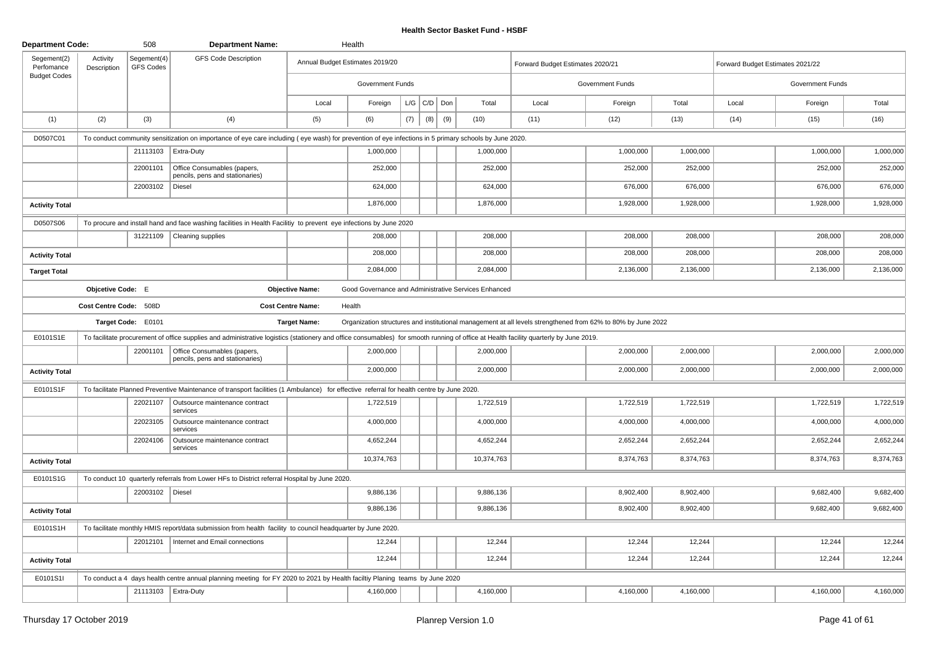| <b>Department Code:</b>   |                         | 508                      | <b>Department Name:</b>                                                                                                                                                               |                          | Health                          |     |                   |     |                                                      |                                                                                                              |                         |           |                                  |                         |           |
|---------------------------|-------------------------|--------------------------|---------------------------------------------------------------------------------------------------------------------------------------------------------------------------------------|--------------------------|---------------------------------|-----|-------------------|-----|------------------------------------------------------|--------------------------------------------------------------------------------------------------------------|-------------------------|-----------|----------------------------------|-------------------------|-----------|
| Segement(2)<br>Perfomance | Activity<br>Description | Segement(4)<br>GFS Codes | <b>GFS Code Description</b>                                                                                                                                                           |                          | Annual Budget Estimates 2019/20 |     |                   |     |                                                      | Forward Budget Estimates 2020/21                                                                             |                         |           | Forward Budget Estimates 2021/22 |                         |           |
| <b>Budget Codes</b>       |                         |                          |                                                                                                                                                                                       |                          | <b>Government Funds</b>         |     |                   |     |                                                      |                                                                                                              | <b>Government Funds</b> |           |                                  | <b>Government Funds</b> |           |
|                           |                         |                          |                                                                                                                                                                                       | Local                    | Foreign                         |     | $L/G$ $C/D$ $Don$ |     | Total                                                | Local                                                                                                        | Foreign                 | Total     | Local                            | Foreign                 | Total     |
| (1)                       | (2)                     | (3)                      | (4)                                                                                                                                                                                   | (5)                      | (6)                             | (7) | (8)               | (9) | (10)                                                 | (11)                                                                                                         | (12)                    | (13)      | (14)                             | (15)                    | (16)      |
| D0507C01                  |                         |                          | To conduct community sensitization on importance of eye care including (eye wash) for prevention of eye infections in 5 primary schools by June 2020.                                 |                          |                                 |     |                   |     |                                                      |                                                                                                              |                         |           |                                  |                         |           |
|                           |                         |                          | 21113103   Extra-Duty                                                                                                                                                                 |                          | 1,000,000                       |     |                   |     | 1,000,000                                            |                                                                                                              | 1,000,000               | 1,000,000 |                                  | 1,000,000               | 1,000,000 |
|                           |                         | 22001101                 | Office Consumables (papers,<br>pencils, pens and stationaries)                                                                                                                        |                          | 252,000                         |     |                   |     | 252,000                                              |                                                                                                              | 252,000                 | 252,000   |                                  | 252,000                 | 252,000   |
|                           |                         | 22003102                 | Diesel                                                                                                                                                                                |                          | 624,000                         |     |                   |     | 624,000                                              |                                                                                                              | 676,000                 | 676,000   |                                  | 676,000                 | 676,000   |
| <b>Activity Total</b>     |                         |                          |                                                                                                                                                                                       |                          | 1,876,000                       |     |                   |     | 1,876,000                                            |                                                                                                              | 1,928,000               | 1,928,000 |                                  | 1,928,000               | 1,928,000 |
| D0507S06                  |                         |                          | To procure and install hand and face washing facilities in Health Facilitiy to prevent eye infections by June 2020                                                                    |                          |                                 |     |                   |     |                                                      |                                                                                                              |                         |           |                                  |                         |           |
|                           |                         | 31221109                 | Cleaning supplies                                                                                                                                                                     |                          | 208,000                         |     |                   |     | 208,000                                              |                                                                                                              | 208,000                 | 208,000   |                                  | 208,000                 | 208,000   |
| <b>Activity Total</b>     |                         |                          |                                                                                                                                                                                       |                          | 208,000                         |     |                   |     | 208,000                                              |                                                                                                              | 208,000                 | 208,000   |                                  | 208,000                 | 208,000   |
| <b>Target Total</b>       |                         |                          |                                                                                                                                                                                       |                          | 2,084,000                       |     |                   |     | 2,084,000                                            |                                                                                                              | 2,136,000               | 2,136,000 |                                  | 2,136,000               | 2,136,000 |
|                           | Objcetive Code: E       |                          |                                                                                                                                                                                       | <b>Objective Name:</b>   |                                 |     |                   |     | Good Governance and Administrative Services Enhanced |                                                                                                              |                         |           |                                  |                         |           |
|                           | Cost Centre Code: 508D  |                          |                                                                                                                                                                                       | <b>Cost Centre Name:</b> | Health                          |     |                   |     |                                                      |                                                                                                              |                         |           |                                  |                         |           |
|                           |                         | Target Code: E0101       |                                                                                                                                                                                       | <b>Target Name:</b>      |                                 |     |                   |     |                                                      | Organization structures and institutional management at all levels strengthened from 62% to 80% by June 2022 |                         |           |                                  |                         |           |
| E0101S1E                  |                         |                          | To facilitate procurement of office supplies and administrative logistics (stationery and office consumables) for smooth running of office at Health facility quarterly by June 2019. |                          |                                 |     |                   |     |                                                      |                                                                                                              |                         |           |                                  |                         |           |
|                           |                         | 22001101                 | Office Consumables (papers,<br>pencils, pens and stationaries)                                                                                                                        |                          | 2,000,000                       |     |                   |     | 2,000,000                                            |                                                                                                              | 2,000,000               | 2,000,000 |                                  | 2,000,000               | 2,000,000 |
| <b>Activity Total</b>     |                         |                          |                                                                                                                                                                                       |                          | 2,000,000                       |     |                   |     | 2,000,000                                            |                                                                                                              | 2,000,000               | 2,000,000 |                                  | 2,000,000               | 2,000,000 |
| E0101S1F                  |                         |                          | To facilitate Planned Preventive Maintenance of transport facilities (1 Ambulance) for effective referral for health centre by June 2020.                                             |                          |                                 |     |                   |     |                                                      |                                                                                                              |                         |           |                                  |                         |           |
|                           |                         | 22021107                 | Outsource maintenance contract<br>services                                                                                                                                            |                          | 1,722,519                       |     |                   |     | 1,722,519                                            |                                                                                                              | 1,722,519               | 1,722,519 |                                  | 1,722,519               | 1,722,519 |
|                           |                         | 22023105                 | Outsource maintenance contract<br>services                                                                                                                                            |                          | 4,000,000                       |     |                   |     | 4,000,000                                            |                                                                                                              | 4,000,000               | 4,000,000 |                                  | 4,000,000               | 4,000,000 |
|                           |                         | 22024106                 | Outsource maintenance contract<br>services                                                                                                                                            |                          | 4,652,244                       |     |                   |     | 4,652,244                                            |                                                                                                              | 2,652,244               | 2,652,244 |                                  | 2,652,244               | 2,652,244 |
| <b>Activity Total</b>     |                         |                          |                                                                                                                                                                                       |                          | 10,374,763                      |     |                   |     | 10,374,763                                           |                                                                                                              | 8,374,763               | 8,374,763 |                                  | 8,374,763               | 8,374,763 |
| E0101S1G                  |                         |                          | To conduct 10 quarterly referrals from Lower HFs to District referral Hospital by June 2020.                                                                                          |                          |                                 |     |                   |     |                                                      |                                                                                                              |                         |           |                                  |                         |           |
|                           |                         | 22003102   Diesel        |                                                                                                                                                                                       |                          | 9,886,136                       |     |                   |     | 9,886,136                                            |                                                                                                              | 8,902,400               | 8,902,400 |                                  | 9,682,400               | 9,682,400 |
| <b>Activity Total</b>     |                         |                          |                                                                                                                                                                                       |                          | 9,886,136                       |     |                   |     | 9,886,136                                            |                                                                                                              | 8,902,400               | 8,902,400 |                                  | 9,682,400               | 9,682,400 |
| E0101S1H                  |                         |                          | To facilitate monthly HMIS report/data submission from health facility to council headquarter by June 2020.                                                                           |                          |                                 |     |                   |     |                                                      |                                                                                                              |                         |           |                                  |                         |           |
|                           |                         | 22012101                 | Internet and Email connections                                                                                                                                                        |                          | 12,244                          |     |                   |     | 12,244                                               |                                                                                                              | 12,244                  | 12,244    |                                  | 12,244                  | 12,244    |
| <b>Activity Total</b>     |                         |                          |                                                                                                                                                                                       |                          | 12,244                          |     |                   |     | 12,244                                               |                                                                                                              | 12,244                  | 12,244    |                                  | 12,244                  | 12,244    |
| E0101S1I                  |                         |                          | To conduct a 4 days health centre annual planning meeting for FY 2020 to 2021 by Health faciltiy Planing teams by June 2020                                                           |                          |                                 |     |                   |     |                                                      |                                                                                                              |                         |           |                                  |                         |           |
|                           |                         |                          | 21113103   Extra-Duty                                                                                                                                                                 |                          | 4,160,000                       |     |                   |     | 4,160,000                                            |                                                                                                              | 4,160,000               | 4,160,000 |                                  | 4,160,000               | 4,160,000 |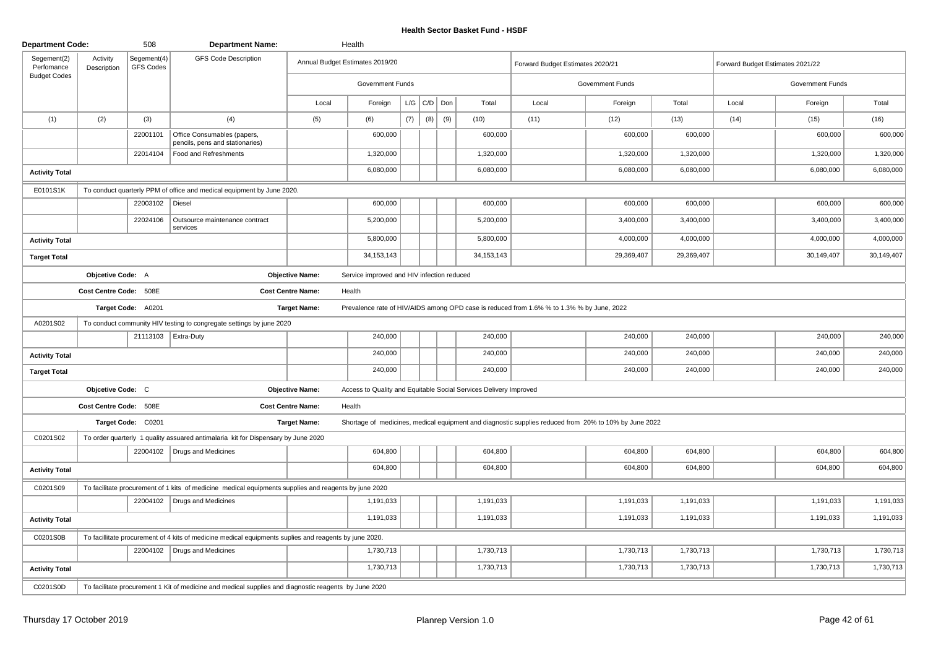| <b>Department Code:</b>   |                         | 508                      | <b>Department Name:</b>                                                                                |                          | Health                                     |     |             |     |                                                                   |                                                                                           |                                                                                                       |            |                                  |                  |            |
|---------------------------|-------------------------|--------------------------|--------------------------------------------------------------------------------------------------------|--------------------------|--------------------------------------------|-----|-------------|-----|-------------------------------------------------------------------|-------------------------------------------------------------------------------------------|-------------------------------------------------------------------------------------------------------|------------|----------------------------------|------------------|------------|
| Segement(2)<br>Perfomance | Activity<br>Description | Segement(4)<br>GFS Codes | <b>GFS Code Description</b>                                                                            |                          | Annual Budget Estimates 2019/20            |     |             |     |                                                                   | Forward Budget Estimates 2020/21                                                          |                                                                                                       |            | Forward Budget Estimates 2021/22 |                  |            |
| <b>Budget Codes</b>       |                         |                          |                                                                                                        |                          | Government Funds                           |     |             |     |                                                                   |                                                                                           | Government Funds                                                                                      |            |                                  | Government Funds |            |
|                           |                         |                          |                                                                                                        | Local                    | Foreign                                    |     | $L/G$ $C/D$ | Don | Total                                                             | Local                                                                                     | Foreign                                                                                               | Total      | Local                            | Foreign          | Total      |
| (1)                       | (2)                     | (3)                      | (4)                                                                                                    | (5)                      | (6)                                        | (7) | (8)         | (9) | (10)                                                              | (11)                                                                                      | (12)                                                                                                  | (13)       | (14)                             | (15)             | (16)       |
|                           |                         | 22001101                 | Office Consumables (papers,<br>pencils, pens and stationaries)                                         |                          | 600,000                                    |     |             |     | 600,000                                                           |                                                                                           | 600,000                                                                                               | 600,000    |                                  | 600,000          | 600,000    |
|                           |                         | 22014104                 | Food and Refreshments                                                                                  |                          | 1,320,000                                  |     |             |     | 1,320,000                                                         |                                                                                           | 1,320,000                                                                                             | 1,320,000  |                                  | 1,320,000        | 1,320,000  |
| <b>Activity Total</b>     |                         |                          |                                                                                                        |                          | 6,080,000                                  |     |             |     | 6,080,000                                                         |                                                                                           | 6,080,000                                                                                             | 6,080,000  |                                  | 6,080,000        | 6,080,000  |
| E0101S1K                  |                         |                          | To conduct quarterly PPM of office and medical equipment by June 2020.                                 |                          |                                            |     |             |     |                                                                   |                                                                                           |                                                                                                       |            |                                  |                  |            |
|                           |                         | 22003102   Diesel        |                                                                                                        |                          | 600,000                                    |     |             |     | 600,000                                                           |                                                                                           | 600,000                                                                                               | 600,000    |                                  | 600,000          | 600,000    |
|                           |                         | 22024106                 | Outsource maintenance contract<br>services                                                             |                          | 5,200,000                                  |     |             |     | 5,200,000                                                         |                                                                                           | 3,400,000                                                                                             | 3,400,000  |                                  | 3,400,000        | 3,400,000  |
| <b>Activity Total</b>     |                         |                          |                                                                                                        |                          | 5,800,000                                  |     |             |     | 5,800,000                                                         |                                                                                           | 4,000,000                                                                                             | 4,000,000  |                                  | 4,000,000        | 4,000,000  |
| <b>Target Total</b>       |                         |                          |                                                                                                        |                          | 34, 153, 143                               |     |             |     | 34, 153, 143                                                      |                                                                                           | 29,369,407                                                                                            | 29,369,407 |                                  | 30,149,407       | 30,149,407 |
|                           | Objcetive Code: A       |                          |                                                                                                        | <b>Objective Name:</b>   | Service improved and HIV infection reduced |     |             |     |                                                                   |                                                                                           |                                                                                                       |            |                                  |                  |            |
|                           | Cost Centre Code: 508E  |                          |                                                                                                        | <b>Cost Centre Name:</b> | Health                                     |     |             |     |                                                                   |                                                                                           |                                                                                                       |            |                                  |                  |            |
|                           |                         | Target Code: A0201       |                                                                                                        | <b>Target Name:</b>      |                                            |     |             |     |                                                                   | Prevalence rate of HIV/AIDS among OPD case is reduced from 1.6% % to 1.3% % by June, 2022 |                                                                                                       |            |                                  |                  |            |
| A0201S02                  |                         |                          | To conduct community HIV testing to congregate settings by june 2020                                   |                          |                                            |     |             |     |                                                                   |                                                                                           |                                                                                                       |            |                                  |                  |            |
|                           |                         |                          | 21113103   Extra-Duty                                                                                  |                          | 240,000                                    |     |             |     | 240,000                                                           |                                                                                           | 240,000                                                                                               | 240,000    |                                  | 240,000          | 240,000    |
| <b>Activity Total</b>     |                         |                          |                                                                                                        |                          | 240,000                                    |     |             |     | 240,000                                                           |                                                                                           | 240,000                                                                                               | 240,000    |                                  | 240,000          | 240,000    |
| <b>Target Total</b>       |                         |                          |                                                                                                        |                          | 240,000                                    |     |             |     | 240,000                                                           |                                                                                           | 240,000                                                                                               | 240,000    |                                  | 240,000          | 240,000    |
|                           | Objcetive Code: C       |                          |                                                                                                        | <b>Objective Name:</b>   |                                            |     |             |     | Access to Quality and Equitable Social Services Delivery Improved |                                                                                           |                                                                                                       |            |                                  |                  |            |
|                           | Cost Centre Code: 508E  |                          |                                                                                                        | <b>Cost Centre Name:</b> | Health                                     |     |             |     |                                                                   |                                                                                           |                                                                                                       |            |                                  |                  |            |
|                           |                         | Target Code: C0201       |                                                                                                        | <b>Target Name:</b>      |                                            |     |             |     |                                                                   |                                                                                           | Shortage of medicines, medical equipment and diagnostic supplies reduced from 20% to 10% by June 2022 |            |                                  |                  |            |
| C0201S02                  |                         |                          | To order quarterly 1 quality assuared antimalaria kit for Dispensary by June 2020                      |                          |                                            |     |             |     |                                                                   |                                                                                           |                                                                                                       |            |                                  |                  |            |
|                           |                         |                          | 22004102   Drugs and Medicines                                                                         |                          | 604,800                                    |     |             |     | 604,800                                                           |                                                                                           | 604,800                                                                                               | 604,800    |                                  | 604,800          | 604,800    |
| <b>Activity Total</b>     |                         |                          |                                                                                                        |                          | 604,800                                    |     |             |     | 604,800                                                           |                                                                                           | 604,800                                                                                               | 604,800    |                                  | 604,800          | 604,800    |
| C0201S09                  |                         |                          | To facilitate procurement of 1 kits of medicine medical equipments supplies and reagents by june 2020  |                          |                                            |     |             |     |                                                                   |                                                                                           |                                                                                                       |            |                                  |                  |            |
|                           |                         |                          | 22004102   Drugs and Medicines                                                                         |                          | 1,191,033                                  |     |             |     | 1,191,033                                                         |                                                                                           | 1,191,033                                                                                             | 1,191,033  |                                  | 1,191,033        | 1,191,033  |
| <b>Activity Total</b>     |                         |                          |                                                                                                        |                          | 1,191,033                                  |     |             |     | 1,191,033                                                         |                                                                                           | 1,191,033                                                                                             | 1,191,033  |                                  | 1,191,033        | 1,191,033  |
| C0201S0B                  |                         |                          | To facillitate procurement of 4 kits of medicine medical equipments suplies and reagents by june 2020. |                          |                                            |     |             |     |                                                                   |                                                                                           |                                                                                                       |            |                                  |                  |            |
|                           |                         |                          | 22004102   Drugs and Medicines                                                                         |                          | 1,730,713                                  |     |             |     | 1,730,713                                                         |                                                                                           | 1,730,713                                                                                             | 1,730,713  |                                  | 1,730,713        | 1,730,713  |
| <b>Activity Total</b>     |                         |                          |                                                                                                        |                          | 1,730,713                                  |     |             |     | 1,730,713                                                         |                                                                                           | 1,730,713                                                                                             | 1,730,713  |                                  | 1,730,713        | 1,730,713  |
| C0201S0D                  |                         |                          | To facilitate procurement 1 Kit of medicine and medical supplies and diagnostic reagents by June 2020  |                          |                                            |     |             |     |                                                                   |                                                                                           |                                                                                                       |            |                                  |                  |            |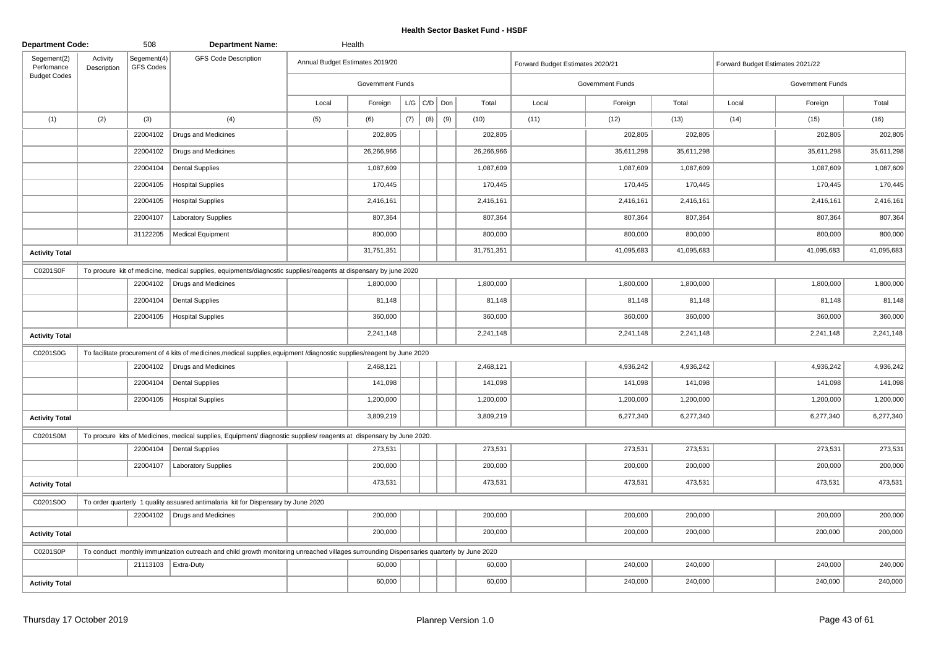| <b>Department Code:</b>   |                         | 508                      | <b>Department Name:</b>                                                                                                                 |       | Health                          |     |                 |     |            |                                  |                         |            |                                  |                  |            |
|---------------------------|-------------------------|--------------------------|-----------------------------------------------------------------------------------------------------------------------------------------|-------|---------------------------------|-----|-----------------|-----|------------|----------------------------------|-------------------------|------------|----------------------------------|------------------|------------|
| Segement(2)<br>Perfomance | Activity<br>Description | Segement(4)<br>GFS Codes | <b>GFS Code Description</b>                                                                                                             |       | Annual Budget Estimates 2019/20 |     |                 |     |            | Forward Budget Estimates 2020/21 |                         |            | Forward Budget Estimates 2021/22 |                  |            |
| <b>Budget Codes</b>       |                         |                          |                                                                                                                                         |       | <b>Government Funds</b>         |     |                 |     |            |                                  | <b>Government Funds</b> |            |                                  | Government Funds |            |
|                           |                         |                          |                                                                                                                                         | Local | Foreign                         |     | $L/G$ $C/D$ Don |     | Total      | Local                            | Foreign                 | Total      | Local                            | Foreign          | Total      |
| (1)                       | (2)                     | (3)                      | (4)                                                                                                                                     | (5)   | (6)                             | (7) | (8)             | (9) | (10)       | (11)                             | (12)                    | (13)       | (14)                             | (15)             | (16)       |
|                           |                         | 22004102                 | Drugs and Medicines                                                                                                                     |       | 202,805                         |     |                 |     | 202,805    |                                  | 202,805                 | 202,805    |                                  | 202,805          | 202,805    |
|                           |                         | 22004102                 | Drugs and Medicines                                                                                                                     |       | 26,266,966                      |     |                 |     | 26,266,966 |                                  | 35,611,298              | 35,611,298 |                                  | 35,611,298       | 35,611,298 |
|                           |                         | 22004104                 | <b>Dental Supplies</b>                                                                                                                  |       | 1,087,609                       |     |                 |     | 1,087,609  |                                  | 1,087,609               | 1,087,609  |                                  | 1,087,609        | 1,087,609  |
|                           |                         | 22004105                 | <b>Hospital Supplies</b>                                                                                                                |       | 170,445                         |     |                 |     | 170,445    |                                  | 170,445                 | 170,445    |                                  | 170,445          | 170,445    |
|                           |                         | 22004105                 | <b>Hospital Supplies</b>                                                                                                                |       | 2,416,161                       |     |                 |     | 2,416,161  |                                  | 2,416,161               | 2,416,161  |                                  | 2,416,161        | 2,416,161  |
|                           |                         | 22004107                 | <b>Laboratory Supplies</b>                                                                                                              |       | 807,364                         |     |                 |     | 807,364    |                                  | 807,364                 | 807,364    |                                  | 807,364          | 807,364    |
|                           |                         | 31122205                 | <b>Medical Equipment</b>                                                                                                                |       | 800,000                         |     |                 |     | 800,000    |                                  | 800,000                 | 800,000    |                                  | 800,000          | 800,000    |
| <b>Activity Total</b>     |                         |                          |                                                                                                                                         |       | 31,751,351                      |     |                 |     | 31,751,351 |                                  | 41,095,683              | 41,095,683 |                                  | 41,095,683       | 41,095,683 |
| C0201S0F                  |                         |                          | To procure kit of medicine, medical supplies, equipments/diagnostic supplies/reagents at dispensary by june 2020                        |       |                                 |     |                 |     |            |                                  |                         |            |                                  |                  |            |
|                           |                         | 22004102                 | Drugs and Medicines                                                                                                                     |       | 1,800,000                       |     |                 |     | 1,800,000  |                                  | 1,800,000               | 1,800,000  |                                  | 1,800,000        | 1,800,000  |
|                           |                         | 22004104                 | <b>Dental Supplies</b>                                                                                                                  |       | 81,148                          |     |                 |     | 81,148     |                                  | 81,148                  | 81,148     |                                  | 81,148           | 81,148     |
|                           |                         | 22004105                 | <b>Hospital Supplies</b>                                                                                                                |       | 360,000                         |     |                 |     | 360,000    |                                  | 360,000                 | 360,000    |                                  | 360,000          | 360,000    |
| <b>Activity Total</b>     |                         |                          |                                                                                                                                         |       | 2,241,148                       |     |                 |     | 2,241,148  |                                  | 2,241,148               | 2,241,148  |                                  | 2,241,148        | 2,241,148  |
| C0201S0G                  |                         |                          | To facilitate procurement of 4 kits of medicines, medical supplies, equipment /diagnostic supplies/reagent by June 2020                 |       |                                 |     |                 |     |            |                                  |                         |            |                                  |                  |            |
|                           |                         |                          | 22004102   Drugs and Medicines                                                                                                          |       | 2,468,121                       |     |                 |     | 2,468,121  |                                  | 4,936,242               | 4,936,242  |                                  | 4,936,242        | 4,936,242  |
|                           |                         | 22004104                 | <b>Dental Supplies</b>                                                                                                                  |       | 141,098                         |     |                 |     | 141,098    |                                  | 141,098                 | 141,098    |                                  | 141,098          | 141,098    |
|                           |                         | 22004105                 | <b>Hospital Supplies</b>                                                                                                                |       | 1,200,000                       |     |                 |     | 1,200,000  |                                  | 1,200,000               | 1,200,000  |                                  | 1,200,000        | 1,200,000  |
| <b>Activity Total</b>     |                         |                          |                                                                                                                                         |       | 3,809,219                       |     |                 |     | 3,809,219  |                                  | 6,277,340               | 6,277,340  |                                  | 6,277,340        | 6,277,340  |
| C0201S0M                  |                         |                          | To procure kits of Medicines, medical supplies, Equipment/ diagnostic supplies/ reagents at dispensary by June 2020.                    |       |                                 |     |                 |     |            |                                  |                         |            |                                  |                  |            |
|                           |                         | 22004104                 | Dental Supplies                                                                                                                         |       | 273,531                         |     |                 |     | 273,531    |                                  | 273,531                 | 273,531    |                                  | 273,531          | 273,531    |
|                           |                         | 22004107                 | <b>Laboratory Supplies</b>                                                                                                              |       | 200,000                         |     |                 |     | 200,000    |                                  | 200,000                 | 200,000    |                                  | 200,000          | 200,000    |
| <b>Activity Total</b>     |                         |                          |                                                                                                                                         |       | 473,531                         |     |                 |     | 473,531    |                                  | 473,531                 | 473,531    |                                  | 473,531          | 473,531    |
| C0201S0O                  |                         |                          | To order quarterly 1 quality assuared antimalaria kit for Dispensary by June 2020                                                       |       |                                 |     |                 |     |            |                                  |                         |            |                                  |                  |            |
|                           |                         |                          | 22004102   Drugs and Medicines                                                                                                          |       | 200,000                         |     |                 |     | 200,000    |                                  | 200,000                 | 200,000    |                                  | 200,000          | 200,000    |
| <b>Activity Total</b>     |                         |                          |                                                                                                                                         |       | 200,000                         |     |                 |     | 200,000    |                                  | 200,000                 | 200,000    |                                  | 200,000          | 200,000    |
| C0201S0P                  |                         |                          | To conduct monthly immunization outreach and child growth monitoring unreached villages surrounding Dispensaries quarterly by June 2020 |       |                                 |     |                 |     |            |                                  |                         |            |                                  |                  |            |
|                           |                         |                          | 21113103 Extra-Duty                                                                                                                     |       | 60,000                          |     |                 |     | 60,000     |                                  | 240,000                 | 240,000    |                                  | 240,000          | 240,000    |
| <b>Activity Total</b>     |                         |                          |                                                                                                                                         |       | 60,000                          |     |                 |     | 60,000     |                                  | 240,000                 | 240,000    |                                  | 240,000          | 240,000    |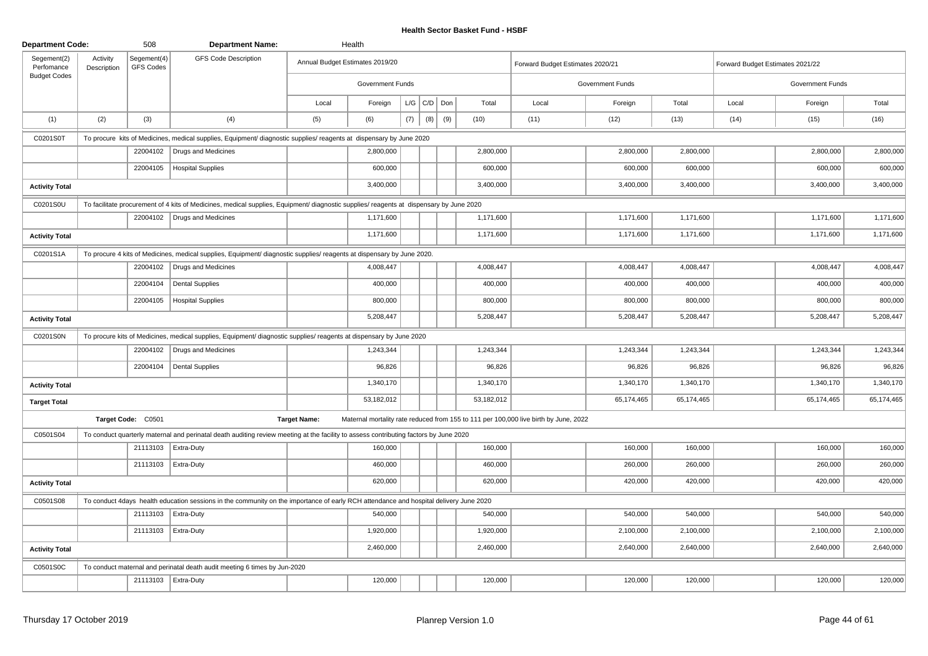| <b>Department Code:</b>   |                         | 508                      | <b>Department Name:</b>                                                                                                                 |                     | Health                          |     |                 |     |            |                                                                                      |                  |              |                                  |                  |            |
|---------------------------|-------------------------|--------------------------|-----------------------------------------------------------------------------------------------------------------------------------------|---------------------|---------------------------------|-----|-----------------|-----|------------|--------------------------------------------------------------------------------------|------------------|--------------|----------------------------------|------------------|------------|
| Segement(2)<br>Perfomance | Activity<br>Description | Segement(4)<br>GFS Codes | <b>GFS Code Description</b>                                                                                                             |                     | Annual Budget Estimates 2019/20 |     |                 |     |            | Forward Budget Estimates 2020/21                                                     |                  |              | Forward Budget Estimates 2021/22 |                  |            |
| <b>Budget Codes</b>       |                         |                          |                                                                                                                                         |                     | <b>Government Funds</b>         |     |                 |     |            |                                                                                      | Government Funds |              |                                  | Government Funds |            |
|                           |                         |                          |                                                                                                                                         | Local               | Foreign                         |     | $L/G$ $C/D$ Don |     | Total      | Local                                                                                | Foreign          | Total        | Local                            | Foreign          | Total      |
| (1)                       | (2)                     | (3)                      | (4)                                                                                                                                     | (5)                 | (6)                             | (7) | (8)             | (9) | (10)       | (11)                                                                                 | (12)             | (13)         | (14)                             | (15)             | (16)       |
| C0201S0T                  |                         |                          | To procure kits of Medicines, medical supplies, Equipment/ diagnostic supplies/ reagents at dispensary by June 2020                     |                     |                                 |     |                 |     |            |                                                                                      |                  |              |                                  |                  |            |
|                           |                         | 22004102                 | Drugs and Medicines                                                                                                                     |                     | 2,800,000                       |     |                 |     | 2,800,000  |                                                                                      | 2,800,000        | 2,800,000    |                                  | 2,800,000        | 2,800,000  |
|                           |                         | 22004105                 | <b>Hospital Supplies</b>                                                                                                                |                     | 600,000                         |     |                 |     | 600,000    |                                                                                      | 600,000          | 600,000      |                                  | 600,000          | 600,000    |
| <b>Activity Total</b>     |                         |                          |                                                                                                                                         |                     | 3,400,000                       |     |                 |     | 3,400,000  |                                                                                      | 3,400,000        | 3,400,000    |                                  | 3,400,000        | 3,400,000  |
| C0201S0U                  |                         |                          | To facilitate procurement of 4 kits of Medicines, medical supplies, Equipment/ diagnostic supplies/ reagents at dispensary by June 2020 |                     |                                 |     |                 |     |            |                                                                                      |                  |              |                                  |                  |            |
|                           |                         |                          | 22004102   Drugs and Medicines                                                                                                          |                     | 1,171,600                       |     |                 |     | 1,171,600  |                                                                                      | 1,171,600        | 1,171,600    |                                  | 1,171,600        | 1,171,600  |
| <b>Activity Total</b>     |                         |                          |                                                                                                                                         |                     | 1,171,600                       |     |                 |     | 1,171,600  |                                                                                      | 1,171,600        | 1,171,600    |                                  | 1,171,600        | 1,171,600  |
| C0201S1A                  |                         |                          | To procure 4 kits of Medicines, medical supplies, Equipment/ diagnostic supplies/ reagents at dispensary by June 2020.                  |                     |                                 |     |                 |     |            |                                                                                      |                  |              |                                  |                  |            |
|                           |                         | 22004102                 | Drugs and Medicines                                                                                                                     |                     | 4,008,447                       |     |                 |     | 4,008,447  |                                                                                      | 4,008,447        | 4,008,447    |                                  | 4,008,447        | 4,008,447  |
|                           |                         | 22004104                 | <b>Dental Supplies</b>                                                                                                                  |                     | 400,000                         |     |                 |     | 400,000    |                                                                                      | 400,000          | 400,000      |                                  | 400,000          | 400,000    |
|                           |                         | 22004105                 | <b>Hospital Supplies</b>                                                                                                                |                     | 800,000                         |     |                 |     | 800,000    |                                                                                      | 800,000          | 800,000      |                                  | 800,000          | 800,000    |
| <b>Activity Total</b>     |                         |                          |                                                                                                                                         |                     | 5,208,447                       |     |                 |     | 5,208,447  |                                                                                      | 5,208,447        | 5,208,447    |                                  | 5,208,447        | 5,208,447  |
| C0201S0N                  |                         |                          | To procure kits of Medicines, medical supplies, Equipment/ diagnostic supplies/ reagents at dispensary by June 2020                     |                     |                                 |     |                 |     |            |                                                                                      |                  |              |                                  |                  |            |
|                           |                         | 22004102                 | Drugs and Medicines                                                                                                                     |                     | 1,243,344                       |     |                 |     | 1,243,344  |                                                                                      | 1,243,344        | 1,243,344    |                                  | 1,243,344        | 1,243,344  |
|                           |                         | 22004104                 | <b>Dental Supplies</b>                                                                                                                  |                     | 96,826                          |     |                 |     | 96,826     |                                                                                      | 96,826           | 96,826       |                                  | 96,826           | 96,826     |
| <b>Activity Total</b>     |                         |                          |                                                                                                                                         |                     | 1,340,170                       |     |                 |     | 1,340,170  |                                                                                      | 1,340,170        | 1,340,170    |                                  | 1,340,170        | 1,340,170  |
| <b>Target Total</b>       |                         |                          |                                                                                                                                         |                     | 53,182,012                      |     |                 |     | 53,182,012 |                                                                                      | 65,174,465       | 65, 174, 465 |                                  | 65,174,465       | 65,174,465 |
|                           |                         | Target Code: C0501       |                                                                                                                                         | <b>Target Name:</b> |                                 |     |                 |     |            | Maternal mortality rate reduced from 155 to 111 per 100,000 live birth by June, 2022 |                  |              |                                  |                  |            |
| C0501S04                  |                         |                          | To conduct quarterly maternal and perinatal death auditing review meeting at the facility to assess contributing factors by June 2020   |                     |                                 |     |                 |     |            |                                                                                      |                  |              |                                  |                  |            |
|                           |                         | 21113103                 | Extra-Duty                                                                                                                              |                     | 160,000                         |     |                 |     | 160,000    |                                                                                      | 160,000          | 160,000      |                                  | 160,000          | 160,000    |
|                           |                         | 21113103                 | Extra-Duty                                                                                                                              |                     | 460,000                         |     |                 |     | 460,000    |                                                                                      | 260,000          | 260,000      |                                  | 260,000          | 260,000    |
| <b>Activity Total</b>     |                         |                          |                                                                                                                                         |                     | 620,000                         |     |                 |     | 620,000    |                                                                                      | 420,000          | 420,000      |                                  | 420,000          | 420,000    |
| C0501S08                  |                         |                          | To conduct 4days health education sessions in the community on the importance of early RCH attendance and hospital delivery June 2020   |                     |                                 |     |                 |     |            |                                                                                      |                  |              |                                  |                  |            |
|                           |                         |                          | 21113103   Extra-Duty                                                                                                                   |                     | 540,000                         |     |                 |     | 540,000    |                                                                                      | 540,000          | 540,000      |                                  | 540,000          | 540,000    |
|                           |                         | 21113103                 | Extra-Duty                                                                                                                              |                     | 1,920,000                       |     |                 |     | 1,920,000  |                                                                                      | 2,100,000        | 2,100,000    |                                  | 2,100,000        | 2,100,000  |
| <b>Activity Total</b>     |                         |                          |                                                                                                                                         |                     | 2,460,000                       |     |                 |     | 2,460,000  |                                                                                      | 2,640,000        | 2,640,000    |                                  | 2,640,000        | 2,640,000  |
| C0501S0C                  |                         |                          | To conduct maternal and perinatal death audit meeting 6 times by Jun-2020                                                               |                     |                                 |     |                 |     |            |                                                                                      |                  |              |                                  |                  |            |
|                           |                         |                          | 21113103   Extra-Duty                                                                                                                   |                     | 120,000                         |     |                 |     | 120,000    |                                                                                      | 120,000          | 120,000      |                                  | 120,000          | 120,000    |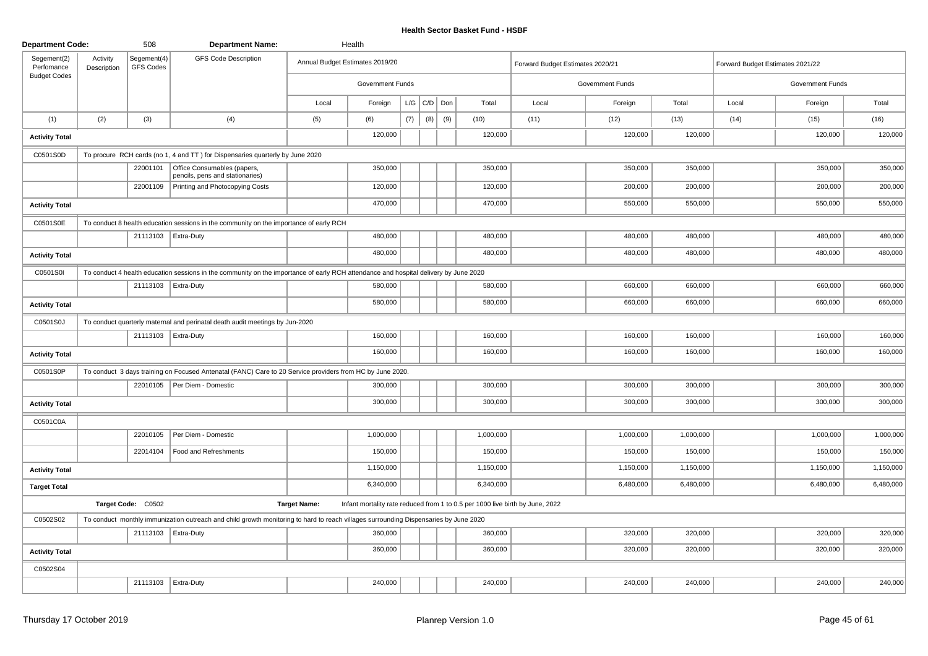| <b>Department Code:</b>   |                         | 508                      | <b>Department Name:</b>                                                                                                              |                     | Health                                                                        |     |     |         |           |                                  |                         |           |                                  |                  |           |
|---------------------------|-------------------------|--------------------------|--------------------------------------------------------------------------------------------------------------------------------------|---------------------|-------------------------------------------------------------------------------|-----|-----|---------|-----------|----------------------------------|-------------------------|-----------|----------------------------------|------------------|-----------|
| Segement(2)<br>Perfomance | Activity<br>Description | Segement(4)<br>GFS Codes | <b>GFS Code Description</b>                                                                                                          |                     | Annual Budget Estimates 2019/20                                               |     |     |         |           | Forward Budget Estimates 2020/21 |                         |           | Forward Budget Estimates 2021/22 |                  |           |
| <b>Budget Codes</b>       |                         |                          |                                                                                                                                      |                     | <b>Government Funds</b>                                                       |     |     |         |           |                                  | <b>Government Funds</b> |           |                                  | Government Funds |           |
|                           |                         |                          |                                                                                                                                      | Local               | Foreign                                                                       | L/G |     | C/D Don | Total     | Local                            | Foreign                 | Total     | Local                            | Foreign          | Total     |
| (1)                       | (2)                     | (3)                      | (4)                                                                                                                                  | (5)                 | (6)                                                                           | (7) | (8) | (9)     | (10)      | (11)                             | (12)                    | (13)      | (14)                             | (15)             | (16)      |
| <b>Activity Total</b>     |                         |                          |                                                                                                                                      |                     | 120,000                                                                       |     |     |         | 120,000   |                                  | 120,000                 | 120,000   |                                  | 120,000          | 120,000   |
| C0501S0D                  |                         |                          | To procure RCH cards (no 1, 4 and TT) for Dispensaries quarterly by June 2020                                                        |                     |                                                                               |     |     |         |           |                                  |                         |           |                                  |                  |           |
|                           |                         | 22001101                 | Office Consumables (papers,<br>pencils, pens and stationaries)                                                                       |                     | 350,000                                                                       |     |     |         | 350,000   |                                  | 350,000                 | 350,000   |                                  | 350,000          | 350,000   |
|                           |                         | 22001109                 | Printing and Photocopying Costs                                                                                                      |                     | 120,000                                                                       |     |     |         | 120,000   |                                  | 200,000                 | 200,000   |                                  | 200,000          | 200,000   |
| <b>Activity Total</b>     |                         |                          |                                                                                                                                      |                     | 470,000                                                                       |     |     |         | 470,000   |                                  | 550,000                 | 550,000   |                                  | 550,000          | 550,000   |
| C0501S0E                  |                         |                          | To conduct 8 health education sessions in the community on the importance of early RCH                                               |                     |                                                                               |     |     |         |           |                                  |                         |           |                                  |                  |           |
|                           |                         |                          | 21113103   Extra-Duty                                                                                                                |                     | 480,000                                                                       |     |     |         | 480,000   |                                  | 480,000                 | 480,000   |                                  | 480,000          | 480,000   |
| <b>Activity Total</b>     |                         |                          |                                                                                                                                      |                     | 480,000                                                                       |     |     |         | 480,000   |                                  | 480,000                 | 480,000   |                                  | 480,000          | 480,000   |
| C0501S0I                  |                         |                          | To conduct 4 health education sessions in the community on the importance of early RCH attendance and hospital delivery by June 2020 |                     |                                                                               |     |     |         |           |                                  |                         |           |                                  |                  |           |
|                           |                         |                          | 21113103   Extra-Duty                                                                                                                |                     | 580,000                                                                       |     |     |         | 580,000   |                                  | 660,000                 | 660,000   |                                  | 660,000          | 660,000   |
| <b>Activity Total</b>     |                         |                          |                                                                                                                                      |                     | 580,000                                                                       |     |     |         | 580,000   |                                  | 660,000                 | 660,000   |                                  | 660,000          | 660,000   |
| C0501S0J                  |                         |                          | To conduct quarterly maternal and perinatal death audit meetings by Jun-2020                                                         |                     |                                                                               |     |     |         |           |                                  |                         |           |                                  |                  |           |
|                           |                         |                          | 21113103 Extra-Duty                                                                                                                  |                     | 160,000                                                                       |     |     |         | 160,000   |                                  | 160,000                 | 160,000   |                                  | 160,000          | 160,000   |
| <b>Activity Total</b>     |                         |                          |                                                                                                                                      |                     | 160,000                                                                       |     |     |         | 160,000   |                                  | 160,000                 | 160,000   |                                  | 160,000          | 160,000   |
| C0501S0P                  |                         |                          | To conduct 3 days training on Focused Antenatal (FANC) Care to 20 Service providers from HC by June 2020.                            |                     |                                                                               |     |     |         |           |                                  |                         |           |                                  |                  |           |
|                           |                         |                          | 22010105   Per Diem - Domestic                                                                                                       |                     | 300,000                                                                       |     |     |         | 300,000   |                                  | 300,000                 | 300,000   |                                  | 300,000          | 300,000   |
| <b>Activity Total</b>     |                         |                          |                                                                                                                                      |                     | 300,000                                                                       |     |     |         | 300,000   |                                  | 300,000                 | 300,000   |                                  | 300,000          | 300,000   |
| C0501C0A                  |                         |                          |                                                                                                                                      |                     |                                                                               |     |     |         |           |                                  |                         |           |                                  |                  |           |
|                           |                         | 22010105                 | Per Diem - Domestic                                                                                                                  |                     | 1,000,000                                                                     |     |     |         | 1,000,000 |                                  | 1,000,000               | 1,000,000 |                                  | 1,000,000        | 1,000,000 |
|                           |                         | 22014104                 | Food and Refreshments                                                                                                                |                     | 150,000                                                                       |     |     |         | 150,000   |                                  | 150,000                 | 150,000   |                                  | 150,000          | 150,000   |
| <b>Activity Total</b>     |                         |                          |                                                                                                                                      |                     | 1,150,000                                                                     |     |     |         | 1,150,000 |                                  | 1,150,000               | 1,150,000 |                                  | 1,150,000        | 1,150,000 |
| <b>Target Total</b>       |                         |                          |                                                                                                                                      |                     | 6,340,000                                                                     |     |     |         | 6,340,000 |                                  | 6,480,000               | 6,480,000 |                                  | 6,480,000        | 6,480,000 |
|                           |                         | Target Code: C0502       |                                                                                                                                      | <b>Target Name:</b> | Infant mortality rate reduced from 1 to 0.5 per 1000 live birth by June, 2022 |     |     |         |           |                                  |                         |           |                                  |                  |           |
| C0502S02                  |                         |                          | To conduct monthly immunization outreach and child growth monitoring to hard to reach villages surrounding Dispensaries by June 2020 |                     |                                                                               |     |     |         |           |                                  |                         |           |                                  |                  |           |
|                           |                         |                          | 21113103   Extra-Duty                                                                                                                |                     | 360,000                                                                       |     |     |         | 360,000   |                                  | 320,000                 | 320,000   |                                  | 320,000          | 320,000   |
| <b>Activity Total</b>     |                         |                          |                                                                                                                                      |                     | 360,000                                                                       |     |     |         | 360,000   |                                  | 320,000                 | 320,000   |                                  | 320,000          | 320,000   |
| C0502S04                  |                         |                          |                                                                                                                                      |                     |                                                                               |     |     |         |           |                                  |                         |           |                                  |                  |           |
|                           |                         |                          | 21113103   Extra-Duty                                                                                                                |                     | 240,000                                                                       |     |     |         | 240,000   |                                  | 240,000                 | 240,000   |                                  | 240,000          | 240,000   |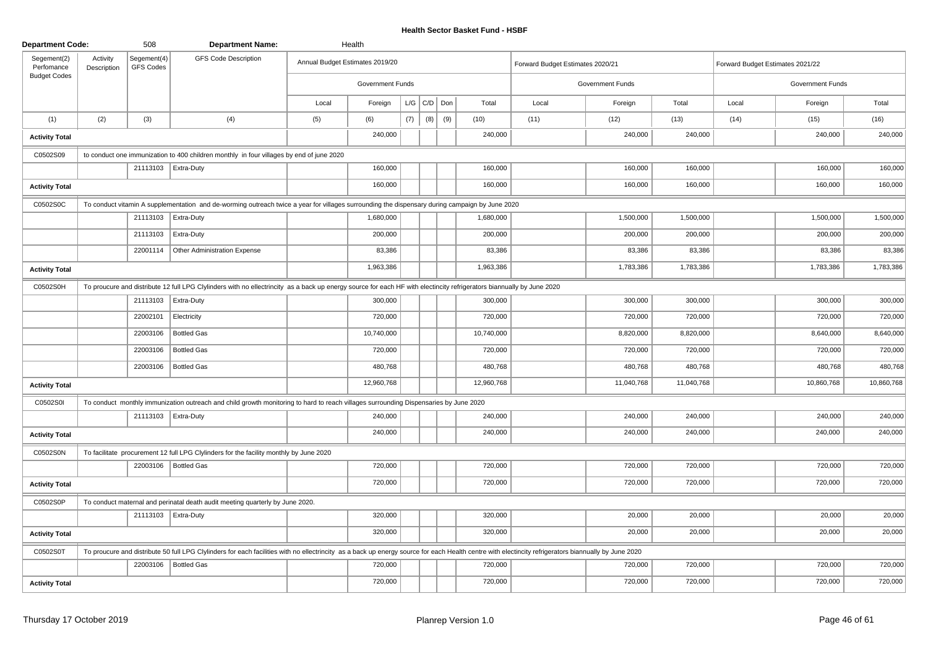| <b>Department Code:</b>   |                         | 508                      | <b>Department Name:</b>                                                                                                                                                                              |       | Health                          |     |                 |     |            |                                  |                         |            |                                  |                  |            |
|---------------------------|-------------------------|--------------------------|------------------------------------------------------------------------------------------------------------------------------------------------------------------------------------------------------|-------|---------------------------------|-----|-----------------|-----|------------|----------------------------------|-------------------------|------------|----------------------------------|------------------|------------|
| Segement(2)<br>Perfomance | Activity<br>Description | Segement(4)<br>GFS Codes | <b>GFS Code Description</b>                                                                                                                                                                          |       | Annual Budget Estimates 2019/20 |     |                 |     |            | Forward Budget Estimates 2020/21 |                         |            | Forward Budget Estimates 2021/22 |                  |            |
| <b>Budget Codes</b>       |                         |                          |                                                                                                                                                                                                      |       | <b>Government Funds</b>         |     |                 |     |            |                                  | <b>Government Funds</b> |            |                                  | Government Funds |            |
|                           |                         |                          |                                                                                                                                                                                                      | Local | Foreign                         |     | $L/G$ $C/D$ Don |     | Total      | Local                            | Foreign                 | Total      | Local                            | Foreign          | Total      |
| (1)                       | (2)                     | (3)                      | (4)                                                                                                                                                                                                  | (5)   | (6)                             | (7) | (8)             | (9) | (10)       | (11)                             | (12)                    | (13)       | (14)                             | (15)             | (16)       |
| <b>Activity Total</b>     |                         |                          |                                                                                                                                                                                                      |       | 240,000                         |     |                 |     | 240,000    |                                  | 240,000                 | 240,000    |                                  | 240,000          | 240,000    |
| C0502S09                  |                         |                          | to conduct one immunization to 400 children monthly in four villages by end of june 2020                                                                                                             |       |                                 |     |                 |     |            |                                  |                         |            |                                  |                  |            |
|                           |                         | 21113103   Extra-Duty    |                                                                                                                                                                                                      |       | 160,000                         |     |                 |     | 160,000    |                                  | 160,000                 | 160,000    |                                  | 160,000          | 160,000    |
| <b>Activity Total</b>     |                         |                          |                                                                                                                                                                                                      |       | 160,000                         |     |                 |     | 160,000    |                                  | 160,000                 | 160,000    |                                  | 160,000          | 160,000    |
| C0502S0C                  |                         |                          | To conduct vitamin A supplementation and de-worming outreach twice a year for villages surrounding the dispensary during campaign by June 2020                                                       |       |                                 |     |                 |     |            |                                  |                         |            |                                  |                  |            |
|                           |                         |                          | 21113103   Extra-Duty                                                                                                                                                                                |       | 1,680,000                       |     |                 |     | 1,680,000  |                                  | 1,500,000               | 1,500,000  |                                  | 1,500,000        | 1,500,000  |
|                           |                         | 21113103                 | Extra-Duty                                                                                                                                                                                           |       | 200,000                         |     |                 |     | 200,000    |                                  | 200,000                 | 200,000    |                                  | 200,000          | 200,000    |
|                           |                         | 22001114                 | Other Administration Expense                                                                                                                                                                         |       | 83,386                          |     |                 |     | 83,386     |                                  | 83,386                  | 83,386     |                                  | 83,386           | 83,386     |
| <b>Activity Total</b>     |                         |                          |                                                                                                                                                                                                      |       | 1,963,386                       |     |                 |     | 1,963,386  |                                  | 1,783,386               | 1,783,386  |                                  | 1,783,386        | 1,783,386  |
| C0502S0H                  |                         |                          | To proucure and distribute 12 full LPG Clylinders with no ellectrincity as a back up energy source for each HF with electincity refrigerators biannually by June 2020                                |       |                                 |     |                 |     |            |                                  |                         |            |                                  |                  |            |
|                           |                         | 21113103                 | Extra-Duty                                                                                                                                                                                           |       | 300,000                         |     |                 |     | 300,000    |                                  | 300,000                 | 300,000    |                                  | 300,000          | 300,000    |
|                           |                         | 22002101                 | Electricity                                                                                                                                                                                          |       | 720,000                         |     |                 |     | 720,000    |                                  | 720,000                 | 720,000    |                                  | 720,000          | 720,000    |
|                           |                         | 22003106                 | <b>Bottled Gas</b>                                                                                                                                                                                   |       | 10,740,000                      |     |                 |     | 10,740,000 |                                  | 8,820,000               | 8,820,000  |                                  | 8,640,000        | 8,640,000  |
|                           |                         | 22003106                 | <b>Bottled Gas</b>                                                                                                                                                                                   |       | 720,000                         |     |                 |     | 720,000    |                                  | 720,000                 | 720,000    |                                  | 720,000          | 720,000    |
|                           |                         | 22003106                 | Bottled Gas                                                                                                                                                                                          |       | 480,768                         |     |                 |     | 480,768    |                                  | 480,768                 | 480,768    |                                  | 480,768          | 480,768    |
| <b>Activity Total</b>     |                         |                          |                                                                                                                                                                                                      |       | 12,960,768                      |     |                 |     | 12,960,768 |                                  | 11,040,768              | 11,040,768 |                                  | 10,860,768       | 10,860,768 |
| C0502S0I                  |                         |                          | To conduct monthly immunization outreach and child growth monitoring to hard to reach villages surrounding Dispensaries by June 2020                                                                 |       |                                 |     |                 |     |            |                                  |                         |            |                                  |                  |            |
|                           |                         |                          | 21113103   Extra-Duty                                                                                                                                                                                |       | 240,000                         |     |                 |     | 240,000    |                                  | 240,000                 | 240,000    |                                  | 240,000          | 240,000    |
| <b>Activity Total</b>     |                         |                          |                                                                                                                                                                                                      |       | 240,000                         |     |                 |     | 240,000    |                                  | 240,000                 | 240,000    |                                  | 240,000          | 240,000    |
| C0502S0N                  |                         |                          | To facilitate procurement 12 full LPG Clylinders for the facility monthly by June 2020                                                                                                               |       |                                 |     |                 |     |            |                                  |                         |            |                                  |                  |            |
|                           |                         |                          | 22003106   Bottled Gas                                                                                                                                                                               |       | 720,000                         |     |                 |     | 720,000    |                                  | 720,000                 | 720,000    |                                  | 720,000          | 720,000    |
| <b>Activity Total</b>     |                         |                          |                                                                                                                                                                                                      |       | 720,000                         |     |                 |     | 720,000    |                                  | 720,000                 | 720,000    |                                  | 720,000          | 720,000    |
| C0502S0P                  |                         |                          | To conduct maternal and perinatal death audit meeting quarterly by June 2020.                                                                                                                        |       |                                 |     |                 |     |            |                                  |                         |            |                                  |                  |            |
|                           |                         |                          | 21113103   Extra-Duty                                                                                                                                                                                |       | 320,000                         |     |                 |     | 320,000    |                                  | 20,000                  | 20,000     |                                  | 20,000           | 20,000     |
| <b>Activity Total</b>     |                         |                          |                                                                                                                                                                                                      |       | 320,000                         |     |                 |     | 320,000    |                                  | 20,000                  | 20,000     |                                  | 20,000           | 20,000     |
| C0502S0T                  |                         |                          | To proucure and distribute 50 full LPG Clylinders for each facilities with no ellectrincity as a back up energy source for each Health centre with electincity refrigerators biannually by June 2020 |       |                                 |     |                 |     |            |                                  |                         |            |                                  |                  |            |
|                           |                         |                          | 22003106   Bottled Gas                                                                                                                                                                               |       | 720,000                         |     |                 |     | 720,000    |                                  | 720,000                 | 720,000    |                                  | 720,000          | 720,000    |
| <b>Activity Total</b>     |                         |                          |                                                                                                                                                                                                      |       | 720,000                         |     |                 |     | 720,000    |                                  | 720,000                 | 720,000    |                                  | 720,000          | 720,000    |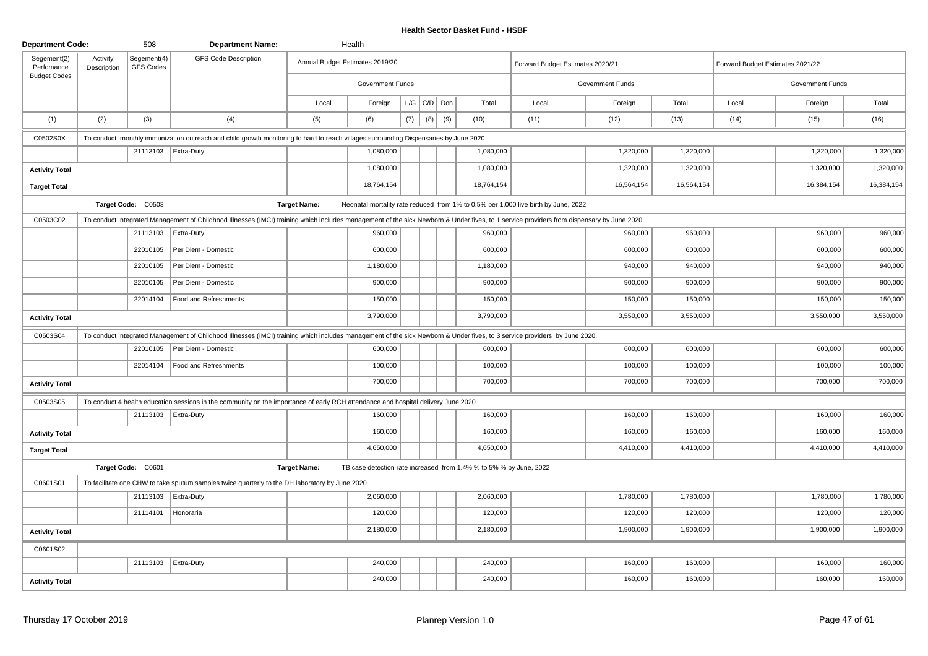| <b>Department Code:</b>   |                         | 508                      | <b>Department Name:</b>                                                                                                                                                                  |                     | Health                          |     |                 |     |                                                                    |                                                                                    |                  |            |                                  |                  |            |
|---------------------------|-------------------------|--------------------------|------------------------------------------------------------------------------------------------------------------------------------------------------------------------------------------|---------------------|---------------------------------|-----|-----------------|-----|--------------------------------------------------------------------|------------------------------------------------------------------------------------|------------------|------------|----------------------------------|------------------|------------|
| Segement(2)<br>Perfomance | Activity<br>Description | Segement(4)<br>GFS Codes | <b>GFS Code Description</b>                                                                                                                                                              |                     | Annual Budget Estimates 2019/20 |     |                 |     |                                                                    | Forward Budget Estimates 2020/21                                                   |                  |            | Forward Budget Estimates 2021/22 |                  |            |
| <b>Budget Codes</b>       |                         |                          |                                                                                                                                                                                          |                     | Government Funds                |     |                 |     |                                                                    |                                                                                    | Government Funds |            |                                  | Government Funds |            |
|                           |                         |                          |                                                                                                                                                                                          | Local               | Foreign                         |     | $L/G$ $C/D$ Don |     | Total                                                              | Local                                                                              | Foreign          | Total      | Local                            | Foreign          | Total      |
| (1)                       | (2)                     | (3)                      | (4)                                                                                                                                                                                      | (5)                 | (6)                             | (7) | (8)             | (9) | (10)                                                               | (11)                                                                               | (12)             | (13)       | (14)                             | (15)             | (16)       |
| C0502S0X                  |                         |                          | To conduct monthly immunization outreach and child growth monitoring to hard to reach villages surrounding Dispensaries by June 2020                                                     |                     |                                 |     |                 |     |                                                                    |                                                                                    |                  |            |                                  |                  |            |
|                           |                         |                          | 21113103   Extra-Duty                                                                                                                                                                    |                     | 1,080,000                       |     |                 |     | 1,080,000                                                          |                                                                                    | 1,320,000        | 1,320,000  |                                  | 1,320,000        | 1,320,000  |
| <b>Activity Total</b>     |                         |                          |                                                                                                                                                                                          |                     | 1,080,000                       |     |                 |     | 1,080,000                                                          |                                                                                    | 1,320,000        | 1,320,000  |                                  | 1,320,000        | 1,320,000  |
| <b>Target Total</b>       |                         |                          |                                                                                                                                                                                          |                     | 18,764,154                      |     |                 |     | 18,764,154                                                         |                                                                                    | 16,564,154       | 16,564,154 |                                  | 16,384,154       | 16,384,154 |
|                           |                         | Target Code: C0503       |                                                                                                                                                                                          | <b>Target Name:</b> |                                 |     |                 |     |                                                                    | Neonatal mortality rate reduced from 1% to 0.5% per 1,000 live birth by June, 2022 |                  |            |                                  |                  |            |
| C0503C02                  |                         |                          | To conduct Integrated Management of Childhood Illnesses (IMCI) training which includes management of the sick Newborn & Under fives, to 1 service providers from dispensary by June 2020 |                     |                                 |     |                 |     |                                                                    |                                                                                    |                  |            |                                  |                  |            |
|                           |                         |                          | 21113103   Extra-Duty                                                                                                                                                                    |                     | 960,000                         |     |                 |     | 960,000                                                            |                                                                                    | 960,000          | 960,000    |                                  | 960,000          | 960,000    |
|                           |                         | 22010105                 | Per Diem - Domestic                                                                                                                                                                      |                     | 600,000                         |     |                 |     | 600,000                                                            |                                                                                    | 600,000          | 600,000    |                                  | 600,000          | 600,000    |
|                           |                         | 22010105                 | Per Diem - Domestic                                                                                                                                                                      |                     | 1,180,000                       |     |                 |     | 1,180,000                                                          |                                                                                    | 940,000          | 940,000    |                                  | 940,000          | 940,000    |
|                           |                         | 22010105                 | Per Diem - Domestic                                                                                                                                                                      |                     | 900,000                         |     |                 |     | 900,000                                                            |                                                                                    | 900,000          | 900,000    |                                  | 900,000          | 900,000    |
|                           |                         | 22014104                 | Food and Refreshments                                                                                                                                                                    |                     | 150,000                         |     |                 |     | 150,000                                                            |                                                                                    | 150,000          | 150,000    |                                  | 150,000          | 150,000    |
| <b>Activity Total</b>     |                         |                          |                                                                                                                                                                                          |                     | 3,790,000                       |     |                 |     | 3,790,000                                                          |                                                                                    | 3,550,000        | 3,550,000  |                                  | 3,550,000        | 3,550,000  |
| C0503S04                  |                         |                          | To conduct Integrated Management of Childhood Illnesses (IMCI) training which includes management of the sick Newborn & Under fives, to 3 service providers by June 2020.                |                     |                                 |     |                 |     |                                                                    |                                                                                    |                  |            |                                  |                  |            |
|                           |                         | 22010105                 | Per Diem - Domestic                                                                                                                                                                      |                     | 600,000                         |     |                 |     | 600,000                                                            |                                                                                    | 600,000          | 600,000    |                                  | 600,000          | 600,000    |
|                           |                         | 22014104                 | Food and Refreshments                                                                                                                                                                    |                     | 100,000                         |     |                 |     | 100,000                                                            |                                                                                    | 100,000          | 100,000    |                                  | 100,000          | 100,000    |
| <b>Activity Total</b>     |                         |                          |                                                                                                                                                                                          |                     | 700,000                         |     |                 |     | 700,000                                                            |                                                                                    | 700,000          | 700,000    |                                  | 700,000          | 700,000    |
| C0503S05                  |                         |                          | To conduct 4 health education sessions in the community on the importance of early RCH attendance and hospital delivery June 2020.                                                       |                     |                                 |     |                 |     |                                                                    |                                                                                    |                  |            |                                  |                  |            |
|                           |                         |                          | 21113103   Extra-Duty                                                                                                                                                                    |                     | 160,000                         |     |                 |     | 160,000                                                            |                                                                                    | 160,000          | 160,000    |                                  | 160,000          | 160,000    |
| <b>Activity Total</b>     |                         |                          |                                                                                                                                                                                          |                     | 160,000                         |     |                 |     | 160,000                                                            |                                                                                    | 160,000          | 160,000    |                                  | 160,000          | 160,000    |
| <b>Target Total</b>       |                         |                          |                                                                                                                                                                                          |                     | 4,650,000                       |     |                 |     | 4,650,000                                                          |                                                                                    | 4,410,000        | 4,410,000  |                                  | 4,410,000        | 4,410,000  |
|                           |                         | Target Code: C0601       |                                                                                                                                                                                          | <b>Target Name:</b> |                                 |     |                 |     | TB case detection rate increased from 1.4% % to 5% % by June, 2022 |                                                                                    |                  |            |                                  |                  |            |
| C0601S01                  |                         |                          | To facilitate one CHW to take sputum samples twice quarterly to the DH laboratory by June 2020                                                                                           |                     |                                 |     |                 |     |                                                                    |                                                                                    |                  |            |                                  |                  |            |
|                           |                         |                          | 21113103   Extra-Duty                                                                                                                                                                    |                     | 2,060,000                       |     |                 |     | 2,060,000                                                          |                                                                                    | 1,780,000        | 1,780,000  |                                  | 1,780,000        | 1,780,000  |
|                           |                         | 21114101                 | Honoraria                                                                                                                                                                                |                     | 120,000                         |     |                 |     | 120,000                                                            |                                                                                    | 120,000          | 120,000    |                                  | 120,000          | 120,000    |
| <b>Activity Total</b>     |                         |                          |                                                                                                                                                                                          |                     | 2,180,000                       |     |                 |     | 2,180,000                                                          |                                                                                    | 1,900,000        | 1,900,000  |                                  | 1,900,000        | 1,900,000  |
| C0601S02                  |                         |                          |                                                                                                                                                                                          |                     |                                 |     |                 |     |                                                                    |                                                                                    |                  |            |                                  |                  |            |
|                           |                         |                          | 21113103   Extra-Duty                                                                                                                                                                    |                     | 240,000                         |     |                 |     | 240,000                                                            |                                                                                    | 160,000          | 160,000    |                                  | 160,000          | 160,000    |
| <b>Activity Total</b>     |                         |                          |                                                                                                                                                                                          |                     | 240,000                         |     |                 |     | 240,000                                                            |                                                                                    | 160,000          | 160,000    |                                  | 160,000          | 160,000    |
|                           |                         |                          |                                                                                                                                                                                          |                     |                                 |     |                 |     |                                                                    |                                                                                    |                  |            |                                  |                  |            |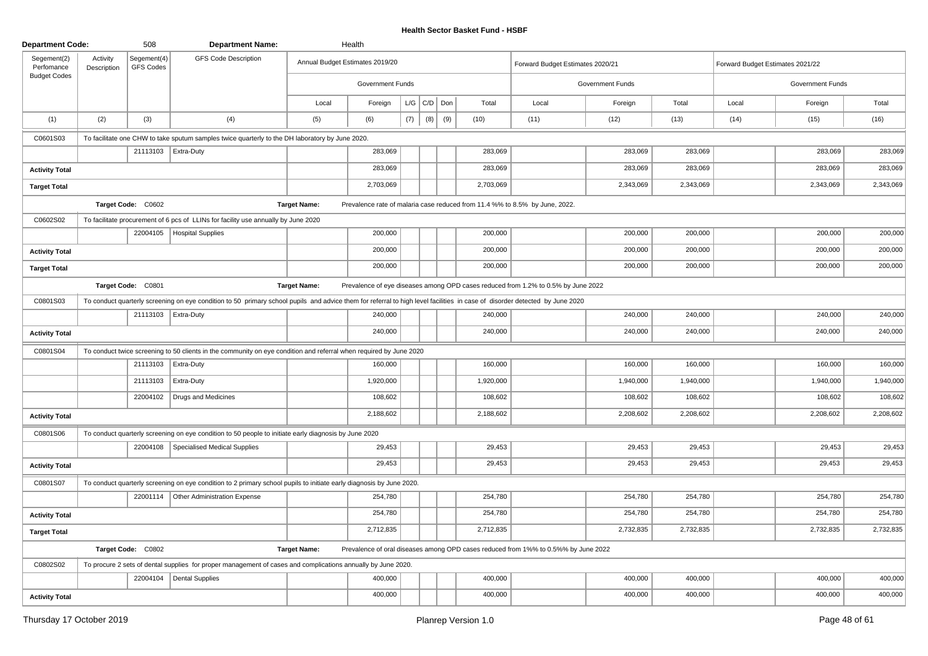| <b>Department Code:</b>   |                         | 508                      | <b>Department Name:</b>                                                                                                                                                     |                     | Health                          |     |                   |     |           |                                                                                    |                  |           |                                  |                  |           |
|---------------------------|-------------------------|--------------------------|-----------------------------------------------------------------------------------------------------------------------------------------------------------------------------|---------------------|---------------------------------|-----|-------------------|-----|-----------|------------------------------------------------------------------------------------|------------------|-----------|----------------------------------|------------------|-----------|
| Segement(2)<br>Perfomance | Activity<br>Description | Segement(4)<br>GFS Codes | <b>GFS Code Description</b>                                                                                                                                                 |                     | Annual Budget Estimates 2019/20 |     |                   |     |           | Forward Budget Estimates 2020/21                                                   |                  |           | Forward Budget Estimates 2021/22 |                  |           |
| <b>Budget Codes</b>       |                         |                          |                                                                                                                                                                             |                     | Government Funds                |     |                   |     |           |                                                                                    | Government Funds |           |                                  | Government Funds |           |
|                           |                         |                          |                                                                                                                                                                             | Local               | Foreign                         |     | $L/G$ $C/D$ $Don$ |     | Total     | Local                                                                              | Foreign          | Total     | Local                            | Foreign          | Total     |
| (1)                       | (2)                     | (3)                      | (4)                                                                                                                                                                         | (5)                 | (6)                             | (7) | (8)               | (9) | (10)      | (11)                                                                               | (12)             | (13)      | (14)                             | (15)             | (16)      |
| C0601S03                  |                         |                          | To facilitate one CHW to take sputum samples twice quarterly to the DH laboratory by June 2020.                                                                             |                     |                                 |     |                   |     |           |                                                                                    |                  |           |                                  |                  |           |
|                           |                         |                          | 21113103   Extra-Duty                                                                                                                                                       |                     | 283,069                         |     |                   |     | 283,069   |                                                                                    | 283,069          | 283,069   |                                  | 283,069          | 283,069   |
| <b>Activity Total</b>     |                         |                          |                                                                                                                                                                             |                     | 283,069                         |     |                   |     | 283,069   |                                                                                    | 283,069          | 283,069   |                                  | 283,069          | 283,069   |
| <b>Target Total</b>       |                         |                          |                                                                                                                                                                             |                     | 2,703,069                       |     |                   |     | 2,703,069 |                                                                                    | 2,343,069        | 2,343,069 |                                  | 2,343,069        | 2,343,069 |
|                           |                         | Target Code: C0602       |                                                                                                                                                                             | <b>Target Name:</b> |                                 |     |                   |     |           | Prevalence rate of malaria case reduced from 11.4 %% to 8.5% by June, 2022.        |                  |           |                                  |                  |           |
| C0602S02                  |                         |                          | To facilitate procurement of 6 pcs of LLINs for facility use annually by June 2020                                                                                          |                     |                                 |     |                   |     |           |                                                                                    |                  |           |                                  |                  |           |
|                           |                         | 22004105                 | Hospital Supplies                                                                                                                                                           |                     | 200,000                         |     |                   |     | 200,000   |                                                                                    | 200,000          | 200,000   |                                  | 200,000          | 200,000   |
| <b>Activity Total</b>     |                         |                          |                                                                                                                                                                             |                     | 200,000                         |     |                   |     | 200,000   |                                                                                    | 200,000          | 200,000   |                                  | 200,000          | 200,000   |
| <b>Target Total</b>       |                         |                          |                                                                                                                                                                             |                     | 200,000                         |     |                   |     | 200,000   |                                                                                    | 200,000          | 200,000   |                                  | 200,000          | 200,000   |
|                           |                         | Target Code: C0801       |                                                                                                                                                                             | <b>Target Name:</b> |                                 |     |                   |     |           | Prevalence of eye diseases among OPD cases reduced from 1.2% to 0.5% by June 2022  |                  |           |                                  |                  |           |
| C0801S03                  |                         |                          | To conduct quarterly screening on eye condition to 50 primary school pupils and advice them for referral to high level facilities in case of disorder detected by June 2020 |                     |                                 |     |                   |     |           |                                                                                    |                  |           |                                  |                  |           |
|                           |                         |                          | 21113103   Extra-Duty                                                                                                                                                       |                     | 240,000                         |     |                   |     | 240,000   |                                                                                    | 240,000          | 240,000   |                                  | 240,000          | 240,000   |
| <b>Activity Total</b>     |                         |                          |                                                                                                                                                                             |                     | 240,000                         |     |                   |     | 240,000   |                                                                                    | 240,000          | 240,000   |                                  | 240,000          | 240,000   |
| C0801S04                  |                         |                          | To conduct twice screening to 50 clients in the community on eye condition and referral when required by June 2020                                                          |                     |                                 |     |                   |     |           |                                                                                    |                  |           |                                  |                  |           |
|                           |                         |                          | 21113103   Extra-Duty                                                                                                                                                       |                     | 160,000                         |     |                   |     | 160,000   |                                                                                    | 160,000          | 160,000   |                                  | 160,000          | 160,000   |
|                           |                         | 21113103                 | Extra-Duty                                                                                                                                                                  |                     | 1,920,000                       |     |                   |     | 1,920,000 |                                                                                    | 1,940,000        | 1,940,000 |                                  | 1,940,000        | 1,940,000 |
|                           |                         | 22004102                 | Drugs and Medicines                                                                                                                                                         |                     | 108,602                         |     |                   |     | 108,602   |                                                                                    | 108,602          | 108,602   |                                  | 108,602          | 108,602   |
| <b>Activity Total</b>     |                         |                          |                                                                                                                                                                             |                     | 2,188,602                       |     |                   |     | 2,188,602 |                                                                                    | 2,208,602        | 2,208,602 |                                  | 2,208,602        | 2,208,602 |
| C0801S06                  |                         |                          | To conduct quarterly screening on eye condition to 50 people to initiate early diagnosis by June 2020                                                                       |                     |                                 |     |                   |     |           |                                                                                    |                  |           |                                  |                  |           |
|                           |                         |                          | 22004108   Specialised Medical Supplies                                                                                                                                     |                     | 29,453                          |     |                   |     | 29,453    |                                                                                    | 29,453           | 29,453    |                                  | 29,453           | 29,453    |
| <b>Activity Total</b>     |                         |                          |                                                                                                                                                                             |                     | 29,453                          |     |                   |     | 29,453    |                                                                                    | 29,453           | 29,453    |                                  | 29,453           | 29,453    |
| C0801S07                  |                         |                          | To conduct quarterly screening on eye condition to 2 primary school pupils to initiate early diagnosis by June 2020.                                                        |                     |                                 |     |                   |     |           |                                                                                    |                  |           |                                  |                  |           |
|                           |                         | 22001114                 | Other Administration Expense                                                                                                                                                |                     | 254,780                         |     |                   |     | 254,780   |                                                                                    | 254,780          | 254,780   |                                  | 254,780          | 254,780   |
| <b>Activity Total</b>     |                         |                          |                                                                                                                                                                             |                     | 254,780                         |     |                   |     | 254,780   |                                                                                    | 254,780          | 254,780   |                                  | 254,780          | 254,780   |
| <b>Target Total</b>       |                         |                          |                                                                                                                                                                             |                     | 2,712,835                       |     |                   |     | 2,712,835 |                                                                                    | 2,732,835        | 2,732,835 |                                  | 2,732,835        | 2,732,835 |
|                           |                         | Target Code: C0802       |                                                                                                                                                                             | <b>Target Name:</b> |                                 |     |                   |     |           | Prevalence of oral diseases among OPD cases reduced from 1%% to 0.5%% by June 2022 |                  |           |                                  |                  |           |
| C0802S02                  |                         |                          | To procure 2 sets of dental supplies for proper management of cases and complications annually by June 2020.                                                                |                     |                                 |     |                   |     |           |                                                                                    |                  |           |                                  |                  |           |
|                           |                         |                          | 22004104   Dental Supplies                                                                                                                                                  |                     | 400,000                         |     |                   |     | 400,000   |                                                                                    | 400,000          | 400,000   |                                  | 400,000          | 400,000   |
| <b>Activity Total</b>     |                         |                          |                                                                                                                                                                             |                     | 400,000                         |     |                   |     | 400,000   |                                                                                    | 400,000          | 400,000   |                                  | 400,000          | 400,000   |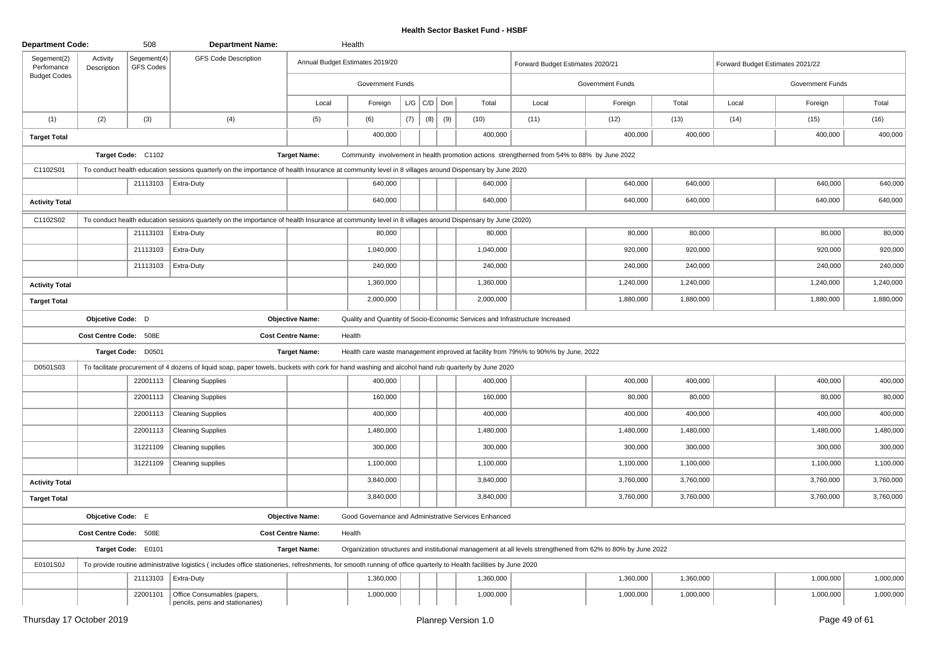| <b>Department Code:</b>   |                         | 508                             | <b>Department Name:</b>                                                                                                                                           |                          | Health                          |     |                   |     |                                                      |                                                                                                              |                  |           |                                  |                  |           |
|---------------------------|-------------------------|---------------------------------|-------------------------------------------------------------------------------------------------------------------------------------------------------------------|--------------------------|---------------------------------|-----|-------------------|-----|------------------------------------------------------|--------------------------------------------------------------------------------------------------------------|------------------|-----------|----------------------------------|------------------|-----------|
| Segement(2)<br>Perfomance | Activity<br>Description | Segement(4)<br><b>GFS Codes</b> | <b>GFS Code Description</b>                                                                                                                                       |                          | Annual Budget Estimates 2019/20 |     |                   |     |                                                      | Forward Budget Estimates 2020/21                                                                             |                  |           | Forward Budget Estimates 2021/22 |                  |           |
| <b>Budget Codes</b>       |                         |                                 |                                                                                                                                                                   |                          | Government Funds                |     |                   |     |                                                      |                                                                                                              | Government Funds |           |                                  | Government Funds |           |
|                           |                         |                                 |                                                                                                                                                                   | Local                    | Foreign                         |     | $L/G$ $C/D$ $Don$ |     | Total                                                | Local                                                                                                        | Foreign          | Total     | Local                            | Foreign          | Total     |
| (1)                       | (2)                     | (3)                             | (4)                                                                                                                                                               | (5)                      | (6)                             | (7) | (8)               | (9) | (10)                                                 | (11)                                                                                                         | (12)             | (13)      | (14)                             | (15)             | (16)      |
| <b>Target Total</b>       |                         |                                 |                                                                                                                                                                   |                          | 400,000                         |     |                   |     | 400,000                                              |                                                                                                              | 400,000          | 400,000   |                                  | 400,000          | 400,000   |
|                           |                         | Target Code: C1102              |                                                                                                                                                                   | <b>Target Name:</b>      |                                 |     |                   |     |                                                      | Community involvement in health promotion actions strengtherned from 54% to 88% by June 2022                 |                  |           |                                  |                  |           |
| C1102S01                  |                         |                                 | To conduct health education sessions quarterly on the importance of health Insurance at community level in 8 villages around Dispensary by June 2020              |                          |                                 |     |                   |     |                                                      |                                                                                                              |                  |           |                                  |                  |           |
|                           |                         |                                 | 21113103 Extra-Duty                                                                                                                                               |                          | 640,000                         |     |                   |     | 640,000                                              |                                                                                                              | 640,000          | 640,000   |                                  | 640,000          | 640,000   |
| <b>Activity Total</b>     |                         |                                 |                                                                                                                                                                   |                          | 640,000                         |     |                   |     | 640,000                                              |                                                                                                              | 640,000          | 640,000   |                                  | 640,000          | 640,000   |
| C1102S02                  |                         |                                 | To conduct health education sessions quarterly on the importance of health Insurance at community level in 8 villages around Dispensary by June (2020)            |                          |                                 |     |                   |     |                                                      |                                                                                                              |                  |           |                                  |                  |           |
|                           |                         | 21113103                        | Extra-Duty                                                                                                                                                        |                          | 80,000                          |     |                   |     | 80,000                                               |                                                                                                              | 80,000           | 80,000    |                                  | 80,000           | 80,000    |
|                           |                         | 21113103                        | Extra-Duty                                                                                                                                                        |                          | 1,040,000                       |     |                   |     | 1,040,000                                            |                                                                                                              | 920,000          | 920,000   |                                  | 920,000          | 920,000   |
|                           |                         | 21113103                        | Extra-Duty                                                                                                                                                        |                          | 240,000                         |     |                   |     | 240,000                                              |                                                                                                              | 240,000          | 240,000   |                                  | 240,000          | 240,000   |
| <b>Activity Total</b>     |                         |                                 |                                                                                                                                                                   |                          | 1,360,000                       |     |                   |     | 1,360,000                                            |                                                                                                              | 1,240,000        | 1,240,000 |                                  | 1,240,000        | 1,240,000 |
| <b>Target Total</b>       |                         |                                 |                                                                                                                                                                   |                          | 2,000,000                       |     |                   |     | 2,000,000                                            |                                                                                                              | 1,880,000        | 1,880,000 |                                  | 1,880,000        | 1,880,000 |
|                           | Objcetive Code: D       |                                 |                                                                                                                                                                   | <b>Objective Name:</b>   |                                 |     |                   |     |                                                      | Quality and Quantity of Socio-Economic Services and Infrastructure Increased                                 |                  |           |                                  |                  |           |
|                           | Cost Centre Code: 508E  |                                 |                                                                                                                                                                   | <b>Cost Centre Name:</b> | Health                          |     |                   |     |                                                      |                                                                                                              |                  |           |                                  |                  |           |
|                           |                         | Target Code: D0501              |                                                                                                                                                                   | <b>Target Name:</b>      |                                 |     |                   |     |                                                      | Health care waste management improved at facility from 79%% to 90%% by June, 2022                            |                  |           |                                  |                  |           |
| D0501S03                  |                         |                                 | To facilitate procurement of 4 dozens of liquid soap, paper towels, buckets with cork for hand washing and alcohol hand rub quarterly by June 2020                |                          |                                 |     |                   |     |                                                      |                                                                                                              |                  |           |                                  |                  |           |
|                           |                         | 22001113                        | <b>Cleaning Supplies</b>                                                                                                                                          |                          | 400,000                         |     |                   |     | 400,000                                              |                                                                                                              | 400,000          | 400,000   |                                  | 400,000          | 400,000   |
|                           |                         | 22001113                        | <b>Cleaning Supplies</b>                                                                                                                                          |                          | 160,000                         |     |                   |     | 160,000                                              |                                                                                                              | 80,000           | 80,000    |                                  | 80,000           | 80,000    |
|                           |                         | 22001113                        | <b>Cleaning Supplies</b>                                                                                                                                          |                          | 400,000                         |     |                   |     | 400,000                                              |                                                                                                              | 400,000          | 400,000   |                                  | 400,000          | 400,000   |
|                           |                         | 22001113                        | <b>Cleaning Supplies</b>                                                                                                                                          |                          | 1,480,000                       |     |                   |     | 1,480,000                                            |                                                                                                              | 1,480,000        | 1,480,000 |                                  | 1,480,000        | 1,480,000 |
|                           |                         | 31221109                        | Cleaning supplies                                                                                                                                                 |                          | 300,000                         |     |                   |     | 300,000                                              |                                                                                                              | 300,000          | 300,000   |                                  | 300,000          | 300,000   |
|                           |                         | 31221109                        | Cleaning supplies                                                                                                                                                 |                          | 1,100,000                       |     |                   |     | 1,100,000                                            |                                                                                                              | 1,100,000        | 1,100,000 |                                  | 1,100,000        | 1,100,000 |
| <b>Activity Total</b>     |                         |                                 |                                                                                                                                                                   |                          | 3,840,000                       |     |                   |     | 3,840,000                                            |                                                                                                              | 3,760,000        | 3,760,000 |                                  | 3,760,000        | 3,760,000 |
| <b>Target Total</b>       |                         |                                 |                                                                                                                                                                   |                          | 3,840,000                       |     |                   |     | 3,840,000                                            |                                                                                                              | 3,760,000        | 3,760,000 |                                  | 3,760,000        | 3,760,000 |
|                           | Objcetive Code: E       |                                 |                                                                                                                                                                   | <b>Objective Name:</b>   |                                 |     |                   |     | Good Governance and Administrative Services Enhanced |                                                                                                              |                  |           |                                  |                  |           |
|                           | Cost Centre Code: 508E  |                                 |                                                                                                                                                                   | <b>Cost Centre Name:</b> | Health                          |     |                   |     |                                                      |                                                                                                              |                  |           |                                  |                  |           |
|                           |                         | Target Code: E0101              |                                                                                                                                                                   | <b>Target Name:</b>      |                                 |     |                   |     |                                                      | Organization structures and institutional management at all levels strengthened from 62% to 80% by June 2022 |                  |           |                                  |                  |           |
| E0101S0J                  |                         |                                 | To provide routine administrative logistics (includes office stationeries, refreshments, for smooth running of office quarterly to Health facilities by June 2020 |                          |                                 |     |                   |     |                                                      |                                                                                                              |                  |           |                                  |                  |           |
|                           |                         | 21113103                        | <b>Extra-Duty</b>                                                                                                                                                 |                          | 1,360,000                       |     |                   |     | 1,360,000                                            |                                                                                                              | 1,360,000        | 1,360,000 |                                  | 1,000,000        | 1,000,000 |
|                           |                         | 22001101                        | Office Consumables (papers,<br>pencils, pens and stationaries)                                                                                                    |                          | 1,000,000                       |     |                   |     | 1,000,000                                            |                                                                                                              | 1,000,000        | 1,000,000 |                                  | 1,000,000        | 1,000,000 |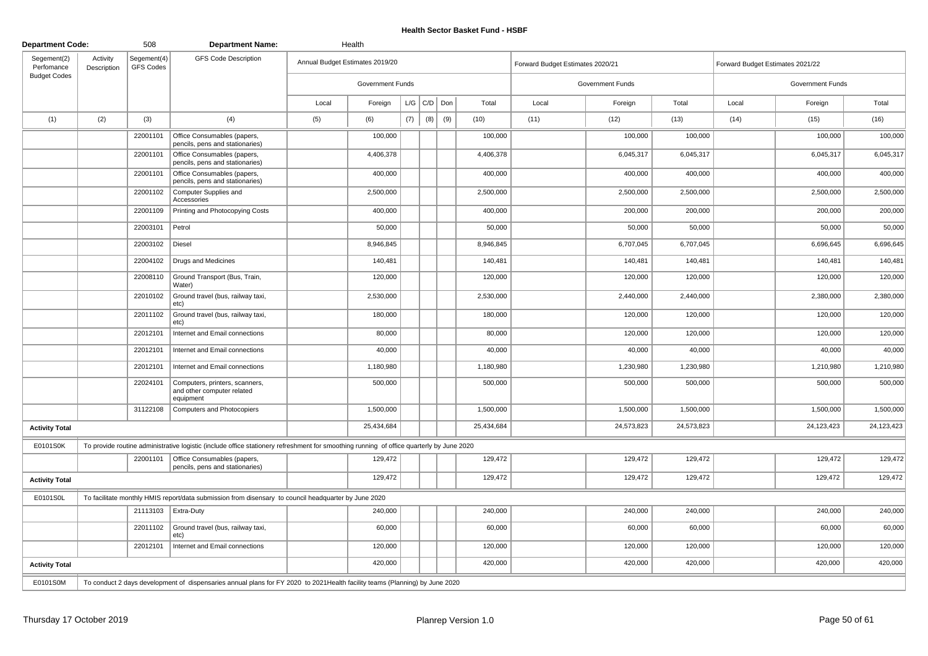| <b>Department Code:</b>   |                         | 508                             | <b>Department Name:</b>                                                                                                                  |       | Health                          |     |                    |     |            |       |                                  |            |       |                                  |            |
|---------------------------|-------------------------|---------------------------------|------------------------------------------------------------------------------------------------------------------------------------------|-------|---------------------------------|-----|--------------------|-----|------------|-------|----------------------------------|------------|-------|----------------------------------|------------|
| Segement(2)<br>Perfomance | Activity<br>Description | Segement(4)<br><b>GFS Codes</b> | <b>GFS Code Description</b>                                                                                                              |       | Annual Budget Estimates 2019/20 |     |                    |     |            |       | Forward Budget Estimates 2020/21 |            |       | Forward Budget Estimates 2021/22 |            |
| <b>Budget Codes</b>       |                         |                                 |                                                                                                                                          |       | Government Funds                |     |                    |     |            |       | Government Funds                 |            |       | Government Funds                 |            |
|                           |                         |                                 |                                                                                                                                          | Local | Foreign                         |     | $L/G$ $C/D$ $D$ on |     | Total      | Local | Foreign                          | Total      | Local | Foreign                          | Total      |
| (1)                       | (2)                     | (3)                             | (4)                                                                                                                                      | (5)   | (6)                             | (7) | (8)                | (9) | (10)       | (11)  | (12)                             | (13)       | (14)  | (15)                             | (16)       |
|                           |                         | 22001101                        | Office Consumables (papers,<br>pencils, pens and stationaries)                                                                           |       | 100,000                         |     |                    |     | 100,000    |       | 100,000                          | 100,000    |       | 100,000                          | 100,000    |
|                           |                         | 22001101                        | Office Consumables (papers,<br>pencils, pens and stationaries)                                                                           |       | 4,406,378                       |     |                    |     | 4,406,378  |       | 6,045,317                        | 6,045,317  |       | 6,045,317                        | 6,045,317  |
|                           |                         | 22001101                        | Office Consumables (papers,<br>pencils, pens and stationaries)                                                                           |       | 400,000                         |     |                    |     | 400,000    |       | 400,000                          | 400,000    |       | 400,000                          | 400,000    |
|                           |                         | 22001102                        | Computer Supplies and<br>Accessories                                                                                                     |       | 2,500,000                       |     |                    |     | 2,500,000  |       | 2,500,000                        | 2,500,000  |       | 2,500,000                        | 2,500,000  |
|                           |                         | 22001109                        | Printing and Photocopying Costs                                                                                                          |       | 400,000                         |     |                    |     | 400,000    |       | 200,000                          | 200,000    |       | 200,000                          | 200,000    |
|                           |                         | 22003101                        | Petrol                                                                                                                                   |       | 50,000                          |     |                    |     | 50,000     |       | 50,000                           | 50,000     |       | 50,000                           | 50,000     |
|                           |                         | 22003102                        | Diesel                                                                                                                                   |       | 8,946,845                       |     |                    |     | 8,946,845  |       | 6,707,045                        | 6,707,045  |       | 6,696,645                        | 6,696,645  |
|                           |                         | 22004102                        | Drugs and Medicines                                                                                                                      |       | 140,481                         |     |                    |     | 140,481    |       | 140,481                          | 140,481    |       | 140,481                          | 140,481    |
|                           |                         | 22008110                        | Ground Transport (Bus, Train,<br>Water)                                                                                                  |       | 120,000                         |     |                    |     | 120,000    |       | 120,000                          | 120,000    |       | 120,000                          | 120,000    |
|                           |                         | 22010102                        | Ground travel (bus, railway taxi,<br>etc)                                                                                                |       | 2,530,000                       |     |                    |     | 2,530,000  |       | 2,440,000                        | 2,440,000  |       | 2,380,000                        | 2,380,000  |
|                           |                         | 22011102                        | Ground travel (bus, railway taxi,<br>etc)                                                                                                |       | 180,000                         |     |                    |     | 180,000    |       | 120,000                          | 120,000    |       | 120,000                          | 120,000    |
|                           |                         | 22012101                        | Internet and Email connections                                                                                                           |       | 80,000                          |     |                    |     | 80,000     |       | 120,000                          | 120,000    |       | 120,000                          | 120,000    |
|                           |                         | 22012101                        | Internet and Email connections                                                                                                           |       | 40,000                          |     |                    |     | 40,000     |       | 40,000                           | 40,000     |       | 40,000                           | 40,000     |
|                           |                         | 22012101                        | Internet and Email connections                                                                                                           |       | 1,180,980                       |     |                    |     | 1,180,980  |       | 1,230,980                        | 1,230,980  |       | 1,210,980                        | 1,210,980  |
|                           |                         | 22024101                        | Computers, printers, scanners,<br>and other computer related<br>equipment                                                                |       | 500,000                         |     |                    |     | 500,000    |       | 500,000                          | 500,000    |       | 500,000                          | 500,000    |
|                           |                         | 31122108                        | Computers and Photocopiers                                                                                                               |       | 1,500,000                       |     |                    |     | 1,500,000  |       | 1,500,000                        | 1,500,000  |       | 1,500,000                        | 1,500,000  |
| <b>Activity Total</b>     |                         |                                 |                                                                                                                                          |       | 25,434,684                      |     |                    |     | 25,434,684 |       | 24,573,823                       | 24,573,823 |       | 24,123,423                       | 24,123,423 |
| E0101S0K                  |                         |                                 | To provide routine administrative logistic (include office stationery refreshment for smoothing running of office quarterly by June 2020 |       |                                 |     |                    |     |            |       |                                  |            |       |                                  |            |
|                           |                         | 22001101                        | Office Consumables (papers,<br>pencils, pens and stationaries)                                                                           |       | 129,472                         |     |                    |     | 129,472    |       | 129,472                          | 129,472    |       | 129,472                          | 129,472    |
| <b>Activity Total</b>     |                         |                                 |                                                                                                                                          |       | 129,472                         |     |                    |     | 129,472    |       | 129,472                          | 129,472    |       | 129,472                          | 129,472    |
| E0101S0L                  |                         |                                 | To facilitate monthly HMIS report/data submission from disensary to council headquarter by June 2020                                     |       |                                 |     |                    |     |            |       |                                  |            |       |                                  |            |
|                           |                         |                                 | 21113103   Extra-Duty                                                                                                                    |       | 240,000                         |     |                    |     | 240,000    |       | 240,000                          | 240,000    |       | 240,000                          | 240,000    |
|                           |                         | 22011102                        | Ground travel (bus, railway taxi,<br>etc)                                                                                                |       | 60,000                          |     |                    |     | 60,000     |       | 60,000                           | 60,000     |       | 60,000                           | 60,000     |
|                           |                         | 22012101                        | Internet and Email connections                                                                                                           |       | 120,000                         |     |                    |     | 120,000    |       | 120,000                          | 120,000    |       | 120,000                          | 120,000    |
| <b>Activity Total</b>     |                         |                                 |                                                                                                                                          |       | 420,000                         |     |                    |     | 420,000    |       | 420,000                          | 420,000    |       | 420,000                          | 420,000    |
| E0101S0M                  |                         |                                 | To conduct 2 days development of dispensaries annual plans for FY 2020 to 2021 Health facility teams (Planning) by June 2020             |       |                                 |     |                    |     |            |       |                                  |            |       |                                  |            |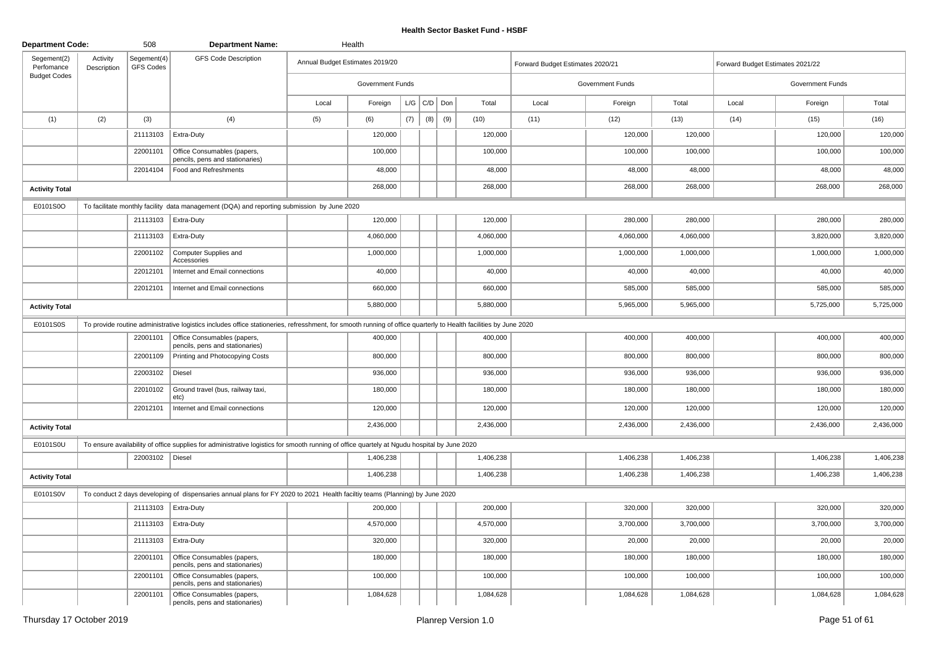| <b>Department Code:</b>   |                         | 508                             | <b>Department Name:</b>                                                                                                                                          |       | Health                          |     |     |     |           |                                  |                  |           |                                  |                  |           |
|---------------------------|-------------------------|---------------------------------|------------------------------------------------------------------------------------------------------------------------------------------------------------------|-------|---------------------------------|-----|-----|-----|-----------|----------------------------------|------------------|-----------|----------------------------------|------------------|-----------|
| Segement(2)<br>Perfomance | Activity<br>Description | Segement(4)<br><b>GFS Codes</b> | <b>GFS Code Description</b>                                                                                                                                      |       | Annual Budget Estimates 2019/20 |     |     |     |           | Forward Budget Estimates 2020/21 |                  |           | Forward Budget Estimates 2021/22 |                  |           |
| <b>Budget Codes</b>       |                         |                                 |                                                                                                                                                                  |       | Government Funds                |     |     |     |           |                                  | Government Funds |           |                                  | Government Funds |           |
|                           |                         |                                 |                                                                                                                                                                  | Local | Foreign                         | L/G | C/D | Don | Total     | Local                            | Foreign          | Total     | Local                            | Foreign          | Total     |
| (1)                       | (2)                     | (3)                             | (4)                                                                                                                                                              | (5)   | (6)                             | (7) | (8) | (9) | (10)      | (11)                             | (12)             | (13)      | (14)                             | (15)             | (16)      |
|                           |                         | 21113103                        | Extra-Duty                                                                                                                                                       |       | 120,000                         |     |     |     | 120,000   |                                  | 120,000          | 120,000   |                                  | 120,000          | 120,000   |
|                           |                         | 22001101                        | Office Consumables (papers,<br>pencils, pens and stationaries)                                                                                                   |       | 100,000                         |     |     |     | 100,000   |                                  | 100,000          | 100,000   |                                  | 100,000          | 100,000   |
|                           |                         | 22014104                        | Food and Refreshments                                                                                                                                            |       | 48,000                          |     |     |     | 48,000    |                                  | 48,000           | 48,000    |                                  | 48,000           | 48,000    |
| <b>Activity Total</b>     |                         |                                 |                                                                                                                                                                  |       | 268,000                         |     |     |     | 268,000   |                                  | 268,000          | 268,000   |                                  | 268,000          | 268,000   |
| E0101S0O                  |                         |                                 | To facilitate monthly facility data management (DQA) and reporting submission by June 2020                                                                       |       |                                 |     |     |     |           |                                  |                  |           |                                  |                  |           |
|                           |                         |                                 | 21113103   Extra-Duty                                                                                                                                            |       | 120,000                         |     |     |     | 120,000   |                                  | 280,000          | 280,000   |                                  | 280,000          | 280,000   |
|                           |                         | 21113103                        | Extra-Duty                                                                                                                                                       |       | 4,060,000                       |     |     |     | 4,060,000 |                                  | 4,060,000        | 4,060,000 |                                  | 3,820,000        | 3,820,000 |
|                           |                         | 22001102                        | Computer Supplies and<br>Accessories                                                                                                                             |       | 1,000,000                       |     |     |     | 1,000,000 |                                  | 1,000,000        | 1,000,000 |                                  | 1,000,000        | 1,000,000 |
|                           |                         | 22012101                        | Internet and Email connections                                                                                                                                   |       | 40,000                          |     |     |     | 40,000    |                                  | 40,000           | 40,000    |                                  | 40,000           | 40,000    |
|                           |                         | 22012101                        | Internet and Email connections                                                                                                                                   |       | 660,000                         |     |     |     | 660,000   |                                  | 585,000          | 585,000   |                                  | 585,000          | 585,000   |
| <b>Activity Total</b>     |                         |                                 |                                                                                                                                                                  |       | 5,880,000                       |     |     |     | 5,880,000 |                                  | 5,965,000        | 5,965,000 |                                  | 5,725,000        | 5,725,000 |
| E0101S0S                  |                         |                                 | To provide routine administrative logistics includes office stationeries, refresshment, for smooth running of office quarterly to Health facilities by June 2020 |       |                                 |     |     |     |           |                                  |                  |           |                                  |                  |           |
|                           |                         | 22001101                        | Office Consumables (papers,<br>pencils, pens and stationaries)                                                                                                   |       | 400,000                         |     |     |     | 400,000   |                                  | 400,000          | 400,000   |                                  | 400,000          | 400,000   |
|                           |                         | 22001109                        | Printing and Photocopying Costs                                                                                                                                  |       | 800,000                         |     |     |     | 800,000   |                                  | 800,000          | 800,000   |                                  | 800,000          | 800,000   |
|                           |                         | 22003102                        | Diesel                                                                                                                                                           |       | 936,000                         |     |     |     | 936,000   |                                  | 936,000          | 936,000   |                                  | 936,000          | 936,000   |
|                           |                         | 22010102                        | Ground travel (bus, railway taxi,<br>etc)                                                                                                                        |       | 180,000                         |     |     |     | 180,000   |                                  | 180,000          | 180,000   |                                  | 180,000          | 180,000   |
|                           |                         | 22012101                        | Internet and Email connections                                                                                                                                   |       | 120,000                         |     |     |     | 120,000   |                                  | 120,000          | 120,000   |                                  | 120,000          | 120,000   |
| <b>Activity Total</b>     |                         |                                 |                                                                                                                                                                  |       | 2,436,000                       |     |     |     | 2,436,000 |                                  | 2,436,000        | 2,436,000 |                                  | 2,436,000        | 2,436,000 |
| E0101S0U                  |                         |                                 | To ensure availability of office supplies for administrative logistics for smooth running of office quartely at Ngudu hospital by June 2020                      |       |                                 |     |     |     |           |                                  |                  |           |                                  |                  |           |
|                           |                         | 22003102   Diesel               |                                                                                                                                                                  |       | 1,406,238                       |     |     |     | 1,406,238 |                                  | 1,406,238        | 1,406,238 |                                  | 1,406,238        | 1,406,238 |
| <b>Activity Total</b>     |                         |                                 |                                                                                                                                                                  |       | 1,406,238                       |     |     |     | 1,406,238 |                                  | 1,406,238        | 1,406,238 |                                  | 1,406,238        | 1,406,238 |
| E0101S0V                  |                         |                                 | To conduct 2 days developing of dispensaries annual plans for FY 2020 to 2021 Health faciltiy teams (Planning) by June 2020                                      |       |                                 |     |     |     |           |                                  |                  |           |                                  |                  |           |
|                           |                         |                                 | 21113103   Extra-Duty                                                                                                                                            |       | 200,000                         |     |     |     | 200,000   |                                  | 320,000          | 320,000   |                                  | 320,000          | 320,000   |
|                           |                         | 21113103                        | Extra-Duty                                                                                                                                                       |       | 4,570,000                       |     |     |     | 4,570,000 |                                  | 3,700,000        | 3,700,000 |                                  | 3,700,000        | 3,700,000 |
|                           |                         | 21113103                        | Extra-Duty                                                                                                                                                       |       | 320,000                         |     |     |     | 320,000   |                                  | 20,000           | 20,000    |                                  | 20,000           | 20,000    |
|                           |                         | 22001101                        | Office Consumables (papers,<br>pencils, pens and stationaries)                                                                                                   |       | 180,000                         |     |     |     | 180,000   |                                  | 180,000          | 180,000   |                                  | 180,000          | 180,000   |
|                           |                         | 22001101                        | Office Consumables (papers,<br>pencils, pens and stationaries)                                                                                                   |       | 100,000                         |     |     |     | 100,000   |                                  | 100,000          | 100,000   |                                  | 100,000          | 100,000   |
|                           |                         | 22001101                        | Office Consumables (papers,<br>pencils, pens and stationaries)                                                                                                   |       | 1,084,628                       |     |     |     | 1,084,628 |                                  | 1,084,628        | 1,084,628 |                                  | 1,084,628        | 1,084,628 |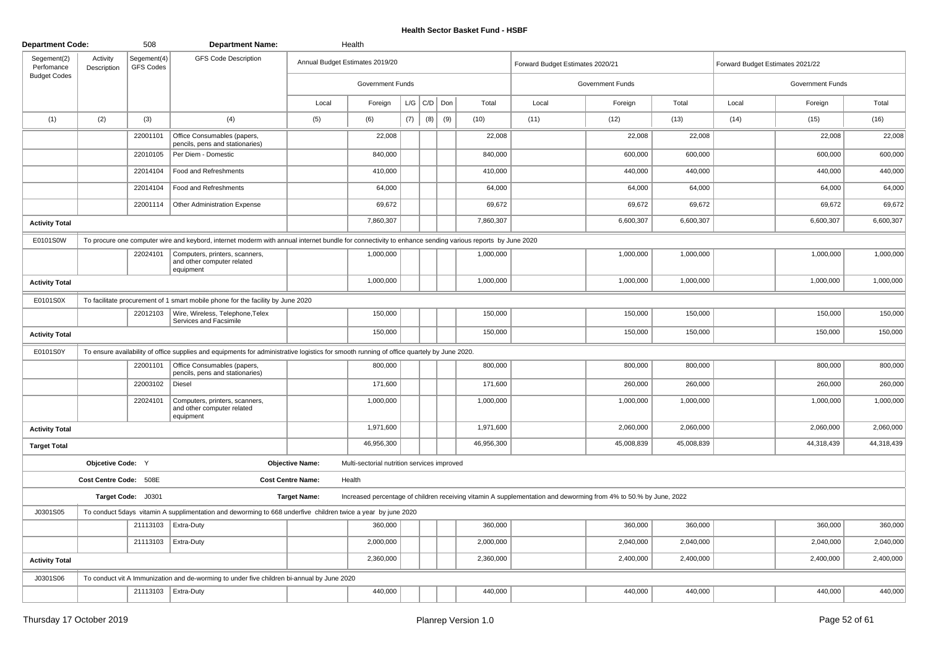| <b>Department Code:</b>   |                         | 508                             | <b>Department Name:</b>                                                                                                                                |                          | Health                                      |     |                   |     |            |                                                                                                                  |                  |            |                                  |                  |            |
|---------------------------|-------------------------|---------------------------------|--------------------------------------------------------------------------------------------------------------------------------------------------------|--------------------------|---------------------------------------------|-----|-------------------|-----|------------|------------------------------------------------------------------------------------------------------------------|------------------|------------|----------------------------------|------------------|------------|
| Segement(2)<br>Perfomance | Activity<br>Description | Segement(4)<br><b>GFS Codes</b> | <b>GFS Code Description</b>                                                                                                                            |                          | Annual Budget Estimates 2019/20             |     |                   |     |            | Forward Budget Estimates 2020/21                                                                                 |                  |            | Forward Budget Estimates 2021/22 |                  |            |
| <b>Budget Codes</b>       |                         |                                 |                                                                                                                                                        |                          | Government Funds                            |     |                   |     |            |                                                                                                                  | Government Funds |            |                                  | Government Funds |            |
|                           |                         |                                 |                                                                                                                                                        | Local                    | Foreign                                     |     | $L/G$ $C/D$ $Don$ |     | Total      | Local                                                                                                            | Foreign          | Total      | Local                            | Foreign          | Total      |
| (1)                       | (2)                     | (3)                             | (4)                                                                                                                                                    | (5)                      | (6)                                         | (7) | (8)               | (9) | (10)       | (11)                                                                                                             | (12)             | (13)       | (14)                             | (15)             | (16)       |
|                           |                         | 22001101                        | Office Consumables (papers,<br>pencils, pens and stationaries)                                                                                         |                          | 22,008                                      |     |                   |     | 22,008     |                                                                                                                  | 22,008           | 22,008     |                                  | 22,008           | 22,008     |
|                           |                         | 22010105                        | Per Diem - Domestic                                                                                                                                    |                          | 840,000                                     |     |                   |     | 840,000    |                                                                                                                  | 600,000          | 600,000    |                                  | 600,000          | 600,000    |
|                           |                         | 22014104                        | Food and Refreshments                                                                                                                                  |                          | 410,000                                     |     |                   |     | 410,000    |                                                                                                                  | 440,000          | 440,000    |                                  | 440,000          | 440,000    |
|                           |                         | 22014104                        | Food and Refreshments                                                                                                                                  |                          | 64,000                                      |     |                   |     | 64,000     |                                                                                                                  | 64,000           | 64,000     |                                  | 64,000           | 64,000     |
|                           |                         | 22001114                        | Other Administration Expense                                                                                                                           |                          | 69,672                                      |     |                   |     | 69,672     |                                                                                                                  | 69,672           | 69,672     |                                  | 69,672           | 69,672     |
| <b>Activity Total</b>     |                         |                                 |                                                                                                                                                        |                          | 7,860,307                                   |     |                   |     | 7,860,307  |                                                                                                                  | 6,600,307        | 6,600,307  |                                  | 6,600,307        | 6,600,307  |
| E0101S0W                  |                         |                                 | To procure one computer wire and keybord, internet moderm with annual internet bundle for connectivity to enhance sending various reports by June 2020 |                          |                                             |     |                   |     |            |                                                                                                                  |                  |            |                                  |                  |            |
|                           |                         | 22024101                        | Computers, printers, scanners,<br>and other computer related<br>equipment                                                                              |                          | 1,000,000                                   |     |                   |     | 1,000,000  |                                                                                                                  | 1,000,000        | 1,000,000  |                                  | 1,000,000        | 1,000,000  |
| <b>Activity Total</b>     |                         |                                 |                                                                                                                                                        |                          | 1,000,000                                   |     |                   |     | 1,000,000  |                                                                                                                  | 1,000,000        | 1,000,000  |                                  | 1,000,000        | 1,000,000  |
| E0101S0X                  |                         |                                 | To facilitate procurement of 1 smart mobile phone for the facility by June 2020                                                                        |                          |                                             |     |                   |     |            |                                                                                                                  |                  |            |                                  |                  |            |
|                           |                         | 22012103                        | Wire, Wireless, Telephone, Telex<br>Services and Facsimile                                                                                             |                          | 150,000                                     |     |                   |     | 150,000    |                                                                                                                  | 150,000          | 150,000    |                                  | 150,000          | 150,000    |
| <b>Activity Total</b>     |                         |                                 |                                                                                                                                                        |                          | 150,000                                     |     |                   |     | 150,000    |                                                                                                                  | 150,000          | 150,000    |                                  | 150,000          | 150,000    |
| E0101S0Y                  |                         |                                 | To ensure availability of office supplies and equipments for administrative logistics for smooth running of office quartely by June 2020.              |                          |                                             |     |                   |     |            |                                                                                                                  |                  |            |                                  |                  |            |
|                           |                         | 22001101                        | Office Consumables (papers,<br>pencils, pens and stationaries)                                                                                         |                          | 800,000                                     |     |                   |     | 800,000    |                                                                                                                  | 800,000          | 800,000    |                                  | 800,000          | 800,000    |
|                           |                         | 22003102                        | Diesel                                                                                                                                                 |                          | 171,600                                     |     |                   |     | 171,600    |                                                                                                                  | 260,000          | 260,000    |                                  | 260,000          | 260,000    |
|                           |                         | 22024101                        | Computers, printers, scanners,<br>and other computer related<br>equipment                                                                              |                          | 1,000,000                                   |     |                   |     | 1,000,000  |                                                                                                                  | 1,000,000        | 1,000,000  |                                  | 1,000,000        | 1,000,000  |
| <b>Activity Total</b>     |                         |                                 |                                                                                                                                                        |                          | 1,971,600                                   |     |                   |     | 1,971,600  |                                                                                                                  | 2,060,000        | 2,060,000  |                                  | 2,060,000        | 2,060,000  |
| <b>Target Total</b>       |                         |                                 |                                                                                                                                                        |                          | 46,956,300                                  |     |                   |     | 46,956,300 |                                                                                                                  | 45,008,839       | 45,008,839 |                                  | 44,318,439       | 44,318,439 |
|                           | Objcetive Code: Y       |                                 |                                                                                                                                                        | <b>Objective Name:</b>   | Multi-sectorial nutrition services improved |     |                   |     |            |                                                                                                                  |                  |            |                                  |                  |            |
|                           | Cost Centre Code: 508E  |                                 |                                                                                                                                                        | <b>Cost Centre Name:</b> | Health                                      |     |                   |     |            |                                                                                                                  |                  |            |                                  |                  |            |
|                           |                         | Target Code: J0301              |                                                                                                                                                        | <b>Target Name:</b>      |                                             |     |                   |     |            | Increased percentage of children receiving vitamin A supplementation and deworming from 4% to 50.% by June, 2022 |                  |            |                                  |                  |            |
| J0301S05                  |                         |                                 | To conduct 5days vitamin A supplimentation and deworming to 668 underfive children twice a year by june 2020                                           |                          |                                             |     |                   |     |            |                                                                                                                  |                  |            |                                  |                  |            |
|                           |                         | 21113103                        | Extra-Duty                                                                                                                                             |                          | 360,000                                     |     |                   |     | 360,000    |                                                                                                                  | 360,000          | 360,000    |                                  | 360,000          | 360,000    |
|                           |                         | 21113103                        | <b>Extra-Duty</b>                                                                                                                                      |                          | 2,000,000                                   |     |                   |     | 2,000,000  |                                                                                                                  | 2,040,000        | 2,040,000  |                                  | 2,040,000        | 2,040,000  |
| <b>Activity Total</b>     |                         |                                 |                                                                                                                                                        |                          | 2,360,000                                   |     |                   |     | 2,360,000  |                                                                                                                  | 2,400,000        | 2,400,000  |                                  | 2,400,000        | 2,400,000  |
| J0301S06                  |                         |                                 | To conduct vit A Immunization and de-worming to under five children bi-annual by June 2020                                                             |                          |                                             |     |                   |     |            |                                                                                                                  |                  |            |                                  |                  |            |
|                           |                         |                                 | 21113103   Extra-Duty                                                                                                                                  |                          | 440,000                                     |     |                   |     | 440,000    |                                                                                                                  | 440,000          | 440,000    |                                  | 440,000          | 440,000    |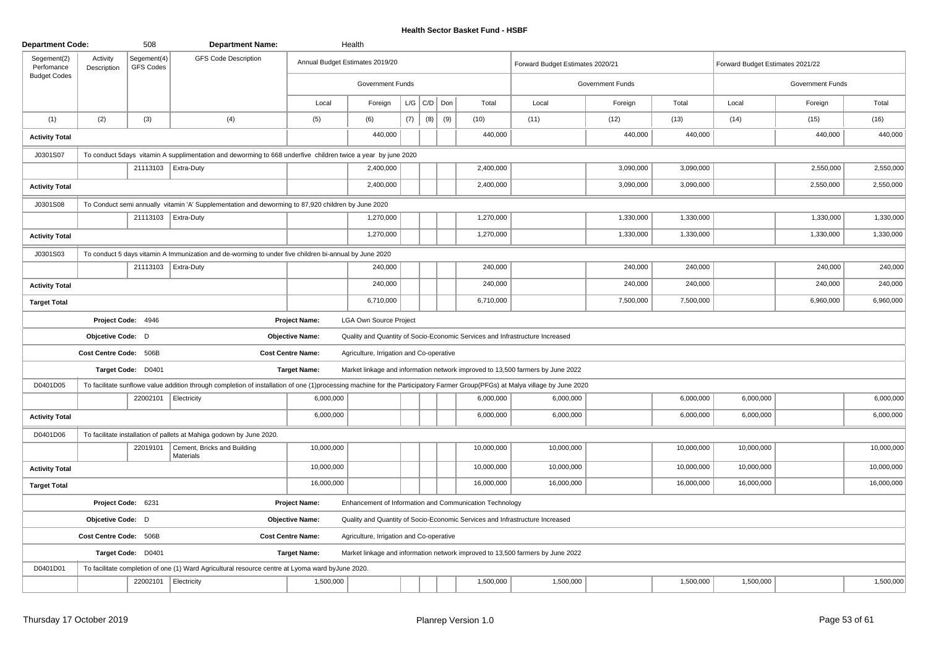| <b>Department Code:</b>   |                         | 508                      | <b>Department Name:</b>                                                                                                                                                      |                          | Health                                                  |     |                   |     |      |            |                                                                                |                         |            |                                  |                         |            |
|---------------------------|-------------------------|--------------------------|------------------------------------------------------------------------------------------------------------------------------------------------------------------------------|--------------------------|---------------------------------------------------------|-----|-------------------|-----|------|------------|--------------------------------------------------------------------------------|-------------------------|------------|----------------------------------|-------------------------|------------|
| Segement(2)<br>Perfomance | Activity<br>Description | Segement(4)<br>GFS Codes | <b>GFS Code Description</b>                                                                                                                                                  |                          | Annual Budget Estimates 2019/20                         |     |                   |     |      |            | Forward Budget Estimates 2020/21                                               |                         |            | Forward Budget Estimates 2021/22 |                         |            |
| <b>Budget Codes</b>       |                         |                          |                                                                                                                                                                              |                          | <b>Government Funds</b>                                 |     |                   |     |      |            |                                                                                | <b>Government Funds</b> |            |                                  | <b>Government Funds</b> |            |
|                           |                         |                          |                                                                                                                                                                              | Local                    | Foreign                                                 |     | $L/G$ $C/D$ $Don$ |     |      | Total      | Local                                                                          | Foreign                 | Total      | Local                            | Foreign                 | Total      |
| (1)                       | (2)                     | (3)                      | (4)                                                                                                                                                                          | (5)                      | (6)                                                     | (7) | (8)               | (9) | (10) |            | (11)                                                                           | (12)                    | (13)       | (14)                             | (15)                    | (16)       |
| <b>Activity Total</b>     |                         |                          |                                                                                                                                                                              |                          | 440,000                                                 |     |                   |     |      | 440,000    |                                                                                | 440,000                 | 440,000    |                                  | 440,000                 | 440,000    |
| J0301S07                  |                         |                          | To conduct 5days vitamin A supplimentation and deworming to 668 underfive children twice a year by june 2020                                                                 |                          |                                                         |     |                   |     |      |            |                                                                                |                         |            |                                  |                         |            |
|                           |                         |                          | 21113103 Extra-Duty                                                                                                                                                          |                          | 2,400,000                                               |     |                   |     |      | 2,400,000  |                                                                                | 3,090,000               | 3,090,000  |                                  | 2,550,000               | 2,550,000  |
| <b>Activity Total</b>     |                         |                          |                                                                                                                                                                              |                          | 2,400,000                                               |     |                   |     |      | 2,400,000  |                                                                                | 3,090,000               | 3,090,000  |                                  | 2,550,000               | 2,550,000  |
| J0301S08                  |                         |                          | To Conduct semi annually vitamin 'A' Supplementation and deworming to 87,920 children by June 2020                                                                           |                          |                                                         |     |                   |     |      |            |                                                                                |                         |            |                                  |                         |            |
|                           |                         |                          | 21113103   Extra-Duty                                                                                                                                                        |                          | 1,270,000                                               |     |                   |     |      | 1,270,000  |                                                                                | 1,330,000               | 1,330,000  |                                  | 1,330,000               | 1,330,000  |
| <b>Activity Total</b>     |                         |                          |                                                                                                                                                                              |                          | 1,270,000                                               |     |                   |     |      | 1,270,000  |                                                                                | 1,330,000               | 1,330,000  |                                  | 1,330,000               | 1,330,000  |
| J0301S03                  |                         |                          | To conduct 5 days vitamin A Immunization and de-worming to under five children bi-annual by June 2020                                                                        |                          |                                                         |     |                   |     |      |            |                                                                                |                         |            |                                  |                         |            |
|                           |                         |                          | 21113103   Extra-Duty                                                                                                                                                        |                          | 240,000                                                 |     |                   |     |      | 240,000    |                                                                                | 240,000                 | 240,000    |                                  | 240,000                 | 240,000    |
| <b>Activity Total</b>     |                         |                          |                                                                                                                                                                              |                          | 240,000                                                 |     |                   |     |      | 240,000    |                                                                                | 240,000                 | 240,000    |                                  | 240,000                 | 240,000    |
| <b>Target Total</b>       |                         |                          |                                                                                                                                                                              |                          | 6,710,000                                               |     |                   |     |      | 6,710,000  |                                                                                | 7,500,000               | 7,500,000  |                                  | 6,960,000               | 6,960,000  |
|                           |                         | Project Code: 4946       |                                                                                                                                                                              | <b>Project Name:</b>     | LGA Own Source Project                                  |     |                   |     |      |            |                                                                                |                         |            |                                  |                         |            |
|                           | Objcetive Code: D       |                          |                                                                                                                                                                              | <b>Objective Name:</b>   |                                                         |     |                   |     |      |            | Quality and Quantity of Socio-Economic Services and Infrastructure Increased   |                         |            |                                  |                         |            |
|                           | Cost Centre Code: 506B  |                          |                                                                                                                                                                              | <b>Cost Centre Name:</b> | Agriculture, Irrigation and Co-operative                |     |                   |     |      |            |                                                                                |                         |            |                                  |                         |            |
|                           |                         | Target Code: D0401       |                                                                                                                                                                              | <b>Target Name:</b>      |                                                         |     |                   |     |      |            | Market linkage and information network improved to 13,500 farmers by June 2022 |                         |            |                                  |                         |            |
| D0401D05                  |                         |                          | To facilitate sunflowe value addition through completion of installation of one (1)processing machine for the Participatory Farmer Group(PFGs) at Malya village by June 2020 |                          |                                                         |     |                   |     |      |            |                                                                                |                         |            |                                  |                         |            |
|                           |                         | 22002101                 | Electricity                                                                                                                                                                  | 6,000,000                |                                                         |     |                   |     |      | 6,000,000  | 6,000,000                                                                      |                         | 6,000,000  | 6,000,000                        |                         | 6,000,000  |
| <b>Activity Total</b>     |                         |                          |                                                                                                                                                                              | 6,000,000                |                                                         |     |                   |     |      | 6,000,000  | 6,000,000                                                                      |                         | 6,000,000  | 6,000,000                        |                         | 6,000,000  |
| D0401D06                  |                         |                          | To facilitate installation of pallets at Mahiga godown by June 2020.                                                                                                         |                          |                                                         |     |                   |     |      |            |                                                                                |                         |            |                                  |                         |            |
|                           |                         | 22019101                 | Cement, Bricks and Building<br>Materials                                                                                                                                     | 10,000,000               |                                                         |     |                   |     |      | 10,000,000 | 10,000,000                                                                     |                         | 10,000,000 | 10,000,000                       |                         | 10,000,000 |
| <b>Activity Total</b>     |                         |                          |                                                                                                                                                                              | 10,000,000               |                                                         |     |                   |     |      | 10,000,000 | 10,000,000                                                                     |                         | 10,000,000 | 10,000,000                       |                         | 10,000,000 |
| <b>Target Total</b>       |                         |                          |                                                                                                                                                                              | 16,000,000               |                                                         |     |                   |     |      | 16,000,000 | 16,000,000                                                                     |                         | 16,000,000 | 16,000,000                       |                         | 16,000,000 |
|                           | Project Code: 6231      |                          |                                                                                                                                                                              | <b>Project Name:</b>     | Enhancement of Information and Communication Technology |     |                   |     |      |            |                                                                                |                         |            |                                  |                         |            |
|                           | Objcetive Code: D       |                          |                                                                                                                                                                              | <b>Objective Name:</b>   |                                                         |     |                   |     |      |            | Quality and Quantity of Socio-Economic Services and Infrastructure Increased   |                         |            |                                  |                         |            |
|                           | Cost Centre Code: 506B  |                          |                                                                                                                                                                              | <b>Cost Centre Name:</b> | Agriculture, Irrigation and Co-operative                |     |                   |     |      |            |                                                                                |                         |            |                                  |                         |            |
|                           |                         | Target Code: D0401       |                                                                                                                                                                              | <b>Target Name:</b>      |                                                         |     |                   |     |      |            | Market linkage and information network improved to 13,500 farmers by June 2022 |                         |            |                                  |                         |            |
| D0401D01                  |                         |                          | To facilitate completion of one (1) Ward Agricultural resource centre at Lyoma ward by June 2020.                                                                            |                          |                                                         |     |                   |     |      |            |                                                                                |                         |            |                                  |                         |            |
|                           |                         | 22002101 Electricity     |                                                                                                                                                                              | 1,500,000                |                                                         |     |                   |     |      | 1,500,000  | 1,500,000                                                                      |                         | 1,500,000  | 1,500,000                        |                         | 1,500,000  |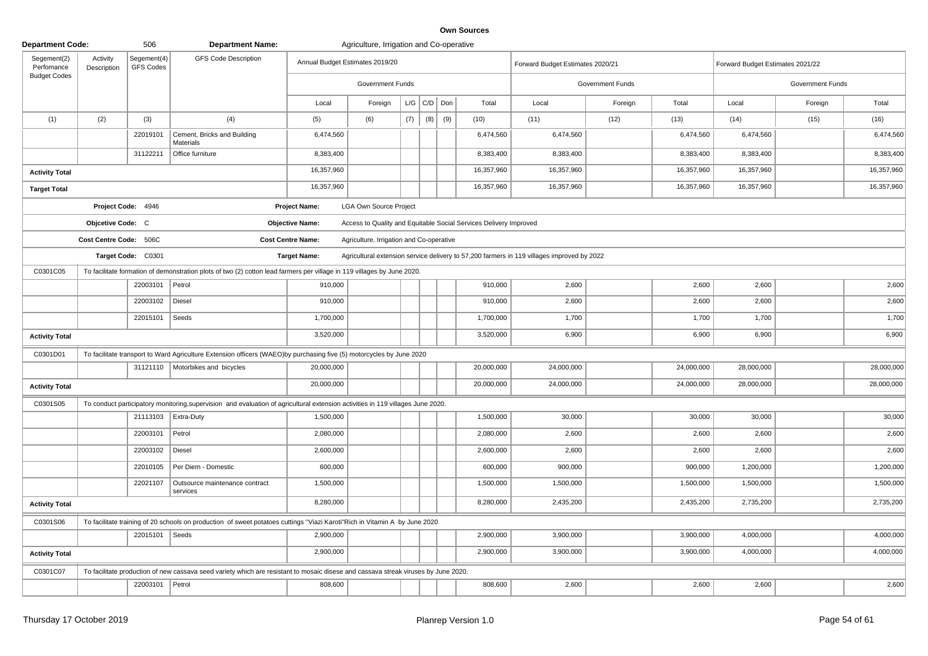| <b>Department Code:</b>                          |                         | 506                             | <b>Department Name:</b>                                                                                                            |                          | Agriculture, Irrigation and Co-operative |     |     |         |                                                                   |                                                                                            |                  |            |                                  |                  |            |
|--------------------------------------------------|-------------------------|---------------------------------|------------------------------------------------------------------------------------------------------------------------------------|--------------------------|------------------------------------------|-----|-----|---------|-------------------------------------------------------------------|--------------------------------------------------------------------------------------------|------------------|------------|----------------------------------|------------------|------------|
| Segement(2)<br>Perfomance<br><b>Budget Codes</b> | Activity<br>Description | Segement(4)<br><b>GFS Codes</b> | <b>GFS Code Description</b>                                                                                                        |                          | Annual Budget Estimates 2019/20          |     |     |         |                                                                   | Forward Budget Estimates 2020/21                                                           |                  |            | Forward Budget Estimates 2021/22 |                  |            |
|                                                  |                         |                                 |                                                                                                                                    |                          | Government Funds                         |     |     |         |                                                                   |                                                                                            | Government Funds |            |                                  | Government Funds |            |
|                                                  |                         |                                 |                                                                                                                                    | Local                    | Foreign                                  | L/G |     | C/D Don | Total                                                             | Local                                                                                      | Foreign          | Total      | Local                            | Foreign          | Total      |
| (1)                                              | (2)                     | (3)                             | (4)                                                                                                                                | (5)                      | (6)                                      | (7) | (8) | (9)     | (10)                                                              | (11)                                                                                       | (12)             | (13)       | (14)                             | (15)             | (16)       |
|                                                  |                         | 22019101                        | Cement, Bricks and Building<br>Materials                                                                                           | 6,474,560                |                                          |     |     |         | 6,474,560                                                         | 6,474,560                                                                                  |                  | 6,474,560  | 6,474,560                        |                  | 6,474,560  |
|                                                  |                         | 31122211                        | Office furniture                                                                                                                   | 8,383,400                |                                          |     |     |         | 8,383,400                                                         | 8,383,400                                                                                  |                  | 8,383,400  | 8,383,400                        |                  | 8,383,400  |
| <b>Activity Total</b>                            |                         |                                 |                                                                                                                                    | 16,357,960               |                                          |     |     |         | 16,357,960                                                        | 16,357,960                                                                                 |                  | 16,357,960 | 16,357,960                       |                  | 16,357,960 |
| <b>Target Total</b>                              |                         |                                 |                                                                                                                                    | 16,357,960               |                                          |     |     |         | 16,357,960                                                        | 16,357,960                                                                                 |                  | 16,357,960 | 16,357,960                       |                  | 16,357,960 |
|                                                  |                         | Project Code: 4946              |                                                                                                                                    | <b>Project Name:</b>     | <b>LGA Own Source Project</b>            |     |     |         |                                                                   |                                                                                            |                  |            |                                  |                  |            |
|                                                  | Objcetive Code: C       |                                 |                                                                                                                                    | <b>Objective Name:</b>   |                                          |     |     |         | Access to Quality and Equitable Social Services Delivery Improved |                                                                                            |                  |            |                                  |                  |            |
|                                                  | Cost Centre Code: 506C  |                                 |                                                                                                                                    | <b>Cost Centre Name:</b> | Agriculture, Irrigation and Co-operative |     |     |         |                                                                   |                                                                                            |                  |            |                                  |                  |            |
|                                                  |                         | Target Code: C0301              |                                                                                                                                    | <b>Target Name:</b>      |                                          |     |     |         |                                                                   | Agricultural extension service delivery to 57,200 farmers in 119 villages improved by 2022 |                  |            |                                  |                  |            |
| C0301C05                                         |                         |                                 | To facilitate formation of demonstration plots of two (2) cotton lead farmers per village in 119 villages by June 2020.            |                          |                                          |     |     |         |                                                                   |                                                                                            |                  |            |                                  |                  |            |
|                                                  |                         | 22003101                        | Petrol                                                                                                                             | 910,000                  |                                          |     |     |         | 910,000                                                           | 2,600                                                                                      |                  | 2,600      | 2,600                            |                  | 2,600      |
|                                                  |                         | 22003102                        | Diesel                                                                                                                             | 910,000                  |                                          |     |     |         | 910,000                                                           | 2,600                                                                                      |                  | 2,600      | 2,600                            |                  | 2,600      |
|                                                  |                         | 22015101                        | Seeds                                                                                                                              | 1,700,000                |                                          |     |     |         | 1,700,000                                                         | 1,700                                                                                      |                  | 1,700      | 1,700                            |                  | 1,700      |
| <b>Activity Total</b>                            |                         |                                 |                                                                                                                                    | 3,520,000                |                                          |     |     |         | 3,520,000                                                         | 6,900                                                                                      |                  | 6,900      | 6,900                            |                  | 6,900      |
| C0301D01                                         |                         |                                 | To facilitate transport to Ward Agriculture Extension officers (WAEO)by purchasing five (5) motorcycles by June 2020               |                          |                                          |     |     |         |                                                                   |                                                                                            |                  |            |                                  |                  |            |
|                                                  |                         |                                 | 31121110   Motorbikes and bicycles                                                                                                 | 20,000,000               |                                          |     |     |         | 20,000,000                                                        | 24,000,000                                                                                 |                  | 24,000,000 | 28,000,000                       |                  | 28,000,000 |
| <b>Activity Total</b>                            |                         |                                 |                                                                                                                                    | 20,000,000               |                                          |     |     |         | 20,000,000                                                        | 24,000,000                                                                                 |                  | 24,000,000 | 28,000,000                       |                  | 28,000,000 |
| C0301S05                                         |                         |                                 | To conduct participatory monitoring, supervision and evaluation of agricultural extension activities in 119 villages June 2020.    |                          |                                          |     |     |         |                                                                   |                                                                                            |                  |            |                                  |                  |            |
|                                                  |                         | 21113103                        | <b>Extra-Duty</b>                                                                                                                  | 1,500,000                |                                          |     |     |         | 1,500,000                                                         | 30,000                                                                                     |                  | 30,000     | 30,000                           |                  | 30,000     |
|                                                  |                         | 22003101                        | Petrol                                                                                                                             | 2,080,000                |                                          |     |     |         | 2,080,000                                                         | 2,600                                                                                      |                  | 2,600      | 2,600                            |                  | 2,600      |
|                                                  |                         | 22003102                        | Diesel                                                                                                                             | 2,600,000                |                                          |     |     |         | 2,600,000                                                         | 2,600                                                                                      |                  | 2,600      | 2,600                            |                  | 2,600      |
|                                                  |                         | 22010105                        | Per Diem - Domestic                                                                                                                | 600,000                  |                                          |     |     |         | 600,000                                                           | 900,000                                                                                    |                  | 900,000    | 1,200,000                        |                  | 1,200,000  |
|                                                  |                         | 22021107                        | Outsource maintenance contract<br>services                                                                                         | 1,500,000                |                                          |     |     |         | 1,500,000                                                         | 1,500,000                                                                                  |                  | 1,500,000  | 1,500,000                        |                  | 1,500,000  |
| <b>Activity Total</b>                            |                         |                                 |                                                                                                                                    | 8,280,000                |                                          |     |     |         | 8,280,000                                                         | 2,435,200                                                                                  |                  | 2,435,200  | 2,735,200                        |                  | 2,735,200  |
| C0301S06                                         |                         |                                 | To facilitate training of 20 schools on production of sweet potatoes cuttings "Viazi Karoti"Rich in Vitamin A by June 2020         |                          |                                          |     |     |         |                                                                   |                                                                                            |                  |            |                                  |                  |            |
|                                                  |                         | 22015101                        | Seeds                                                                                                                              | 2,900,000                |                                          |     |     |         | 2,900,000                                                         | 3,900,000                                                                                  |                  | 3,900,000  | 4,000,000                        |                  | 4,000,000  |
| <b>Activity Total</b>                            |                         |                                 |                                                                                                                                    | 2,900,000                |                                          |     |     |         | 2,900,000                                                         | 3,900,000                                                                                  |                  | 3,900,000  | 4,000,000                        |                  | 4,000,000  |
| C0301C07                                         |                         |                                 | To facilitate production of new cassava seed variety which are resistant to mosaic disese and cassava streak viruses by June 2020. |                          |                                          |     |     |         |                                                                   |                                                                                            |                  |            |                                  |                  |            |
|                                                  |                         | 22003101                        | $ $ Petrol                                                                                                                         | 808,600                  |                                          |     |     |         | 808,600                                                           | 2,600                                                                                      |                  | 2,600      | 2,600                            |                  | 2,600      |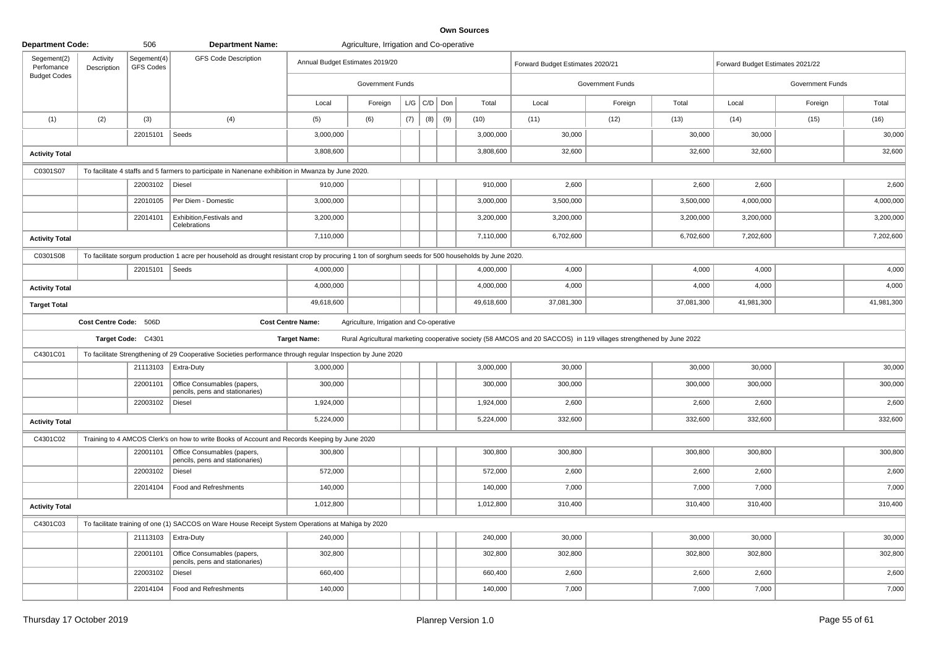| <b>Department Code:</b>   |                         | 506                      | <b>Department Name:</b>                                                                                                                             |                                 | Agriculture, Irrigation and Co-operative |     |     |                 |            |                                                                                                                     |                  |            |                                  |                  |            |
|---------------------------|-------------------------|--------------------------|-----------------------------------------------------------------------------------------------------------------------------------------------------|---------------------------------|------------------------------------------|-----|-----|-----------------|------------|---------------------------------------------------------------------------------------------------------------------|------------------|------------|----------------------------------|------------------|------------|
| Segement(2)<br>Perfomance | Activity<br>Description | Segement(4)<br>GFS Codes | <b>GFS Code Description</b>                                                                                                                         | Annual Budget Estimates 2019/20 |                                          |     |     |                 |            | Forward Budget Estimates 2020/21                                                                                    |                  |            | Forward Budget Estimates 2021/22 |                  |            |
| <b>Budget Codes</b>       |                         |                          |                                                                                                                                                     |                                 | <b>Government Funds</b>                  |     |     |                 |            |                                                                                                                     | Government Funds |            |                                  | Government Funds |            |
|                           |                         |                          |                                                                                                                                                     | Local                           | Foreign                                  |     |     | $L/G$ $C/D$ $D$ | Total      | Local                                                                                                               | Foreign          | Total      | Local                            | Foreign          | Total      |
| (1)                       | (2)                     | (3)                      | (4)                                                                                                                                                 | (5)                             | (6)                                      | (7) | (8) | (9)             | (10)       | (11)                                                                                                                | (12)             | (13)       | (14)                             | (15)             | (16)       |
|                           |                         | 22015101                 | Seeds                                                                                                                                               | 3,000,000                       |                                          |     |     |                 | 3,000,000  | 30,000                                                                                                              |                  | 30,000     | 30,000                           |                  | 30,000     |
| <b>Activity Total</b>     |                         |                          |                                                                                                                                                     | 3,808,600                       |                                          |     |     |                 | 3,808,600  | 32,600                                                                                                              |                  | 32,600     | 32,600                           |                  | 32,600     |
| C0301S07                  |                         |                          | To facilitate 4 staffs and 5 farmers to participate in Nanenane exhibition in Mwanza by June 2020.                                                  |                                 |                                          |     |     |                 |            |                                                                                                                     |                  |            |                                  |                  |            |
|                           |                         | 22003102                 | Diesel                                                                                                                                              | 910,000                         |                                          |     |     |                 | 910,000    | 2,600                                                                                                               |                  | 2,600      | 2,600                            |                  | 2,600      |
|                           |                         | 22010105                 | Per Diem - Domestic                                                                                                                                 | 3,000,000                       |                                          |     |     |                 | 3,000,000  | 3,500,000                                                                                                           |                  | 3,500,000  | 4,000,000                        |                  | 4,000,000  |
|                           |                         | 22014101                 | Exhibition, Festivals and<br>Celebrations                                                                                                           | 3,200,000                       |                                          |     |     |                 | 3,200,000  | 3,200,000                                                                                                           |                  | 3,200,000  | 3,200,000                        |                  | 3,200,000  |
| <b>Activity Total</b>     |                         |                          |                                                                                                                                                     | 7,110,000                       |                                          |     |     |                 | 7,110,000  | 6,702,600                                                                                                           |                  | 6,702,600  | 7,202,600                        |                  | 7,202,600  |
| C0301S08                  |                         |                          | To facilitate sorgum production 1 acre per household as drought resistant crop by procuring 1 ton of sorghum seeds for 500 households by June 2020. |                                 |                                          |     |     |                 |            |                                                                                                                     |                  |            |                                  |                  |            |
|                           |                         | 22015101                 | Seeds                                                                                                                                               | 4,000,000                       |                                          |     |     |                 | 4,000,000  | 4,000                                                                                                               |                  | 4,000      | 4,000                            |                  | 4,000      |
| <b>Activity Total</b>     |                         |                          |                                                                                                                                                     | 4,000,000                       |                                          |     |     |                 | 4,000,000  | 4,000                                                                                                               |                  | 4,000      | 4,000                            |                  | 4,000      |
| <b>Target Total</b>       |                         |                          |                                                                                                                                                     | 49,618,600                      |                                          |     |     |                 | 49,618,600 | 37,081,300                                                                                                          |                  | 37,081,300 | 41,981,300                       |                  | 41,981,300 |
|                           | Cost Centre Code: 506D  |                          |                                                                                                                                                     | <b>Cost Centre Name:</b>        | Agriculture, Irrigation and Co-operative |     |     |                 |            |                                                                                                                     |                  |            |                                  |                  |            |
|                           |                         | Target Code: C4301       |                                                                                                                                                     | <b>Target Name:</b>             |                                          |     |     |                 |            | Rural Agricultural marketing cooperative society (58 AMCOS and 20 SACCOS) in 119 villages strengthened by June 2022 |                  |            |                                  |                  |            |
| C4301C01                  |                         |                          | To facilitate Strengthening of 29 Cooperative Societies performance through regular Inspection by June 2020                                         |                                 |                                          |     |     |                 |            |                                                                                                                     |                  |            |                                  |                  |            |
|                           |                         |                          | 21113103   Extra-Duty                                                                                                                               | 3,000,000                       |                                          |     |     |                 | 3,000,000  | 30,000                                                                                                              |                  | 30,000     | 30,000                           |                  | 30,000     |
|                           |                         | 22001101                 | Office Consumables (papers,<br>pencils, pens and stationaries)                                                                                      | 300,000                         |                                          |     |     |                 | 300,000    | 300,000                                                                                                             |                  | 300,000    | 300,000                          |                  | 300,000    |
|                           |                         | 22003102                 | Diesel                                                                                                                                              | 1,924,000                       |                                          |     |     |                 | 1,924,000  | 2,600                                                                                                               |                  | 2,600      | 2,600                            |                  | 2,600      |
| <b>Activity Total</b>     |                         |                          |                                                                                                                                                     | 5,224,000                       |                                          |     |     |                 | 5,224,000  | 332,600                                                                                                             |                  | 332,600    | 332,600                          |                  | 332,600    |
| C4301C02                  |                         |                          | Training to 4 AMCOS Clerk's on how to write Books of Account and Records Keeping by June 2020                                                       |                                 |                                          |     |     |                 |            |                                                                                                                     |                  |            |                                  |                  |            |
|                           |                         | 22001101                 | Office Consumables (papers,<br>pencils, pens and stationaries)                                                                                      | 300,800                         |                                          |     |     |                 | 300,800    | 300,800                                                                                                             |                  | 300,800    | 300,800                          |                  | 300,800    |
|                           |                         | 22003102                 | Diesel                                                                                                                                              | 572,000                         |                                          |     |     |                 | 572,000    | 2,600                                                                                                               |                  | 2,600      | 2,600                            |                  | 2,600      |
|                           |                         | 22014104                 | Food and Refreshments                                                                                                                               | 140,000                         |                                          |     |     |                 | 140,000    | 7,000                                                                                                               |                  | 7,000      | 7,000                            |                  | 7,000      |
| <b>Activity Total</b>     |                         |                          |                                                                                                                                                     | 1,012,800                       |                                          |     |     |                 | 1,012,800  | 310,400                                                                                                             |                  | 310,400    | 310,400                          |                  | 310,400    |
| C4301C03                  |                         |                          | To facilitate training of one (1) SACCOS on Ware House Receipt System Operations at Mahiga by 2020                                                  |                                 |                                          |     |     |                 |            |                                                                                                                     |                  |            |                                  |                  |            |
|                           |                         | 21113103                 | Extra-Duty                                                                                                                                          | 240,000                         |                                          |     |     |                 | 240,000    | 30,000                                                                                                              |                  | 30,000     | 30,000                           |                  | 30,000     |
|                           |                         | 22001101                 | Office Consumables (papers,<br>pencils, pens and stationaries)                                                                                      | 302,800                         |                                          |     |     |                 | 302,800    | 302,800                                                                                                             |                  | 302,800    | 302,800                          |                  | 302,800    |
|                           |                         | 22003102                 | Diesel                                                                                                                                              | 660,400                         |                                          |     |     |                 | 660,400    | 2,600                                                                                                               |                  | 2,600      | 2,600                            |                  | 2,600      |
|                           |                         | 22014104                 | Food and Refreshments                                                                                                                               | 140,000                         |                                          |     |     |                 | 140,000    | 7,000                                                                                                               |                  | 7,000      | 7,000                            |                  | 7,000      |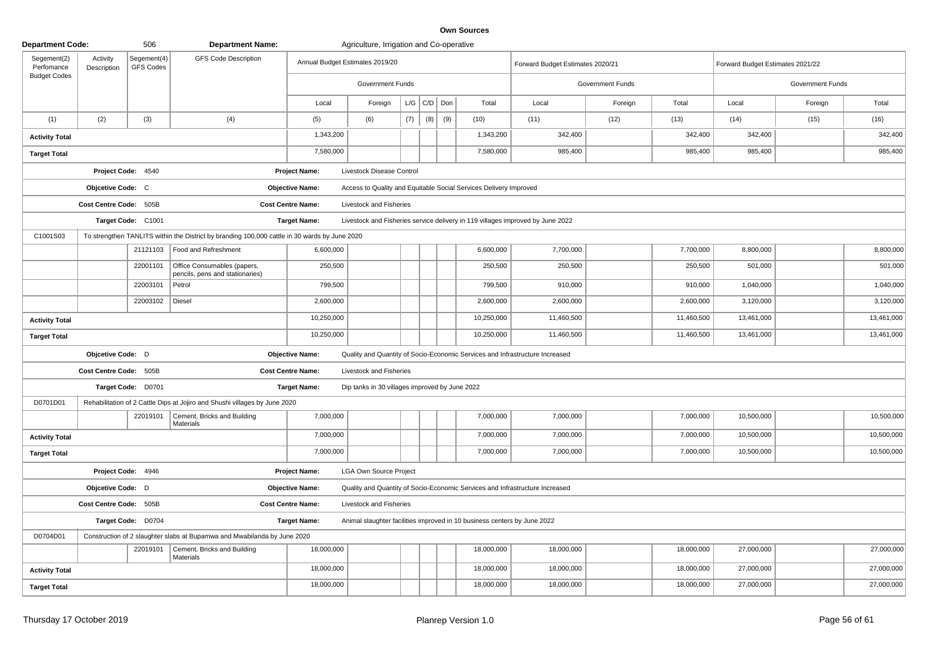| <b>Department Code:</b>                          |                         | 506                             | <b>Department Name:</b>                                                                       |                          | Agriculture, Irrigation and Co-operative       |     |     |     |                                                                              |                                                                                |                  |            |                                  |                  |            |
|--------------------------------------------------|-------------------------|---------------------------------|-----------------------------------------------------------------------------------------------|--------------------------|------------------------------------------------|-----|-----|-----|------------------------------------------------------------------------------|--------------------------------------------------------------------------------|------------------|------------|----------------------------------|------------------|------------|
| Segement(2)<br>Perfomance<br><b>Budget Codes</b> | Activity<br>Description | Segement(4)<br><b>GFS Codes</b> | <b>GFS Code Description</b>                                                                   |                          | Annual Budget Estimates 2019/20                |     |     |     |                                                                              | Forward Budget Estimates 2020/21                                               |                  |            | Forward Budget Estimates 2021/22 |                  |            |
|                                                  |                         |                                 |                                                                                               |                          | Government Funds                               |     |     |     |                                                                              |                                                                                | Government Funds |            |                                  | Government Funds |            |
|                                                  |                         |                                 |                                                                                               | Local                    | Foreign                                        | L/G | C/D | Don | Total                                                                        | Local                                                                          | Foreign          | Total      | Local                            | Foreign          | Total      |
| (1)                                              | (2)                     | (3)                             | (4)                                                                                           | (5)                      | (6)                                            | (7) | (8) | (9) | (10)                                                                         | (11)                                                                           | (12)             | (13)       | (14)                             | (15)             | (16)       |
| <b>Activity Total</b>                            |                         |                                 |                                                                                               | 1,343,200                |                                                |     |     |     | 1,343,200                                                                    | 342,400                                                                        |                  | 342,400    | 342,400                          |                  | 342,400    |
| <b>Target Total</b>                              |                         |                                 |                                                                                               | 7,580,000                |                                                |     |     |     | 7,580,000                                                                    | 985,400                                                                        |                  | 985,400    | 985,400                          |                  | 985,400    |
|                                                  |                         | Project Code: 4540              |                                                                                               | <b>Project Name:</b>     | Livestock Disease Control                      |     |     |     |                                                                              |                                                                                |                  |            |                                  |                  |            |
|                                                  | Objcetive Code: C       |                                 |                                                                                               | <b>Objective Name:</b>   |                                                |     |     |     | Access to Quality and Equitable Social Services Delivery Improved            |                                                                                |                  |            |                                  |                  |            |
|                                                  | Cost Centre Code: 505B  |                                 |                                                                                               | <b>Cost Centre Name:</b> | Livestock and Fisheries                        |     |     |     |                                                                              |                                                                                |                  |            |                                  |                  |            |
|                                                  |                         | Target Code: C1001              |                                                                                               | <b>Target Name:</b>      |                                                |     |     |     |                                                                              | Livestock and Fisheries service delivery in 119 villages improved by June 2022 |                  |            |                                  |                  |            |
| C1001S03                                         |                         |                                 | To strengthen TANLITS within the District by branding 100,000 cattle in 30 wards by June 2020 |                          |                                                |     |     |     |                                                                              |                                                                                |                  |            |                                  |                  |            |
|                                                  |                         | 21121103                        | Food and Refreshment                                                                          | 6,600,000                |                                                |     |     |     | 6,600,000                                                                    | 7,700,000                                                                      |                  | 7,700,000  | 8,800,000                        |                  | 8,800,000  |
|                                                  |                         | 22001101                        | Office Consumables (papers,<br>pencils, pens and stationaries)                                | 250,500                  |                                                |     |     |     | 250,500                                                                      | 250,500                                                                        |                  | 250,500    | 501,000                          |                  | 501,000    |
|                                                  |                         | 22003101                        | Petrol                                                                                        | 799,500                  |                                                |     |     |     | 799,500                                                                      | 910,000                                                                        |                  | 910,000    | 1,040,000                        |                  | 1,040,000  |
|                                                  |                         | 22003102                        | Diesel                                                                                        | 2,600,000                |                                                |     |     |     | 2,600,000                                                                    | 2,600,000                                                                      |                  | 2,600,000  | 3,120,000                        |                  | 3,120,000  |
| <b>Activity Total</b>                            |                         |                                 |                                                                                               | 10,250,000               |                                                |     |     |     | 10,250,000                                                                   | 11,460,500                                                                     |                  | 11,460,500 | 13,461,000                       |                  | 13,461,000 |
| <b>Target Total</b>                              |                         |                                 |                                                                                               | 10,250,000               |                                                |     |     |     | 10,250,000                                                                   | 11,460,500                                                                     |                  | 11,460,500 | 13,461,000                       |                  | 13,461,000 |
|                                                  | Objcetive Code: D       |                                 |                                                                                               | <b>Objective Name:</b>   |                                                |     |     |     | Quality and Quantity of Socio-Economic Services and Infrastructure Increased |                                                                                |                  |            |                                  |                  |            |
|                                                  | Cost Centre Code: 505B  |                                 |                                                                                               | <b>Cost Centre Name:</b> | Livestock and Fisheries                        |     |     |     |                                                                              |                                                                                |                  |            |                                  |                  |            |
|                                                  |                         | Target Code: D0701              |                                                                                               | <b>Target Name:</b>      | Dip tanks in 30 villages improved by June 2022 |     |     |     |                                                                              |                                                                                |                  |            |                                  |                  |            |
| D0701D01                                         |                         |                                 | Rehabilitation of 2 Cattle Dips at Jojiro and Shushi villages by June 2020                    |                          |                                                |     |     |     |                                                                              |                                                                                |                  |            |                                  |                  |            |
|                                                  |                         | 22019101                        | Cement, Bricks and Building<br><b>Materials</b>                                               | 7,000,000                |                                                |     |     |     | 7,000,000                                                                    | 7,000,000                                                                      |                  | 7,000,000  | 10,500,000                       |                  | 10,500,000 |
| <b>Activity Total</b>                            |                         |                                 |                                                                                               | 7,000,000                |                                                |     |     |     | 7,000,000                                                                    | 7,000,000                                                                      |                  | 7,000,000  | 10,500,000                       |                  | 10,500,000 |
| <b>Target Total</b>                              |                         |                                 |                                                                                               | 7,000,000                |                                                |     |     |     | 7,000,000                                                                    | 7,000,000                                                                      |                  | 7,000,000  | 10,500,000                       |                  | 10,500,000 |
|                                                  |                         | Project Code: 4946              |                                                                                               | <b>Project Name:</b>     | <b>LGA Own Source Project</b>                  |     |     |     |                                                                              |                                                                                |                  |            |                                  |                  |            |
|                                                  | Objcetive Code: D       |                                 |                                                                                               | <b>Objective Name:</b>   |                                                |     |     |     | Quality and Quantity of Socio-Economic Services and Infrastructure Increased |                                                                                |                  |            |                                  |                  |            |
|                                                  | Cost Centre Code: 505B  |                                 |                                                                                               | <b>Cost Centre Name:</b> | Livestock and Fisheries                        |     |     |     |                                                                              |                                                                                |                  |            |                                  |                  |            |
|                                                  |                         | Target Code: D0704              |                                                                                               | <b>Target Name:</b>      |                                                |     |     |     | Animal slaughter facilities improved in 10 business centers by June 2022     |                                                                                |                  |            |                                  |                  |            |
| D0704D01                                         |                         |                                 | Construction of 2 slaughter slabs at Bupamwa and Mwabilanda by June 2020                      |                          |                                                |     |     |     |                                                                              |                                                                                |                  |            |                                  |                  |            |
|                                                  |                         | 22019101                        | Cement, Bricks and Building<br><b>Materials</b>                                               | 18,000,000               |                                                |     |     |     | 18,000,000                                                                   | 18,000,000                                                                     |                  | 18,000,000 | 27,000,000                       |                  | 27,000,000 |
| <b>Activity Total</b>                            |                         |                                 |                                                                                               | 18,000,000               |                                                |     |     |     | 18,000,000                                                                   | 18,000,000                                                                     |                  | 18,000,000 | 27,000,000                       |                  | 27,000,000 |
| <b>Target Total</b>                              |                         |                                 |                                                                                               | 18,000,000               |                                                |     |     |     | 18,000,000                                                                   | 18,000,000                                                                     |                  | 18,000,000 | 27,000,000                       |                  | 27,000,000 |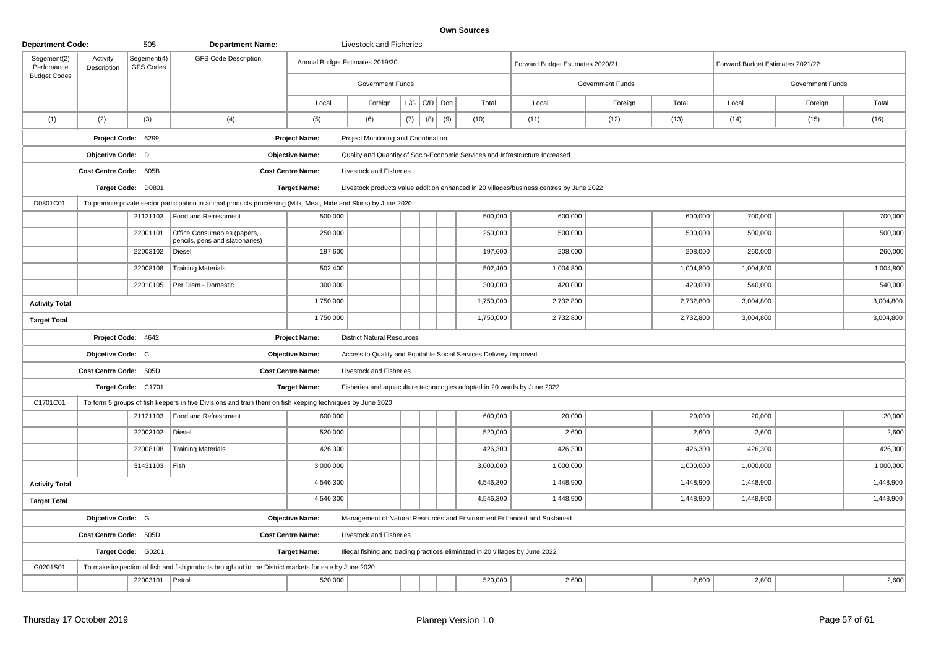| <b>Department Code:</b>   |                         | 505                      | <b>Department Name:</b>                                                                                         |                                 | Livestock and Fisheries             |     |                   |     |                                                                              |                                                                                         |                  |           |                                  |                  |           |
|---------------------------|-------------------------|--------------------------|-----------------------------------------------------------------------------------------------------------------|---------------------------------|-------------------------------------|-----|-------------------|-----|------------------------------------------------------------------------------|-----------------------------------------------------------------------------------------|------------------|-----------|----------------------------------|------------------|-----------|
| Segement(2)<br>Perfomance | Activity<br>Description | Segement(4)<br>GFS Codes | <b>GFS Code Description</b>                                                                                     | Annual Budget Estimates 2019/20 |                                     |     |                   |     |                                                                              | Forward Budget Estimates 2020/21                                                        |                  |           | Forward Budget Estimates 2021/22 |                  |           |
| <b>Budget Codes</b>       |                         |                          |                                                                                                                 |                                 | <b>Government Funds</b>             |     |                   |     |                                                                              |                                                                                         | Government Funds |           |                                  | Government Funds |           |
|                           |                         |                          |                                                                                                                 | Local                           | Foreign                             |     | $L/G$ $C/D$ $Don$ |     | Total                                                                        | Local                                                                                   | Foreign          | Total     | Local                            | Foreign          | Total     |
| (1)                       | (2)                     | (3)                      | (4)                                                                                                             | (5)                             | (6)                                 | (7) | (8)               | (9) | (10)                                                                         | (11)                                                                                    | (12)             | (13)      | (14)                             | (15)             | (16)      |
|                           |                         | Project Code: 6299       |                                                                                                                 | <b>Project Name:</b>            | Project Monitoring and Coordination |     |                   |     |                                                                              |                                                                                         |                  |           |                                  |                  |           |
|                           | Objcetive Code: D       |                          |                                                                                                                 | <b>Objective Name:</b>          |                                     |     |                   |     |                                                                              | Quality and Quantity of Socio-Economic Services and Infrastructure Increased            |                  |           |                                  |                  |           |
|                           | Cost Centre Code: 505B  |                          |                                                                                                                 | <b>Cost Centre Name:</b>        | Livestock and Fisheries             |     |                   |     |                                                                              |                                                                                         |                  |           |                                  |                  |           |
|                           |                         | Target Code: D0801       |                                                                                                                 | <b>Target Name:</b>             |                                     |     |                   |     |                                                                              | Livestock products value addition enhanced in 20 villages/business centres by June 2022 |                  |           |                                  |                  |           |
| D0801C01                  |                         |                          | To promote private sector participation in animal products processing (Milk, Meat, Hide and Skins) by June 2020 |                                 |                                     |     |                   |     |                                                                              |                                                                                         |                  |           |                                  |                  |           |
|                           |                         | 21121103                 | Food and Refreshment                                                                                            | 500,000                         |                                     |     |                   |     | 500,000                                                                      | 600,000                                                                                 |                  | 600,000   | 700,000                          |                  | 700,000   |
|                           |                         | 22001101                 | Office Consumables (papers,<br>pencils, pens and stationaries)                                                  | 250,000                         |                                     |     |                   |     | 250,000                                                                      | 500,000                                                                                 |                  | 500,000   | 500,000                          |                  | 500,000   |
|                           |                         | 22003102                 | Diesel                                                                                                          | 197,600                         |                                     |     |                   |     | 197,600                                                                      | 208,000                                                                                 |                  | 208,000   | 260,000                          |                  | 260,000   |
|                           |                         | 22008108                 | <b>Training Materials</b>                                                                                       | 502,400                         |                                     |     |                   |     | 502,400                                                                      | 1,004,800                                                                               |                  | 1,004,800 | 1,004,800                        |                  | 1,004,800 |
|                           |                         | 22010105                 | Per Diem - Domestic                                                                                             | 300,000                         |                                     |     |                   |     | 300,000                                                                      | 420,000                                                                                 |                  | 420,000   | 540,000                          |                  | 540,000   |
| <b>Activity Total</b>     |                         |                          |                                                                                                                 | 1,750,000                       |                                     |     |                   |     | 1,750,000                                                                    | 2,732,800                                                                               |                  | 2,732,800 | 3,004,800                        |                  | 3,004,800 |
| <b>Target Total</b>       |                         |                          |                                                                                                                 | 1,750,000                       |                                     |     |                   |     | 1,750,000                                                                    | 2,732,800                                                                               |                  | 2,732,800 | 3,004,800                        |                  | 3,004,800 |
|                           |                         | Project Code: 4642       |                                                                                                                 | <b>Project Name:</b>            | <b>District Natural Resources</b>   |     |                   |     |                                                                              |                                                                                         |                  |           |                                  |                  |           |
|                           | Objcetive Code: C       |                          |                                                                                                                 | <b>Objective Name:</b>          |                                     |     |                   |     | Access to Quality and Equitable Social Services Delivery Improved            |                                                                                         |                  |           |                                  |                  |           |
|                           | Cost Centre Code: 505D  |                          |                                                                                                                 | <b>Cost Centre Name:</b>        | Livestock and Fisheries             |     |                   |     |                                                                              |                                                                                         |                  |           |                                  |                  |           |
|                           |                         | Target Code: C1701       |                                                                                                                 | <b>Target Name:</b>             |                                     |     |                   |     | Fisheries and aquaculture technologies adopted in 20 wards by June 2022      |                                                                                         |                  |           |                                  |                  |           |
| C1701C01                  |                         |                          | To form 5 groups of fish keepers in five Divisions and train them on fish keeping techniques by June 2020       |                                 |                                     |     |                   |     |                                                                              |                                                                                         |                  |           |                                  |                  |           |
|                           |                         | 21121103                 | Food and Refreshment                                                                                            | 600,000                         |                                     |     |                   |     | 600,000                                                                      | 20,000                                                                                  |                  | 20,000    | 20,000                           |                  | 20,000    |
|                           |                         | 22003102                 | Diesel                                                                                                          | 520,000                         |                                     |     |                   |     | 520,000                                                                      | 2,600                                                                                   |                  | 2,600     | 2,600                            |                  | 2,600     |
|                           |                         | 22008108                 | <b>Training Materials</b>                                                                                       | 426,300                         |                                     |     |                   |     | 426,300                                                                      | 426,300                                                                                 |                  | 426,300   | 426,300                          |                  | 426,300   |
|                           |                         | 31431103                 | Fish                                                                                                            | 3,000,000                       |                                     |     |                   |     | 3,000,000                                                                    | 1,000,000                                                                               |                  | 1,000,000 | 1,000,000                        |                  | 1,000,000 |
| <b>Activity Total</b>     |                         |                          |                                                                                                                 | 4,546,300                       |                                     |     |                   |     | 4,546,300                                                                    | 1,448,900                                                                               |                  | 1,448,900 | 1,448,900                        |                  | 1,448,900 |
| <b>Target Total</b>       |                         |                          |                                                                                                                 | 4,546,300                       |                                     |     |                   |     | 4,546,300                                                                    | 1,448,900                                                                               |                  | 1,448,900 | 1,448,900                        |                  | 1,448,900 |
|                           | Objcetive Code: G       |                          |                                                                                                                 | <b>Objective Name:</b>          |                                     |     |                   |     |                                                                              | Management of Natural Resources and Environment Enhanced and Sustained                  |                  |           |                                  |                  |           |
|                           | Cost Centre Code: 505D  |                          |                                                                                                                 | <b>Cost Centre Name:</b>        | Livestock and Fisheries             |     |                   |     |                                                                              |                                                                                         |                  |           |                                  |                  |           |
|                           |                         | Target Code: G0201       |                                                                                                                 | <b>Target Name:</b>             |                                     |     |                   |     | Illegal fishing and trading practices eliminated in 20 villages by June 2022 |                                                                                         |                  |           |                                  |                  |           |
| G0201S01                  |                         |                          | To make inspection of fish and fish products broughout in the District markets for sale by June 2020            |                                 |                                     |     |                   |     |                                                                              |                                                                                         |                  |           |                                  |                  |           |
|                           |                         | 22003101                 | $ $ Petrol                                                                                                      | 520,000                         |                                     |     |                   |     | 520,000                                                                      | 2,600                                                                                   |                  | 2,600     | 2,600                            |                  | 2,600     |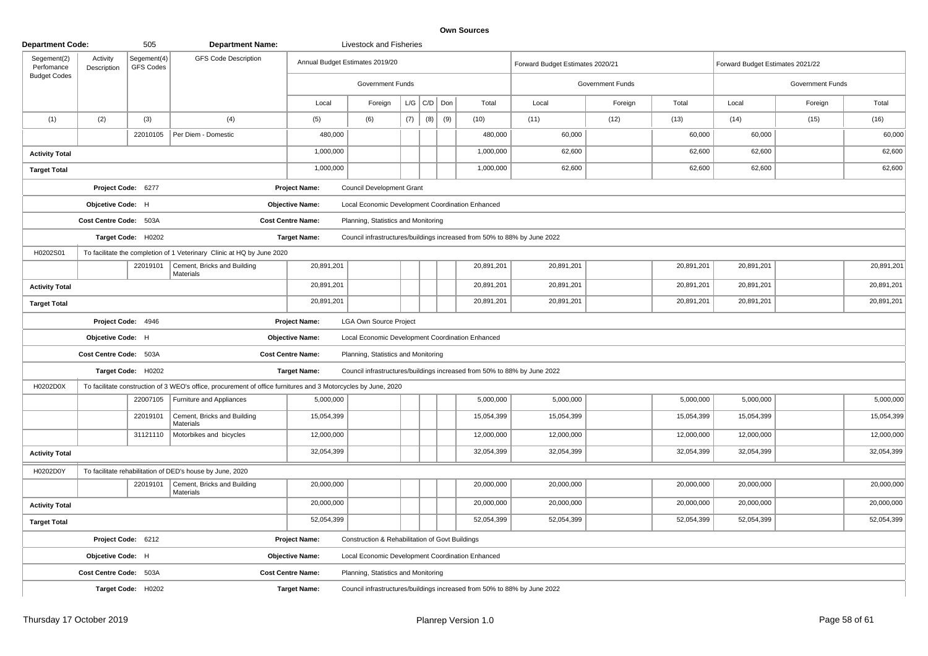| <b>Department Code:</b>                          |                         | 505                             | <b>Department Name:</b>                                                                                        |                                 | <b>Livestock and Fisheries</b>                   |     |                 |     |                                                                          |                                  |                  |            |                                  |                         |            |
|--------------------------------------------------|-------------------------|---------------------------------|----------------------------------------------------------------------------------------------------------------|---------------------------------|--------------------------------------------------|-----|-----------------|-----|--------------------------------------------------------------------------|----------------------------------|------------------|------------|----------------------------------|-------------------------|------------|
| Segement(2)<br>Perfomance<br><b>Budget Codes</b> | Activity<br>Description | Segement(4)<br><b>GFS Codes</b> | <b>GFS Code Description</b>                                                                                    | Annual Budget Estimates 2019/20 |                                                  |     |                 |     |                                                                          | Forward Budget Estimates 2020/21 |                  |            | Forward Budget Estimates 2021/22 |                         |            |
|                                                  |                         |                                 |                                                                                                                |                                 | Government Funds                                 |     |                 |     |                                                                          |                                  | Government Funds |            |                                  | <b>Government Funds</b> |            |
|                                                  |                         |                                 |                                                                                                                | Local                           | Foreign                                          |     | $L/G$ $C/D$ Don |     | Total                                                                    | Local                            | Foreign          | Total      | Local                            | Foreign                 | Total      |
| (1)                                              | (2)                     | (3)                             | (4)                                                                                                            | (5)                             | (6)                                              | (7) | (8)             | (9) | (10)                                                                     | (11)                             | (12)             | (13)       | (14)                             | (15)                    | (16)       |
|                                                  |                         | 22010105                        | Per Diem - Domestic                                                                                            | 480,000                         |                                                  |     |                 |     | 480,000                                                                  | 60,000                           |                  | 60,000     | 60,000                           |                         | 60,000     |
| <b>Activity Total</b>                            |                         |                                 |                                                                                                                | 1,000,000                       |                                                  |     |                 |     | 1,000,000                                                                | 62,600                           |                  | 62,600     | 62,600                           |                         | 62,600     |
| <b>Target Total</b>                              |                         |                                 |                                                                                                                | 1,000,000                       |                                                  |     |                 |     | 1,000,000                                                                | 62,600                           |                  | 62,600     | 62,600                           |                         | 62,600     |
|                                                  |                         | Project Code: 6277              |                                                                                                                | <b>Project Name:</b>            | <b>Council Development Grant</b>                 |     |                 |     |                                                                          |                                  |                  |            |                                  |                         |            |
|                                                  | Objcetive Code: H       |                                 |                                                                                                                | <b>Objective Name:</b>          | Local Economic Development Coordination Enhanced |     |                 |     |                                                                          |                                  |                  |            |                                  |                         |            |
|                                                  | Cost Centre Code: 503A  |                                 |                                                                                                                | <b>Cost Centre Name:</b>        | Planning, Statistics and Monitoring              |     |                 |     |                                                                          |                                  |                  |            |                                  |                         |            |
|                                                  |                         | Target Code: H0202              |                                                                                                                | <b>Target Name:</b>             |                                                  |     |                 |     | Council infrastructures/buildings increased from 50% to 88% by June 2022 |                                  |                  |            |                                  |                         |            |
| H0202S01                                         |                         |                                 | To facilitate the completion of 1 Veterinary Clinic at HQ by June 2020                                         |                                 |                                                  |     |                 |     |                                                                          |                                  |                  |            |                                  |                         |            |
|                                                  |                         | 22019101                        | Cement, Bricks and Building<br>Materials                                                                       | 20,891,201                      |                                                  |     |                 |     | 20,891,201                                                               | 20,891,201                       |                  | 20,891,201 | 20,891,201                       |                         | 20,891,201 |
| <b>Activity Total</b>                            |                         |                                 |                                                                                                                | 20,891,201                      |                                                  |     |                 |     | 20,891,201                                                               | 20,891,201                       |                  | 20,891,201 | 20,891,201                       |                         | 20,891,201 |
| <b>Target Total</b>                              |                         |                                 |                                                                                                                | 20,891,201                      |                                                  |     |                 |     | 20,891,201                                                               | 20,891,201                       |                  | 20,891,201 | 20,891,201                       |                         | 20,891,201 |
|                                                  |                         | Project Code: 4946              |                                                                                                                | <b>Project Name:</b>            | <b>LGA Own Source Project</b>                    |     |                 |     |                                                                          |                                  |                  |            |                                  |                         |            |
|                                                  | Objcetive Code: H       |                                 |                                                                                                                | <b>Objective Name:</b>          | Local Economic Development Coordination Enhanced |     |                 |     |                                                                          |                                  |                  |            |                                  |                         |            |
|                                                  | Cost Centre Code: 503A  |                                 |                                                                                                                | <b>Cost Centre Name:</b>        | Planning, Statistics and Monitoring              |     |                 |     |                                                                          |                                  |                  |            |                                  |                         |            |
|                                                  |                         | Target Code: H0202              |                                                                                                                | <b>Target Name:</b>             |                                                  |     |                 |     | Council infrastructures/buildings increased from 50% to 88% by June 2022 |                                  |                  |            |                                  |                         |            |
| H0202D0X                                         |                         |                                 | To facilitate construction of 3 WEO's office, procurement of office furnitures and 3 Motorcycles by June, 2020 |                                 |                                                  |     |                 |     |                                                                          |                                  |                  |            |                                  |                         |            |
|                                                  |                         | 22007105                        | Furniture and Appliances                                                                                       | 5,000,000                       |                                                  |     |                 |     | 5,000,000                                                                | 5,000,000                        |                  | 5,000,000  | 5,000,000                        |                         | 5,000,000  |
|                                                  |                         | 22019101                        | Cement, Bricks and Building<br>Materials                                                                       | 15,054,399                      |                                                  |     |                 |     | 15,054,399                                                               | 15,054,399                       |                  | 15,054,399 | 15,054,399                       |                         | 15,054,399 |
|                                                  |                         | 31121110                        | Motorbikes and bicycles                                                                                        | 12,000,000                      |                                                  |     |                 |     | 12,000,000                                                               | 12,000,000                       |                  | 12,000,000 | 12,000,000                       |                         | 12,000,000 |
| <b>Activity Total</b>                            |                         |                                 |                                                                                                                | 32,054,399                      |                                                  |     |                 |     | 32,054,399                                                               | 32,054,399                       |                  | 32,054,399 | 32,054,399                       |                         | 32,054,399 |
| H0202D0Y                                         |                         |                                 | To facilitate rehabilitation of DED's house by June, 2020                                                      |                                 |                                                  |     |                 |     |                                                                          |                                  |                  |            |                                  |                         |            |
|                                                  |                         | 22019101                        | Cement, Bricks and Building<br>Materials                                                                       | 20,000,000                      |                                                  |     |                 |     | 20,000,000                                                               | 20,000,000                       |                  | 20,000,000 | 20,000,000                       |                         | 20,000,000 |
| <b>Activity Total</b>                            |                         |                                 |                                                                                                                | 20,000,000                      |                                                  |     |                 |     | 20,000,000                                                               | 20,000,000                       |                  | 20,000,000 | 20,000,000                       |                         | 20,000,000 |
| <b>Target Total</b>                              |                         |                                 |                                                                                                                | 52,054,399                      |                                                  |     |                 |     | 52,054,399                                                               | 52,054,399                       |                  | 52,054,399 | 52,054,399                       |                         | 52,054,399 |
|                                                  |                         | Project Code: 6212              |                                                                                                                | <b>Project Name:</b>            | Construction & Rehabilitation of Govt Buildings  |     |                 |     |                                                                          |                                  |                  |            |                                  |                         |            |
|                                                  | Objcetive Code: H       |                                 |                                                                                                                | <b>Objective Name:</b>          | Local Economic Development Coordination Enhanced |     |                 |     |                                                                          |                                  |                  |            |                                  |                         |            |
|                                                  | Cost Centre Code: 503A  |                                 |                                                                                                                | <b>Cost Centre Name:</b>        | Planning, Statistics and Monitoring              |     |                 |     |                                                                          |                                  |                  |            |                                  |                         |            |
|                                                  |                         | Target Code: H0202              |                                                                                                                | <b>Target Name:</b>             |                                                  |     |                 |     | Council infrastructures/buildings increased from 50% to 88% by June 2022 |                                  |                  |            |                                  |                         |            |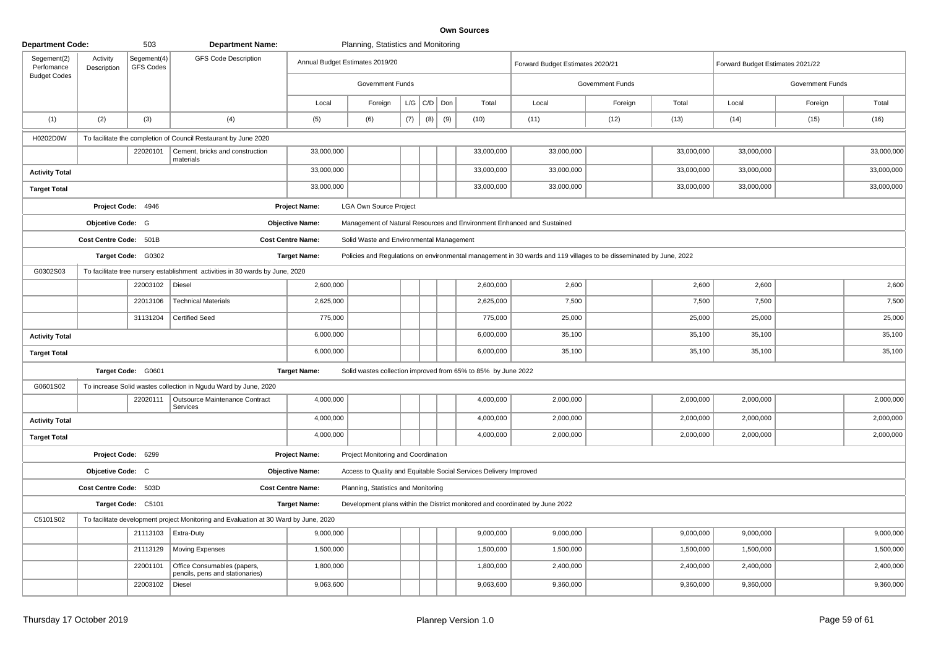| <b>Department Code:</b>   |                         | 503                             | <b>Department Name:</b>                                                              | Planning, Statistics and Monitoring |                                          |     |                   |     |                                                                   |                                                                                                                    |                  |            |                                  |                         |            |
|---------------------------|-------------------------|---------------------------------|--------------------------------------------------------------------------------------|-------------------------------------|------------------------------------------|-----|-------------------|-----|-------------------------------------------------------------------|--------------------------------------------------------------------------------------------------------------------|------------------|------------|----------------------------------|-------------------------|------------|
| Segement(2)<br>Perfomance | Activity<br>Description | Segement(4)<br><b>GFS Codes</b> | <b>GFS Code Description</b>                                                          | Annual Budget Estimates 2019/20     |                                          |     |                   |     |                                                                   | Forward Budget Estimates 2020/21                                                                                   |                  |            | Forward Budget Estimates 2021/22 |                         |            |
| <b>Budget Codes</b>       |                         |                                 |                                                                                      |                                     | <b>Government Funds</b>                  |     |                   |     |                                                                   |                                                                                                                    | Government Funds |            |                                  | <b>Government Funds</b> |            |
|                           |                         |                                 |                                                                                      | Local                               | Foreign                                  |     | $L/G$ $C/D$ $Don$ |     | Total                                                             | Local                                                                                                              | Foreign          | Total      | Local                            | Foreign                 | Total      |
| (1)                       | (2)                     | (3)                             | (4)                                                                                  | (5)                                 | (6)                                      | (7) | (8)               | (9) | (10)                                                              | (11)                                                                                                               | (12)             | (13)       | (14)                             | (15)                    | (16)       |
| H0202D0W                  |                         |                                 | To facilitate the completion of Council Restaurant by June 2020                      |                                     |                                          |     |                   |     |                                                                   |                                                                                                                    |                  |            |                                  |                         |            |
|                           |                         | 22020101                        | Cement, bricks and construction<br>materials                                         | 33,000,000                          |                                          |     |                   |     | 33,000,000                                                        | 33,000,000                                                                                                         |                  | 33,000,000 | 33,000,000                       |                         | 33,000,000 |
| <b>Activity Total</b>     |                         |                                 |                                                                                      | 33,000,000                          |                                          |     |                   |     | 33,000,000                                                        | 33,000,000                                                                                                         |                  | 33,000,000 | 33,000,000                       |                         | 33,000,000 |
| <b>Target Total</b>       |                         |                                 |                                                                                      | 33,000,000                          |                                          |     |                   |     | 33,000,000                                                        | 33,000,000                                                                                                         |                  | 33,000,000 | 33,000,000                       |                         | 33,000,000 |
|                           |                         | Project Code: 4946              |                                                                                      | <b>Project Name:</b>                | <b>LGA Own Source Project</b>            |     |                   |     |                                                                   |                                                                                                                    |                  |            |                                  |                         |            |
|                           | Objcetive Code: G       |                                 |                                                                                      | <b>Objective Name:</b>              |                                          |     |                   |     |                                                                   | Management of Natural Resources and Environment Enhanced and Sustained                                             |                  |            |                                  |                         |            |
|                           | Cost Centre Code: 501B  |                                 |                                                                                      | <b>Cost Centre Name:</b>            | Solid Waste and Environmental Management |     |                   |     |                                                                   |                                                                                                                    |                  |            |                                  |                         |            |
|                           |                         | Target Code: G0302              |                                                                                      | <b>Target Name:</b>                 |                                          |     |                   |     |                                                                   | Policies and Regulations on environmental management in 30 wards and 119 villages to be disseminated by June, 2022 |                  |            |                                  |                         |            |
| G0302S03                  |                         |                                 | To facilitate tree nursery establishment activities in 30 wards by June, 2020        |                                     |                                          |     |                   |     |                                                                   |                                                                                                                    |                  |            |                                  |                         |            |
|                           |                         | 22003102   Diesel               |                                                                                      | 2,600,000                           |                                          |     |                   |     | 2,600,000                                                         | 2,600                                                                                                              |                  | 2,600      | 2,600                            |                         | 2,600      |
|                           |                         | 22013106                        | <b>Technical Materials</b>                                                           | 2,625,000                           |                                          |     |                   |     | 2,625,000                                                         | 7,500                                                                                                              |                  | 7,500      | 7,500                            |                         | 7,500      |
|                           |                         | 31131204                        | <b>Certified Seed</b>                                                                | 775,000                             |                                          |     |                   |     | 775,000                                                           | 25,000                                                                                                             |                  | 25,000     | 25,000                           |                         | 25,000     |
| <b>Activity Total</b>     |                         |                                 |                                                                                      | 6,000,000                           |                                          |     |                   |     | 6,000,000                                                         | 35,100                                                                                                             |                  | 35,100     | 35,100                           |                         | 35,100     |
| <b>Target Total</b>       |                         |                                 |                                                                                      | 6,000,000                           |                                          |     |                   |     | 6,000,000                                                         | 35,100                                                                                                             |                  | 35,100     | 35,100                           |                         | 35,100     |
|                           |                         | Target Code: G0601              |                                                                                      | <b>Target Name:</b>                 |                                          |     |                   |     | Solid wastes collection improved from 65% to 85% by June 2022     |                                                                                                                    |                  |            |                                  |                         |            |
| G0601S02                  |                         |                                 | To increase Solid wastes collection in Ngudu Ward by June, 2020                      |                                     |                                          |     |                   |     |                                                                   |                                                                                                                    |                  |            |                                  |                         |            |
|                           |                         | 22020111                        | Outsource Maintenance Contract<br>Services                                           | 4,000,000                           |                                          |     |                   |     | 4,000,000                                                         | 2,000,000                                                                                                          |                  | 2,000,000  | 2,000,000                        |                         | 2,000,000  |
| <b>Activity Total</b>     |                         |                                 |                                                                                      | 4,000,000                           |                                          |     |                   |     | 4,000,000                                                         | 2,000,000                                                                                                          |                  | 2,000,000  | 2,000,000                        |                         | 2,000,000  |
| <b>Target Total</b>       |                         |                                 |                                                                                      | 4,000,000                           |                                          |     |                   |     | 4,000,000                                                         | 2,000,000                                                                                                          |                  | 2,000,000  | 2,000,000                        |                         | 2,000,000  |
|                           |                         | Project Code: 6299              |                                                                                      | <b>Project Name:</b>                | Project Monitoring and Coordination      |     |                   |     |                                                                   |                                                                                                                    |                  |            |                                  |                         |            |
|                           | Objcetive Code: C       |                                 |                                                                                      | <b>Objective Name:</b>              |                                          |     |                   |     | Access to Quality and Equitable Social Services Delivery Improved |                                                                                                                    |                  |            |                                  |                         |            |
|                           | Cost Centre Code: 503D  |                                 |                                                                                      | <b>Cost Centre Name:</b>            | Planning, Statistics and Monitoring      |     |                   |     |                                                                   |                                                                                                                    |                  |            |                                  |                         |            |
|                           |                         | Target Code: C5101              |                                                                                      | <b>Target Name:</b>                 |                                          |     |                   |     |                                                                   | Development plans within the District monitored and coordinated by June 2022                                       |                  |            |                                  |                         |            |
| C5101S02                  |                         |                                 | To facilitate development project Monitoring and Evaluation at 30 Ward by June, 2020 |                                     |                                          |     |                   |     |                                                                   |                                                                                                                    |                  |            |                                  |                         |            |
|                           |                         |                                 | 21113103   Extra-Duty                                                                | 9,000,000                           |                                          |     |                   |     | 9,000,000                                                         | 9,000,000                                                                                                          |                  | 9,000,000  | 9,000,000                        |                         | 9,000,000  |
|                           |                         | 21113129                        | <b>Moving Expenses</b>                                                               | 1,500,000                           |                                          |     |                   |     | 1,500,000                                                         | 1,500,000                                                                                                          |                  | 1,500,000  | 1,500,000                        |                         | 1,500,000  |
|                           |                         | 22001101                        | Office Consumables (papers,<br>pencils, pens and stationaries)                       | 1,800,000                           |                                          |     |                   |     | 1,800,000                                                         | 2,400,000                                                                                                          |                  | 2,400,000  | 2,400,000                        |                         | 2,400,000  |
|                           |                         | 22003102                        | Diesel                                                                               | 9,063,600                           |                                          |     |                   |     | 9,063,600                                                         | 9,360,000                                                                                                          |                  | 9,360,000  | 9,360,000                        |                         | 9,360,000  |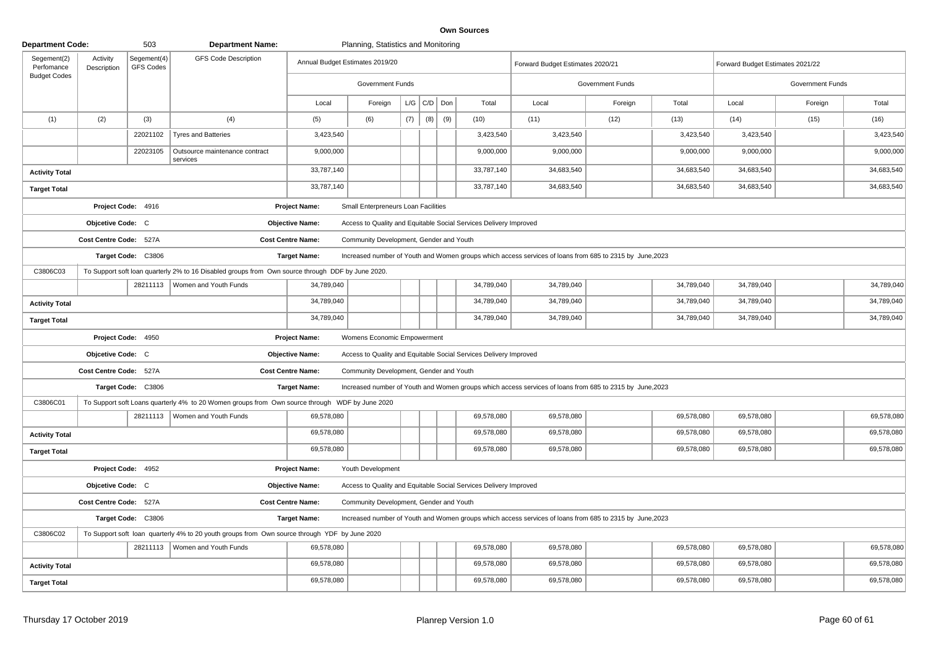| <b>Department Code:</b>   |                         | 503                      | <b>Department Name:</b>                                                                           |                                 | Planning, Statistics and Monitoring     |     |                   |     |                                                                   |                                                                                                          |                  |            |                                  |                  |            |
|---------------------------|-------------------------|--------------------------|---------------------------------------------------------------------------------------------------|---------------------------------|-----------------------------------------|-----|-------------------|-----|-------------------------------------------------------------------|----------------------------------------------------------------------------------------------------------|------------------|------------|----------------------------------|------------------|------------|
| Segement(2)<br>Perfomance | Activity<br>Description | Segement(4)<br>GFS Codes | <b>GFS Code Description</b>                                                                       | Annual Budget Estimates 2019/20 |                                         |     |                   |     |                                                                   | Forward Budget Estimates 2020/21                                                                         |                  |            | Forward Budget Estimates 2021/22 |                  |            |
| <b>Budget Codes</b>       |                         |                          |                                                                                                   |                                 | <b>Government Funds</b>                 |     |                   |     |                                                                   |                                                                                                          | Government Funds |            |                                  | Government Funds |            |
|                           |                         |                          |                                                                                                   | Local                           | Foreign                                 |     | $L/G$ $C/D$ $Don$ |     | Total                                                             | Local                                                                                                    | Foreign          | Total      | Local                            | Foreign          | Total      |
| (1)                       | (2)                     | (3)                      | (4)                                                                                               | (5)                             | (6)                                     | (7) | (8)               | (9) | (10)                                                              | (11)                                                                                                     | (12)             | (13)       | (14)                             | (15)             | (16)       |
|                           |                         | 22021102                 | <b>Tyres and Batteries</b>                                                                        | 3,423,540                       |                                         |     |                   |     | 3,423,540                                                         | 3,423,540                                                                                                |                  | 3,423,540  | 3,423,540                        |                  | 3,423,540  |
|                           |                         | 22023105                 | Outsource maintenance contract<br>services                                                        | 9,000,000                       |                                         |     |                   |     | 9,000,000                                                         | 9,000,000                                                                                                |                  | 9,000,000  | 9,000,000                        |                  | 9,000,000  |
| <b>Activity Total</b>     |                         |                          |                                                                                                   | 33,787,140                      |                                         |     |                   |     | 33,787,140                                                        | 34,683,540                                                                                               |                  | 34,683,540 | 34,683,540                       |                  | 34,683,540 |
| <b>Target Total</b>       |                         |                          |                                                                                                   | 33,787,140                      |                                         |     |                   |     | 33,787,140                                                        | 34,683,540                                                                                               |                  | 34,683,540 | 34,683,540                       |                  | 34,683,540 |
|                           |                         | Project Code: 4916       |                                                                                                   | <b>Project Name:</b>            | Small Enterpreneurs Loan Facilities     |     |                   |     |                                                                   |                                                                                                          |                  |            |                                  |                  |            |
|                           | Objcetive Code: C       |                          |                                                                                                   | <b>Objective Name:</b>          |                                         |     |                   |     | Access to Quality and Equitable Social Services Delivery Improved |                                                                                                          |                  |            |                                  |                  |            |
|                           | Cost Centre Code: 527A  |                          |                                                                                                   | <b>Cost Centre Name:</b>        | Community Development, Gender and Youth |     |                   |     |                                                                   |                                                                                                          |                  |            |                                  |                  |            |
|                           |                         | Target Code: C3806       |                                                                                                   | <b>Target Name:</b>             |                                         |     |                   |     |                                                                   | Increased number of Youth and Women groups which access services of loans from 685 to 2315 by June, 2023 |                  |            |                                  |                  |            |
| C3806C03                  |                         |                          | To Support soft loan quarterly 2% to 16 Disabled groups from Own source through DDF by June 2020. |                                 |                                         |     |                   |     |                                                                   |                                                                                                          |                  |            |                                  |                  |            |
|                           |                         |                          | 28211113   Women and Youth Funds                                                                  | 34,789,040                      |                                         |     |                   |     | 34,789,040                                                        | 34,789,040                                                                                               |                  | 34,789,040 | 34,789,040                       |                  | 34,789,040 |
| <b>Activity Total</b>     |                         |                          |                                                                                                   | 34,789,040                      |                                         |     |                   |     | 34,789,040                                                        | 34,789,040                                                                                               |                  | 34,789,040 | 34,789,040                       |                  | 34,789,040 |
| <b>Target Total</b>       |                         |                          |                                                                                                   | 34,789,040                      |                                         |     |                   |     | 34,789,040                                                        | 34,789,040                                                                                               |                  | 34,789,040 | 34,789,040                       |                  | 34,789,040 |
|                           |                         | Project Code: 4950       |                                                                                                   | Project Name:                   | Womens Economic Empowerment             |     |                   |     |                                                                   |                                                                                                          |                  |            |                                  |                  |            |
|                           | Objcetive Code: C       |                          |                                                                                                   | <b>Objective Name:</b>          |                                         |     |                   |     | Access to Quality and Equitable Social Services Delivery Improved |                                                                                                          |                  |            |                                  |                  |            |
|                           | Cost Centre Code: 527A  |                          |                                                                                                   | <b>Cost Centre Name:</b>        | Community Development, Gender and Youth |     |                   |     |                                                                   |                                                                                                          |                  |            |                                  |                  |            |
|                           |                         | Target Code: C3806       |                                                                                                   | <b>Target Name:</b>             |                                         |     |                   |     |                                                                   | Increased number of Youth and Women groups which access services of loans from 685 to 2315 by June, 2023 |                  |            |                                  |                  |            |
| C3806C01                  |                         |                          | To Support soft Loans quarterly 4% to 20 Women groups from Own source through WDF by June 2020    |                                 |                                         |     |                   |     |                                                                   |                                                                                                          |                  |            |                                  |                  |            |
|                           |                         |                          | 28211113   Women and Youth Funds                                                                  | 69,578,080                      |                                         |     |                   |     | 69,578,080                                                        | 69,578,080                                                                                               |                  | 69,578,080 | 69,578,080                       |                  | 69,578,080 |
| <b>Activity Total</b>     |                         |                          |                                                                                                   | 69,578,080                      |                                         |     |                   |     | 69,578,080                                                        | 69,578,080                                                                                               |                  | 69,578,080 | 69,578,080                       |                  | 69,578,080 |
| <b>Target Total</b>       |                         |                          |                                                                                                   | 69,578,080                      |                                         |     |                   |     | 69,578,080                                                        | 69,578,080                                                                                               |                  | 69,578,080 | 69,578,080                       |                  | 69,578,080 |
|                           |                         | Project Code: 4952       |                                                                                                   | <b>Project Name:</b>            | Youth Development                       |     |                   |     |                                                                   |                                                                                                          |                  |            |                                  |                  |            |
|                           | Objcetive Code: C       |                          |                                                                                                   | <b>Objective Name:</b>          |                                         |     |                   |     | Access to Quality and Equitable Social Services Delivery Improved |                                                                                                          |                  |            |                                  |                  |            |
|                           | Cost Centre Code: 527A  |                          |                                                                                                   | <b>Cost Centre Name:</b>        | Community Development, Gender and Youth |     |                   |     |                                                                   |                                                                                                          |                  |            |                                  |                  |            |
|                           |                         | Target Code: C3806       |                                                                                                   | <b>Target Name:</b>             |                                         |     |                   |     |                                                                   | Increased number of Youth and Women groups which access services of loans from 685 to 2315 by June, 2023 |                  |            |                                  |                  |            |
| C3806C02                  |                         |                          | To Support soft loan quarterly 4% to 20 youth groups from Own source through YDF by June 2020     |                                 |                                         |     |                   |     |                                                                   |                                                                                                          |                  |            |                                  |                  |            |
|                           |                         |                          | 28211113   Women and Youth Funds                                                                  | 69,578,080                      |                                         |     |                   |     | 69,578,080                                                        | 69,578,080                                                                                               |                  | 69,578,080 | 69,578,080                       |                  | 69,578,080 |
| <b>Activity Total</b>     |                         |                          |                                                                                                   | 69,578,080                      |                                         |     |                   |     | 69,578,080                                                        | 69,578,080                                                                                               |                  | 69,578,080 | 69,578,080                       |                  | 69,578,080 |
| <b>Target Total</b>       |                         |                          |                                                                                                   | 69,578,080                      |                                         |     |                   |     | 69,578,080                                                        | 69,578,080                                                                                               |                  | 69,578,080 | 69,578,080                       |                  | 69,578,080 |